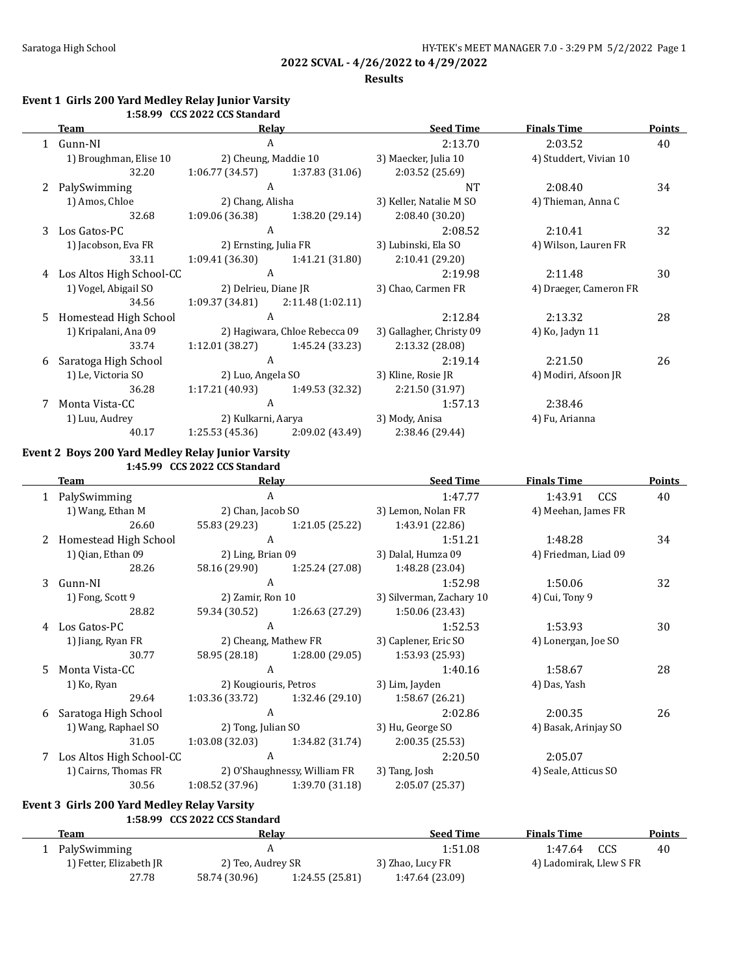### **Results**

### **Event 1 Girls 200 Yard Medley Relay Junior Varsity 1:58.99 CCS 2022 CCS Standard**

|   | Team                       | Relay                 |                                            | <b>Seed Time</b>         | <b>Finals Time</b>     | <b>Points</b> |
|---|----------------------------|-----------------------|--------------------------------------------|--------------------------|------------------------|---------------|
|   | Gunn-NI                    | A                     |                                            | 2:13.70                  | 2:03.52                | 40            |
|   | 1) Broughman, Elise 10     | 2) Cheung, Maddie 10  |                                            | 3) Maecker, Julia 10     | 4) Studdert, Vivian 10 |               |
|   | 32.20                      |                       | $1:06.77(34.57)$ $1:37.83(31.06)$          | 2:03.52(25.69)           |                        |               |
|   | PalySwimming               | A                     |                                            | <b>NT</b>                | 2:08.40                | 34            |
|   | 1) Amos, Chloe             | 2) Chang, Alisha      |                                            | 3) Keller, Natalie M SO  | 4) Thieman, Anna C     |               |
|   | 32.68                      | 1:09.06 (36.38)       | 1:38.20 (29.14)                            | 2:08.40(30.20)           |                        |               |
| 3 | Los Gatos-PC               | A                     |                                            | 2:08.52                  | 2:10.41                | 32            |
|   | 1) Jacobson, Eva FR        | 2) Ernsting, Julia FR |                                            | 3) Lubinski, Ela SO      | 4) Wilson, Lauren FR   |               |
|   | 33.11                      |                       | $1:09.41(36.30)$ $1:41.21(31.80)$          | 2:10.41(29.20)           |                        |               |
|   | 4 Los Altos High School-CC | A                     |                                            | 2:19.98                  | 2:11.48                | 30            |
|   | 1) Vogel, Abigail SO       |                       | 2) Delrieu, Diane JR<br>3) Chao, Carmen FR |                          | 4) Draeger, Cameron FR |               |
|   | 34.56                      | 1:09.37 (34.81)       | 2:11.48 (1:02.11)                          |                          |                        |               |
|   | 5 Homestead High School    | A                     |                                            | 2:12.84                  | 2:13.32                | 28            |
|   | 1) Kripalani, Ana 09       |                       | 2) Hagiwara, Chloe Rebecca 09              | 3) Gallagher, Christy 09 | 4) Ko, Jadyn 11        |               |
|   | 33.74                      |                       | $1:12.01(38.27)$ $1:45.24(33.23)$          | 2:13.32 (28.08)          |                        |               |
| 6 | Saratoga High School       | A                     |                                            | 2:19.14                  | 2:21.50                | 26            |
|   | 1) Le, Victoria SO         |                       | 2) Luo, Angela SO                          | 3) Kline, Rosie JR       | 4) Modiri, Afsoon JR   |               |
|   | 36.28                      |                       | $1:17.21(40.93)$ $1:49.53(32.32)$          | 2:21.50 (31.97)          |                        |               |
| 7 | Monta Vista-CC             | A                     |                                            | 1:57.13                  | 2:38.46                |               |
|   | 1) Luu, Audrey             |                       | 2) Kulkarni, Aarya                         | 3) Mody, Anisa           | 4) Fu, Arianna         |               |
|   | 40.17                      |                       | $1:25.53(45.36)$ 2:09.02 (43.49)           | 2:38.46 (29.44)          |                        |               |

### **Event 2 Boys 200 Yard Medley Relay Junior Varsity 1:45.99 CCS 2022 CCS Standard**

|    | <b>Team</b>                               | Relay                        |                                   | <b>Seed Time</b>         | <b>Finals Time</b>   | <b>Points</b> |
|----|-------------------------------------------|------------------------------|-----------------------------------|--------------------------|----------------------|---------------|
|    | 1 PalySwimming                            | A                            |                                   | 1:47.77                  | 1:43.91 CCS          | 40            |
|    | 1) Wang, Ethan M                          | 2) Chan, Jacob SO            |                                   | 3) Lemon, Nolan FR       | 4) Meehan, James FR  |               |
|    | 26.60                                     |                              | 55.83 (29.23) 1:21.05 (25.22)     | 1:43.91 (22.86)          |                      |               |
|    | 2 Homestead High School                   | $\overline{A}$               |                                   | 1:51.21                  | 1:48.28              | 34            |
|    | 1) Qian, Ethan 09                         |                              | 2) Ling, Brian 09                 | 3) Dalal, Humza 09       | 4) Friedman, Liad 09 |               |
|    | 28.26                                     |                              | 58.16 (29.90) 1:25.24 (27.08)     | 1:48.28 (23.04)          |                      |               |
|    | 3 Gunn-NI                                 | $\mathbf{A}$                 |                                   | 1:52.98                  | 1:50.06              | 32            |
|    | 1) Fong, Scott 9                          | 2) Zamir, Ron 10             |                                   | 3) Silverman, Zachary 10 | 4) Cui, Tony 9       |               |
|    | 28.82                                     |                              | 59.34 (30.52) 1:26.63 (27.29)     | 1:50.06 (23.43)          |                      |               |
|    | 4 Los Gatos-PC                            | A                            |                                   | 1:52.53                  | 1:53.93              | 30            |
|    | 2) Cheang, Mathew FR<br>1) Jiang, Ryan FR |                              |                                   | 3) Caplener, Eric SO     | 4) Lonergan, Joe SO  |               |
|    | 30.77                                     |                              | 58.95 (28.18) 1:28.00 (29.05)     | 1:53.93 (25.93)          |                      |               |
| 5. | Monta Vista-CC                            | $\mathbf{A}$                 |                                   | 1:40.16                  | 1:58.67              | 28            |
|    | 1) Ko, Ryan                               |                              | 2) Kougiouris, Petros             | 3) Lim, Jayden           | 4) Das, Yash         |               |
|    | 29.64                                     |                              | $1:03.36(33.72)$ $1:32.46(29.10)$ | 1:58.67 (26.21)          |                      |               |
| 6  | Saratoga High School                      | A                            |                                   | 2:02.86                  | 2:00.35              | 26            |
|    | 1) Wang, Raphael SO                       |                              | 2) Tong, Julian SO                | 3) Hu, George SO         | 4) Basak, Arinjay SO |               |
|    | 31.05                                     |                              | $1:03.08(32.03)$ $1:34.82(31.74)$ | 2:00.35(25.53)           |                      |               |
|    | 7 Los Altos High School-CC                | $\mathbf{A}$                 |                                   | 2:20.50                  | 2:05.07              |               |
|    | 1) Cairns, Thomas FR                      | 2) O'Shaughnessy, William FR |                                   | 3) Tang, Josh            | 4) Seale, Atticus SO |               |
|    | 30.56                                     |                              | $1:08.52(37.96)$ $1:39.70(31.18)$ | 2:05.07 (25.37)          |                      |               |

## **Event 3 Girls 200 Yard Medley Relay Varsity**

**1:58.99 CCS 2022 CCS Standard**

| Team                    | Relav             |                | <b>Seed Time</b> | <b>Finals Time</b>      |  | <b>Points</b> |
|-------------------------|-------------------|----------------|------------------|-------------------------|--|---------------|
| PalySwimming            |                   |                | 1:51.08          | $1:47.64$ CCS           |  | 40            |
| 1) Fetter, Elizabeth JR | 2) Teo, Audrey SR |                | 3) Zhao, Lucy FR | 4) Ladomirak, Llew S FR |  |               |
| 27.78                   | 58.74 (30.96)     | 1:24.55(25.81) | 1:47.64 (23.09)  |                         |  |               |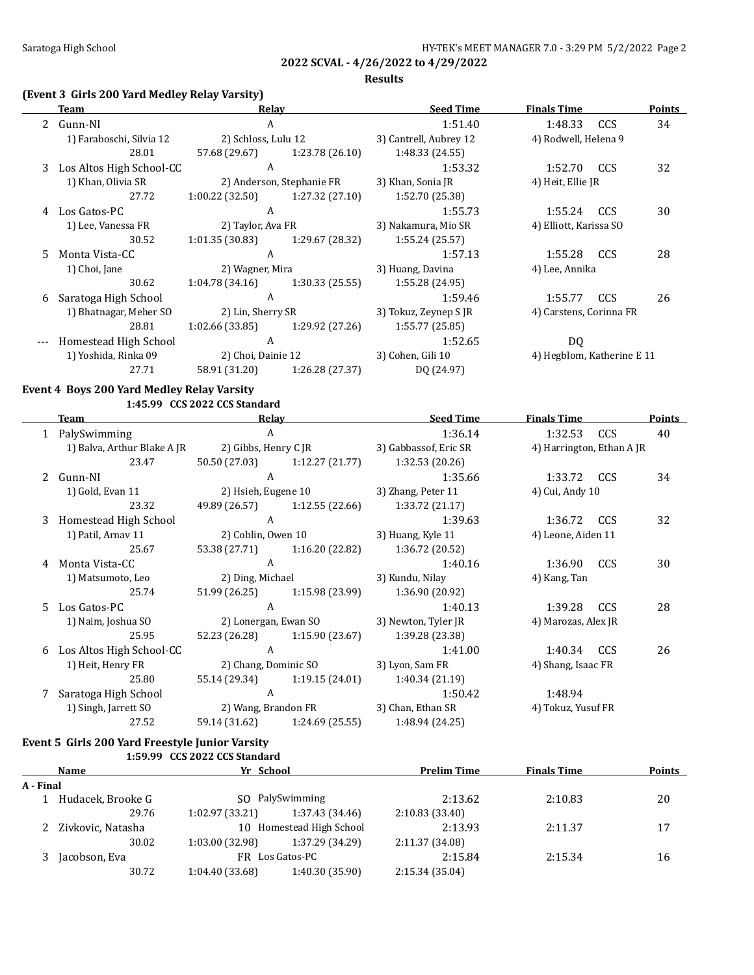### **Results**

## **(Event 3 Girls 200 Yard Medley Relay Varsity)**

|    | Team                       | Relav               |                           | <b>Seed Time</b>       | <b>Finals Time</b>         |            | <b>Points</b> |
|----|----------------------------|---------------------|---------------------------|------------------------|----------------------------|------------|---------------|
|    | 2 Gunn-NI                  | A                   |                           | 1:51.40                | 1:48.33                    | CCS        | 34            |
|    | 1) Faraboschi, Silvia 12   | 2) Schloss, Lulu 12 |                           | 3) Cantrell, Aubrey 12 | 4) Rodwell, Helena 9       |            |               |
|    | 28.01                      | 57.68 (29.67)       | 1:23.78 (26.10)           | 1:48.33 (24.55)        |                            |            |               |
|    | 3 Los Altos High School-CC | A                   |                           | 1:53.32                | 1:52.70                    | <b>CCS</b> | 32            |
|    | 1) Khan, Olivia SR         |                     | 2) Anderson, Stephanie FR | 3) Khan, Sonia JR      | 4) Heit, Ellie JR          |            |               |
|    | 27.72                      | 1:00.22(32.50)      | 1:27.32 (27.10)           | 1:52.70 (25.38)        |                            |            |               |
| 4  | Los Gatos-PC               | A                   |                           | 1:55.73                | 1:55.24                    | <b>CCS</b> | 30            |
|    | 1) Lee, Vanessa FR         | 2) Taylor, Ava FR   |                           | 3) Nakamura, Mio SR    | 4) Elliott, Karissa SO     |            |               |
|    | 30.52                      | 1:01.35(30.83)      | 1:29.67 (28.32)           | 1:55.24 (25.57)        |                            |            |               |
| 5. | Monta Vista-CC             | A                   |                           | 1:57.13                | 1:55.28                    | CCS        | 28            |
|    | 1) Choi, Jane              | 2) Wagner, Mira     |                           | 3) Huang, Davina       | 4) Lee, Annika             |            |               |
|    | 30.62                      | 1:04.78(34.16)      | 1:30.33 (25.55)           | 1:55.28 (24.95)        |                            |            |               |
| 6  | Saratoga High School       | A                   |                           | 1:59.46                | 1:55.77                    | <b>CCS</b> | 26            |
|    | 1) Bhatnagar, Meher SO     | 2) Lin, Sherry SR   |                           | 3) Tokuz, Zeynep S JR  | 4) Carstens, Corinna FR    |            |               |
|    | 28.81                      | 1:02.66 (33.85)     | 1:29.92 (27.26)           | 1:55.77(25.85)         |                            |            |               |
|    | Homestead High School      | A                   |                           | 1:52.65                | DQ.                        |            |               |
|    | 1) Yoshida, Rinka 09       | 2) Choi, Dainie 12  |                           | 3) Cohen, Gili 10      | 4) Hegblom, Katherine E 11 |            |               |
|    | 27.71                      | 58.91 (31.20)       | 1:26.28(27.37)            | DQ (24.97)             |                            |            |               |
|    |                            |                     |                           |                        |                            |            |               |

## **Event 4 Boys 200 Yard Medley Relay Varsity**

**1:45.99 CCS 2022 CCS Standard**

|     | Team                        | Relay               |                                 | <b>Seed Time</b>                              | <b>Finals Time</b>        |            | <b>Points</b> |
|-----|-----------------------------|---------------------|---------------------------------|-----------------------------------------------|---------------------------|------------|---------------|
|     | 1 PalySwimming              | A                   |                                 | 1:36.14                                       | 1:32.53                   | <b>CCS</b> | 40            |
|     | 1) Balva, Arthur Blake A JR |                     |                                 | 2) Gibbs, Henry C JR 3) Gabbassof, Eric SR    | 4) Harrington, Ethan A JR |            |               |
|     | 23.47                       |                     |                                 | 50.50 (27.03) 1:12.27 (21.77) 1:32.53 (20.26) |                           |            |               |
|     | 2 Gunn-NI                   | A                   |                                 | 1:35.66                                       | 1:33.72                   | <b>CCS</b> | 34            |
|     | 1) Gold, Evan 11            | 2) Hsieh, Eugene 10 |                                 | 3) Zhang, Peter 11                            | 4) Cui, Andy 10           |            |               |
|     | 23.32                       |                     | 49.89 (26.57) 1:12.55 (22.66)   | 1:33.72(21.17)                                |                           |            |               |
|     | 3 Homestead High School     | A                   |                                 | 1:39.63                                       | 1:36.72                   | <b>CCS</b> | 32            |
|     | 1) Patil, Arnav 11          | 2) Coblin, Owen 10  |                                 | 3) Huang, Kyle 11                             | 4) Leone, Aiden 11        |            |               |
|     | 25.67                       |                     | 53.38 (27.71) 1:16.20 (22.82)   | 1:36.72 (20.52)                               |                           |            |               |
| 4   | Monta Vista-CC              | A                   |                                 | 1:40.16                                       | 1:36.90                   | <b>CCS</b> | 30            |
|     | 1) Matsumoto, Leo           | 2) Ding, Michael    |                                 | 3) Kundu, Nilay                               | 4) Kang, Tan              |            |               |
|     | 25.74                       |                     | $51.99(26.25)$ $1:15.98(23.99)$ | 1:36.90 (20.92)                               |                           |            |               |
| .5. | Los Gatos-PC                | A                   |                                 | 1:40.13                                       | 1:39.28                   | CCS        | 28            |
|     | 1) Naim, Joshua SO          |                     |                                 | 2) Lonergan, Ewan SO 3) Newton, Tyler JR      | 4) Marozas, Alex JR       |            |               |
|     | 25.95                       |                     | $52.23(26.28)$ $1:15.90(23.67)$ | 1:39.28 (23.38)                               |                           |            |               |
| 6   | Los Altos High School-CC    | A                   |                                 | 1:41.00                                       | 1:40.34                   | CCS        | 26            |
|     | 1) Heit, Henry FR           |                     |                                 | 2) Chang, Dominic SO 3) Lyon, Sam FR          | 4) Shang, Isaac FR        |            |               |
|     | 25.80                       |                     | 55.14 (29.34) 1:19.15 (24.01)   | 1:40.34 (21.19)                               |                           |            |               |
|     | Saratoga High School        | $\mathbf{A}$        |                                 | 1:50.42                                       | 1:48.94                   |            |               |
|     | 1) Singh, Jarrett SO        |                     |                                 | 2) Wang, Brandon FR 3) Chan, Ethan SR         | 4) Tokuz, Yusuf FR        |            |               |
|     | 27.52                       |                     | 59.14 (31.62) 1:24.69 (25.55)   | 1:48.94 (24.25)                               |                           |            |               |

### **Event 5 Girls 200 Yard Freestyle Junior Varsity 1:59.99 CCS 2022 CCS Standard**

| <b>Name</b> |                                                 | Yr School       |                 | <b>Prelim Time</b> | <b>Finals Time</b> | <b>Points</b> |
|-------------|-------------------------------------------------|-----------------|-----------------|--------------------|--------------------|---------------|
| A - Final   |                                                 |                 |                 |                    |                    |               |
|             | Hudacek, Brooke G                               |                 | SO PalySwimming | 2:13.62            | 2:10.83            | 20            |
|             | 29.76                                           | 1:02.97 (33.21) | 1:37.43 (34.46) | 2:10.83(33.40)     |                    |               |
|             | 10 Homestead High School<br>2 Zivkovic, Natasha |                 |                 | 2:13.93            | 2:11.37            | 17            |
|             | 30.02                                           | 1:03.00 (32.98) | 1:37.29 (34.29) | 2:11.37 (34.08)    |                    |               |
|             | Jacobson, Eva                                   |                 | FR Los Gatos-PC |                    | 2:15.34            | 16            |
|             | 30.72                                           | 1:04.40 (33.68) | 1:40.30 (35.90) | 2:15.34 (35.04)    |                    |               |
|             |                                                 |                 |                 |                    |                    |               |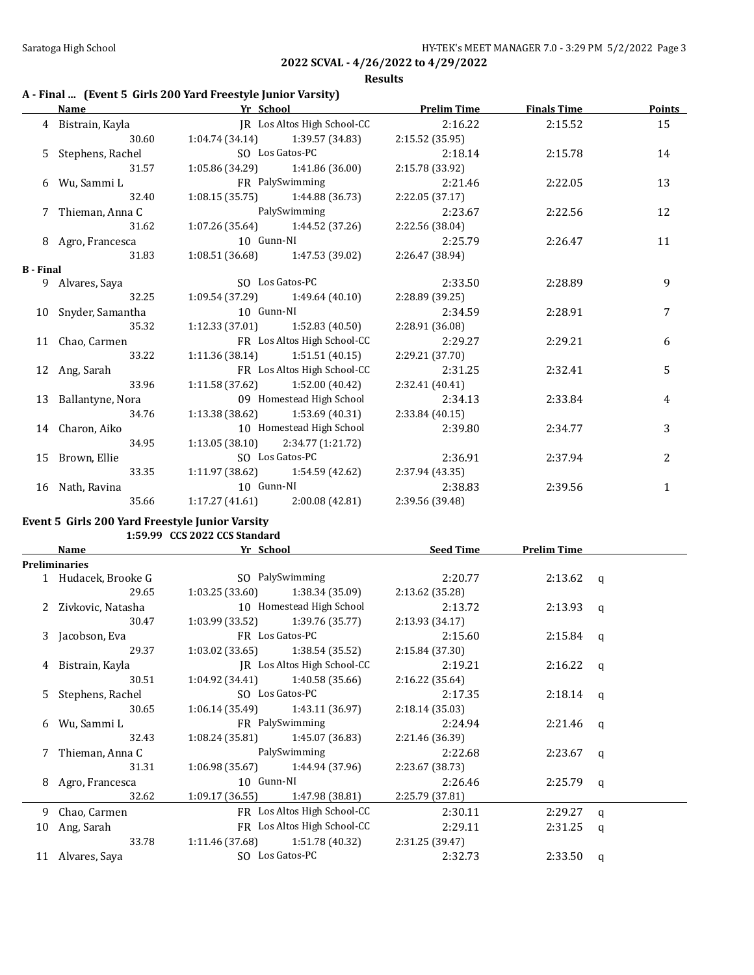### **Results**

## **A - Final ... (Event 5 Girls 200 Yard Freestyle Junior Varsity)**

|                  | <b>Name</b>         | Yr School    |                                     | <b>Prelim Time</b> | <b>Finals Time</b> | <b>Points</b> |
|------------------|---------------------|--------------|-------------------------------------|--------------------|--------------------|---------------|
|                  | 4 Bistrain, Kayla   |              | JR Los Altos High School-CC         | 2:16.22            | 2:15.52            | 15            |
|                  | 30.60               |              | $1:04.74(34.14)$ $1:39.57(34.83)$   | 2:15.52(35.95)     |                    |               |
|                  | 5 Stephens, Rachel  |              | SO Los Gatos-PC                     | 2:18.14            | 2:15.78            | 14            |
|                  | 31.57               |              | $1:05.86(34.29)$ $1:41.86(36.00)$   | 2:15.78 (33.92)    |                    |               |
|                  | 6 Wu, Sammi L       |              | <b>FR</b> PalySwimming              | 2:21.46            | 2:22.05            | 13            |
|                  | 32.40               |              | $1:08.15(35.75)$ $1:44.88(36.73)$   | 2:22.05(37.17)     |                    |               |
|                  | 7 Thieman, Anna C   | PalySwimming |                                     | 2:23.67            | 2:22.56            | 12            |
|                  | 31.62               |              | $1:07.26(35.64)$ $1:44.52(37.26)$   | 2:22.56 (38.04)    |                    |               |
|                  | 8 Agro, Francesca   | 10 Gunn-NI   |                                     | 2:25.79            | 2:26.47            | 11            |
|                  | 31.83               |              | $1:08.51(36.68)$ $1:47.53(39.02)$   | 2:26.47 (38.94)    |                    |               |
| <b>B</b> - Final |                     |              |                                     |                    |                    |               |
|                  | 9 Alvares, Saya     |              | SO Los Gatos-PC                     | 2:33.50            | 2:28.89            | 9             |
|                  | 32.25               |              | $1:09.54(37.29)$ $1:49.64(40.10)$   | 2:28.89 (39.25)    |                    |               |
|                  | 10 Snyder, Samantha | 10 Gunn-NI   |                                     | 2:34.59            | 2:28.91            | 7             |
|                  | 35.32               |              | $1:12.33(37.01)$ $1:52.83(40.50)$   | 2:28.91 (36.08)    |                    |               |
|                  | 11 Chao, Carmen     |              | FR Los Altos High School-CC         | 2:29.27            | 2:29.21            | 6             |
|                  | 33.22               |              | $1:11.36(38.14)$ $1:51.51(40.15)$   | 2:29.21 (37.70)    |                    |               |
|                  | 12 Ang, Sarah       |              | FR Los Altos High School-CC         | 2:31.25            | 2:32.41            | 5             |
|                  | 33.96               |              | $1:11.58(37.62)$ $1:52.00(40.42)$   | 2:32.41(40.41)     |                    |               |
|                  | 13 Ballantyne, Nora |              | 09 Homestead High School 2:34.13    |                    | 2:33.84            | 4             |
|                  | 34.76               |              | $1:13.38(38.62)$ $1:53.69(40.31)$   | 2:33.84(40.15)     |                    |               |
|                  | 14 Charon, Aiko     |              | 10 Homestead High School            | 2:39.80            | 2:34.77            | 3             |
|                  | 34.95               |              | $1:13.05(38.10)$ $2:34.77(1:21.72)$ |                    |                    |               |
|                  | 15 Brown, Ellie     |              | SO Los Gatos-PC                     | 2:36.91            | 2:37.94            | 2             |
|                  | 33.35               |              | $1:11.97(38.62)$ $1:54.59(42.62)$   | 2:37.94 (43.35)    |                    |               |
|                  | 16 Nath, Ravina     | 10 Gunn-NI   |                                     | 2:38.83            | 2:39.56            | $\mathbf{1}$  |
|                  | 35.66               |              | $1:17.27(41.61)$ $2:00.08(42.81)$   | 2:39.56 (39.48)    |                    |               |

## **Event 5 Girls 200 Yard Freestyle Junior Varsity**

**1:59.99 CCS 2022 CCS Standard**

|    | Yr School<br>Name    |            | <b>Seed Time</b>                        | <b>Prelim Time</b> |             |             |
|----|----------------------|------------|-----------------------------------------|--------------------|-------------|-------------|
|    | <b>Preliminaries</b> |            |                                         |                    |             |             |
|    | 1 Hudacek, Brooke G  |            | SO PalySwimming                         | 2:20.77            | 2:13.62 $q$ |             |
|    | 29.65                |            | $1:03.25(33.60)$ $1:38.34(35.09)$       | 2:13.62 (35.28)    |             |             |
|    | 2 Zivkovic, Natasha  |            | 10 Homestead High School                | 2:13.72            | $2:13.93$ q |             |
|    | 30.47                |            | $1:03.99(33.52)$ $1:39.76(35.77)$       | 2:13.93(34.17)     |             |             |
|    | 3 Jacobson, Eva      |            | FR Los Gatos-PC                         | 2:15.60            | $2:15.84$ q |             |
|    | 29.37                |            | $1:03.02$ $(33.65)$ $1:38.54$ $(35.52)$ | 2:15.84(37.30)     |             |             |
| 4  | Bistrain, Kayla      |            | JR Los Altos High School-CC             |                    | $2:16.22$ q |             |
|    | 30.51                |            | $1:04.92(34.41)$ $1:40.58(35.66)$       | 2:16.22 (35.64)    |             |             |
|    | 5 Stephens, Rachel   |            | SO Los Gatos-PC                         |                    | $2:18.14$ q |             |
|    | 30.65                |            | $1:06.14(35.49)$ $1:43.11(36.97)$       | 2:18.14(35.03)     |             |             |
| 6  | Wu, Sammi L          |            | FR PalySwimming                         | 2:24.94            | $2:21.46$ q |             |
|    | 32.43                |            | $1:08.24(35.81)$ $1:45.07(36.83)$       | 2:21.46 (36.39)    |             |             |
|    | 7 Thieman, Anna C    |            | PalySwimming                            | 2:22.68            | 2:23.67     | a           |
|    | 31.31                |            | $1:06.98(35.67)$ $1:44.94(37.96)$       | 2:23.67 (38.73)    |             |             |
|    | 8 Agro, Francesca    | 10 Gunn-NI |                                         | 2:26.46            | $2:25.79$ q |             |
|    | 32.62                |            | $1:09.17(36.55)$ $1:47.98(38.81)$       | 2:25.79(37.81)     |             |             |
|    | 9 Chao, Carmen       |            | FR Los Altos High School-CC             | 2:30.11            | 2:29.27     | a           |
| 10 | Ang, Sarah           |            | FR Los Altos High School-CC             | 2:29.11            | 2:31.25     | $\mathbf q$ |
|    | 33.78                |            | $1:11.46(37.68)$ $1:51.78(40.32)$       | 2:31.25 (39.47)    |             |             |
|    | 11 Alvares, Saya     |            | SO Los Gatos-PC                         | 2:32.73            | 2:33.50     | q           |
|    |                      |            |                                         |                    |             |             |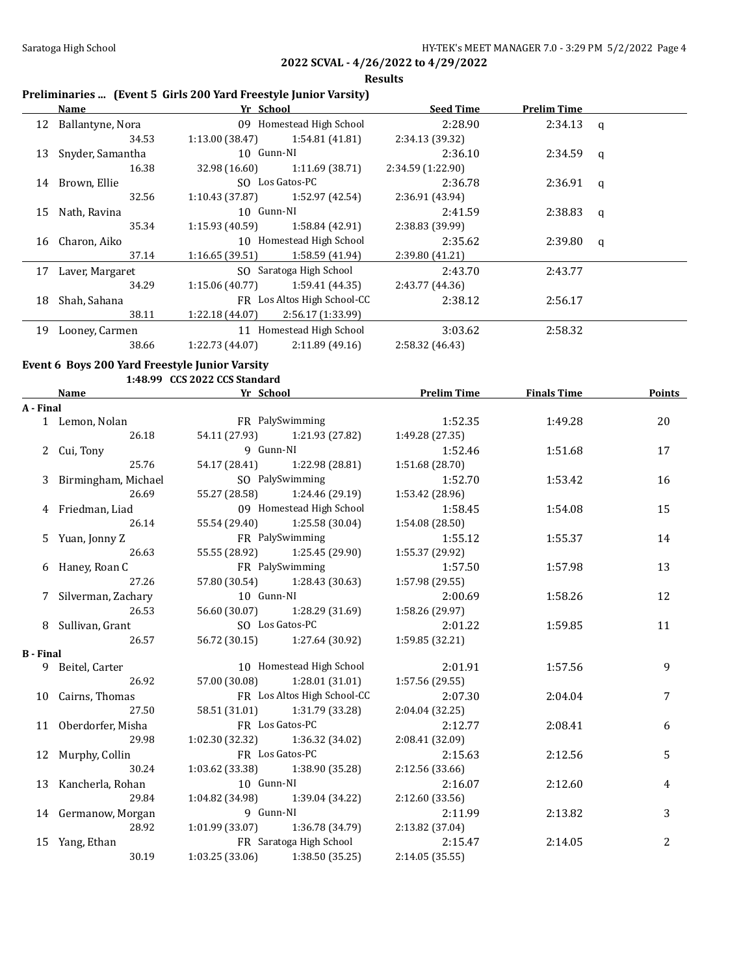**Results**

## **Preliminaries ... (Event 5 Girls 200 Yard Freestyle Junior Varsity)**

|    | Name             | Yr School       |                             | <b>Seed Time</b>  | <b>Prelim Time</b> |   |
|----|------------------|-----------------|-----------------------------|-------------------|--------------------|---|
| 12 | Ballantyne, Nora |                 | 09 Homestead High School    | 2:28.90           | $2:34.13$ q        |   |
|    | 34.53            | 1:13.00 (38.47) | 1:54.81 (41.81)             | 2:34.13 (39.32)   |                    |   |
| 13 | Snyder, Samantha | 10 Gunn-NI      |                             | 2:36.10           | $2:34.59$ q        |   |
|    | 16.38            | 32.98 (16.60)   | 1:11.69 (38.71)             | 2:34.59 (1:22.90) |                    |   |
| 14 | Brown, Ellie     |                 | SO Los Gatos-PC             | 2:36.78           | $2:36.91$ q        |   |
|    | 32.56            | 1:10.43 (37.87) | 1:52.97 (42.54)             | 2:36.91 (43.94)   |                    |   |
| 15 | Nath, Ravina     |                 | 10 Gunn-NI                  |                   | 2:38.83            | q |
|    | 35.34            | 1:15.93 (40.59) | 1:58.84 (42.91)             | 2:38.83 (39.99)   |                    |   |
| 16 | Charon, Aiko     |                 | 10 Homestead High School    | 2:35.62           | 2:39.80            | q |
|    | 37.14            | 1:16.65(39.51)  | 1:58.59 (41.94)             | 2:39.80 (41.21)   |                    |   |
| 17 | Laver, Margaret  |                 | SO Saratoga High School     | 2:43.70           | 2:43.77            |   |
|    | 34.29            | 1:15.06(40.77)  | 1:59.41 (44.35)             | 2:43.77 (44.36)   |                    |   |
| 18 | Shah, Sahana     |                 | FR Los Altos High School-CC | 2:38.12           | 2:56.17            |   |
|    | 38.11            | 1:22.18 (44.07) | 2:56.17 (1:33.99)           |                   |                    |   |
| 19 | Looney, Carmen   |                 | 11 Homestead High School    | 3:03.62           | 2:58.32            |   |
|    | 38.66            | 1:22.73(44.07)  | 2:11.89(49.16)              | 2:58.32 (46.43)   |                    |   |

### **Event 6 Boys 200 Yard Freestyle Junior Varsity 1:48.99 CCS 2022 CCS Standard**

|                  | Name                  | Yr School       |                                     | <b>Prelim Time</b> | <b>Finals Time</b> | Points |
|------------------|-----------------------|-----------------|-------------------------------------|--------------------|--------------------|--------|
| A - Final        |                       |                 |                                     |                    |                    |        |
|                  | 1 Lemon, Nolan        |                 | FR PalySwimming                     | 1:52.35            | 1:49.28            | 20     |
|                  | 26.18                 |                 | 54.11 (27.93) 1:21.93 (27.82)       | 1:49.28(27.35)     |                    |        |
|                  | 2 Cui, Tony           | 9 Gunn-NI       |                                     | 1:52.46            | 1:51.68            | 17     |
|                  | 25.76                 |                 | 54.17 (28.41) 1:22.98 (28.81)       | 1:51.68 (28.70)    |                    |        |
|                  | 3 Birmingham, Michael |                 | SO PalySwimming                     | 1:52.70            | 1:53.42            | 16     |
|                  | 26.69                 |                 | 55.27 (28.58) 1:24.46 (29.19)       | 1:53.42 (28.96)    |                    |        |
|                  | 4 Friedman, Liad      |                 | 09 Homestead High School            | 1:58.45            | 1:54.08            | 15     |
|                  | 26.14                 |                 | 55.54 (29.40) 1:25.58 (30.04)       | 1:54.08 (28.50)    |                    |        |
|                  | 5 Yuan, Jonny Z       | FR PalySwimming |                                     | 1:55.12            | 1:55.37            | 14     |
|                  | 26.63                 |                 | 55.55 (28.92) 1:25.45 (29.90)       | 1:55.37 (29.92)    |                    |        |
|                  | 6 Haney, Roan C       | FR PalySwimming |                                     | 1:57.50            | 1:57.98            | 13     |
|                  | 27.26                 |                 | 57.80 (30.54) 1:28.43 (30.63)       | 1:57.98 (29.55)    |                    |        |
|                  | 7 Silverman, Zachary  | 10 Gunn-NI      |                                     | 2:00.69            | 1:58.26            | 12     |
|                  | 26.53                 | 56.60 (30.07)   | 1:28.29 (31.69)                     | 1:58.26 (29.97)    |                    |        |
|                  | 8 Sullivan, Grant     |                 | SO Los Gatos-PC                     | 2:01.22            | 1:59.85            | 11     |
|                  | 26.57                 |                 | 56.72 (30.15) 1:27.64 (30.92)       | 1:59.85 (32.21)    |                    |        |
| <b>B</b> - Final |                       |                 |                                     |                    |                    |        |
|                  | 9 Beitel, Carter      |                 | 10 Homestead High School            | 2:01.91            | 1:57.56            | 9      |
|                  | 26.92                 |                 | 57.00 (30.08) 1:28.01 (31.01)       | 1:57.56(29.55)     |                    |        |
|                  | 10 Cairns, Thomas     |                 | FR Los Altos High School-CC         | 2:07.30            | 2:04.04            | 7      |
|                  | 27.50                 |                 | 58.51 (31.01) 1:31.79 (33.28)       | 2:04.04 (32.25)    |                    |        |
|                  | 11 Oberdorfer, Misha  |                 | FR Los Gatos-PC                     | 2:12.77            | 2:08.41            | 6      |
|                  | 29.98                 |                 | $1:02.30(32.32)$ $1:36.32(34.02)$   | 2:08.41 (32.09)    |                    |        |
|                  | 12 Murphy, Collin     |                 | FR Los Gatos-PC                     | 2:15.63            | 2:12.56            | 5      |
|                  | 30.24                 |                 | $1:03.62$ (33.38) $1:38.90$ (35.28) | 2:12.56 (33.66)    |                    |        |
|                  | 13 Kancherla, Rohan   | 10 Gunn-NI      |                                     | 2:16.07            | 2:12.60            | 4      |
|                  | 29.84                 |                 | 1:04.82 (34.98) 1:39.04 (34.22)     | 2:12.60 (33.56)    |                    |        |
|                  | 14 Germanow, Morgan   | 9 Gunn-NI       |                                     | 2:11.99            | 2:13.82            | 3      |
|                  | 28.92                 |                 | $1:01.99(33.07)$ $1:36.78(34.79)$   | 2:13.82 (37.04)    |                    |        |
|                  | 15 Yang, Ethan        |                 | FR Saratoga High School             | 2:15.47            | 2:14.05            | 2      |
|                  | 30.19                 |                 | $1:03.25(33.06)$ $1:38.50(35.25)$   | 2:14.05 (35.55)    |                    |        |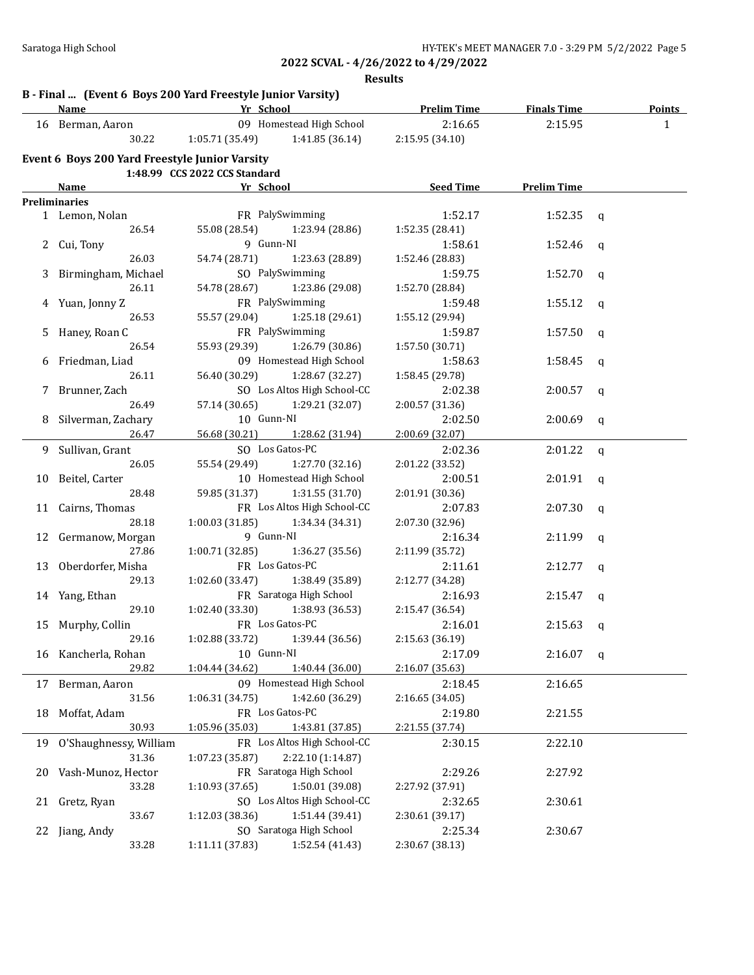**Results**

|    | Name                                           | B - Final  (Event 6 Boys 200 Yard Freestyle Junior Varsity)<br><b>Example 21 Yr School</b> | <b>Example 12 Prelim Time</b> | <b>Finals Time</b> | <b>Points</b> |
|----|------------------------------------------------|--------------------------------------------------------------------------------------------|-------------------------------|--------------------|---------------|
|    | 16 Berman, Aaron                               | 09 Homestead High School                                                                   | 2:16.65                       | 2:15.95            | $\mathbf{1}$  |
|    | 30.22                                          | 1:05.71(35.49)<br>1:41.85 (36.14)                                                          | 2:15.95 (34.10)               |                    |               |
|    | Event 6 Boys 200 Yard Freestyle Junior Varsity |                                                                                            |                               |                    |               |
|    |                                                | 1:48.99 CCS 2022 CCS Standard                                                              |                               |                    |               |
|    | Name                                           | Yr School                                                                                  | Seed Time                     | <b>Prelim Time</b> |               |
|    | <b>Preliminaries</b>                           |                                                                                            |                               |                    |               |
|    | 1 Lemon, Nolan                                 | FR PalySwimming                                                                            | 1:52.17                       | 1:52.35            | q             |
|    | 26.54                                          | 55.08 (28.54)<br>1:23.94 (28.86)                                                           | 1:52.35 (28.41)               |                    |               |
|    | 2 Cui, Tony                                    | 9 Gunn-NI                                                                                  | 1:58.61                       | 1:52.46            | q             |
|    | 26.03                                          | 54.74 (28.71)<br>1:23.63 (28.89)                                                           | 1:52.46 (28.83)               |                    |               |
|    | 3 Birmingham, Michael                          | SO PalySwimming                                                                            | 1:59.75                       | 1:52.70            | q             |
|    | 26.11                                          | 54.78 (28.67) 1:23.86 (29.08)                                                              | 1:52.70 (28.84)               |                    |               |
|    | 4 Yuan, Jonny Z                                | FR PalySwimming                                                                            | 1:59.48                       | 1:55.12            | q             |
|    | 26.53                                          | 55.57 (29.04)<br>1:25.18 (29.61)                                                           | 1:55.12 (29.94)               |                    |               |
|    | 5 Haney, Roan C                                | FR PalySwimming                                                                            | 1:59.87                       | 1:57.50            | q             |
|    | 26.54                                          | 55.93 (29.39)<br>1:26.79 (30.86)                                                           | 1:57.50 (30.71)               |                    |               |
| 6  | Friedman, Liad                                 | 09 Homestead High School                                                                   | 1:58.63                       | 1:58.45            | q             |
|    | 26.11                                          | 56.40 (30.29)<br>1:28.67 (32.27)                                                           | 1:58.45 (29.78)               |                    |               |
| 7  | Brunner, Zach                                  | SO Los Altos High School-CC                                                                | 2:02.38                       | 2:00.57            | q             |
|    | 26.49                                          | 57.14 (30.65)<br>1:29.21 (32.07)                                                           | 2:00.57 (31.36)               |                    |               |
|    | 8 Silverman, Zachary                           | 10 Gunn-NI                                                                                 | 2:02.50                       | 2:00.69            | q             |
|    | 26.47                                          | 56.68 (30.21) 1:28.62 (31.94)                                                              | 2:00.69 (32.07)               |                    |               |
|    | 9 Sullivan, Grant                              | SO Los Gatos-PC                                                                            | 2:02.36                       | 2:01.22            | q             |
|    | 26.05                                          | 55.54 (29.49)<br>1:27.70 (32.16)                                                           | 2:01.22 (33.52)               |                    |               |
| 10 | Beitel, Carter                                 | 10 Homestead High School                                                                   | 2:00.51                       | 2:01.91            | q             |
|    | 28.48                                          | 59.85 (31.37)<br>1:31.55(31.70)                                                            | 2:01.91 (30.36)               |                    |               |
|    | 11 Cairns, Thomas                              | FR Los Altos High School-CC                                                                | 2:07.83                       | 2:07.30            | q             |
|    | 28.18                                          | 1:00.03(31.85)<br>1:34.34 (34.31)                                                          | 2:07.30 (32.96)               |                    |               |
|    | 12 Germanow, Morgan                            | 9 Gunn-NI                                                                                  | 2:16.34                       | 2:11.99            | q             |
|    | 27.86                                          | 1:00.71 (32.85)<br>1:36.27 (35.56)                                                         | 2:11.99 (35.72)               |                    |               |
|    | 13 Oberdorfer, Misha                           | FR Los Gatos-PC                                                                            | 2:11.61                       | 2:12.77            | q             |
|    | 29.13                                          | 1:38.49 (35.89)<br>1:02.60(33.47)                                                          | 2:12.77 (34.28)               |                    |               |
|    | 14 Yang, Ethan                                 | FR Saratoga High School                                                                    | 2:16.93                       | 2:15.47            | q             |
|    | 29.10                                          | 1:02.40 (33.30)<br>1:38.93 (36.53)                                                         | 2:15.47 (36.54)               |                    |               |
|    | 15 Murphy, Collin                              | FR Los Gatos-PC                                                                            | 2:16.01                       | 2:15.63            | q             |
|    | 29.16                                          | 1:02.88 (33.72)<br>1:39.44 (36.56)                                                         | 2:15.63 (36.19)               |                    |               |
| 16 | Kancherla, Rohan                               | 10 Gunn-NI                                                                                 | 2:17.09                       | 2:16.07            | q             |
|    | 29.82                                          | 1:04.44 (34.62)<br>1:40.44 (36.00)                                                         | 2:16.07 (35.63)               |                    |               |
| 17 | Berman, Aaron                                  | 09 Homestead High School                                                                   | 2:18.45                       | 2:16.65            |               |
|    | 31.56                                          | 1:06.31 (34.75)<br>1:42.60 (36.29)                                                         | 2:16.65 (34.05)               |                    |               |
| 18 | Moffat, Adam                                   | FR Los Gatos-PC                                                                            | 2:19.80                       | 2:21.55            |               |
|    | 30.93                                          | 1:05.96 (35.03)                                                                            |                               |                    |               |
|    |                                                | 1:43.81 (37.85)<br>FR Los Altos High School-CC                                             | 2:21.55 (37.74)               |                    |               |
| 19 | O'Shaughnessy, William                         |                                                                                            | 2:30.15                       | 2:22.10            |               |
|    | 31.36                                          | 2:22.10 (1:14.87)<br>1:07.23 (35.87)                                                       |                               |                    |               |
| 20 | Vash-Munoz, Hector                             | FR Saratoga High School                                                                    | 2:29.26                       | 2:27.92            |               |
|    | 33.28                                          | 1:50.01 (39.08)<br>1:10.93 (37.65)                                                         | 2:27.92 (37.91)               |                    |               |
| 21 | Gretz, Ryan                                    | SO Los Altos High School-CC                                                                | 2:32.65                       | 2:30.61            |               |
|    | 33.67                                          | 1:12.03 (38.36)<br>1:51.44 (39.41)                                                         | 2:30.61 (39.17)               |                    |               |
| 22 | Jiang, Andy                                    | SO Saratoga High School                                                                    | 2:25.34                       | 2:30.67            |               |
|    | 33.28                                          | 1:11.11 (37.83)<br>1:52.54 (41.43)                                                         | 2:30.67 (38.13)               |                    |               |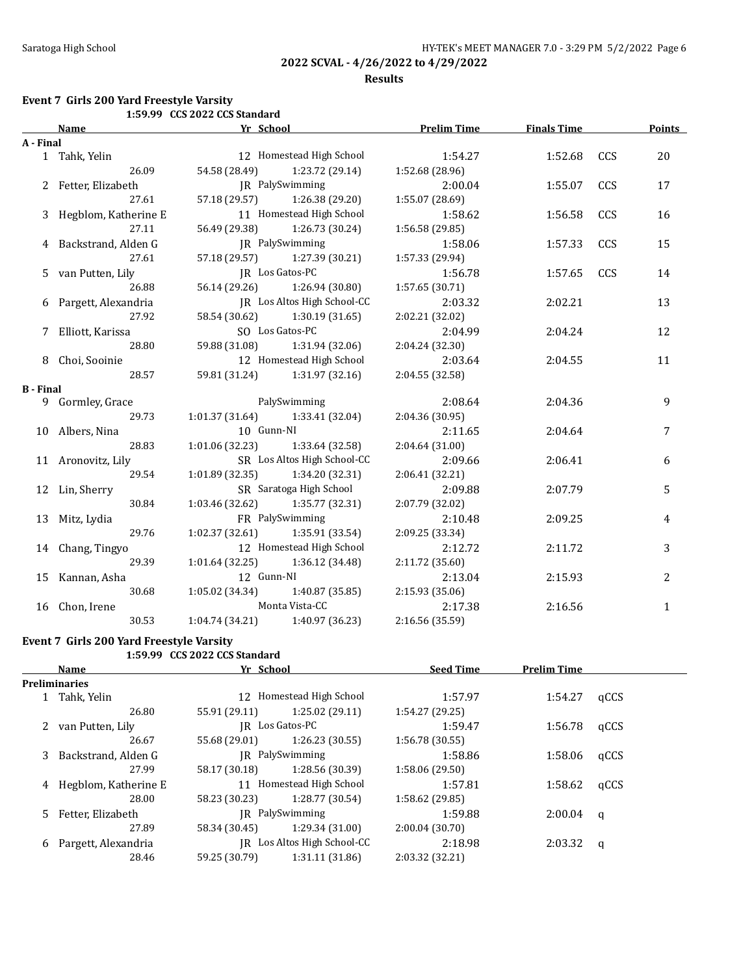### **Results**

### **Event 7 Girls 200 Yard Freestyle Varsity**

|                  |                       | 1:59.99 CCS 2022 CCS Standard |                                     |                    |                    |     |               |
|------------------|-----------------------|-------------------------------|-------------------------------------|--------------------|--------------------|-----|---------------|
|                  | <b>Name</b>           | Yr School                     |                                     | <b>Prelim Time</b> | <b>Finals Time</b> |     | <b>Points</b> |
| A - Final        |                       |                               |                                     |                    |                    |     |               |
|                  | 1 Tahk, Yelin         |                               | 12 Homestead High School            | 1:54.27            | 1:52.68            | CCS | 20            |
|                  | 26.09                 |                               | 54.58 (28.49) 1:23.72 (29.14)       | 1:52.68 (28.96)    |                    |     |               |
|                  | 2 Fetter, Elizabeth   |                               | JR PalySwimming                     | 2:00.04            | 1:55.07            | CCS | 17            |
|                  | 27.61                 |                               | 57.18 (29.57) 1:26.38 (29.20)       | 1:55.07 (28.69)    |                    |     |               |
| 3                | Hegblom, Katherine E  |                               | 11 Homestead High School            | 1:58.62            | 1:56.58            | CCS | 16            |
|                  | 27.11                 | 56.49 (29.38)                 | 1:26.73 (30.24)                     | 1:56.58 (29.85)    |                    |     |               |
|                  | Backstrand, Alden G   |                               | JR PalySwimming                     | 1:58.06            | 1:57.33            | CCS | 15            |
|                  | 27.61                 | 57.18 (29.57)                 | 1:27.39 (30.21)                     | 1:57.33 (29.94)    |                    |     |               |
|                  | 5 van Putten, Lily    |                               | JR Los Gatos-PC                     |                    | 1:57.65            | CCS | 14            |
|                  | 26.88                 | 56.14 (29.26)                 | 1:26.94 (30.80)                     | 1:57.65 (30.71)    |                    |     |               |
|                  | 6 Pargett, Alexandria |                               | JR Los Altos High School-CC         | 2:03.32            | 2:02.21            | 13  |               |
|                  | 27.92                 | 58.54 (30.62)                 | 1:30.19 (31.65)                     | 2:02.21 (32.02)    |                    |     |               |
|                  | Elliott, Karissa      |                               | SO Los Gatos-PC                     | 2:04.99            | 2:04.24            |     | 12            |
|                  | 28.80                 |                               | 59.88 (31.08) 1:31.94 (32.06)       | 2:04.24 (32.30)    |                    |     |               |
|                  | 8 Choi, Sooinie       |                               | 12 Homestead High School            | 2:03.64            | 2:04.55            |     | 11            |
|                  | 28.57                 |                               | 59.81 (31.24) 1:31.97 (32.16)       | 2:04.55 (32.58)    |                    |     |               |
| <b>B</b> - Final |                       |                               |                                     |                    |                    |     |               |
|                  | 9 Gormley, Grace      |                               | PalySwimming                        | 2:08.64            | 2:04.36            |     | 9             |
|                  | 29.73                 |                               | $1:01.37(31.64)$ $1:33.41(32.04)$   | 2:04.36 (30.95)    |                    |     |               |
|                  | 10 Albers, Nina       | 10 Gunn-NI                    |                                     | 2:11.65            | 2:04.64            |     | 7             |
|                  | 28.83                 |                               | $1:01.06(32.23)$ $1:33.64(32.58)$   | 2:04.64(31.00)     |                    |     |               |
|                  | 11 Aronovitz, Lily    |                               | SR Los Altos High School-CC         | 2:09.66            | 2:06.41            |     | 6             |
|                  | 29.54                 |                               | $1:01.89$ (32.35) $1:34.20$ (32.31) | 2:06.41 (32.21)    |                    |     |               |
|                  | 12 Lin, Sherry        |                               | SR Saratoga High School             | 2:09.88            | 2:07.79            |     | 5             |
|                  | 30.84                 | 1:03.46(32.62)                | 1:35.77 (32.31)                     | 2:07.79 (32.02)    |                    |     |               |
|                  | 13 Mitz, Lydia        |                               | FR PalySwimming                     | 2:10.48            | 2:09.25            |     | 4             |
|                  | 29.76                 | 1:02.37(32.61)                | 1:35.91 (33.54)                     | 2:09.25 (33.34)    |                    |     |               |
|                  | 14 Chang, Tingyo      |                               | 12 Homestead High School            | 2:12.72            | 2:11.72            |     | 3             |
|                  | 29.39                 | 1:01.64(32.25)                | 1:36.12 (34.48)                     | 2:11.72 (35.60)    |                    |     |               |
|                  | 15 Kannan, Asha       | 12 Gunn-NI                    |                                     | 2:13.04            | 2:15.93            |     | 2             |
|                  | 30.68                 | 1:05.02 (34.34)               | 1:40.87(35.85)                      | 2:15.93 (35.06)    |                    |     |               |
|                  | 16 Chon, Irene        |                               | Monta Vista-CC                      | 2:17.38            | 2:16.56            |     | $\mathbf{1}$  |
|                  | 30.53                 |                               | $1:04.74(34.21)$ $1:40.97(36.23)$   | 2:16.56 (35.59)    |                    |     |               |

## **Event 7 Girls 200 Yard Freestyle Varsity**

# **1:59.99 CCS 2022 CCS Standard**

|    | Yr School<br>Name    |                 | <b>Seed Time</b>            | <b>Prelim Time</b> |         |          |
|----|----------------------|-----------------|-----------------------------|--------------------|---------|----------|
|    | <b>Preliminaries</b> |                 |                             |                    |         |          |
|    | Tahk, Yelin          |                 | 12 Homestead High School    | 1:57.97            | 1:54.27 | qCCS     |
|    | 26.80                | 55.91 (29.11)   | 1:25.02(29.11)              | 1:54.27 (29.25)    |         |          |
|    | van Putten, Lily     |                 | IR Los Gatos-PC             | 1:59.47            | 1:56.78 | qCCS     |
|    | 26.67                | 55.68 (29.01)   | 1:26.23(30.55)              | 1:56.78(30.55)     |         |          |
| 3  | Backstrand, Alden G  | IR PalySwimming |                             | 1:58.86            | 1:58.06 | qCCS     |
|    | 27.99                | 58.17 (30.18)   | 1:28.56 (30.39)             | 1:58.06(29.50)     |         |          |
| 4  | Hegblom, Katherine E |                 | 11 Homestead High School    | 1:57.81            | 1:58.62 | qCCS     |
|    | 28.00                | 58.23 (30.23)   | 1:28.77 (30.54)             | 1:58.62 (29.85)    |         |          |
| 5. | Fetter, Elizabeth    |                 | IR PalySwimming             | 1:59.88            | 2:00.04 | <b>a</b> |
|    | 27.89                | 58.34 (30.45)   | 1:29.34 (31.00)             | 2:00.04(30.70)     |         |          |
| 6  | Pargett, Alexandria  |                 | JR Los Altos High School-CC | 2:18.98            | 2:03.32 | q        |
|    | 28.46                | 59.25 (30.79)   | 1:31.11 (31.86)             | 2:03.32 (32.21)    |         |          |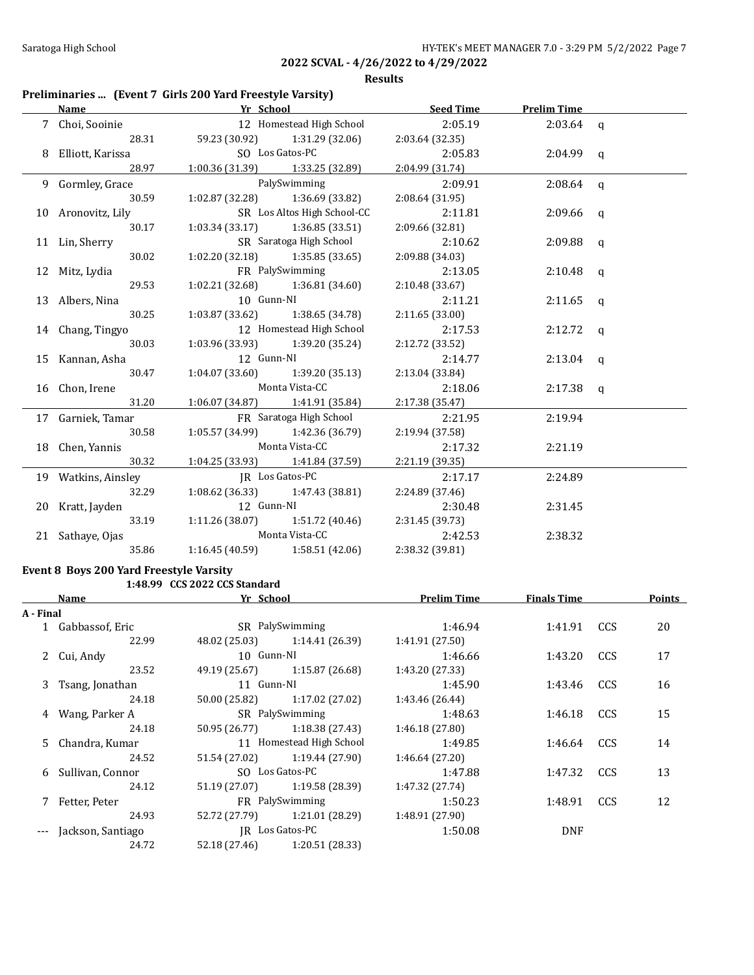**Results**

## **Preliminaries ... (Event 7 Girls 200 Yard Freestyle Varsity)**

| Name |                                     | <b>Example 2018</b> Pressure 2019 Pressure 2019 Pressure 2019 Pressure 2019 Pressure 2019 Pressure 2019 Pressure 2019 |                                               |                                  | Seed Time Prelim Time |  |
|------|-------------------------------------|-----------------------------------------------------------------------------------------------------------------------|-----------------------------------------------|----------------------------------|-----------------------|--|
|      | 7 Choi, Sooinie                     |                                                                                                                       |                                               | 12 Homestead High School 2:05.19 | $2:03.64$ q           |  |
|      | 28.31                               |                                                                                                                       | 59.23 (30.92) 1:31.29 (32.06) 2:03.64 (32.35) |                                  |                       |  |
|      | 8 Elliott, Karissa SO Los Gatos-PC  |                                                                                                                       |                                               | 2:05.83                          | $2:04.99$ q           |  |
|      | 28.97                               |                                                                                                                       | $1:00.36(31.39)$ $1:33.25(32.89)$             | 2:04.99 (31.74)                  |                       |  |
|      | 9 Gormley, Grace                    | PalySwimming                                                                                                          |                                               | 2:09.91                          | $2:08.64$ q           |  |
|      | 30.59                               |                                                                                                                       | $1:02.87(32.28)$ $1:36.69(33.82)$             | 2:08.64 (31.95)                  |                       |  |
|      | 10 Aronovitz, Lily                  | SR Los Altos High School-CC                                                                                           |                                               | 2:11.81                          | $2:09.66$ q           |  |
|      | 30.17                               |                                                                                                                       | $1:03.34(33.17)$ $1:36.85(33.51)$             | 2:09.66(32.81)                   |                       |  |
|      | 11 Lin, Sherry                      |                                                                                                                       | SR Saratoga High School                       | 2:10.62                          | $2:09.88$ q           |  |
|      | 30.02                               |                                                                                                                       | $1:02.20(32.18)$ $1:35.85(33.65)$             | 2:09.88 (34.03)                  |                       |  |
|      | 12 Mitz, Lydia                      |                                                                                                                       | FR PalySwimming                               | 2:13.05                          | $2:10.48$ q           |  |
|      | 29.53                               |                                                                                                                       | $1:02.21(32.68)$ $1:36.81(34.60)$             | 2:10.48 (33.67)                  |                       |  |
|      | 13 Albers, Nina                     |                                                                                                                       | 10 Gunn-NI                                    |                                  | $2:11.65$ q           |  |
|      | 30.25                               |                                                                                                                       | $1:03.87(33.62)$ $1:38.65(34.78)$             | 2:11.65(33.00)                   |                       |  |
|      | 14 Chang, Tingyo                    |                                                                                                                       | 12 Homestead High School                      | 2:17.53                          | $2:12.72$ q           |  |
|      | 30.03                               |                                                                                                                       | $1:03.96(33.93)$ $1:39.20(35.24)$             | 2:12.72 (33.52)                  |                       |  |
|      | 15 Kannan, Asha                     | 12 Gunn-NI                                                                                                            |                                               | 2:14.77                          | $2:13.04$ q           |  |
|      | 30.47                               |                                                                                                                       | $1:04.07(33.60)$ $1:39.20(35.13)$             | 2:13.04 (33.84)                  |                       |  |
|      | 16 Chon, Irene                      | Monta Vista-CC                                                                                                        |                                               | 2:18.06                          | $2:17.38$ q           |  |
|      | 31.20                               |                                                                                                                       | $1:06.07(34.87)$ $1:41.91(35.84)$             | 2:17.38 (35.47)                  |                       |  |
|      | 17 Garniek, Tamar                   |                                                                                                                       | FR Saratoga High School                       | 2:21.95                          | 2:19.94               |  |
|      | 30.58                               |                                                                                                                       | $1:05.57(34.99)$ $1:42.36(36.79)$             | 2:19.94 (37.58)                  |                       |  |
|      | 18 Chen, Yannis                     | Monta Vista-CC                                                                                                        |                                               | 2:17.32                          | 2:21.19               |  |
|      | 30.32                               |                                                                                                                       | $1:04.25(33.93)$ $1:41.84(37.59)$             | 2:21.19 (39.35)                  |                       |  |
|      | 19 Watkins, Ainsley JR Los Gatos-PC |                                                                                                                       |                                               | 2:17.17                          | 2:24.89               |  |
|      |                                     | 32.29 1:08.62 (36.33) 1:47.43 (38.81)                                                                                 |                                               | 2:24.89 (37.46)                  |                       |  |
|      | 20 Kratt, Jayden                    | 12 Gunn-NI                                                                                                            |                                               | 2:30.48                          | 2:31.45               |  |
|      | 33.19                               |                                                                                                                       | $1:11.26(38.07)$ $1:51.72(40.46)$             | 2:31.45 (39.73)                  |                       |  |
|      | 21 Sathaye, Ojas                    | Monta Vista-CC                                                                                                        |                                               | 2:42.53                          | 2:38.32               |  |
|      | 35.86                               |                                                                                                                       | $1:16.45(40.59)$ $1:58.51(42.06)$             | 2:38.32 (39.81)                  |                       |  |

# **Event 8 Boys 200 Yard Freestyle Varsity**

# **1:48.99 CCS 2022 CCS Standard**

|           | Name               | Yr School     |                                 | <b>Prelim Time</b> | <b>Finals Time</b> |            | <b>Points</b> |
|-----------|--------------------|---------------|---------------------------------|--------------------|--------------------|------------|---------------|
| A - Final |                    |               |                                 |                    |                    |            |               |
|           | 1 Gabbassof, Eric  |               | SR PalySwimming                 |                    | 1:41.91            | <b>CCS</b> | 20            |
|           | 22.99              |               | 48.02 (25.03) 1:14.41 (26.39)   | 1:41.91 (27.50)    |                    |            |               |
|           | 2 Cui, Andy        | 10 Gunn-NI    |                                 | 1:46.66            | 1:43.20            | <b>CCS</b> | 17            |
|           | 23.52              |               | 49.19 (25.67) 1:15.87 (26.68)   | 1:43.20 (27.33)    |                    |            |               |
|           | 3 Tsang, Jonathan  | 11 Gunn-NI    |                                 | 1:45.90            | 1:43.46            | CCS        | 16            |
|           | 24.18              |               | $50.00(25.82)$ $1:17.02(27.02)$ | 1:43.46 (26.44)    |                    |            |               |
|           | 4 Wang, Parker A   |               | SR PalySwimming                 |                    | 1:46.18            | CCS        | 15            |
|           | 24.18              |               | $50.95(26.77)$ 1:18.38 (27.43)  | 1:46.18(27.80)     |                    |            |               |
|           | 5 Chandra, Kumar   |               | 11 Homestead High School        |                    | 1:46.64            | CCS        | 14            |
|           | 24.52              |               | $51.54(27.02)$ $1:19.44(27.90)$ | 1:46.64 (27.20)    |                    |            |               |
|           | 6 Sullivan, Connor |               | SO Los Gatos-PC                 | 1:47.88            | 1:47.32            | CCS        | 13            |
|           | 24.12              |               | $51.19(27.07)$ $1:19.58(28.39)$ | 1:47.32 (27.74)    |                    |            |               |
|           | Fetter, Peter      |               | FR PalySwimming                 | 1:50.23            | 1:48.91            | <b>CCS</b> | 12            |
|           | 24.93              |               | 52.72 (27.79) 1:21.01 (28.29)   | 1:48.91 (27.90)    |                    |            |               |
| $---$     | Jackson, Santiago  |               | IR Los Gatos-PC                 | 1:50.08            | <b>DNF</b>         |            |               |
|           | 24.72              | 52.18 (27.46) | 1:20.51 (28.33)                 |                    |                    |            |               |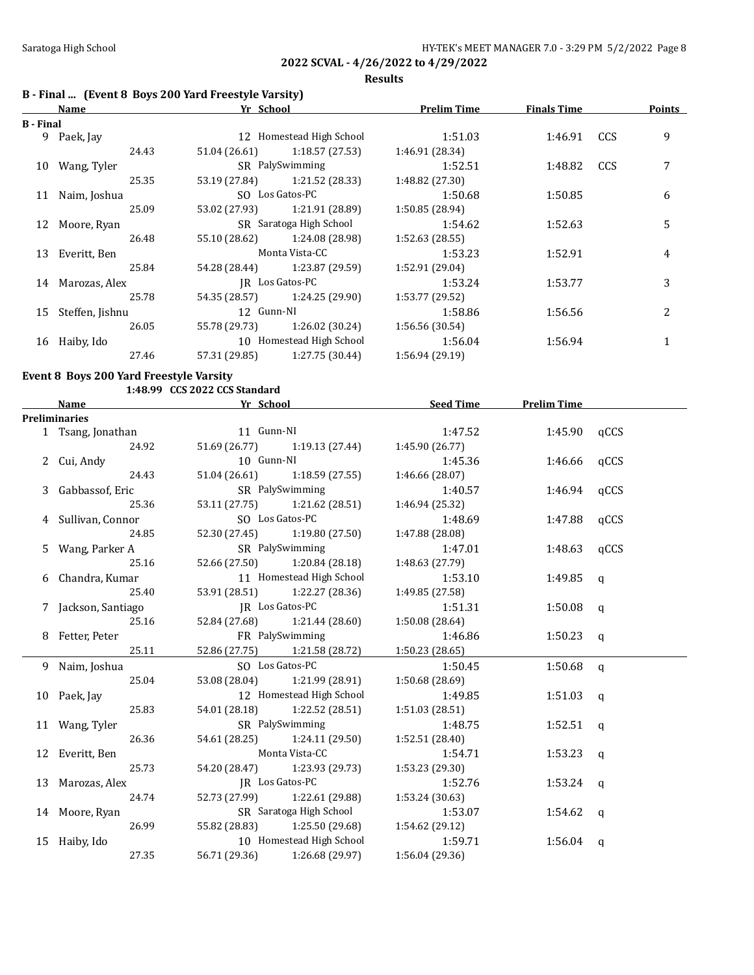**Results**

# **B - Final ... (Event 8 Boys 200 Yard Freestyle Varsity)**

|           | Name             | Yr School               |                               | <b>Prelim Time</b> | <b>Finals Time</b> |     | <b>Points</b> |
|-----------|------------------|-------------------------|-------------------------------|--------------------|--------------------|-----|---------------|
| B - Final |                  |                         |                               |                    |                    |     |               |
|           | 9 Paek, Jay      |                         | 12 Homestead High School      | 1:51.03            | 1:46.91            | CCS | 9             |
|           | 24.43            | 51.04 (26.61)           | 1:18.57 (27.53)               | 1:46.91 (28.34)    |                    |     |               |
|           | 10 Wang, Tyler   |                         | SR PalySwimming               | 1:52.51            | 1:48.82            | CCS | 7             |
|           | 25.35            |                         | 53.19 (27.84) 1:21.52 (28.33) | 1:48.82 (27.30)    |                    |     |               |
|           | 11 Naim, Joshua  |                         | SO Los Gatos-PC               | 1:50.68            | 1:50.85            |     | 6             |
|           | 25.09            |                         | 53.02 (27.93) 1:21.91 (28.89) | 1:50.85(28.94)     |                    |     |               |
|           | 12 Moore, Ryan   | SR Saratoga High School |                               | 1:54.62            | 1:52.63            |     | 5             |
|           | 26.48            | 55.10 (28.62)           | 1:24.08 (28.98)               | 1:52.63(28.55)     |                    |     |               |
|           | 13 Everitt, Ben  | Monta Vista-CC          |                               | 1:53.23            | 1:52.91            |     | 4             |
|           | 25.84            |                         | 54.28 (28.44) 1:23.87 (29.59) | 1:52.91 (29.04)    |                    |     |               |
|           | 14 Marozas, Alex |                         | IR Los Gatos-PC               | 1:53.24            | 1:53.77            |     | 3             |
|           | 25.78            |                         | 54.35 (28.57) 1:24.25 (29.90) | 1:53.77 (29.52)    |                    |     |               |
| 15        | Steffen, Jishnu  | 12 Gunn-NI              |                               | 1:58.86            | 1:56.56            |     | 2             |
|           | 26.05            | 55.78 (29.73)           | 1:26.02 (30.24)               | 1:56.56(30.54)     |                    |     |               |
|           | 16 Haiby, Ido    |                         | 10 Homestead High School      | 1:56.04            | 1:56.94            |     |               |
|           | 27.46            | 57.31 (29.85)           | 1:27.75(30.44)                | 1:56.94 (29.19)    |                    |     |               |

### **Event 8 Boys 200 Yard Freestyle Varsity**

|                      | 1:48.99 CCS 2022 CCS Standard                   |                               |                 |                    |              |
|----------------------|-------------------------------------------------|-------------------------------|-----------------|--------------------|--------------|
| <b>Name</b>          | <b>Example 21 Service 21 School</b> Press, 2014 |                               | Seed Time       | <b>Prelim Time</b> |              |
| <b>Preliminaries</b> |                                                 |                               |                 |                    |              |
| 1 Tsang, Jonathan    | 11 Gunn-NI                                      |                               | 1:47.52         | 1:45.90            | qCCS         |
| 24.92                |                                                 | 51.69 (26.77) 1:19.13 (27.44) | 1:45.90(26.77)  |                    |              |
| 2 Cui, Andy          | 10 Gunn-NI                                      |                               | 1:45.36         | 1:46.66            | qCCS         |
| 24.43                |                                                 | 51.04 (26.61) 1:18.59 (27.55) | 1:46.66 (28.07) |                    |              |
| 3 Gabbassof, Eric    |                                                 | SR PalySwimming               | 1:40.57         | 1:46.94            | qCCS         |
| 25.36                | 53.11 (27.75)                                   | 1:21.62 (28.51)               | 1:46.94 (25.32) |                    |              |
| 4 Sullivan, Connor   |                                                 | SO Los Gatos-PC               | 1:48.69         | 1:47.88            | qCCS         |
| 24.85                |                                                 | 52.30 (27.45) 1:19.80 (27.50) | 1:47.88 (28.08) |                    |              |
| 5 Wang, Parker A     |                                                 | SR PalySwimming               | 1:47.01         | 1:48.63            | qCCS         |
| 25.16                |                                                 | 52.66 (27.50) 1:20.84 (28.18) | 1:48.63 (27.79) |                    |              |
| 6 Chandra, Kumar     |                                                 | 11 Homestead High School      | 1:53.10         | 1:49.85            | q            |
| 25.40                |                                                 | 53.91 (28.51) 1:22.27 (28.36) | 1:49.85 (27.58) |                    |              |
| 7 Jackson, Santiago  |                                                 | JR Los Gatos-PC               | 1:51.31         | $1:50.08$ q        |              |
| 25.16                | 52.84 (27.68)                                   | 1:21.44 (28.60)               | 1:50.08 (28.64) |                    |              |
| 8 Fetter, Peter      |                                                 | FR PalySwimming               | 1:46.86         | 1:50.23 $q$        |              |
| 25.11                |                                                 | 52.86 (27.75) 1:21.58 (28.72) | 1:50.23 (28.65) |                    |              |
| 9 Naim, Joshua       |                                                 | SO Los Gatos-PC               | 1:50.45         | $1:50.68$ q        |              |
| 25.04                |                                                 | 53.08 (28.04) 1:21.99 (28.91) | 1:50.68(28.69)  |                    |              |
| 10 Paek, Jay         |                                                 | 12 Homestead High School      | 1:49.85         | $1:51.03$ q        |              |
| 25.83                | 54.01 (28.18)                                   | 1:22.52 (28.51)               | 1:51.03 (28.51) |                    |              |
| 11 Wang, Tyler       |                                                 | SR PalySwimming               | 1:48.75         | 1:52.51            | $\mathbf{q}$ |
| 26.36                |                                                 | 54.61 (28.25) 1:24.11 (29.50) | 1:52.51 (28.40) |                    |              |
| 12 Everitt, Ben      |                                                 | Monta Vista-CC                | 1:54.71         | 1:53.23            | $\mathbf{q}$ |
| 25.73                |                                                 | 54.20 (28.47) 1:23.93 (29.73) | 1:53.23(29.30)  |                    |              |
| 13 Marozas, Alex     |                                                 | JR Los Gatos-PC               | 1:52.76         | $1:53.24$ q        |              |
| 24.74                |                                                 | 52.73 (27.99) 1:22.61 (29.88) | 1:53.24 (30.63) |                    |              |
| 14 Moore, Ryan       |                                                 | SR Saratoga High School       | 1:53.07         | $1:54.62$ q        |              |
| 26.99                | 55.82 (28.83)                                   | 1:25.50 (29.68)               | 1:54.62 (29.12) |                    |              |
| 15 Haiby, Ido        |                                                 | 10 Homestead High School      | 1:59.71         | 1:56.04            | q            |
| 27.35                | 56.71 (29.36)                                   | 1:26.68 (29.97)               | 1:56.04 (29.36) |                    |              |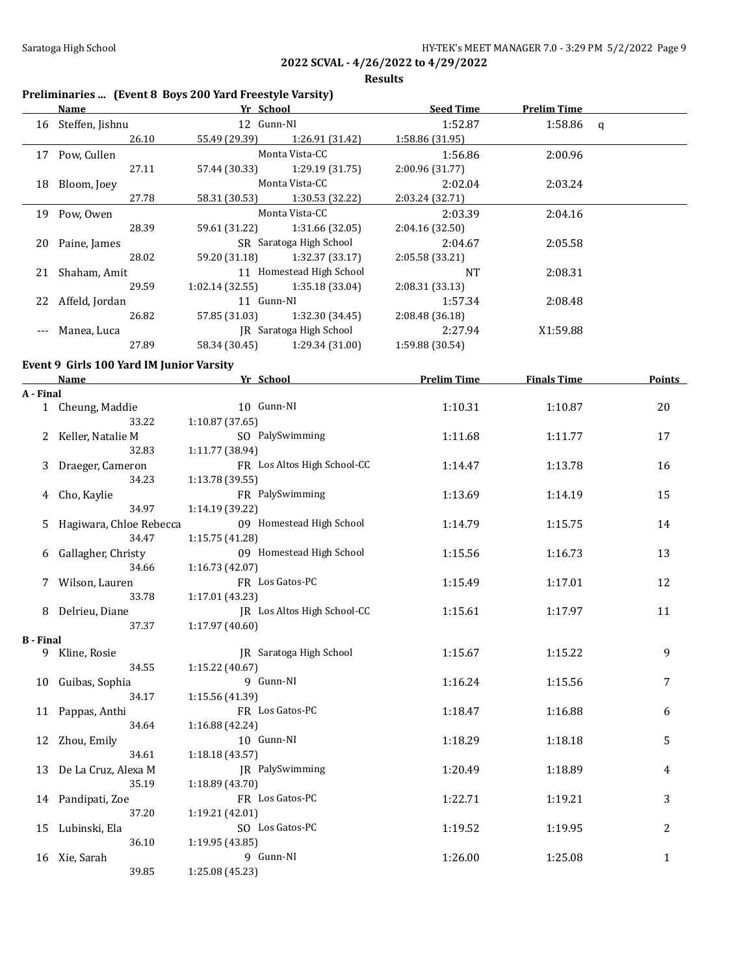**Results**

| Preliminaries  (Event 8 Boys 200 Yard Freestyle Varsity)<br>Name |                                          | <b>Example 21 Yr School</b><br><b>Seed Time</b> |                    | <b>Prelim Time</b> |               |
|------------------------------------------------------------------|------------------------------------------|-------------------------------------------------|--------------------|--------------------|---------------|
|                                                                  | 16 Steffen, Jishnu                       | 12 Gunn-NI                                      | 1:52.87            | 1:58.86 $q$        |               |
|                                                                  | 26.10                                    | 55.49 (29.39)<br>1:26.91 (31.42)                |                    |                    |               |
|                                                                  | 17 Pow, Cullen                           | Monta Vista-CC                                  | 1:56.86            | 2:00.96            |               |
|                                                                  | 27.11                                    | 1:29.19 (31.75)<br>57.44 (30.33)                | 2:00.96 (31.77)    |                    |               |
|                                                                  | 18 Bloom, Joey                           | Monta Vista-CC                                  | 2:02.04            | 2:03.24            |               |
|                                                                  | 27.78                                    | 58.31 (30.53)<br>1:30.53 (32.22)                | 2:03.24 (32.71)    |                    |               |
|                                                                  | 19 Pow, Owen                             | Monta Vista-CC                                  | 2:03.39            | 2:04.16            |               |
|                                                                  | 28.39                                    | 59.61 (31.22)<br>1:31.66 (32.05)                | 2:04.16 (32.50)    |                    |               |
|                                                                  | 20 Paine, James                          | SR Saratoga High School                         | 2:04.67            | 2:05.58            |               |
|                                                                  | 28.02                                    | 59.20 (31.18)<br>1:32.37 (33.17)                | 2:05.58 (33.21)    |                    |               |
| 21                                                               | Shaham, Amit                             | 11 Homestead High School                        | <b>NT</b>          | 2:08.31            |               |
|                                                                  | 29.59                                    | 1:02.14 (32.55)<br>1:35.18 (33.04)              |                    |                    |               |
|                                                                  |                                          | 11 Gunn-NI                                      | 2:08.31 (33.13)    |                    |               |
|                                                                  | 22 Affeld, Jordan                        |                                                 | 1:57.34            | 2:08.48            |               |
|                                                                  | 26.82                                    | 57.85 (31.03)<br>1:32.30 (34.45)                | 2:08.48 (36.18)    |                    |               |
| ---                                                              | Manea, Luca                              | JR Saratoga High School                         | 2:27.94            | X1:59.88           |               |
|                                                                  | 27.89                                    | 58.34 (30.45)<br>1:29.34 (31.00)                | 1:59.88 (30.54)    |                    |               |
|                                                                  | Event 9 Girls 100 Yard IM Junior Varsity |                                                 |                    |                    |               |
|                                                                  | Name                                     | Yr School                                       | <b>Prelim Time</b> | <b>Finals Time</b> | <b>Points</b> |
| A - Final                                                        |                                          |                                                 |                    |                    |               |
|                                                                  | 1 Cheung, Maddie                         | 10 Gunn-NI                                      | 1:10.31            | 1:10.87            | 20            |
|                                                                  | 33.22                                    | 1:10.87 (37.65)                                 |                    |                    |               |
| 2                                                                | Keller, Natalie M                        | SO PalySwimming                                 | 1:11.68            | 1:11.77            | 17            |
|                                                                  | 32.83<br>1:11.77 (38.94)                 |                                                 |                    |                    |               |
| 3                                                                | Draeger, Cameron                         | FR Los Altos High School-CC                     | 1:14.47            | 1:13.78            | 16            |
|                                                                  | 34.23                                    | 1:13.78 (39.55)                                 |                    |                    |               |
| 4                                                                | Cho, Kaylie                              | FR PalySwimming                                 | 1:13.69            | 1:14.19            | 15            |
|                                                                  | 34.97                                    | 1:14.19 (39.22)                                 |                    |                    |               |
|                                                                  |                                          | 09 Homestead High School                        |                    |                    |               |
| 5.                                                               | Hagiwara, Chloe Rebecca<br>34.47         |                                                 | 1:14.79            | 1:15.75            | 14            |
|                                                                  |                                          | 1:15.75 (41.28)                                 |                    |                    |               |
| 6                                                                | Gallagher, Christy                       | 09 Homestead High School                        | 1:15.56            | 1:16.73            | 13            |
|                                                                  | 34.66                                    | 1:16.73 (42.07)                                 |                    |                    |               |
| 7                                                                | Wilson, Lauren                           | FR Los Gatos-PC                                 | 1:15.49            | 1:17.01            | 12            |
|                                                                  | 33.78                                    | 1:17.01 (43.23)                                 |                    |                    |               |
| 8                                                                | Delrieu, Diane                           | JR Los Altos High School-CC                     | 1:15.61            | 1:17.97            | 11            |
|                                                                  | 37.37                                    | 1:17.97 (40.60)                                 |                    |                    |               |
| B - Final                                                        |                                          |                                                 |                    |                    |               |
| 9                                                                | Kline, Rosie                             | <b>IR</b> Saratoga High School                  | 1:15.67            | 1:15.22            | 9             |
|                                                                  | 34.55                                    | 1:15.22 (40.67)                                 |                    |                    |               |
| 10                                                               | Guibas, Sophia                           | 9 Gunn-NI                                       | 1:16.24            | 1:15.56            | 7             |
|                                                                  | 34.17                                    | 1:15.56 (41.39)                                 |                    |                    |               |
| 11                                                               | Pappas, Anthi                            | FR Los Gatos-PC                                 | 1:18.47            | 1:16.88            | 6             |
|                                                                  | 34.64                                    | 1:16.88 (42.24)                                 |                    |                    |               |
| 12                                                               | Zhou, Emily                              | 10 Gunn-NI                                      | 1:18.29            | 1:18.18            | 5             |
|                                                                  | 34.61                                    | 1:18.18 (43.57)                                 |                    |                    |               |
| 13                                                               | De La Cruz, Alexa M                      | JR PalySwimming                                 | 1:20.49            | 1:18.89            | 4             |
|                                                                  | 35.19                                    | 1:18.89 (43.70)                                 |                    |                    |               |
|                                                                  | 14 Pandipati, Zoe                        | FR Los Gatos-PC                                 | 1:22.71            | 1:19.21            | 3             |
|                                                                  | 37.20                                    | 1:19.21 (42.01)                                 |                    |                    |               |
|                                                                  | 15 Lubinski, Ela                         | SO Los Gatos-PC                                 | 1:19.52            | 1:19.95            | 2             |
|                                                                  | 36.10                                    | 1:19.95 (43.85)                                 |                    |                    |               |
|                                                                  | 16 Xie, Sarah                            | 9 Gunn-NI                                       | 1:26.00            | 1:25.08            | $\mathbf{1}$  |
|                                                                  | 39.85                                    | 1:25.08 (45.23)                                 |                    |                    |               |
|                                                                  |                                          |                                                 |                    |                    |               |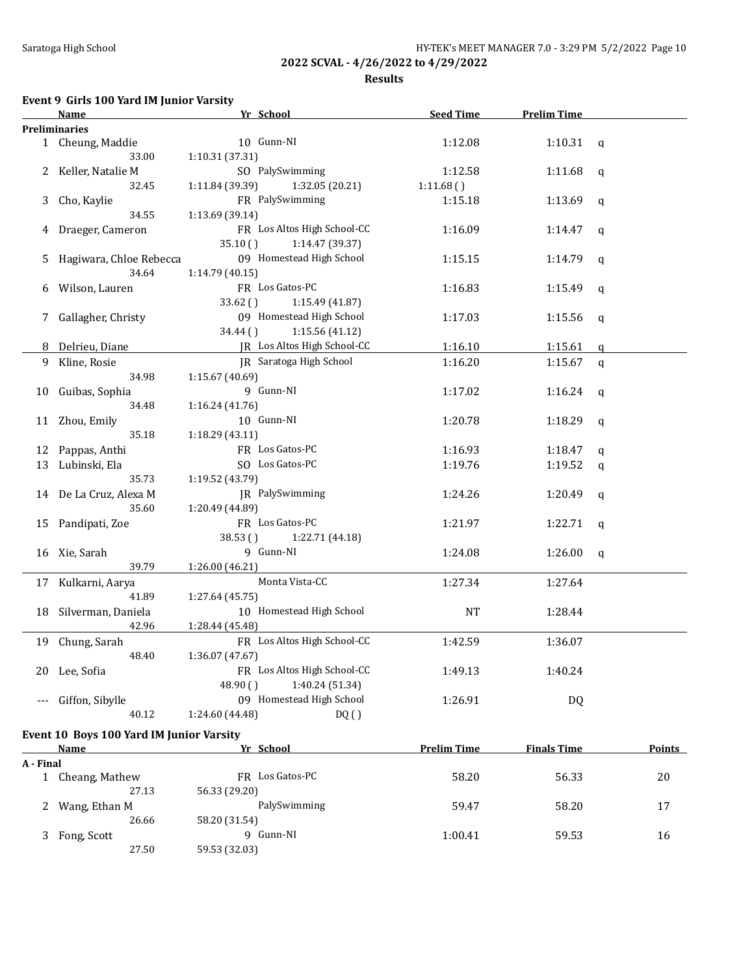**Results**

# **Event 9 Girls 100 Yard IM Junior Varsity**

|           | Name                                     | Yr School                          | <b>Seed Time</b>   | <b>Prelim Time</b> |               |
|-----------|------------------------------------------|------------------------------------|--------------------|--------------------|---------------|
|           | <b>Preliminaries</b>                     |                                    |                    |                    |               |
|           | 1 Cheung, Maddie                         | 10 Gunn-NI                         | 1:12.08            | 1:10.31            | q             |
|           | 33.00                                    | 1:10.31 (37.31)                    |                    |                    |               |
|           | 2 Keller, Natalie M                      | SO PalySwimming                    | 1:12.58            | 1:11.68            | q             |
|           | 32.45                                    | 1:11.84 (39.39)<br>1:32.05 (20.21) | 1:11.68()          |                    |               |
|           |                                          | FR PalySwimming                    | 1:15.18            | 1:13.69            |               |
| 3         | Cho, Kaylie                              |                                    |                    |                    | q             |
|           | 34.55                                    | 1:13.69 (39.14)                    |                    |                    |               |
| 4         | Draeger, Cameron                         | FR Los Altos High School-CC        | 1:16.09            | 1:14.47            | q             |
|           |                                          | 35.10()<br>1:14.47 (39.37)         |                    |                    |               |
| 5         | Hagiwara, Chloe Rebecca                  | 09 Homestead High School           | 1:15.15            | 1:14.79            | q             |
|           | 34.64                                    | 1:14.79 (40.15)                    |                    |                    |               |
| 6         | Wilson, Lauren                           | FR Los Gatos-PC                    | 1:16.83            | 1:15.49            | q             |
|           |                                          | 33.62()<br>1:15.49 (41.87)         |                    |                    |               |
| 7         | Gallagher, Christy                       | 09 Homestead High School           | 1:17.03            | 1:15.56            | q             |
|           |                                          | 34.44()<br>1:15.56 (41.12)         |                    |                    |               |
|           | Delrieu, Diane                           | JR Los Altos High School-CC        | 1:16.10            |                    |               |
| 8         |                                          |                                    |                    | 1:15.61            | q             |
| 9         | Kline, Rosie                             | JR Saratoga High School            | 1:16.20            | 1:15.67            | $\mathbf q$   |
|           | 34.98                                    | 1:15.67 (40.69)                    |                    |                    |               |
| 10        | Guibas, Sophia                           | 9 Gunn-NI                          | 1:17.02            | 1:16.24            | q             |
|           | 34.48                                    | 1:16.24(41.76)                     |                    |                    |               |
| 11        | Zhou, Emily                              | 10 Gunn-NI                         | 1:20.78            | 1:18.29            | q             |
|           | 35.18                                    | 1:18.29 (43.11)                    |                    |                    |               |
| 12        | Pappas, Anthi                            | FR Los Gatos-PC                    | 1:16.93            | 1:18.47            | q             |
| 13        | Lubinski, Ela                            | SO Los Gatos-PC                    | 1:19.76            | 1:19.52            | q             |
|           | 35.73                                    | 1:19.52 (43.79)                    |                    |                    |               |
|           |                                          |                                    |                    |                    |               |
|           | 14 De La Cruz, Alexa M                   | JR PalySwimming                    | 1:24.26            | 1:20.49            | q             |
|           | 35.60                                    | 1:20.49 (44.89)                    |                    |                    |               |
|           | 15 Pandipati, Zoe                        | FR Los Gatos-PC                    | 1:21.97            | 1:22.71            | q             |
|           |                                          | 38.53()<br>1:22.71 (44.18)         |                    |                    |               |
|           | 16 Xie, Sarah                            | 9 Gunn-NI                          | 1:24.08            | 1:26.00            | q             |
|           | 39.79                                    | 1:26.00 (46.21)                    |                    |                    |               |
|           | 17 Kulkarni, Aarya                       | Monta Vista-CC                     | 1:27.34            | 1:27.64            |               |
|           | 41.89                                    | 1:27.64 (45.75)                    |                    |                    |               |
| 18        | Silverman, Daniela                       | 10 Homestead High School           | NT                 | 1:28.44            |               |
|           | 42.96                                    | 1:28.44 (45.48)                    |                    |                    |               |
|           |                                          |                                    |                    |                    |               |
| 19        | Chung, Sarah                             | FR Los Altos High School-CC        | 1:42.59            | 1:36.07            |               |
|           | 48.40                                    | 1:36.07 (47.67)                    |                    |                    |               |
|           | 20 Lee, Sofia                            | FR Los Altos High School-CC        | 1:49.13            | 1:40.24            |               |
|           |                                          | 1:40.24 (51.34)<br>48.90()         |                    |                    |               |
|           | Giffon, Sibylle                          | 09 Homestead High School           | 1:26.91            | DQ                 |               |
|           | 40.12                                    | 1:24.60 (44.48)<br>DQ()            |                    |                    |               |
|           |                                          |                                    |                    |                    |               |
|           | Event 10 Boys 100 Yard IM Junior Varsity |                                    |                    |                    |               |
|           | <b>Name</b>                              | Yr School                          | <b>Prelim Time</b> | <b>Finals Time</b> | <b>Points</b> |
| A - Final |                                          |                                    |                    |                    |               |
|           | 1 Cheang, Mathew                         | FR Los Gatos-PC                    | 58.20              | 56.33              | 20            |
|           | 27.13                                    | 56.33 (29.20)                      |                    |                    |               |
| 2         | Wang, Ethan M                            | PalySwimming                       | 59.47              | 58.20              | 17            |
|           | 26.66                                    | 58.20 (31.54)                      |                    |                    |               |
| 3         | Fong, Scott                              | 9 Gunn-NI                          | 1:00.41            | 59.53              | 16            |
|           | 27.50                                    | 59.53 (32.03)                      |                    |                    |               |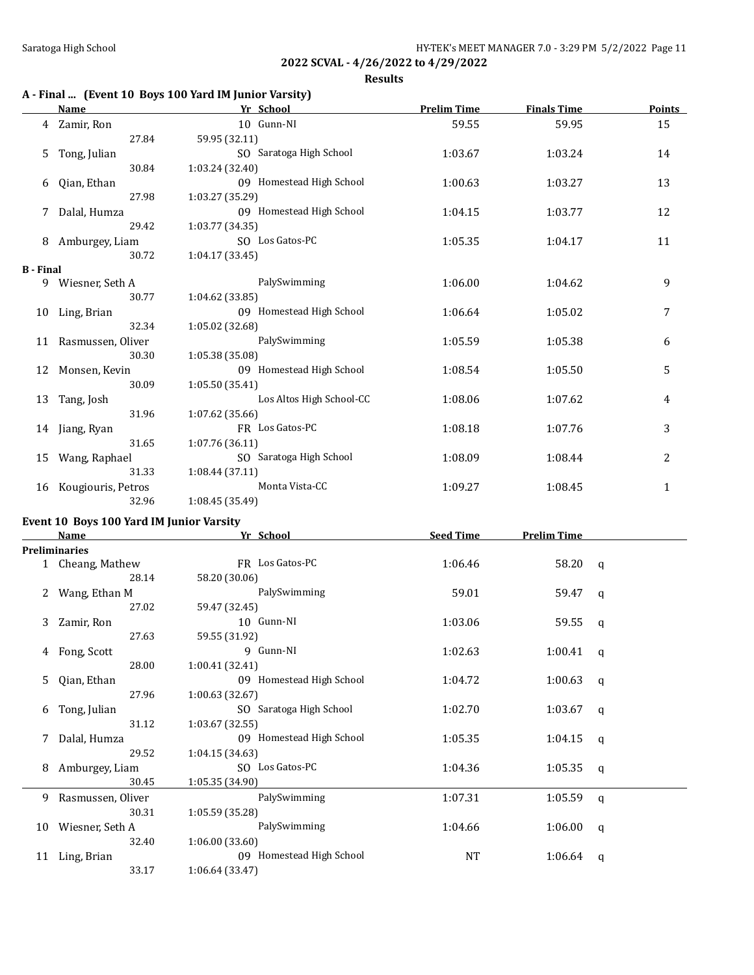**Results**

# **A - Final ... (Event 10 Boys 100 Yard IM Junior Varsity)**

|                  | Name               | Yr School                | <b>Prelim Time</b> | <b>Finals Time</b> | <b>Points</b> |
|------------------|--------------------|--------------------------|--------------------|--------------------|---------------|
|                  | 4 Zamir, Ron       | 10 Gunn-NI               | 59.55              | 59.95              | 15            |
|                  | 27.84              | 59.95 (32.11)            |                    |                    |               |
| 5                | Tong, Julian       | SO Saratoga High School  | 1:03.67            | 1:03.24            | 14            |
|                  | 30.84              | 1:03.24 (32.40)          |                    |                    |               |
| 6                | Qian, Ethan        | 09 Homestead High School | 1:00.63            | 1:03.27            | 13            |
|                  | 27.98              | 1:03.27 (35.29)          |                    |                    |               |
| 7                | Dalal, Humza       | 09 Homestead High School | 1:04.15            | 1:03.77            | 12            |
|                  | 29.42              | 1:03.77 (34.35)          |                    |                    |               |
| 8                | Amburgey, Liam     | SO Los Gatos-PC          | 1:05.35            | 1:04.17            | 11            |
|                  | 30.72              | 1:04.17(33.45)           |                    |                    |               |
| <b>B</b> - Final |                    |                          |                    |                    |               |
|                  | 9 Wiesner, Seth A  | PalySwimming             | 1:06.00            | 1:04.62            | 9             |
|                  | 30.77              | 1:04.62 (33.85)          |                    |                    |               |
| 10               | Ling, Brian        | 09 Homestead High School | 1:06.64            | 1:05.02            | 7             |
|                  | 32.34              | 1:05.02 (32.68)          |                    |                    |               |
| 11               | Rasmussen, Oliver  | PalySwimming             | 1:05.59            | 1:05.38            | 6             |
|                  | 30.30              | 1:05.38 (35.08)          |                    |                    |               |
| 12               | Monsen, Kevin      | 09 Homestead High School | 1:08.54            | 1:05.50            | 5             |
|                  | 30.09              | 1:05.50(35.41)           |                    |                    |               |
| 13               | Tang, Josh         | Los Altos High School-CC | 1:08.06            | 1:07.62            | 4             |
|                  | 31.96              | 1:07.62 (35.66)          |                    |                    |               |
| 14               | Jiang, Ryan        | FR Los Gatos-PC          | 1:08.18            | 1:07.76            | 3             |
|                  | 31.65              | 1:07.76(36.11)           |                    |                    |               |
| 15               | Wang, Raphael      | SO Saratoga High School  | 1:08.09            | 1:08.44            | 2             |
|                  | 31.33              | 1:08.44 (37.11)          |                    |                    |               |
| 16               | Kougiouris, Petros | Monta Vista-CC           | 1:09.27            | 1:08.45            | $\mathbf{1}$  |
|                  | 32.96              | 1:08.45 (35.49)          |                    |                    |               |

## **Event 10 Boys 100 Yard IM Junior Varsity**

|    | <b>Name</b>         | Yr School                | <b>Seed Time</b> | <b>Prelim Time</b> |   |
|----|---------------------|--------------------------|------------------|--------------------|---|
|    | Preliminaries       |                          |                  |                    |   |
|    | 1 Cheang, Mathew    | FR Los Gatos-PC          | 1:06.46          | $58.20 \text{ q}$  |   |
|    | 28.14               | 58.20 (30.06)            |                  |                    |   |
| 2  | Wang, Ethan M       | PalySwimming             | 59.01            | 59.47              | q |
|    | 27.02               | 59.47 (32.45)            |                  |                    |   |
| 3  | Zamir, Ron          | 10 Gunn-NI               | 1:03.06          | 59.55              | q |
|    | 27.63               | 59.55 (31.92)            |                  |                    |   |
| 4  | Fong, Scott         | 9 Gunn-NI                | 1:02.63          | 1:00.41            | q |
|    | 28.00               | 1:00.41 (32.41)          |                  |                    |   |
| 5. | Qian, Ethan         | 09 Homestead High School | 1:04.72          | 1:00.63            | q |
|    | 27.96               | 1:00.63(32.67)           |                  |                    |   |
| 6  | Tong, Julian        | SO Saratoga High School  | 1:02.70          | 1:03.67            | q |
|    | 31.12               | 1:03.67(32.55)           |                  |                    |   |
| 7  | Dalal, Humza        | 09 Homestead High School | 1:05.35          | 1:04.15            | q |
|    | 29.52               | 1:04.15(34.63)           |                  |                    |   |
| 8  | Amburgey, Liam      | SO Los Gatos-PC          | 1:04.36          | 1:05.35            | q |
|    | 30.45               | 1:05.35(34.90)           |                  |                    |   |
|    | 9 Rasmussen, Oliver | PalySwimming             | 1:07.31          | 1:05.59            | q |
|    | 30.31               | 1:05.59 (35.28)          |                  |                    |   |
| 10 | Wiesner, Seth A     | PalySwimming             | 1:04.66          | 1:06.00            | q |
|    | 32.40               | 1:06.00(33.60)           |                  |                    |   |
|    | 11 Ling, Brian      | 09 Homestead High School | NT               | 1:06.64            | q |
|    | 33.17               | 1:06.64 (33.47)          |                  |                    |   |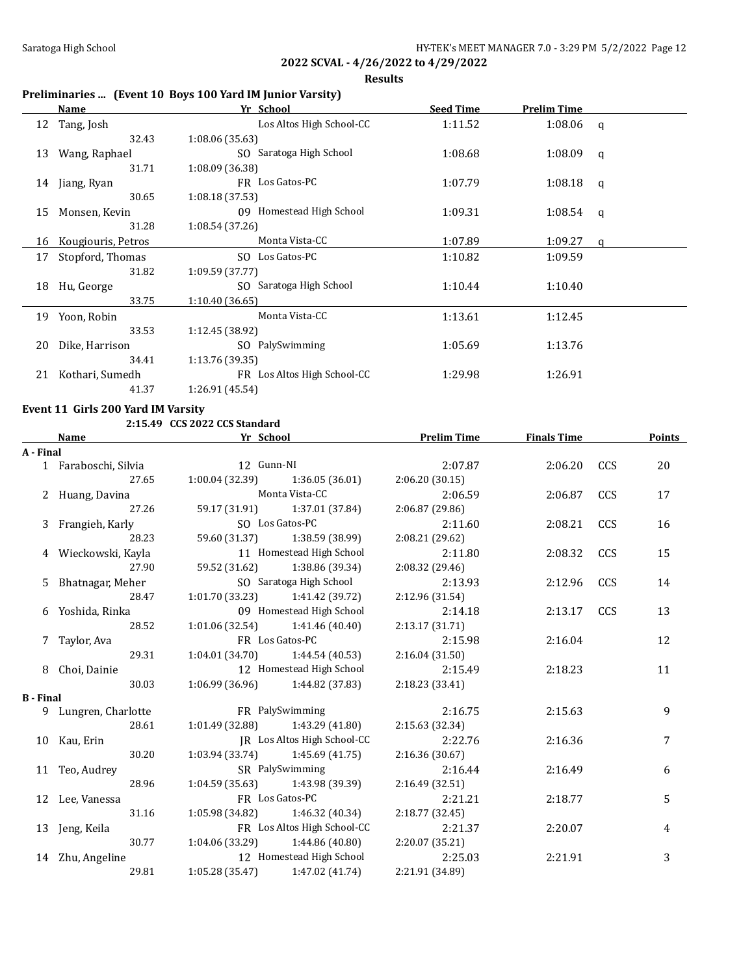**Results**

## **Preliminaries ... (Event 10 Boys 100 Yard IM Junior Varsity)**

|    | Name               | Yr School                   | <b>Seed Time</b> | <b>Prelim Time</b> |              |
|----|--------------------|-----------------------------|------------------|--------------------|--------------|
| 12 | Tang, Josh         | Los Altos High School-CC    | 1:11.52          | 1:08.06            | $\mathbf{q}$ |
|    | 32.43              | 1:08.06 (35.63)             |                  |                    |              |
| 13 | Wang, Raphael      | SO Saratoga High School     | 1:08.68          | 1:08.09            | q            |
|    | 31.71              | 1:08.09 (36.38)             |                  |                    |              |
| 14 | Jiang, Ryan        | FR Los Gatos-PC             | 1:07.79          | 1:08.18            | q            |
|    | 30.65              | 1:08.18 (37.53)             |                  |                    |              |
| 15 | Monsen, Kevin      | 09 Homestead High School    | 1:09.31          | 1:08.54            | q            |
|    | 31.28              | 1:08.54 (37.26)             |                  |                    |              |
| 16 | Kougiouris, Petros | Monta Vista-CC              | 1:07.89          | 1:09.27            | a            |
| 17 | Stopford, Thomas   | SO Los Gatos-PC             | 1:10.82          | 1:09.59            |              |
|    | 31.82              | 1:09.59(37.77)              |                  |                    |              |
| 18 | Hu, George         | SO Saratoga High School     | 1:10.44          | 1:10.40            |              |
|    | 33.75              | 1:10.40(36.65)              |                  |                    |              |
| 19 | Yoon, Robin        | Monta Vista-CC              | 1:13.61          | 1:12.45            |              |
|    | 33.53              | 1:12.45 (38.92)             |                  |                    |              |
| 20 | Dike, Harrison     | SO PalySwimming             | 1:05.69          | 1:13.76            |              |
|    | 34.41              | 1:13.76 (39.35)             |                  |                    |              |
| 21 | Kothari, Sumedh    | FR Los Altos High School-CC | 1:29.98          | 1:26.91            |              |
|    | 41.37              | 1:26.91 (45.54)             |                  |                    |              |
|    |                    |                             |                  |                    |              |

### **Event 11 Girls 200 Yard IM Varsity**

**2:15.49 CCS 2022 CCS Standard**

|                  | <b>Name</b>          | Yr School       |                                     | <b>Prelim Time</b> | <b>Finals Time</b> |     | <b>Points</b> |
|------------------|----------------------|-----------------|-------------------------------------|--------------------|--------------------|-----|---------------|
| A - Final        |                      |                 |                                     |                    |                    |     |               |
|                  | 1 Faraboschi, Silvia | 12 Gunn-NI      |                                     | 2:07.87            | $2:06.20$ CCS      |     | 20            |
|                  | 27.65                |                 | $1:00.04(32.39)$ $1:36.05(36.01)$   | 2:06.20(30.15)     |                    |     |               |
|                  | 2 Huang, Davina      | Monta Vista-CC  |                                     | 2:06.59            | 2:06.87            | CCS | 17            |
|                  | 27.26                |                 | 59.17 (31.91) 1:37.01 (37.84)       | 2:06.87 (29.86)    |                    |     |               |
|                  | 3 Frangieh, Karly    |                 | SO Los Gatos-PC                     | 2:11.60            | 2:08.21            | CCS | 16            |
|                  | 28.23                |                 | 59.60 (31.37) 1:38.59 (38.99)       | 2:08.21 (29.62)    |                    |     |               |
|                  | 4 Wieckowski, Kayla  |                 | 11 Homestead High School            | 2:11.80            | 2:08.32            | CCS | 15            |
|                  | 27.90                |                 | 59.52 (31.62) 1:38.86 (39.34)       | 2:08.32 (29.46)    |                    |     |               |
|                  | 5 Bhatnagar, Meher   |                 | SO Saratoga High School             | 2:13.93            | 2:12.96            | CCS | 14            |
|                  | 28.47                |                 | $1:01.70(33.23)$ $1:41.42(39.72)$   | 2:12.96(31.54)     |                    |     |               |
|                  | 6 Yoshida, Rinka     |                 | 09 Homestead High School            | 2:14.18            | 2:13.17 CCS        |     | 13            |
|                  | 28.52                |                 | $1:01.06(32.54)$ $1:41.46(40.40)$   | 2:13.17(31.71)     |                    |     |               |
|                  | 7 Taylor, Ava        | FR Los Gatos-PC |                                     | 2:15.98            | 2:16.04            |     | 12            |
|                  | 29.31                |                 | $1:04.01(34.70)$ $1:44.54(40.53)$   | 2:16.04(31.50)     |                    |     |               |
|                  | 8 Choi, Dainie       |                 | 12 Homestead High School            | 2:15.49            | 2:18.23            |     | 11            |
|                  | 30.03                |                 | $1:06.99(36.96)$ $1:44.82(37.83)$   | 2:18.23 (33.41)    |                    |     |               |
| <b>B</b> - Final |                      |                 |                                     |                    |                    |     |               |
|                  | 9 Lungren, Charlotte | FR PalySwimming |                                     | 2:16.75            | 2:15.63            |     | 9             |
|                  | 28.61                |                 | $1:01.49$ (32.88) $1:43.29$ (41.80) | 2:15.63(32.34)     |                    |     |               |
|                  | 10 Kau, Erin         |                 | JR Los Altos High School-CC         | 2:22.76            | 2:16.36            |     | 7             |
|                  | 30.20                |                 | $1:03.94(33.74)$ $1:45.69(41.75)$   | 2:16.36 (30.67)    |                    |     |               |
|                  | 11 Teo, Audrey       | SR PalySwimming |                                     | 2:16.44            | 2:16.49            |     | 6             |
|                  | 28.96                |                 | $1:04.59(35.63)$ $1:43.98(39.39)$   | 2:16.49 (32.51)    |                    |     |               |
|                  | 12 Lee, Vanessa      |                 | FR Los Gatos-PC                     | 2:21.21            | 2:18.77            |     | 5             |
|                  | 31.16                |                 | $1:05.98(34.82)$ $1:46.32(40.34)$   | 2:18.77(32.45)     |                    |     |               |
|                  | 13 Jeng, Keila       |                 | FR Los Altos High School-CC         | 2:21.37            | 2:20.07            |     | 4             |
|                  | 30.77                |                 | $1:04.06(33.29)$ $1:44.86(40.80)$   | 2:20.07 (35.21)    |                    |     |               |
|                  | 14 Zhu, Angeline     |                 | 12 Homestead High School            | 2:25.03            | 2:21.91            |     | 3             |
|                  | 29.81                |                 | $1:05.28(35.47)$ $1:47.02(41.74)$   | 2:21.91 (34.89)    |                    |     |               |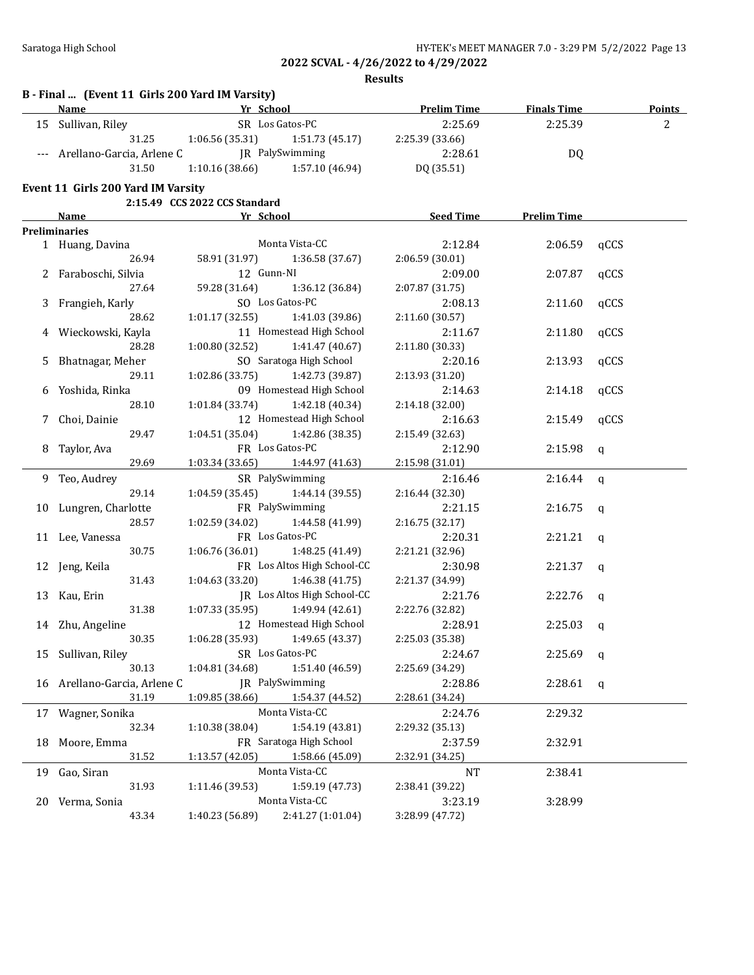**B - Final ... (Event 11 Girls 200 Yard IM Varsity)**

**2022 SCVAL - 4/26/2022 to 4/29/2022**

**Results**

| <b>Name</b> |                                    | Yr School                     |                                    | <b>Prelim Time</b>         | <b>Finals Time</b> |              | <b>Points</b> |
|-------------|------------------------------------|-------------------------------|------------------------------------|----------------------------|--------------------|--------------|---------------|
|             | 15 Sullivan, Riley                 |                               | SR Los Gatos-PC                    | 2:25.69                    | 2:25.39            |              | 2             |
|             | 31.25                              | 1:06.56 (35.31)               | 1:51.73 (45.17)                    | 2:25.39 (33.66)            |                    |              |               |
| $---$       | Arellano-Garcia, Arlene C          |                               | JR PalySwimming                    | 2:28.61                    | DQ                 |              |               |
|             | 31.50                              | 1:10.16(38.66)                | 1:57.10 (46.94)                    | DQ (35.51)                 |                    |              |               |
|             |                                    |                               |                                    |                            |                    |              |               |
|             | Event 11 Girls 200 Yard IM Varsity | 2:15.49 CCS 2022 CCS Standard |                                    |                            |                    |              |               |
|             |                                    | Yr School                     |                                    | <b>Seed Time</b>           | <b>Prelim Time</b> |              |               |
|             | Name<br><b>Preliminaries</b>       |                               |                                    |                            |                    |              |               |
|             | 1 Huang, Davina                    |                               | Monta Vista-CC                     | 2:12.84                    | 2:06.59            | qCCS         |               |
|             | 26.94                              | 58.91 (31.97)                 | 1:36.58 (37.67)                    | 2:06.59 (30.01)            |                    |              |               |
|             | Faraboschi, Silvia                 | 12 Gunn-NI                    |                                    | 2:09.00                    | 2:07.87            | qCCS         |               |
|             | 27.64                              | 59.28 (31.64)                 | 1:36.12 (36.84)                    | 2:07.87 (31.75)            |                    |              |               |
|             | Frangieh, Karly                    |                               | SO Los Gatos-PC                    | 2:08.13                    | 2:11.60            | qCCS         |               |
| 3           | 28.62                              | 1:01.17 (32.55)               | 1:41.03 (39.86)                    | 2:11.60 (30.57)            |                    |              |               |
|             | Wieckowski, Kayla                  |                               | 11 Homestead High School           | 2:11.67                    |                    |              |               |
|             | 28.28                              | 1:00.80 (32.52)               | 1:41.47 (40.67)                    | 2:11.80 (30.33)            | 2:11.80            | qCCS         |               |
|             |                                    |                               | SO Saratoga High School            | 2:20.16                    |                    |              |               |
| 5.          | Bhatnagar, Meher<br>29.11          | 1:02.86 (33.75)               | 1:42.73 (39.87)                    |                            | 2:13.93            | qCCS         |               |
|             |                                    |                               | 09 Homestead High School           | 2:13.93 (31.20)<br>2:14.63 | 2:14.18            |              |               |
|             | 6 Yoshida, Rinka<br>28.10          | 1:01.84(33.74)                | 1:42.18 (40.34)                    | 2:14.18 (32.00)            |                    | qCCS         |               |
|             |                                    |                               | 12 Homestead High School           |                            |                    |              |               |
| 7           | Choi, Dainie                       |                               |                                    | 2:16.63                    | 2:15.49            | qCCS         |               |
|             | 29.47                              | 1:04.51 (35.04)               | 1:42.86 (38.35)<br>FR Los Gatos-PC | 2:15.49 (32.63)            |                    |              |               |
| 8           | Taylor, Ava<br>29.69               |                               |                                    | 2:12.90                    | 2:15.98            | $\mathsf{q}$ |               |
|             |                                    | 1:03.34 (33.65)               | 1:44.97 (41.63)<br>SR PalySwimming | 2:15.98 (31.01)            |                    |              |               |
|             | 9 Teo, Audrey<br>29.14             |                               |                                    | 2:16.46                    | 2:16.44            | $\mathbf q$  |               |
|             |                                    | 1:04.59 (35.45)               | 1:44.14 (39.55)<br>FR PalySwimming | 2:16.44 (32.30)            |                    |              |               |
|             | 10 Lungren, Charlotte<br>28.57     |                               |                                    | 2:21.15                    | 2:16.75            | q            |               |
|             |                                    | 1:02.59 (34.02)               | 1:44.58 (41.99)<br>FR Los Gatos-PC | 2:16.75 (32.17)            |                    |              |               |
|             | 11 Lee, Vanessa<br>30.75           |                               |                                    | 2:20.31                    | 2:21.21            | q            |               |
|             |                                    | 1:06.76 (36.01)               | 1:48.25 (41.49)                    | 2:21.21 (32.96)            |                    |              |               |
|             | 12 Jeng, Keila                     |                               | FR Los Altos High School-CC        | 2:30.98                    | 2:21.37            | q            |               |
|             | 31.43                              | 1:04.63 (33.20)               | 1:46.38(41.75)                     | 2:21.37 (34.99)            |                    |              |               |
| 13          | Kau, Erin                          |                               | JR Los Altos High School-CC        | 2:21.76                    | 2:22.76            | q            |               |
|             | 31.38                              | 1:07.33 (35.95)               | 1:49.94 (42.61)                    | 2:22.76 (32.82)            |                    |              |               |
|             | 14 Zhu, Angeline                   |                               | 12 Homestead High School           | 2:28.91                    | 2:25.03            | a            |               |
|             | 30.35                              | 1:06.28 (35.93)               | 1:49.65 (43.37)                    | 2:25.03 (35.38)            |                    |              |               |
|             | 15 Sullivan, Riley                 | SR Los Gatos-PC               |                                    | 2:24.67                    | $2:25.69$ q        |              |               |
|             | 30.13                              | 1:04.81 (34.68)               | 1:51.40 (46.59)                    | 2:25.69 (34.29)            |                    |              |               |
|             | 16 Arellano-Garcia, Arlene C       |                               | JR PalySwimming                    | 2:28.86                    | 2:28.61 q          |              |               |
|             | 31.19                              | 1:09.85 (38.66)               | 1:54.37 (44.52)                    | 2:28.61 (34.24)            |                    |              |               |
|             | 17 Wagner, Sonika                  |                               | Monta Vista-CC                     | 2:24.76                    | 2:29.32            |              |               |
|             | 32.34                              | 1:10.38 (38.04)               | 1:54.19 (43.81)                    | 2:29.32 (35.13)            |                    |              |               |
| 18          | Moore, Emma                        |                               | FR Saratoga High School            | 2:37.59                    | 2:32.91            |              |               |
|             | 31.52                              | 1:13.57 (42.05)               | 1:58.66 (45.09)                    | 2:32.91 (34.25)            |                    |              |               |
|             | 19 Gao, Siran                      |                               | Monta Vista-CC                     | <b>NT</b>                  | 2:38.41            |              |               |
|             | 31.93                              | 1:11.46 (39.53)               | 1:59.19 (47.73)                    | 2:38.41 (39.22)            |                    |              |               |
|             | 20 Verma, Sonia                    |                               | Monta Vista-CC                     | 3:23.19                    | 3:28.99            |              |               |
|             | 43.34                              | 1:40.23 (56.89)               | 2:41.27 (1:01.04)                  | 3:28.99 (47.72)            |                    |              |               |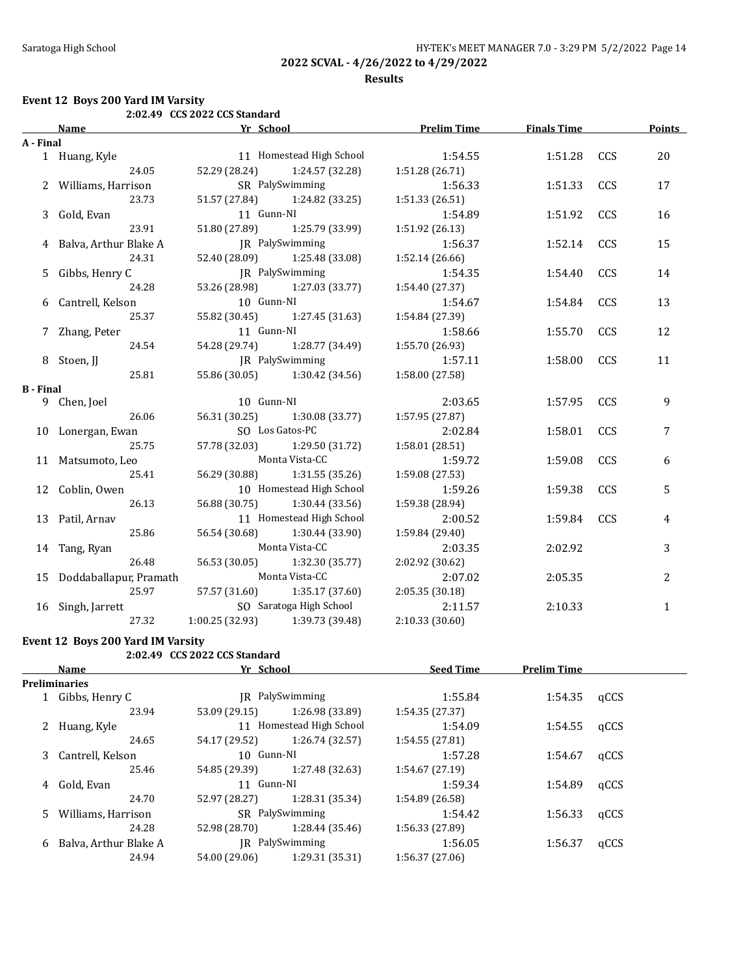### **Results**

### **Event 12 Boys 200 Yard IM Varsity**

|                  |                           | 2:02.49 CCS 2022 CCS Standard |                                 |                    |                    |     |              |
|------------------|---------------------------|-------------------------------|---------------------------------|--------------------|--------------------|-----|--------------|
|                  | Name                      | <b>Example 12 Yr School</b>   |                                 | <b>Prelim Time</b> | <b>Finals Time</b> |     | Points       |
| A - Final        |                           |                               |                                 |                    |                    |     |              |
|                  | 1 Huang, Kyle             |                               | 11 Homestead High School        | 1:54.55            | 1:51.28            | CCS | 20           |
|                  | 24.05                     | 52.29 (28.24)                 | 1:24.57 (32.28)                 | 1:51.28 (26.71)    |                    |     |              |
|                  | 2 Williams, Harrison      |                               | SR PalySwimming                 | 1:56.33            | 1:51.33            | CCS | 17           |
|                  | 23.73                     |                               | 51.57 (27.84) 1:24.82 (33.25)   | 1:51.33 (26.51)    |                    |     |              |
|                  | 3 Gold, Evan              | 11 Gunn-NI                    |                                 | 1:54.89            | 1:51.92            | CCS | 16           |
|                  | 23.91                     |                               | 51.80 (27.89) 1:25.79 (33.99)   | 1:51.92 (26.13)    |                    |     |              |
|                  | 4 Balva, Arthur Blake A   | JR PalySwimming               |                                 | 1:56.37            | 1:52.14            | CCS | 15           |
|                  | 24.31                     |                               | 52.40 (28.09) 1:25.48 (33.08)   | 1:52.14 (26.66)    |                    |     |              |
|                  | 5 Gibbs, Henry C          |                               | JR PalySwimming                 | 1:54.35            | 1:54.40            | CCS | 14           |
|                  | 24.28                     |                               | 53.26 (28.98) 1:27.03 (33.77)   | 1:54.40 (27.37)    |                    |     |              |
|                  | 6 Cantrell, Kelson        | 10 Gunn-NI                    |                                 | 1:54.67            | 1:54.84            | CCS | 13           |
|                  | 25.37                     |                               | 55.82 (30.45) 1:27.45 (31.63)   | 1:54.84 (27.39)    |                    |     |              |
|                  | 7 Zhang, Peter            | 11 Gunn-NI                    |                                 | 1:58.66            | 1:55.70            | CCS | 12           |
|                  | 24.54                     |                               | 54.28 (29.74) 1:28.77 (34.49)   | 1:55.70 (26.93)    |                    |     |              |
|                  | 8 Stoen, JJ               |                               | JR PalySwimming                 | 1:57.11            | 1:58.00            | CCS | 11           |
|                  | 25.81                     |                               | 55.86 (30.05) 1:30.42 (34.56)   | 1:58.00 (27.58)    |                    |     |              |
| <b>B</b> - Final |                           |                               |                                 |                    |                    |     |              |
|                  | 9 Chen, Joel              | 10 Gunn-NI                    |                                 | 2:03.65            | 1:57.95            | CCS | 9            |
|                  | 26.06                     |                               | 56.31 (30.25) 1:30.08 (33.77)   | 1:57.95 (27.87)    |                    |     |              |
|                  | 10 Lonergan, Ewan         |                               | SO Los Gatos-PC                 | 2:02.84            | 1:58.01            | CCS | 7            |
|                  | 25.75                     | 57.78 (32.03)                 | 1:29.50 (31.72)                 | 1:58.01 (28.51)    |                    |     |              |
|                  | 11 Matsumoto, Leo         |                               | Monta Vista-CC                  | 1:59.72            | 1:59.08            | CCS | 6            |
|                  | 25.41                     | 56.29 (30.88)                 | 1:31.55 (35.26)                 | 1:59.08 (27.53)    |                    |     |              |
|                  | 12 Coblin, Owen           |                               | 10 Homestead High School        | 1:59.26            | 1:59.38            | CCS | 5            |
|                  | 26.13                     | 56.88 (30.75)                 | 1:30.44 (33.56)                 | 1:59.38 (28.94)    |                    |     |              |
|                  | 13 Patil, Arnav           |                               | 11 Homestead High School        | 2:00.52            | 1:59.84            | CCS | 4            |
|                  | 25.86                     | 56.54 (30.68)                 | 1:30.44 (33.90)                 | 1:59.84 (29.40)    |                    |     |              |
|                  | 14 Tang, Ryan             |                               | Monta Vista-CC                  | 2:03.35            | 2:02.92            |     | 3            |
|                  | 26.48                     | 56.53 (30.05)                 | 1:32.30 (35.77)                 | 2:02.92 (30.62)    |                    |     |              |
|                  | 15 Doddaballapur, Pramath |                               | Monta Vista-CC                  | 2:07.02            | 2:05.35            |     | 2            |
|                  | 25.97                     | 57.57 (31.60)                 | 1:35.17 (37.60)                 | 2:05.35 (30.18)    |                    |     |              |
|                  | 16 Singh, Jarrett         |                               | SO Saratoga High School         | 2:11.57            | 2:10.33            |     | $\mathbf{1}$ |
|                  | 27.32                     |                               | 1:00.25 (32.93) 1:39.73 (39.48) | 2:10.33 (30.60)    |                    |     |              |

### **Event 12 Boys 200 Yard IM Varsity**

|  |  | 2:02.49 CCS 2022 CCS Standard |
|--|--|-------------------------------|
|--|--|-------------------------------|

|    | Name                  | Yr School     |                          | <b>Seed Time</b> | <b>Prelim Time</b> |      |
|----|-----------------------|---------------|--------------------------|------------------|--------------------|------|
|    | <b>Preliminaries</b>  |               |                          |                  |                    |      |
|    | Gibbs, Henry C        |               | IR PalySwimming          | 1:55.84          | 1:54.35            | qCCS |
|    | 23.94                 | 53.09 (29.15) | 1:26.98 (33.89)          | 1:54.35(27.37)   |                    |      |
|    | Huang, Kyle           |               | 11 Homestead High School | 1:54.09          | 1:54.55            | qCCS |
|    | 24.65                 | 54.17 (29.52) | 1:26.74 (32.57)          | 1:54.55(27.81)   |                    |      |
| 3  | Cantrell, Kelson      | 10 Gunn-NI    |                          | 1:57.28          | 1:54.67            | qCCS |
|    | 25.46                 | 54.85 (29.39) | 1:27.48 (32.63)          | 1:54.67 (27.19)  |                    |      |
| 4  | Gold, Evan            | 11 Gunn-NI    |                          | 1:59.34          | 1:54.89            | qCCS |
|    | 24.70                 | 52.97 (28.27) | 1:28.31 (35.34)          | 1:54.89 (26.58)  |                    |      |
| 5. | Williams, Harrison    |               | SR PalySwimming          | 1:54.42          | 1:56.33            | qCCS |
|    | 24.28                 | 52.98 (28.70) | 1:28.44 (35.46)          | 1:56.33(27.89)   |                    |      |
| 6  | Balva, Arthur Blake A |               | IR PalySwimming          | 1:56.05          | 1:56.37            | qCCS |
|    | 24.94                 | 54.00 (29.06) | 1:29.31 (35.31)          | 1:56.37 (27.06)  |                    |      |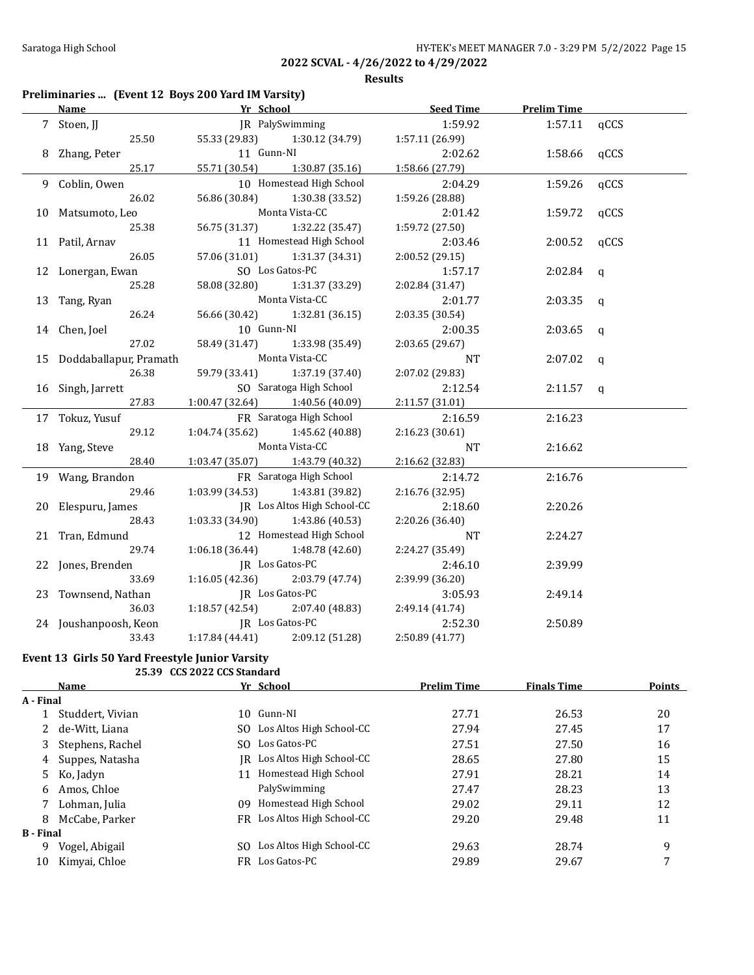### **Results**

## **Preliminaries ... (Event 12 Boys 200 Yard IM Varsity)**

| Yr School<br><b>Name</b>  |                 |                                     | Seed Time       | <b>Prelim Time</b> |      |
|---------------------------|-----------------|-------------------------------------|-----------------|--------------------|------|
| 7 Stoen, JJ               |                 | JR PalySwimming                     | 1:59.92         | 1:57.11            | qCCS |
| 25.50                     |                 | 55.33 (29.83) 1:30.12 (34.79)       | 1:57.11 (26.99) |                    |      |
| 8 Zhang, Peter            | 11 Gunn-NI      |                                     | 2:02.62         | 1:58.66            | qCCS |
| 25.17                     |                 | 55.71 (30.54) 1:30.87 (35.16)       | 1:58.66 (27.79) |                    |      |
| 9 Coblin, Owen            |                 | 10 Homestead High School            | 2:04.29         | 1:59.26            | qCCS |
| 26.02                     | 56.86 (30.84)   | 1:30.38 (33.52)                     | 1:59.26 (28.88) |                    |      |
| 10 Matsumoto, Leo         |                 | Monta Vista-CC                      | 2:01.42         | 1:59.72            | qCCS |
| 25.38                     | 56.75 (31.37)   | 1:32.22 (35.47)                     | 1:59.72 (27.50) |                    |      |
| 11 Patil, Arnav           |                 | 11 Homestead High School            | 2:03.46         | 2:00.52            | qCCS |
| 26.05                     | 57.06 (31.01)   | 1:31.37 (34.31)                     | 2:00.52 (29.15) |                    |      |
| 12 Lonergan, Ewan         |                 | SO Los Gatos-PC                     | 1:57.17         | 2:02.84            | q    |
| 25.28                     | 58.08 (32.80)   | 1:31.37 (33.29)                     | 2:02.84 (31.47) |                    |      |
| 13 Tang, Ryan             |                 | Monta Vista-CC                      | 2:01.77         | 2:03.35            | q    |
| 26.24                     | 56.66 (30.42)   | 1:32.81(36.15)                      | 2:03.35 (30.54) |                    |      |
| 14 Chen, Joel             | 10 Gunn-NI      |                                     | 2:00.35         | 2:03.65            | q    |
| 27.02                     | 58.49 (31.47)   | 1:33.98 (35.49)                     | 2:03.65 (29.67) |                    |      |
| 15 Doddaballapur, Pramath |                 | Monta Vista-CC                      | <b>NT</b>       | 2:07.02            | q    |
| 26.38                     | 59.79 (33.41)   | 1:37.19 (37.40)                     | 2:07.02 (29.83) |                    |      |
| 16 Singh, Jarrett         |                 | SO Saratoga High School             | 2:12.54         | $2:11.57$ q        |      |
| 27.83                     |                 | $1:00.47$ (32.64) $1:40.56$ (40.09) | 2:11.57 (31.01) |                    |      |
| 17 Tokuz, Yusuf           |                 | FR Saratoga High School             | 2:16.59         | 2:16.23            |      |
| 29.12                     | 1:04.74 (35.62) | 1:45.62 (40.88)                     | 2:16.23 (30.61) |                    |      |
| 18 Yang, Steve            |                 | Monta Vista-CC                      | <b>NT</b>       | 2:16.62            |      |
| 28.40                     |                 | $1:03.47(35.07)$ $1:43.79(40.32)$   | 2:16.62 (32.83) |                    |      |
| 19 Wang, Brandon          |                 | FR Saratoga High School             | 2:14.72         | 2:16.76            |      |
| 29.46                     |                 | $1:03.99(34.53)$ $1:43.81(39.82)$   | 2:16.76 (32.95) |                    |      |
| 20 Elespuru, James        |                 | JR Los Altos High School-CC         | 2:18.60         | 2:20.26            |      |
| 28.43                     |                 | $1:03.33(34.90)$ $1:43.86(40.53)$   | 2:20.26 (36.40) |                    |      |
| 21 Tran, Edmund           |                 | 12 Homestead High School            | <b>NT</b>       | 2:24.27            |      |
| 29.74                     |                 | $1:06.18(36.44)$ $1:48.78(42.60)$   | 2:24.27 (35.49) |                    |      |
| 22 Jones, Brenden         |                 | JR Los Gatos-PC                     | 2:46.10         | 2:39.99            |      |
| 33.69                     |                 | $1:16.05(42.36)$ $2:03.79(47.74)$   | 2:39.99 (36.20) |                    |      |
| 23 Townsend, Nathan       | JR Los Gatos-PC |                                     | 3:05.93         | 2:49.14            |      |
| 36.03                     |                 | $1:18.57(42.54)$ $2:07.40(48.83)$   | 2:49.14 (41.74) |                    |      |
| 24 Joushanpoosh, Keon     | JR Los Gatos-PC |                                     | 2:52.30         | 2:50.89            |      |
| 33.43                     | 1:17.84 (44.41) | 2:09.12 (51.28)                     | 2:50.89 (41.77) |                    |      |

### **Event 13 Girls 50 Yard Freestyle Junior Varsity 25.39 CCS 2022 CCS Standard**

|                  | Name             |     | Yr School                   | <b>Prelim Time</b> | <b>Finals Time</b> | Points |
|------------------|------------------|-----|-----------------------------|--------------------|--------------------|--------|
| A - Final        |                  |     |                             |                    |                    |        |
|                  | Studdert, Vivian |     | 10 Gunn-NI                  | 27.71              | 26.53              | 20     |
|                  | de-Witt, Liana   | SO. | Los Altos High School-CC    | 27.94              | 27.45              | 17     |
|                  | Stephens, Rachel | SO. | Los Gatos-PC                | 27.51              | 27.50              | 16     |
| 4                | Suppes, Natasha  | IR- | Los Altos High School-CC    | 28.65              | 27.80              | 15     |
| 5.               | Ko, Jadyn        | 11  | Homestead High School       | 27.91              | 28.21              | 14     |
| 6.               | Amos, Chloe      |     | PalySwimming                | 27.47              | 28.23              | 13     |
|                  | Lohman, Julia    | 09  | Homestead High School       | 29.02              | 29.11              | 12     |
| 8                | McCabe, Parker   |     | FR Los Altos High School-CC | 29.20              | 29.48              | 11     |
| <b>B</b> - Final |                  |     |                             |                    |                    |        |
| 9                | Vogel, Abigail   | SO. | Los Altos High School-CC    | 29.63              | 28.74              | 9      |
| 10               | Kimyai, Chloe    | FR. | Los Gatos-PC                | 29.89              | 29.67              | 7      |
|                  |                  |     |                             |                    |                    |        |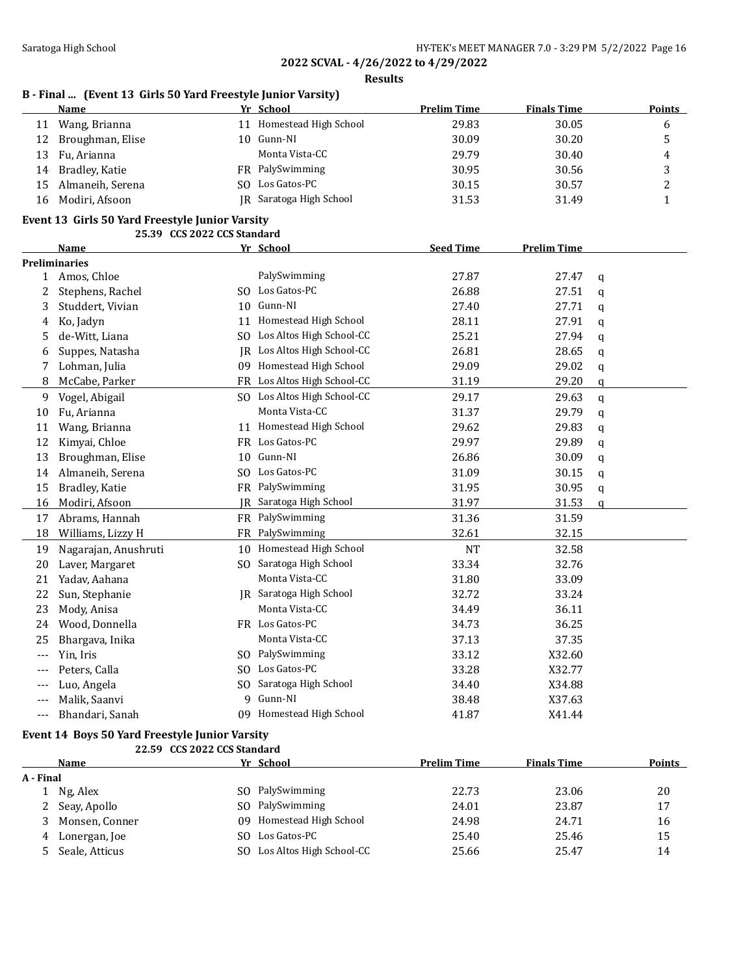**Results**

# **B - Final ... (Event 13 Girls 50 Yard Freestyle Junior Varsity)**

| Name             |                                                                                |                | <b>Prelim Time</b>                                                                                                | <b>Finals Time</b> | <b>Points</b> |
|------------------|--------------------------------------------------------------------------------|----------------|-------------------------------------------------------------------------------------------------------------------|--------------------|---------------|
|                  |                                                                                |                | 29.83                                                                                                             | 30.05              | b             |
| Broughman, Elise |                                                                                |                | 30.09                                                                                                             | 30.20              |               |
|                  |                                                                                | Monta Vista-CC | 29.79                                                                                                             | 30.40              | 4             |
|                  |                                                                                |                | 30.95                                                                                                             | 30.56              |               |
|                  |                                                                                |                | 30.15                                                                                                             | 30.57              |               |
| Modiri, Afsoon   |                                                                                |                | 31.53                                                                                                             | 31.49              |               |
|                  | Wang, Brianna<br>11<br>13 Fu, Arianna<br>14 Bradley, Katie<br>Almaneih, Serena |                | Yr School<br>Homestead High School<br>10 Gunn-NI<br>FR PalySwimming<br>SO Los Gatos-PC<br>IR Saratoga High School |                    |               |

### **Event 13 Girls 50 Yard Freestyle Junior Varsity**

|              |                      | 25.39 CCS 2022 CCS Standard |                             |                  |                    |              |
|--------------|----------------------|-----------------------------|-----------------------------|------------------|--------------------|--------------|
|              | <b>Name</b>          |                             | Yr School                   | <b>Seed Time</b> | <b>Prelim Time</b> |              |
|              | <b>Preliminaries</b> |                             |                             |                  |                    |              |
| $\mathbf{1}$ | Amos, Chloe          |                             | PalySwimming                | 27.87            | 27.47              | $\mathbf{q}$ |
| 2            | Stephens, Rachel     |                             | SO Los Gatos-PC             | 26.88            | 27.51              | $\mathbf{q}$ |
| 3            | Studdert, Vivian     | 10                          | Gunn-NI                     | 27.40            | 27.71              | $\mathbf q$  |
| 4            | Ko, Jadyn            | 11                          | Homestead High School       | 28.11            | 27.91              | $\mathbf q$  |
| 5            | de-Witt, Liana       | SO.                         | Los Altos High School-CC    | 25.21            | 27.94              | q            |
| 6            | Suppes, Natasha      | IR.                         | Los Altos High School-CC    | 26.81            | 28.65              | q            |
| 7            | Lohman, Julia        | 09                          | Homestead High School       | 29.09            | 29.02              | q            |
| 8            | McCabe, Parker       | <b>FR</b>                   | Los Altos High School-CC    | 31.19            | 29.20              | $\alpha$     |
| 9            | Vogel, Abigail       |                             | SO Los Altos High School-CC | 29.17            | 29.63              | q            |
| 10           | Fu, Arianna          |                             | Monta Vista-CC              | 31.37            | 29.79              | $\alpha$     |
| 11           | Wang, Brianna        | 11                          | Homestead High School       | 29.62            | 29.83              | q            |
| 12           | Kimyai, Chloe        |                             | FR Los Gatos-PC             | 29.97            | 29.89              | q            |
| 13           | Broughman, Elise     |                             | 10 Gunn-NI                  | 26.86            | 30.09              | q            |
| 14           | Almaneih, Serena     | SO.                         | Los Gatos-PC                | 31.09            | 30.15              | q            |
| 15           | Bradley, Katie       | FR                          | PalySwimming                | 31.95            | 30.95              | $\mathbf q$  |
| 16           | Modiri, Afsoon       | IR                          | Saratoga High School        | 31.97            | 31.53              | a            |
| 17           | Abrams, Hannah       |                             | FR PalySwimming             | 31.36            | 31.59              |              |
| 18           | Williams, Lizzy H    | <b>FR</b>                   | PalySwimming                | 32.61            | 32.15              |              |
| 19           | Nagarajan, Anushruti |                             | 10 Homestead High School    | <b>NT</b>        | 32.58              |              |
| 20           | Laver, Margaret      | SO.                         | Saratoga High School        | 33.34            | 32.76              |              |
| 21           | Yadav, Aahana        |                             | Monta Vista-CC              | 31.80            | 33.09              |              |
| 22           | Sun, Stephanie       |                             | JR Saratoga High School     | 32.72            | 33.24              |              |
| 23           | Mody, Anisa          |                             | Monta Vista-CC              | 34.49            | 36.11              |              |
| 24           | Wood, Donnella       |                             | FR Los Gatos-PC             | 34.73            | 36.25              |              |
| 25           | Bhargava, Inika      |                             | Monta Vista-CC              | 37.13            | 37.35              |              |
| $---$        | Yin, Iris            |                             | SO PalySwimming             | 33.12            | X32.60             |              |
| ---          | Peters, Calla        | SO.                         | Los Gatos-PC                | 33.28            | X32.77             |              |
| ---          | Luo, Angela          | SO.                         | Saratoga High School        | 34.40            | X34.88             |              |
| ---          | Malik, Saanvi        | 9                           | Gunn-NI                     | 38.48            | X37.63             |              |
| $---$        | Bhandari, Sanah      |                             | 09 Homestead High School    | 41.87            | X41.44             |              |

### **Event 14 Boys 50 Yard Freestyle Junior Varsity**

|           | 22.59 CCS 2022 CCS Standard |     |                          |                    |                    |        |
|-----------|-----------------------------|-----|--------------------------|--------------------|--------------------|--------|
|           | Name                        |     | Yr School                | <b>Prelim Time</b> | <b>Finals Time</b> | Points |
| A - Final |                             |     |                          |                    |                    |        |
|           | Ng, Alex                    |     | SO PalySwimming          | 22.73              | 23.06              | 20     |
|           | Seay, Apollo                |     | SO PalySwimming          | 24.01              | 23.87              | 17     |
|           | Monsen, Conner              | 09. | Homestead High School    | 24.98              | 24.71              | 16     |
| 4         | Lonergan, Joe               | SO. | Los Gatos-PC             | 25.40              | 25.46              | 15     |
|           | Seale, Atticus              | SO. | Los Altos High School-CC | 25.66              | 25.47              | 14     |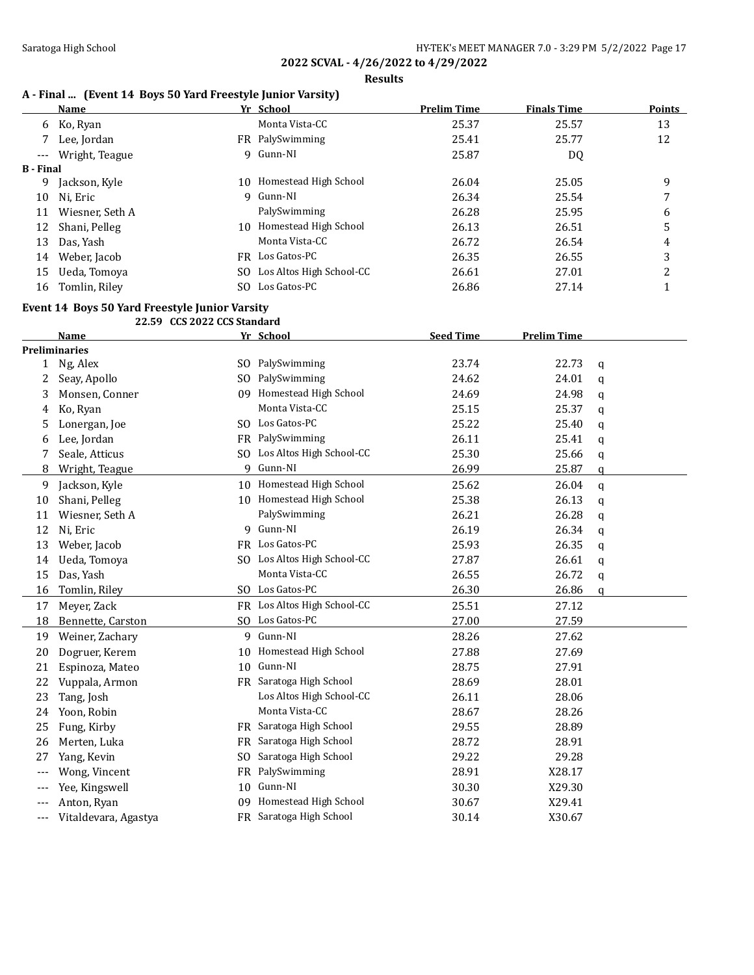**Results**

## **A - Final ... (Event 14 Boys 50 Yard Freestyle Junior Varsity)**

|                     | Name            |     | Yr School                | <b>Prelim Time</b> | <b>Finals Time</b> | <b>Points</b> |
|---------------------|-----------------|-----|--------------------------|--------------------|--------------------|---------------|
| 6                   | Ko, Ryan        |     | Monta Vista-CC           | 25.37              | 25.57              | 13            |
|                     | Lee, Jordan     |     | FR PalySwimming          | 25.41              | 25.77              | 12            |
| $\qquad \qquad - -$ | Wright, Teague  |     | 9 Gunn-NI                | 25.87              | DQ                 |               |
| <b>B</b> - Final    |                 |     |                          |                    |                    |               |
| 9                   | Jackson, Kyle   |     | 10 Homestead High School | 26.04              | 25.05              | 9             |
| 10                  | Ni, Eric        |     | 9 Gunn-NI                | 26.34              | 25.54              | 7             |
| 11                  | Wiesner, Seth A |     | PalySwimming             | 26.28              | 25.95              | 6             |
| 12                  | Shani, Pelleg   | 10  | Homestead High School    | 26.13              | 26.51              | 5             |
| 13                  | Das, Yash       |     | Monta Vista-CC           | 26.72              | 26.54              | 4             |
| 14                  | Weber, Jacob    |     | FR Los Gatos-PC          | 26.35              | 26.55              | 3             |
| 15                  | Ueda, Tomoya    | SO. | Los Altos High School-CC | 26.61              | 27.01              | າ             |
| 16                  | Tomlin, Riley   |     | SO Los Gatos-PC          | 26.86              | 27.14              |               |

## **Event 14 Boys 50 Yard Freestyle Junior Varsity**

|          | 22.59 CCS 2022 CCS Standard |                |                             |                  |                    |              |
|----------|-----------------------------|----------------|-----------------------------|------------------|--------------------|--------------|
|          | <b>Name</b>                 |                | Yr School                   | <b>Seed Time</b> | <b>Prelim Time</b> |              |
|          | <b>Preliminaries</b>        |                |                             |                  |                    |              |
|          | 1 Ng, Alex                  |                | SO PalySwimming             | 23.74            | 22.73              | q            |
| 2        | Seay, Apollo                | S <sub>0</sub> | PalySwimming                | 24.62            | 24.01              | a            |
| 3        | Monsen, Conner              | 09             | Homestead High School       | 24.69            | 24.98              | q            |
| 4        | Ko, Ryan                    |                | Monta Vista-CC              | 25.15            | 25.37              | q            |
| 5        | Lonergan, Joe               |                | SO Los Gatos-PC             | 25.22            | 25.40              | a            |
| 6        | Lee, Jordan                 |                | FR PalySwimming             | 26.11            | 25.41              | q            |
| 7        | Seale, Atticus              | SO.            | Los Altos High School-CC    | 25.30            | 25.66              | q            |
| 8        | Wright, Teague              | 9              | Gunn-NI                     | 26.99            | 25.87              | a            |
| 9        | Jackson, Kyle               |                | 10 Homestead High School    | 25.62            | 26.04              | q            |
| 10       | Shani, Pelleg               |                | 10 Homestead High School    | 25.38            | 26.13              | q            |
| 11       | Wiesner, Seth A             |                | PalySwimming                | 26.21            | 26.28              | q            |
| 12       | Ni, Eric                    | 9              | Gunn-NI                     | 26.19            | 26.34              | q            |
| 13       | Weber, Jacob                |                | FR Los Gatos-PC             | 25.93            | 26.35              | a            |
| 14       | Ueda, Tomoya                |                | SO Los Altos High School-CC | 27.87            | 26.61              | a            |
| 15       | Das, Yash                   |                | Monta Vista-CC              | 26.55            | 26.72              | $\mathbf q$  |
| 16       | Tomlin, Riley               |                | SO Los Gatos-PC             | 26.30            | 26.86              | $\mathbf{q}$ |
| 17       | Meyer, Zack                 |                | FR Los Altos High School-CC | 25.51            | 27.12              |              |
| 18       | Bennette, Carston           |                | SO Los Gatos-PC             | 27.00            | 27.59              |              |
| 19       | Weiner, Zachary             |                | 9 Gunn-NI                   | 28.26            | 27.62              |              |
| 20       | Dogruer, Kerem              |                | 10 Homestead High School    | 27.88            | 27.69              |              |
| 21       | Espinoza, Mateo             |                | 10 Gunn-NI                  | 28.75            | 27.91              |              |
| 22       | Vuppala, Armon              |                | FR Saratoga High School     | 28.69            | 28.01              |              |
| 23       | Tang, Josh                  |                | Los Altos High School-CC    | 26.11            | 28.06              |              |
| 24       | Yoon, Robin                 |                | Monta Vista-CC              | 28.67            | 28.26              |              |
| 25       | Fung, Kirby                 |                | FR Saratoga High School     | 29.55            | 28.89              |              |
| 26       | Merten, Luka                | FR             | Saratoga High School        | 28.72            | 28.91              |              |
| 27       | Yang, Kevin                 | SO.            | Saratoga High School        | 29.22            | 29.28              |              |
| $---$    | Wong, Vincent               | FR             | PalySwimming                | 28.91            | X28.17             |              |
| $---$    | Yee, Kingswell              | 10             | Gunn-NI                     | 30.30            | X29.30             |              |
| $---$    | Anton, Ryan                 | 09             | Homestead High School       | 30.67            | X29.41             |              |
| $\cdots$ | Vitaldevara, Agastya        |                | FR Saratoga High School     | 30.14            | X30.67             |              |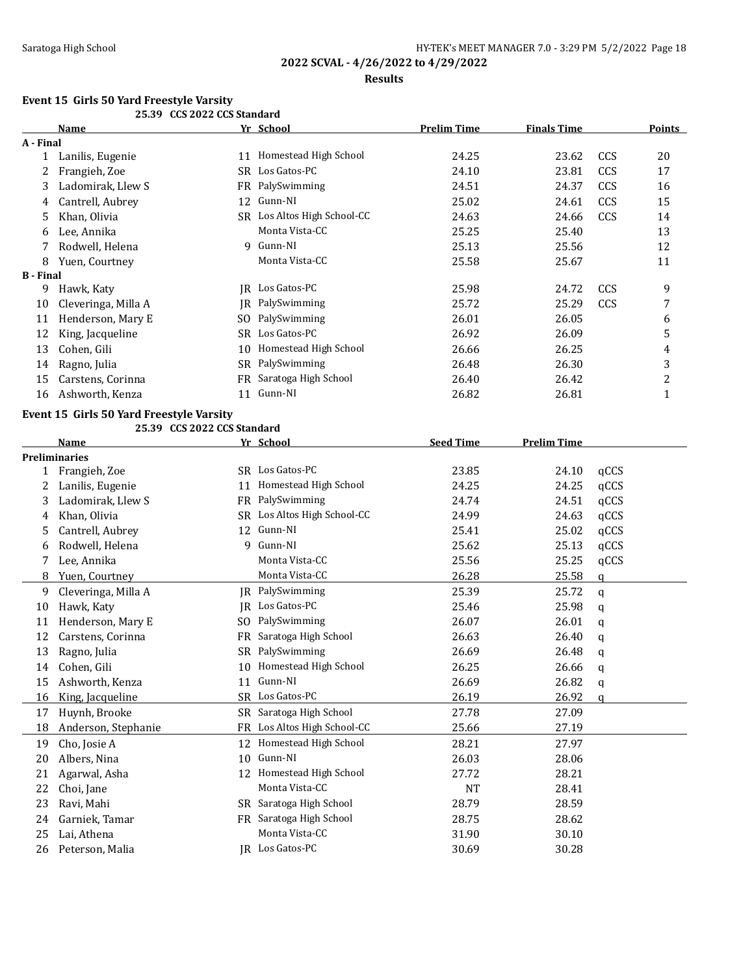### **Results**

# **Event 15 Girls 50 Yard Freestyle Varsity**

|                  |                                          | 25.39 CCS 2022 CCS Standard |                             |                    |                    |      |              |
|------------------|------------------------------------------|-----------------------------|-----------------------------|--------------------|--------------------|------|--------------|
|                  | Name                                     |                             | Yr School                   | <b>Prelim Time</b> | <b>Finals Time</b> |      | Points       |
| A - Final        |                                          |                             |                             |                    |                    |      |              |
| $\mathbf{1}$     | Lanilis, Eugenie                         |                             | 11 Homestead High School    | 24.25              | 23.62              | CCS  | 20           |
| 2                | Frangieh, Zoe                            |                             | SR Los Gatos-PC             | 24.10              | 23.81              | CCS  | 17           |
| 3                | Ladomirak, Llew S                        |                             | FR PalySwimming             | 24.51              | 24.37              | CCS  | 16           |
| 4                | Cantrell, Aubrey                         |                             | 12 Gunn-NI                  | 25.02              | 24.61              | CCS  | 15           |
| 5                | Khan, Olivia                             |                             | SR Los Altos High School-CC | 24.63              | 24.66              | CCS  | 14           |
| 6                | Lee, Annika                              |                             | Monta Vista-CC              | 25.25              | 25.40              |      | 13           |
| 7                | Rodwell, Helena                          |                             | 9 Gunn-NI                   | 25.13              | 25.56              |      | 12           |
| 8                | Yuen, Courtney                           |                             | Monta Vista-CC              | 25.58              | 25.67              |      | 11           |
| <b>B</b> - Final |                                          |                             |                             |                    |                    |      |              |
| 9                | Hawk, Katy                               |                             | <b>IR</b> Los Gatos-PC      | 25.98              | 24.72              | CCS  | 9            |
| 10               | Cleveringa, Milla A                      |                             | JR PalySwimming             | 25.72              | 25.29              | CCS  | 7            |
| 11               | Henderson, Mary E                        | SO.                         | PalySwimming                | 26.01              | 26.05              |      | 6            |
| 12               | King, Jacqueline                         |                             | SR Los Gatos-PC             | 26.92              | 26.09              |      | 5            |
| 13               | Cohen, Gili                              | 10                          | Homestead High School       | 26.66              | 26.25              |      | 4            |
| 14               | Ragno, Julia                             |                             | SR PalySwimming             | 26.48              | 26.30              |      | 3            |
| 15               | Carstens, Corinna                        | FR                          | Saratoga High School        | 26.40              | 26.42              |      | 2            |
| 16               | Ashworth, Kenza                          |                             | 11 Gunn-NI                  | 26.82              | 26.81              |      | $\mathbf{1}$ |
|                  | Event 15 Girls 50 Yard Freestyle Varsity |                             |                             |                    |                    |      |              |
|                  |                                          | 25.39 CCS 2022 CCS Standard |                             |                    |                    |      |              |
|                  | Name                                     |                             | Yr School                   | <b>Seed Time</b>   | <b>Prelim Time</b> |      |              |
|                  | <b>Preliminaries</b>                     |                             |                             |                    |                    |      |              |
|                  | 1 Frangieh, Zoe                          |                             | SR Los Gatos-PC             | 23.85              | 24.10              | qCCS |              |
| 2                | Lanilis, Eugenie                         |                             | 11 Homestead High School    | 24.25              | 24.25              | qCCS |              |
| 3                | Ladomirak, Llew S                        | FR -                        | PalySwimming                | 24.74              | 24.51              | qCCS |              |
| 4                | Khan, Olivia                             |                             | SR Los Altos High School-CC | 24.99              | 24.63              | qCCS |              |
| 5                | Cantrell, Aubrey                         |                             | 12 Gunn-NI                  | 25.41              | 25.02              | qCCS |              |
| 6                | Rodwell, Helena                          | 9                           | Gunn-NI                     | 25.62              | 25.13              | qCCS |              |
| 7                | Lee, Annika                              |                             | Monta Vista-CC              | 25.56              | 25.25              | qCCS |              |
| 8                | Yuen, Courtney                           |                             | Monta Vista-CC              | 26.28              | 25.58              | q    |              |
| 9                | Cleveringa, Milla A                      |                             | <b>IR</b> PalySwimming      | 25.39              | 25.72              | q    |              |
| 10               | Hawk, Katy                               |                             | JR Los Gatos-PC             | 25.46              | 25.98              | q    |              |
| 11               | Henderson, Mary E                        | SO.                         | PalySwimming                | 26.07              | 26.01              | q    |              |
| 12               | Carstens, Corinna                        | FR.                         | Saratoga High School        | 26.63              | 26.40              | q    |              |
| 13               | Ragno, Julia                             |                             | SR PalySwimming             | 26.69              | 26.48              | q    |              |
| 14               | Cohen, Gili                              |                             | 10 Homestead High School    | 26.25              | 26.66              | q    |              |
| 15               | Ashworth, Kenza                          |                             | 11 Gunn-NI                  | 26.69              | 26.82              | q    |              |
| 16               | King, Jacqueline                         |                             | SR Los Gatos-PC             | 26.19              | 26.92              | q    |              |
| 17               | Huynh, Brooke                            |                             | SR Saratoga High School     | 27.78              | 27.09              |      |              |
| 18               | Anderson, Stephanie                      | FR                          | Los Altos High School-CC    | 25.66              | 27.19              |      |              |
| 19               | Cho, Josie A                             | 12                          | Homestead High School       | 28.21              | 27.97              |      |              |
| 20               | Albers, Nina                             | 10                          | Gunn-NI                     | 26.03              | 28.06              |      |              |
|                  | Agarwal, Asha                            |                             | 12 Homestead High School    |                    | 28.21              |      |              |
| 21               |                                          |                             | Monta Vista-CC              | 27.72              |                    |      |              |
| 22               | Choi, Jane                               |                             | SR Saratoga High School     | <b>NT</b>          | 28.41              |      |              |
| 23               | Ravi, Mahi                               |                             |                             | 28.79              | 28.59              |      |              |
| 24               | Garniek, Tamar                           |                             | FR Saratoga High School     | 28.75              | 28.62              |      |              |
| 25               | Lai, Athena                              |                             | Monta Vista-CC              | 31.90              | 30.10              |      |              |
| 26               | Peterson, Malia                          |                             | JR Los Gatos-PC             | 30.69              | 30.28              |      |              |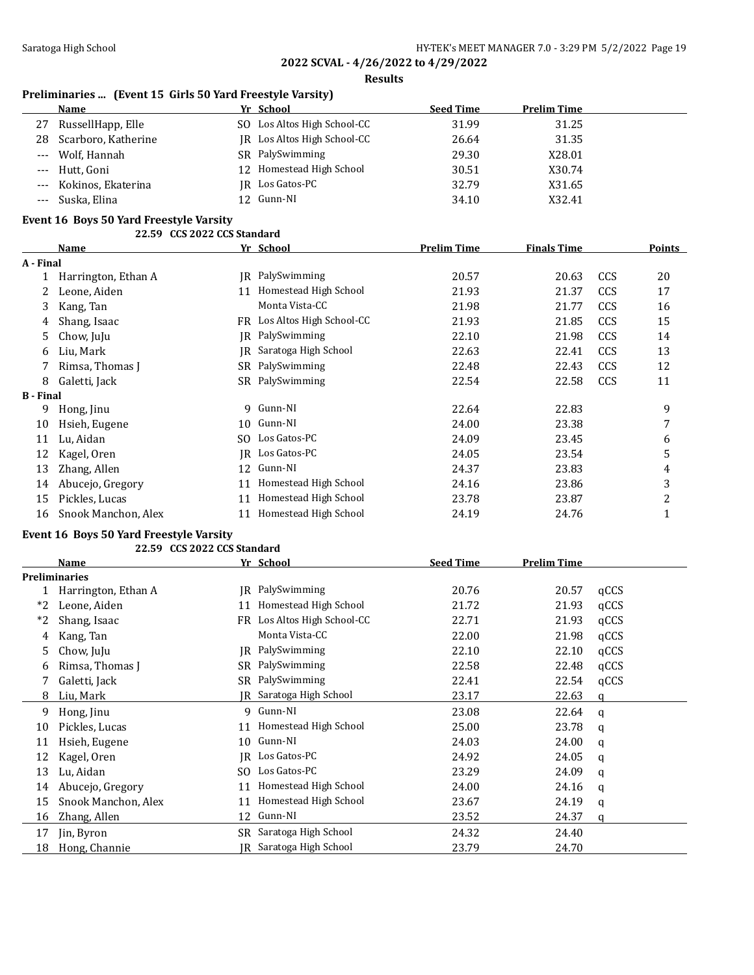**Results**

## **Preliminaries ... (Event 15 Girls 50 Yard Freestyle Varsity)**

| Name                   | Yr School                   | <b>Seed Time</b> | <b>Prelim Time</b> |
|------------------------|-----------------------------|------------------|--------------------|
| 27 RussellHapp, Elle   | SO Los Altos High School-CC | 31.99            | 31.25              |
| 28 Scarboro, Katherine | IR Los Altos High School-CC | 26.64            | 31.35              |
| --- Wolf, Hannah       | SR PalySwimming             | 29.30            | X28.01             |
| --- Hutt, Goni         | 12 Homestead High School    | 30.51            | X30.74             |
| --- Kokinos, Ekaterina | IR Los Gatos-PC             | 32.79            | X31.65             |
| Suska, Elina           | 12 Gunn-NI                  | 34.10            | X32.41             |
|                        |                             |                  |                    |

### **Event 16 Boys 50 Yard Freestyle Varsity**

|                  | 22.59 CCS 2022 CCS Standard |     |                          |                    |                    |            |        |
|------------------|-----------------------------|-----|--------------------------|--------------------|--------------------|------------|--------|
|                  | <b>Name</b>                 |     | Yr School                | <b>Prelim Time</b> | <b>Finals Time</b> |            | Points |
| A - Final        |                             |     |                          |                    |                    |            |        |
|                  | Harrington, Ethan A         | IR  | PalySwimming             | 20.57              | 20.63              | <b>CCS</b> | 20     |
|                  | Leone, Aiden                | 11  | Homestead High School    | 21.93              | 21.37              | <b>CCS</b> | 17     |
| 3                | Kang, Tan                   |     | Monta Vista-CC           | 21.98              | 21.77              | CCS        | 16     |
| 4                | Shang, Isaac                | FR. | Los Altos High School-CC | 21.93              | 21.85              | <b>CCS</b> | 15     |
| 5                | Chow, JuJu                  | IR  | PalySwimming             | 22.10              | 21.98              | CCS        | 14     |
| 6                | Liu, Mark                   | IR  | Saratoga High School     | 22.63              | 22.41              | <b>CCS</b> | 13     |
|                  | Rimsa, Thomas J             | SR  | PalySwimming             | 22.48              | 22.43              | <b>CCS</b> | 12     |
| 8                | Galetti, Jack               | SR  | PalySwimming             | 22.54              | 22.58              | <b>CCS</b> | 11     |
| <b>B</b> - Final |                             |     |                          |                    |                    |            |        |
| 9                | Hong, Jinu                  | 9   | Gunn-NI                  | 22.64              | 22.83              |            | 9      |
| 10               | Hsieh, Eugene               | 10  | Gunn-NI                  | 24.00              | 23.38              |            | 7      |
| 11               | Lu, Aidan                   | SO. | Los Gatos-PC             | 24.09              | 23.45              |            | 6      |
| 12               | Kagel, Oren                 | IR  | Los Gatos-PC             | 24.05              | 23.54              |            | 5      |
| 13               | Zhang, Allen                | 12  | Gunn-NI                  | 24.37              | 23.83              |            | 4      |
| 14               | Abucejo, Gregory            | 11  | Homestead High School    | 24.16              | 23.86              |            | 3      |
| 15               | Pickles, Lucas              | 11  | Homestead High School    | 23.78              | 23.87              |            | 2      |
| 16               | Snook Manchon, Alex         | 11  | Homestead High School    | 24.19              | 24.76              |            | 1      |

### **Event 16 Boys 50 Yard Freestyle Varsity**

|    |                      | 22.59 CCS 2022 CCS Standard |                          |                  |                    |      |
|----|----------------------|-----------------------------|--------------------------|------------------|--------------------|------|
|    | <b>Name</b>          |                             | Yr School                | <b>Seed Time</b> | <b>Prelim Time</b> |      |
|    | <b>Preliminaries</b> |                             |                          |                  |                    |      |
|    | Harrington, Ethan A  | IR.                         | PalySwimming             | 20.76            | 20.57              | qCCS |
| *2 | Leone, Aiden         | 11                          | Homestead High School    | 21.72            | 21.93              | qCCS |
| *2 | Shang, Isaac         | FR.                         | Los Altos High School-CC | 22.71            | 21.93              | qCCS |
| 4  | Kang, Tan            |                             | Monta Vista-CC           | 22.00            | 21.98              | qCCS |
| 5  | Chow, JuJu           | IR-                         | PalySwimming             | 22.10            | 22.10              | qCCS |
| 6  | Rimsa, Thomas J      | SR                          | PalySwimming             | 22.58            | 22.48              | qCCS |
|    | Galetti, Jack        | SR                          | PalySwimming             | 22.41            | 22.54              | qCCS |
| 8  | Liu, Mark            | IR                          | Saratoga High School     | 23.17            | 22.63              | a    |
| 9  | Hong, Jinu           | 9                           | Gunn-NI                  | 23.08            | 22.64              | q    |
| 10 | Pickles, Lucas       | 11                          | Homestead High School    | 25.00            | 23.78              | a    |
| 11 | Hsieh, Eugene        | 10                          | Gunn-NI                  | 24.03            | 24.00              | q    |
| 12 | Kagel, Oren          | IR                          | Los Gatos-PC             | 24.92            | 24.05              | a    |
| 13 | Lu, Aidan            | SO.                         | Los Gatos-PC             | 23.29            | 24.09              | q    |
| 14 | Abucejo, Gregory     | 11                          | Homestead High School    | 24.00            | 24.16              | a    |
| 15 | Snook Manchon, Alex  | 11                          | Homestead High School    | 23.67            | 24.19              | q    |
| 16 | Zhang, Allen         | 12                          | Gunn-NI                  | 23.52            | 24.37              | a    |
| 17 | Jin, Byron           | SR.                         | Saratoga High School     | 24.32            | 24.40              |      |
| 18 | Hong, Channie        | IR                          | Saratoga High School     | 23.79            | 24.70              |      |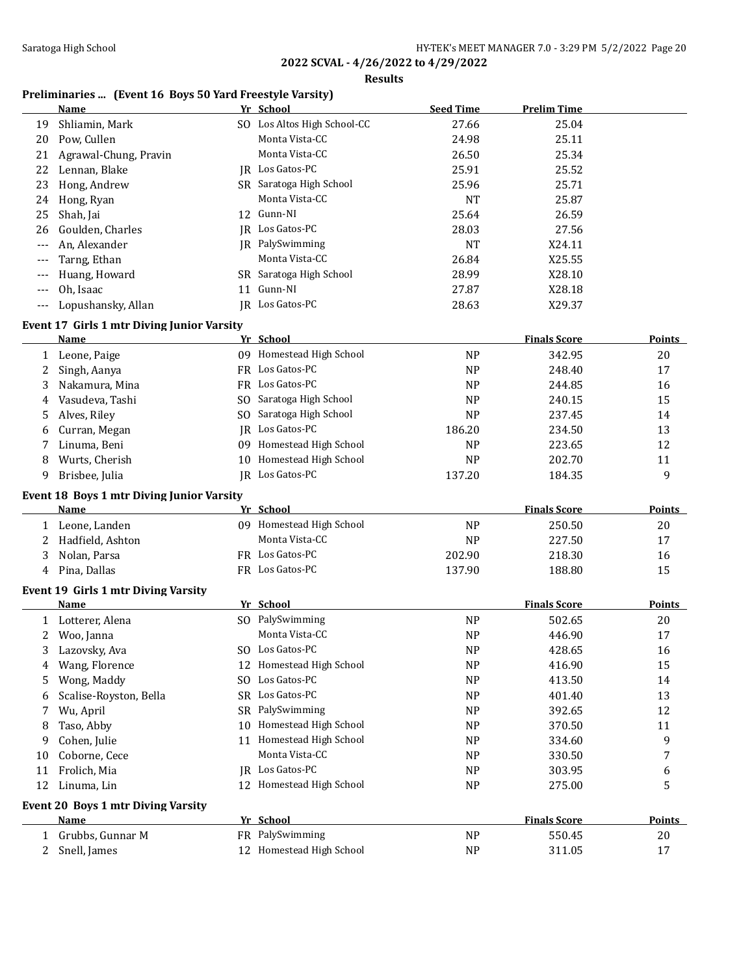**Results**

# **Preliminaries ... (Event 16 Boys 50 Yard Freestyle Varsity)**

|       | Name                                              |     | Yr School                                   | <b>Seed Time</b> | <b>Prelim Time</b>  |               |
|-------|---------------------------------------------------|-----|---------------------------------------------|------------------|---------------------|---------------|
| 19    | Shliamin, Mark                                    |     | SO Los Altos High School-CC                 | 27.66            | 25.04               |               |
| 20    | Pow, Cullen                                       |     | Monta Vista-CC                              | 24.98            | 25.11               |               |
| 21    | Agrawal-Chung, Pravin                             |     | Monta Vista-CC                              | 26.50            | 25.34               |               |
| 22    | Lennan, Blake                                     |     | IR Los Gatos-PC                             | 25.91            | 25.52               |               |
| 23    | Hong, Andrew                                      |     | SR Saratoga High School                     | 25.96            | 25.71               |               |
| 24    | Hong, Ryan                                        |     | Monta Vista-CC                              | <b>NT</b>        | 25.87               |               |
| 25    | Shah, Jai                                         |     | 12 Gunn-NI                                  | 25.64            | 26.59               |               |
| 26    | Goulden, Charles                                  |     | IR Los Gatos-PC                             | 28.03            | 27.56               |               |
| ---   | An, Alexander                                     |     | <b>IR</b> PalySwimming                      | <b>NT</b>        | X24.11              |               |
| ---   | Tarng, Ethan                                      |     | Monta Vista-CC                              | 26.84            | X25.55              |               |
| ---   | Huang, Howard                                     |     | SR Saratoga High School                     | 28.99            | X28.10              |               |
| ---   | Oh, Isaac                                         | 11  | Gunn-NI                                     | 27.87            | X28.18              |               |
| $---$ | Lopushansky, Allan                                |     | JR Los Gatos-PC                             | 28.63            | X29.37              |               |
|       | <b>Event 17 Girls 1 mtr Diving Junior Varsity</b> |     |                                             |                  |                     |               |
|       | <b>Name</b>                                       |     | Yr School                                   |                  | <b>Finals Score</b> | <b>Points</b> |
|       | 1 Leone, Paige                                    |     | 09 Homestead High School                    | <b>NP</b>        | 342.95              | 20            |
| 2     | Singh, Aanya                                      |     | FR Los Gatos-PC                             | <b>NP</b>        | 248.40              | 17            |
| 3     | Nakamura, Mina                                    |     | FR Los Gatos-PC                             | <b>NP</b>        | 244.85              | 16            |
| 4     | Vasudeva, Tashi                                   |     | SO Saratoga High School                     | <b>NP</b>        | 240.15              | 15            |
|       | Alves, Riley                                      |     | SO Saratoga High School                     | <b>NP</b>        | 237.45              | 14            |
| 5     |                                                   |     | JR Los Gatos-PC                             | 186.20           | 234.50              | 13            |
| 6     | Curran, Megan                                     |     | 09 Homestead High School                    |                  |                     |               |
|       | Linuma, Beni                                      |     |                                             | <b>NP</b>        | 223.65              | 12            |
| 8     | Wurts, Cherish                                    |     | 10 Homestead High School<br>JR Los Gatos-PC | <b>NP</b>        | 202.70              | 11            |
| 9     | Brisbee, Julia                                    |     |                                             | 137.20           | 184.35              | 9             |
|       | <b>Event 18 Boys 1 mtr Diving Junior Varsity</b>  |     |                                             |                  |                     |               |
|       | <b>Name</b>                                       |     | Yr School                                   |                  | <b>Finals Score</b> | <b>Points</b> |
|       | 1 Leone, Landen                                   |     | 09 Homestead High School                    | <b>NP</b>        | 250.50              | 20            |
| 2     | Hadfield, Ashton                                  |     | Monta Vista-CC                              | <b>NP</b>        | 227.50              | 17            |
| 3     | Nolan, Parsa                                      |     | FR Los Gatos-PC                             | 202.90           | 218.30              | 16            |
| 4     | Pina, Dallas                                      |     | FR Los Gatos-PC                             | 137.90           | 188.80              | 15            |
|       | Event 19 Girls 1 mtr Diving Varsity               |     |                                             |                  |                     |               |
|       | Name                                              |     | Yr School                                   |                  | <b>Finals Score</b> | <b>Points</b> |
|       | 1 Lotterer, Alena                                 |     | SO PalySwimming                             | <b>NP</b>        | 502.65              | 20            |
| 2     | Woo, Janna                                        |     | Monta Vista-CC                              | <b>NP</b>        | 446.90              | 17            |
| 3     | Lazovsky, Ava                                     |     | SO Los Gatos-PC                             | <b>NP</b>        | 428.65              | 16            |
| 4     | Wang, Florence                                    |     | 12 Homestead High School                    | <b>NP</b>        | 416.90              | 15            |
| 5     | Wong, Maddy                                       |     | SO Los Gatos-PC                             | <b>NP</b>        | 413.50              | 14            |
| 6     | Scalise-Royston, Bella                            |     | SR Los Gatos-PC                             | N <sub>P</sub>   | 401.40              | 13            |
| 7     | Wu, April                                         | SR. | PalySwimming                                | <b>NP</b>        | 392.65              | 12            |
| 8     | Taso, Abby                                        | 10  | Homestead High School                       | <b>NP</b>        | 370.50              | 11            |
| 9     | Cohen, Julie                                      | 11  | Homestead High School                       | <b>NP</b>        | 334.60              | 9             |
| 10    | Coborne, Cece                                     |     | Monta Vista-CC                              | N <sub>P</sub>   | 330.50              | 7             |
| 11    | Frolich, Mia                                      |     | JR Los Gatos-PC                             | <b>NP</b>        | 303.95              | 6             |
| 12    | Linuma, Lin                                       |     | 12 Homestead High School                    | <b>NP</b>        | 275.00              | 5             |
|       |                                                   |     |                                             |                  |                     |               |
|       | <b>Event 20 Boys 1 mtr Diving Varsity</b>         |     |                                             |                  |                     |               |
|       | <u>Name</u>                                       |     | Yr School                                   |                  | <b>Finals Score</b> | <b>Points</b> |
| 1     | Grubbs, Gunnar M                                  |     | FR PalySwimming                             | <b>NP</b>        | 550.45              | 20            |
| 2     | Snell, James                                      |     | 12 Homestead High School                    | <b>NP</b>        | 311.05              | 17            |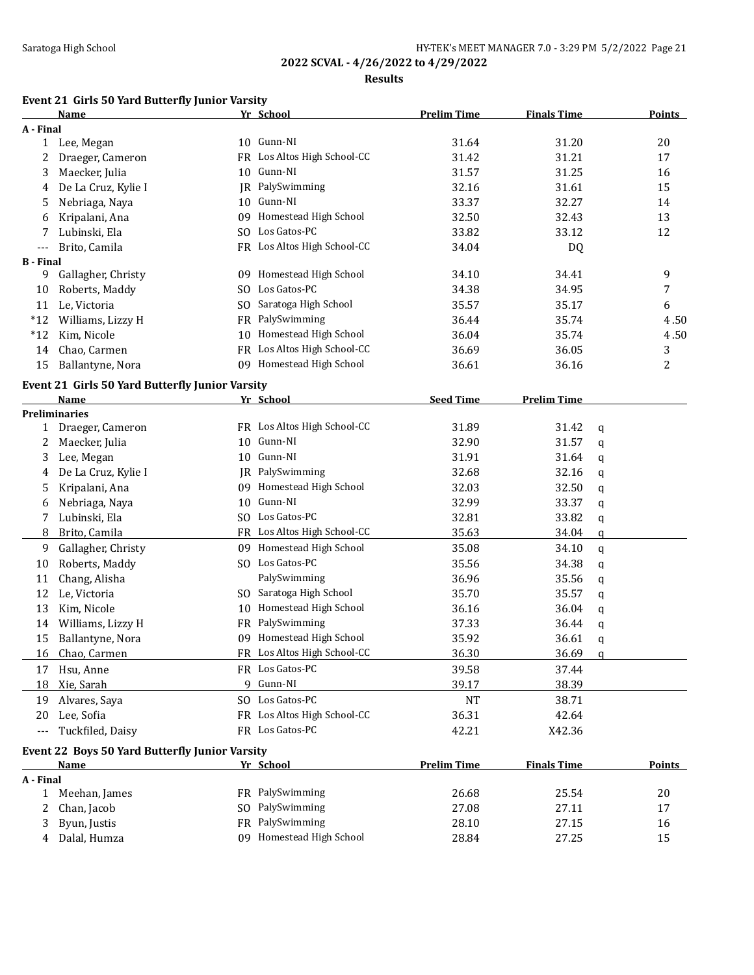### **Results**

# **Event 21 Girls 50 Yard Butterfly Junior Varsity**

|                  | Name                                                  |    | Yr School                   | <b>Prelim Time</b> | <b>Finals Time</b> |   | <b>Points</b>    |
|------------------|-------------------------------------------------------|----|-----------------------------|--------------------|--------------------|---|------------------|
| A - Final        |                                                       |    |                             |                    |                    |   |                  |
| $\mathbf{1}$     | Lee, Megan                                            |    | 10 Gunn-NI                  | 31.64              | 31.20              |   | 20               |
| 2                | Draeger, Cameron                                      |    | FR Los Altos High School-CC | 31.42              | 31.21              |   | 17               |
| 3                | Maecker, Julia                                        |    | 10 Gunn-NI                  | 31.57              | 31.25              |   | 16               |
| 4                | De La Cruz, Kylie I                                   |    | JR PalySwimming             | 32.16              | 31.61              |   | 15               |
| 5                | Nebriaga, Naya                                        |    | 10 Gunn-NI                  | 33.37              | 32.27              |   | 14               |
| 6                | Kripalani, Ana                                        | 09 | Homestead High School       | 32.50              | 32.43              |   | 13               |
| 7                | Lubinski, Ela                                         |    | SO Los Gatos-PC             | 33.82              | 33.12              |   | 12               |
| ---              | Brito, Camila                                         |    | FR Los Altos High School-CC | 34.04              | DQ                 |   |                  |
| <b>B</b> - Final |                                                       |    |                             |                    |                    |   |                  |
| 9                | Gallagher, Christy                                    |    | 09 Homestead High School    | 34.10              | 34.41              |   | 9                |
| 10               | Roberts, Maddy                                        |    | SO Los Gatos-PC             | 34.38              | 34.95              |   | $\boldsymbol{7}$ |
| 11               | Le, Victoria                                          |    | SO Saratoga High School     | 35.57              | 35.17              |   | 6                |
| $*12$            | Williams, Lizzy H                                     |    | FR PalySwimming             | 36.44              | 35.74              |   | 4.50             |
| $*12$            | Kim, Nicole                                           |    | 10 Homestead High School    | 36.04              | 35.74              |   | 4.50             |
| 14               | Chao, Carmen                                          |    | FR Los Altos High School-CC | 36.69              | 36.05              |   | 3                |
| 15               | Ballantyne, Nora                                      |    | 09 Homestead High School    | 36.61              | 36.16              |   | $\overline{c}$   |
|                  |                                                       |    |                             |                    |                    |   |                  |
|                  | Event 21 Girls 50 Yard Butterfly Junior Varsity       |    |                             | <b>Seed Time</b>   | <b>Prelim Time</b> |   |                  |
|                  | Name<br><b>Preliminaries</b>                          |    | Yr School                   |                    |                    |   |                  |
|                  | 1 Draeger, Cameron                                    |    | FR Los Altos High School-CC | 31.89              | 31.42              | q |                  |
| 2                | Maecker, Julia                                        | 10 | Gunn-NI                     | 32.90              | 31.57              |   |                  |
| 3                | Lee, Megan                                            |    | 10 Gunn-NI                  | 31.91              | 31.64              | q |                  |
| 4                | De La Cruz, Kylie I                                   |    | <b>IR</b> PalySwimming      | 32.68              | 32.16              | q |                  |
|                  |                                                       |    | 09 Homestead High School    |                    |                    | q |                  |
| 5                | Kripalani, Ana                                        |    | Gunn-NI                     | 32.03              | 32.50              | q |                  |
| 6                | Nebriaga, Naya                                        | 10 | SO Los Gatos-PC             | 32.99              | 33.37              | q |                  |
| 7                | Lubinski, Ela                                         |    |                             | 32.81              | 33.82              | q |                  |
| 8                | Brito, Camila                                         |    | FR Los Altos High School-CC | 35.63              | 34.04              | q |                  |
| 9                | Gallagher, Christy                                    |    | 09 Homestead High School    | 35.08              | 34.10              | q |                  |
| 10               | Roberts, Maddy                                        |    | SO Los Gatos-PC             | 35.56              | 34.38              | q |                  |
| 11               | Chang, Alisha                                         |    | PalySwimming                | 36.96              | 35.56              | q |                  |
| 12               | Le, Victoria                                          |    | SO Saratoga High School     | 35.70              | 35.57              | q |                  |
| 13               | Kim, Nicole                                           | 10 | Homestead High School       | 36.16              | 36.04              | q |                  |
| 14               | Williams, Lizzy H                                     |    | FR PalySwimming             | 37.33              | 36.44              | q |                  |
| 15               | Ballantyne, Nora                                      |    | 09 Homestead High School    | 35.92              | 36.61              | q |                  |
| 16               | Chao, Carmen                                          |    | FR Los Altos High School-CC | 36.30              | 36.69              | q |                  |
|                  | 17 Hsu, Anne                                          |    | FR Los Gatos-PC             | 39.58              | 37.44              |   |                  |
|                  | 18 Xie, Sarah                                         |    | 9 Gunn-NI                   | 39.17              | 38.39              |   |                  |
| 19               | Alvares, Saya                                         |    | SO Los Gatos-PC             | NT                 | 38.71              |   |                  |
| 20               | Lee, Sofia                                            |    | FR Los Altos High School-CC | 36.31              | 42.64              |   |                  |
| ---              | Tuckfiled, Daisy                                      |    | FR Los Gatos-PC             | 42.21              | X42.36             |   |                  |
|                  | <b>Event 22 Boys 50 Yard Butterfly Junior Varsity</b> |    |                             |                    |                    |   |                  |
|                  | <b>Name</b>                                           |    | Yr School                   | <b>Prelim Time</b> | <b>Finals Time</b> |   | <b>Points</b>    |
| A - Final        |                                                       |    |                             |                    |                    |   |                  |
| $\mathbf{1}$     | Meehan, James                                         |    | FR PalySwimming             | 26.68              | 25.54              |   | 20               |
| 2                | Chan, Jacob                                           |    | SO PalySwimming             | 27.08              | 27.11              |   | 17               |
| 3                | Byun, Justis                                          |    | FR PalySwimming             | 28.10              | 27.15              |   | 16               |
| 4                | Dalal, Humza                                          |    | 09 Homestead High School    | 28.84              | 27.25              |   | 15               |
|                  |                                                       |    |                             |                    |                    |   |                  |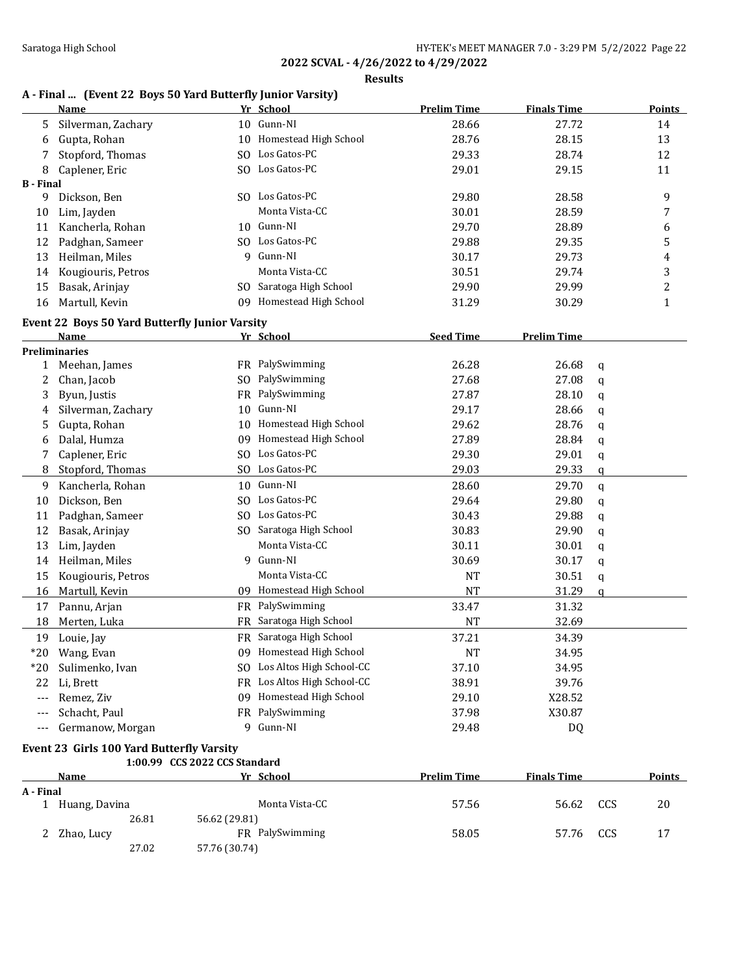### **Results**

# **A - Final ... (Event 22 Boys 50 Yard Butterfly Junior Varsity)**

|                  | $\mu$ and $\mu$ boys so raid batterity funtor variously<br><b>Name</b> |                               | Yr School                   | <b>Prelim Time</b> | <b>Finals Time</b> |              | <b>Points</b>  |
|------------------|------------------------------------------------------------------------|-------------------------------|-----------------------------|--------------------|--------------------|--------------|----------------|
| 5.               | Silverman, Zachary                                                     |                               | 10 Gunn-NI                  | 28.66              | 27.72              |              | 14             |
| 6                | Gupta, Rohan                                                           |                               | 10 Homestead High School    | 28.76              | 28.15              |              | 13             |
| 7                | Stopford, Thomas                                                       |                               | SO Los Gatos-PC             | 29.33              | 28.74              |              | 12             |
| 8                | Caplener, Eric                                                         |                               | SO Los Gatos-PC             | 29.01              | 29.15              |              | 11             |
| <b>B</b> - Final |                                                                        |                               |                             |                    |                    |              |                |
| 9                | Dickson, Ben                                                           |                               | SO Los Gatos-PC             | 29.80              | 28.58              |              | 9              |
| 10               | Lim, Jayden                                                            |                               | Monta Vista-CC              | 30.01              | 28.59              |              | 7              |
| 11               | Kancherla, Rohan                                                       |                               | 10 Gunn-NI                  | 29.70              | 28.89              |              | 6              |
| 12               | Padghan, Sameer                                                        |                               | SO Los Gatos-PC             | 29.88              | 29.35              |              | 5              |
| 13               | Heilman, Miles                                                         |                               | 9 Gunn-NI                   | 30.17              | 29.73              |              | 4              |
| 14               | Kougiouris, Petros                                                     |                               | Monta Vista-CC              | 30.51              | 29.74              |              | 3              |
| 15               | Basak, Arinjay                                                         |                               | SO Saratoga High School     | 29.90              | 29.99              |              | $\overline{c}$ |
| 16               | Martull, Kevin                                                         |                               | 09 Homestead High School    | 31.29              | 30.29              |              | $\mathbf{1}$   |
|                  | Event 22 Boys 50 Yard Butterfly Junior Varsity                         |                               |                             |                    |                    |              |                |
|                  | Name                                                                   |                               | Yr School                   | <b>Seed Time</b>   | <b>Prelim Time</b> |              |                |
|                  | <b>Preliminaries</b>                                                   |                               |                             |                    |                    |              |                |
| 1                | Meehan, James                                                          |                               | FR PalySwimming             | 26.28              | 26.68              | q            |                |
| 2                | Chan, Jacob                                                            |                               | SO PalySwimming             | 27.68              | 27.08              | q            |                |
| 3                | Byun, Justis                                                           |                               | FR PalySwimming             | 27.87              | 28.10              | q            |                |
| 4                | Silverman, Zachary                                                     |                               | 10 Gunn-NI                  | 29.17              | 28.66              | q            |                |
| 5                | Gupta, Rohan                                                           |                               | 10 Homestead High School    | 29.62              | 28.76              | q            |                |
| 6                | Dalal, Humza                                                           |                               | 09 Homestead High School    | 27.89              | 28.84              | q            |                |
| 7                | Caplener, Eric                                                         |                               | SO Los Gatos-PC             | 29.30              | 29.01              | q            |                |
| 8                | Stopford, Thomas                                                       |                               | SO Los Gatos-PC             | 29.03              | 29.33              | q            |                |
| 9                | Kancherla, Rohan                                                       |                               | 10 Gunn-NI                  | 28.60              | 29.70              | $\mathbf{q}$ |                |
| 10               | Dickson, Ben                                                           |                               | SO Los Gatos-PC             | 29.64              | 29.80              | q            |                |
| 11               | Padghan, Sameer                                                        |                               | SO Los Gatos-PC             | 30.43              | 29.88              | q            |                |
| 12               | Basak, Arinjay                                                         |                               | SO Saratoga High School     | 30.83              | 29.90              | q            |                |
| 13               | Lim, Jayden                                                            |                               | Monta Vista-CC              | 30.11              | 30.01              | q            |                |
| 14               | Heilman, Miles                                                         |                               | 9 Gunn-NI                   | 30.69              | 30.17              | q            |                |
| 15               | Kougiouris, Petros                                                     |                               | Monta Vista-CC              | <b>NT</b>          | 30.51              | q            |                |
| 16               | Martull, Kevin                                                         |                               | 09 Homestead High School    | <b>NT</b>          | 31.29              | $\mathbf{q}$ |                |
| 17               | Pannu, Arjan                                                           |                               | FR PalySwimming             | 33.47              | 31.32              |              |                |
| 18               | Merten, Luka                                                           |                               | FR Saratoga High School     | <b>NT</b>          | 32.69              |              |                |
| 19               | Louie, Jay                                                             |                               | FR Saratoga High School     | 37.21              | 34.39              |              |                |
| $*20$            | Wang, Evan                                                             |                               | 09 Homestead High School    | <b>NT</b>          | 34.95              |              |                |
| $*20$            | Sulimenko, Ivan                                                        |                               | SO Los Altos High School-CC | 37.10              | 34.95              |              |                |
| 22               | Li, Brett                                                              |                               | FR Los Altos High School-CC | 38.91              | 39.76              |              |                |
| ---              | Remez, Ziv                                                             |                               | 09 Homestead High School    | 29.10              | X28.52             |              |                |
| ---              | Schacht, Paul                                                          |                               | FR PalySwimming             | 37.98              | X30.87             |              |                |
| ---              | Germanow, Morgan                                                       |                               | 9 Gunn-NI                   | 29.48              | DQ                 |              |                |
|                  | Event 23 Girls 100 Yard Butterfly Varsity                              |                               |                             |                    |                    |              |                |
|                  |                                                                        | 1:00.99 CCS 2022 CCS Standard |                             |                    |                    |              |                |
|                  | <b>Name</b>                                                            |                               | Yr School                   | <b>Prelim Time</b> | <b>Finals Time</b> |              | <b>Points</b>  |
| A - Final        | 1 Huang, Davina                                                        |                               | Monta Vista-CC              | 57.56              | 56.62              | CCS          | 20             |
|                  | 26.81                                                                  | 56.62 (29.81)                 |                             |                    |                    |              |                |
| 2                | Zhao, Lucy                                                             |                               | FR PalySwimming             | 58.05              | 57.76              | CCS          | 17             |
|                  | 27.02                                                                  | 57.76 (30.74)                 |                             |                    |                    |              |                |
|                  |                                                                        |                               |                             |                    |                    |              |                |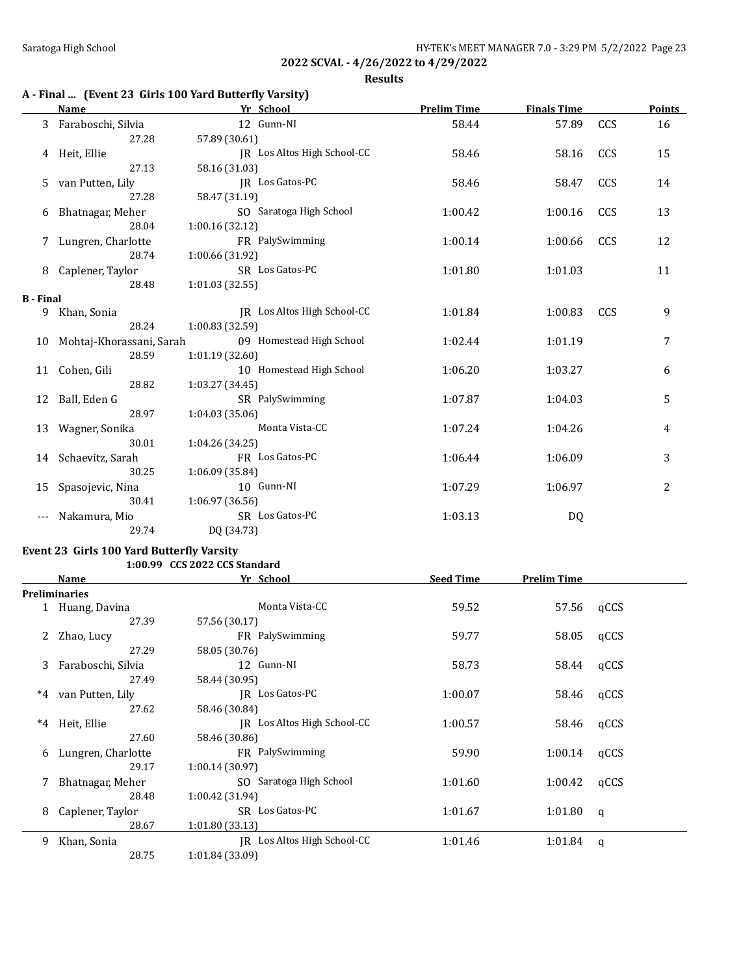**Results**

# **A - Final ... (Event 23 Girls 100 Yard Butterfly Varsity)**

|                  | Name                        | Yr School                   | <b>Prelim Time</b> | <b>Finals Time</b> |     | <b>Points</b> |
|------------------|-----------------------------|-----------------------------|--------------------|--------------------|-----|---------------|
| 3                | Faraboschi, Silvia          | 12 Gunn-NI                  | 58.44              | 57.89              | CCS | 16            |
|                  | 27.28                       | 57.89 (30.61)               |                    |                    |     |               |
| 4                | Heit, Ellie                 | JR Los Altos High School-CC | 58.46              | 58.16              | CCS | 15            |
|                  | 27.13                       | 58.16 (31.03)               |                    |                    |     |               |
|                  | 5 van Putten, Lily          | JR Los Gatos-PC             | 58.46              | 58.47              | CCS | 14            |
|                  | 27.28                       | 58.47 (31.19)               |                    |                    |     |               |
| 6                | Bhatnagar, Meher            | SO Saratoga High School     | 1:00.42            | 1:00.16            | CCS | 13            |
|                  | 28.04                       | 1:00.16(32.12)              |                    |                    |     |               |
|                  | Lungren, Charlotte          | FR PalySwimming             | 1:00.14            | 1:00.66            | CCS | 12            |
|                  | 28.74                       | 1:00.66 (31.92)             |                    |                    |     |               |
| 8                | Caplener, Taylor            | SR Los Gatos-PC             | 1:01.80            | 1:01.03            |     | 11            |
|                  | 28.48                       | 1:01.03(32.55)              |                    |                    |     |               |
| <b>B</b> - Final |                             |                             |                    |                    |     |               |
| 9                | Khan, Sonia                 | JR Los Altos High School-CC | 1:01.84            | 1:00.83            | CCS | 9             |
|                  | 28.24                       | 1:00.83 (32.59)             |                    |                    |     |               |
|                  | 10 Mohtaj-Khorassani, Sarah | 09 Homestead High School    | 1:02.44            | 1:01.19            |     | 7             |
|                  | 28.59                       | 1:01.19(32.60)              |                    |                    |     |               |
|                  | 11 Cohen, Gili              | 10 Homestead High School    | 1:06.20            | 1:03.27            |     | 6             |
|                  | 28.82                       | 1:03.27 (34.45)             |                    |                    |     |               |
|                  | 12 Ball, Eden G             | SR PalySwimming             | 1:07.87            | 1:04.03            |     | 5             |
|                  | 28.97                       | 1:04.03 (35.06)             |                    |                    |     |               |
|                  | 13 Wagner, Sonika           | Monta Vista-CC              | 1:07.24            | 1:04.26            |     | 4             |
|                  | 30.01                       | 1:04.26 (34.25)             |                    |                    |     |               |
|                  | 14 Schaevitz, Sarah         | FR Los Gatos-PC             | 1:06.44            | 1:06.09            |     | 3             |
|                  | 30.25                       | 1:06.09 (35.84)             |                    |                    |     |               |
| 15               | Spasojevic, Nina            | 10 Gunn-NI                  | 1:07.29            | 1:06.97            |     | 2             |
|                  | 30.41                       | 1:06.97 (36.56)             |                    |                    |     |               |
|                  | Nakamura, Mio               | SR Los Gatos-PC             | 1:03.13            | DQ                 |     |               |
|                  | 29.74                       | DQ (34.73)                  |                    |                    |     |               |

### **Event 23 Girls 100 Yard Butterfly Varsity 1:00.99 CCS 2022 CCS Standard**

|       | Name                 | Yr School                   | <b>Seed Time</b> | <b>Prelim Time</b> |      |
|-------|----------------------|-----------------------------|------------------|--------------------|------|
|       | <b>Preliminaries</b> |                             |                  |                    |      |
|       | 1 Huang, Davina      | Monta Vista-CC              | 59.52            | 57.56              | qCCS |
|       | 27.39                | 57.56 (30.17)               |                  |                    |      |
|       | Zhao, Lucy           | FR PalySwimming             | 59.77            | 58.05              | qCCS |
|       | 27.29                | 58.05 (30.76)               |                  |                    |      |
| 3     | Faraboschi, Silvia   | 12 Gunn-NI                  | 58.73            | 58.44              | qCCS |
|       | 27.49                | 58.44 (30.95)               |                  |                    |      |
| $^*4$ | van Putten, Lily     | IR Los Gatos-PC             | 1:00.07          | 58.46              | qCCS |
|       | 27.62                | 58.46 (30.84)               |                  |                    |      |
| $^*4$ | Heit, Ellie          | IR Los Altos High School-CC | 1:00.57          | 58.46              | qCCS |
|       | 27.60                | 58.46 (30.86)               |                  |                    |      |
| 6     | Lungren, Charlotte   | FR PalySwimming             | 59.90            | 1:00.14            | qCCS |
|       | 29.17                | 1:00.14(30.97)              |                  |                    |      |
|       | Bhatnagar, Meher     | SO Saratoga High School     | 1:01.60          | 1:00.42            | qCCS |
|       | 28.48                | 1:00.42 (31.94)             |                  |                    |      |
| 8     | Caplener, Taylor     | SR Los Gatos-PC             | 1:01.67          | 1:01.80            | q    |
|       | 28.67                | 1:01.80(33.13)              |                  |                    |      |
| 9     | Khan, Sonia          | IR Los Altos High School-CC | 1:01.46          | 1:01.84            | q    |
|       | 28.75                | 1:01.84 (33.09)             |                  |                    |      |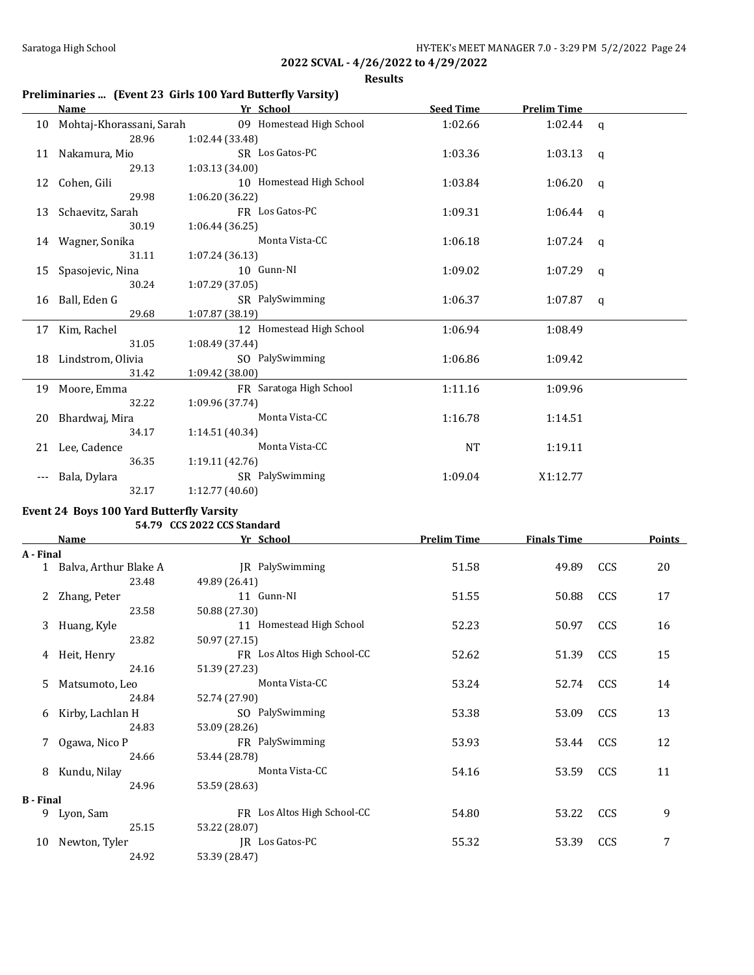**Results**

# **Preliminaries ... (Event 23 Girls 100 Yard Butterfly Varsity)**

|       | <b>Name</b>                 | Yr School                | <b>Seed Time</b> | <b>Prelim Time</b> |   |
|-------|-----------------------------|--------------------------|------------------|--------------------|---|
|       | 10 Mohtaj-Khorassani, Sarah | 09 Homestead High School | 1:02.66          | $1:02.44$ q        |   |
|       | 28.96                       | 1:02.44 (33.48)          |                  |                    |   |
|       | 11 Nakamura, Mio            | SR Los Gatos-PC          | 1:03.36          | $1:03.13$ q        |   |
|       | 29.13                       | 1:03.13(34.00)           |                  |                    |   |
|       | 12 Cohen, Gili              | 10 Homestead High School | 1:03.84          | $1:06.20$ q        |   |
|       | 29.98                       | 1:06.20(36.22)           |                  |                    |   |
|       | 13 Schaevitz, Sarah         | FR Los Gatos-PC          | 1:09.31          | $1:06.44$ q        |   |
|       | 30.19                       | 1:06.44 (36.25)          |                  |                    |   |
|       | 14 Wagner, Sonika           | Monta Vista-CC           | 1:06.18          | 1:07.24 $q$        |   |
|       | 31.11                       | 1:07.24(36.13)           |                  |                    |   |
| 15    | Spasojevic, Nina            | 10 Gunn-NI               | 1:09.02          | 1:07.29            | q |
|       | 30.24                       | 1:07.29(37.05)           |                  |                    |   |
|       | 16 Ball, Eden G             | SR PalySwimming          | 1:06.37          | 1:07.87            | q |
|       | 29.68                       | 1:07.87(38.19)           |                  |                    |   |
|       | 17 Kim, Rachel              | 12 Homestead High School | 1:06.94          | 1:08.49            |   |
|       | 31.05                       | 1:08.49 (37.44)          |                  |                    |   |
| 18    | Lindstrom, Olivia           | SO PalySwimming          | 1:06.86          | 1:09.42            |   |
|       | 31.42                       | 1:09.42 (38.00)          |                  |                    |   |
|       | 19 Moore, Emma              | FR Saratoga High School  | 1:11.16          | 1:09.96            |   |
|       | 32.22                       | 1:09.96 (37.74)          |                  |                    |   |
|       | 20 Bhardwaj, Mira           | Monta Vista-CC           | 1:16.78          | 1:14.51            |   |
|       | 34.17                       | 1:14.51(40.34)           |                  |                    |   |
|       | 21 Lee, Cadence             | Monta Vista-CC           | <b>NT</b>        | 1:19.11            |   |
|       | 36.35                       | 1:19.11 (42.76)          |                  |                    |   |
| $---$ | Bala, Dylara                | SR PalySwimming          | 1:09.04          | X1:12.77           |   |
|       | 32.17                       | 1:12.77(40.60)           |                  |                    |   |

# **Event 24 Boys 100 Yard Butterfly Varsity**

**54.79 CCS 2022 CCS Standard**

|                  | Name                    | Yr School                   | <b>Prelim Time</b> | <b>Finals Time</b> |            | <b>Points</b> |
|------------------|-------------------------|-----------------------------|--------------------|--------------------|------------|---------------|
| A - Final        |                         |                             |                    |                    |            |               |
|                  | 1 Balva, Arthur Blake A | JR PalySwimming             | 51.58              | 49.89              | <b>CCS</b> | 20            |
|                  | 23.48                   | 49.89 (26.41)               |                    |                    |            |               |
|                  | Zhang, Peter            | 11 Gunn-NI                  | 51.55              | 50.88              | CCS        | 17            |
|                  | 23.58                   | 50.88 (27.30)               |                    |                    |            |               |
| 3                | Huang, Kyle             | 11 Homestead High School    | 52.23              | 50.97              | <b>CCS</b> | 16            |
|                  | 23.82                   | 50.97 (27.15)               |                    |                    |            |               |
| 4                | Heit, Henry             | FR Los Altos High School-CC | 52.62              | 51.39              | <b>CCS</b> | 15            |
|                  | 24.16                   | 51.39 (27.23)               |                    |                    |            |               |
| 5                | Matsumoto, Leo          | Monta Vista-CC              | 53.24              | 52.74              | <b>CCS</b> | 14            |
|                  | 24.84                   | 52.74 (27.90)               |                    |                    |            |               |
| 6                | Kirby, Lachlan H        | SO PalySwimming             | 53.38              | 53.09              | <b>CCS</b> | 13            |
|                  | 24.83                   | 53.09 (28.26)               |                    |                    |            |               |
|                  | Ogawa, Nico P           | FR PalySwimming             | 53.93              | 53.44              | <b>CCS</b> | 12            |
|                  | 24.66                   | 53.44 (28.78)               |                    |                    |            |               |
| 8                | Kundu, Nilay            | Monta Vista-CC              | 54.16              | 53.59              | CCS        | 11            |
|                  | 24.96                   | 53.59 (28.63)               |                    |                    |            |               |
| <b>B</b> - Final |                         |                             |                    |                    |            |               |
| 9                | Lyon, Sam               | FR Los Altos High School-CC | 54.80              | 53.22              | <b>CCS</b> | 9             |
|                  | 25.15                   | 53.22 (28.07)               |                    |                    |            |               |
| 10               | Newton, Tyler           | IR Los Gatos-PC             | 55.32              | 53.39              | <b>CCS</b> | 7             |
|                  | 24.92                   | 53.39 (28.47)               |                    |                    |            |               |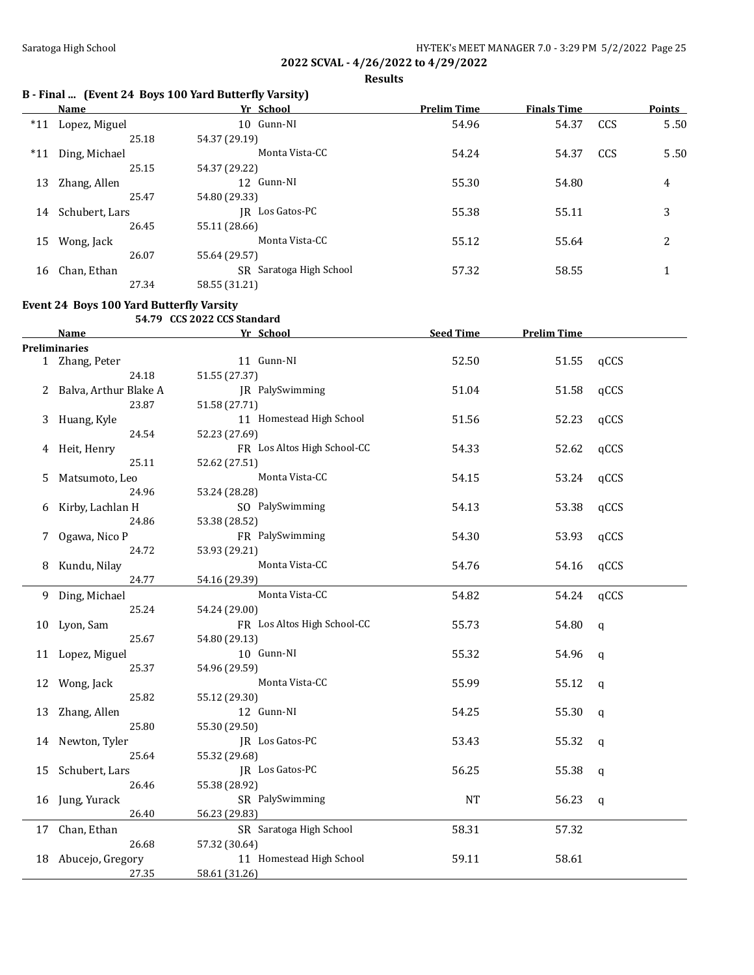**Results**

## **B - Final ... (Event 24 Boys 100 Yard Butterfly Varsity)**

|       | Name           | Yr School               | <b>Prelim Time</b> | <b>Finals Time</b> |     | <b>Points</b> |
|-------|----------------|-------------------------|--------------------|--------------------|-----|---------------|
| $*11$ | Lopez, Miguel  | 10 Gunn-NI              | 54.96              | 54.37              | CCS | $5.50$        |
|       | 25.18          | 54.37 (29.19)           |                    |                    |     |               |
| $*11$ | Ding, Michael  | Monta Vista-CC          | 54.24              | 54.37              | CCS | 5.50          |
|       | 25.15          | 54.37 (29.22)           |                    |                    |     |               |
| 13    | Zhang, Allen   | 12 Gunn-NI              | 55.30              | 54.80              |     | 4             |
|       | 25.47          | 54.80 (29.33)           |                    |                    |     |               |
| 14    | Schubert, Lars | IR Los Gatos-PC         | 55.38              | 55.11              |     | 3             |
|       | 26.45          | 55.11 (28.66)           |                    |                    |     |               |
| 15    | Wong, Jack     | Monta Vista-CC          | 55.12              | 55.64              |     | 2             |
|       | 26.07          | 55.64 (29.57)           |                    |                    |     |               |
| 16    | Chan, Ethan    | SR Saratoga High School | 57.32              | 58.55              |     |               |
|       | 27.34          | 58.55 (31.21)           |                    |                    |     |               |

### **Event 24 Boys 100 Yard Butterfly Varsity**

### **54.79 CCS 2022 CCS Standard**

|    | Name                    | Yr School                   | <b>Seed Time</b> | <b>Prelim Time</b> |             |
|----|-------------------------|-----------------------------|------------------|--------------------|-------------|
|    | <b>Preliminaries</b>    |                             |                  |                    |             |
|    | 1 Zhang, Peter          | 11 Gunn-NI                  | 52.50            | 51.55              | qCCS        |
|    | 24.18                   | 51.55 (27.37)               |                  |                    |             |
|    | 2 Balva, Arthur Blake A | JR PalySwimming             | 51.04            | 51.58              | qCCS        |
|    | 23.87                   | 51.58 (27.71)               |                  |                    |             |
| 3  | Huang, Kyle             | 11 Homestead High School    | 51.56            | 52.23              | qCCS        |
|    | 24.54                   | 52.23 (27.69)               |                  |                    |             |
|    | 4 Heit, Henry           | FR Los Altos High School-CC | 54.33            | 52.62              | qCCS        |
|    | 25.11                   | 52.62 (27.51)               |                  |                    |             |
| 5  | Matsumoto, Leo          | Monta Vista-CC              | 54.15            | 53.24              | qCCS        |
|    | 24.96                   | 53.24 (28.28)               |                  |                    |             |
| 6  | Kirby, Lachlan H        | SO PalySwimming             | 54.13            | 53.38              | qCCS        |
|    | 24.86                   | 53.38 (28.52)               |                  |                    |             |
| 7  | Ogawa, Nico P           | FR PalySwimming             | 54.30            | 53.93              | qCCS        |
|    | 24.72                   | 53.93 (29.21)               |                  |                    |             |
| 8  | Kundu, Nilay            | Monta Vista-CC              | 54.76            | 54.16              | qCCS        |
|    | 24.77                   | 54.16 (29.39)               |                  |                    |             |
| 9  | Ding, Michael           | Monta Vista-CC              | 54.82            | 54.24              | qCCS        |
|    | 25.24                   | 54.24 (29.00)               |                  |                    |             |
| 10 | Lyon, Sam               | FR Los Altos High School-CC | 55.73            | 54.80              | q           |
|    | 25.67                   | 54.80 (29.13)               |                  |                    |             |
|    | 11 Lopez, Miguel        | 10 Gunn-NI                  | 55.32            | 54.96              | q           |
|    | 25.37                   | 54.96 (29.59)               |                  |                    |             |
|    | 12 Wong, Jack           | Monta Vista-CC              | 55.99            | 55.12              | q           |
|    | 25.82                   | 55.12 (29.30)               |                  |                    |             |
|    | 13 Zhang, Allen         | 12 Gunn-NI                  | 54.25            | 55.30              | $\mathbf q$ |
|    | 25.80                   | 55.30 (29.50)               |                  |                    |             |
|    | 14 Newton, Tyler        | JR Los Gatos-PC             | 53.43            | 55.32              | q           |
|    | 25.64                   | 55.32 (29.68)               |                  |                    |             |
| 15 | Schubert, Lars          | JR Los Gatos-PC             | 56.25            | 55.38              | $\mathbf q$ |
|    | 26.46                   | 55.38 (28.92)               |                  |                    |             |
| 16 | Jung, Yurack            | SR PalySwimming             | <b>NT</b>        | 56.23              | q           |
|    | 26.40                   | 56.23 (29.83)               |                  |                    |             |
|    | 17 Chan, Ethan          | SR Saratoga High School     | 58.31            | 57.32              |             |
|    | 26.68                   | 57.32 (30.64)               |                  |                    |             |
|    | 18 Abucejo, Gregory     | 11 Homestead High School    | 59.11            | 58.61              |             |
|    | 27.35                   | 58.61 (31.26)               |                  |                    |             |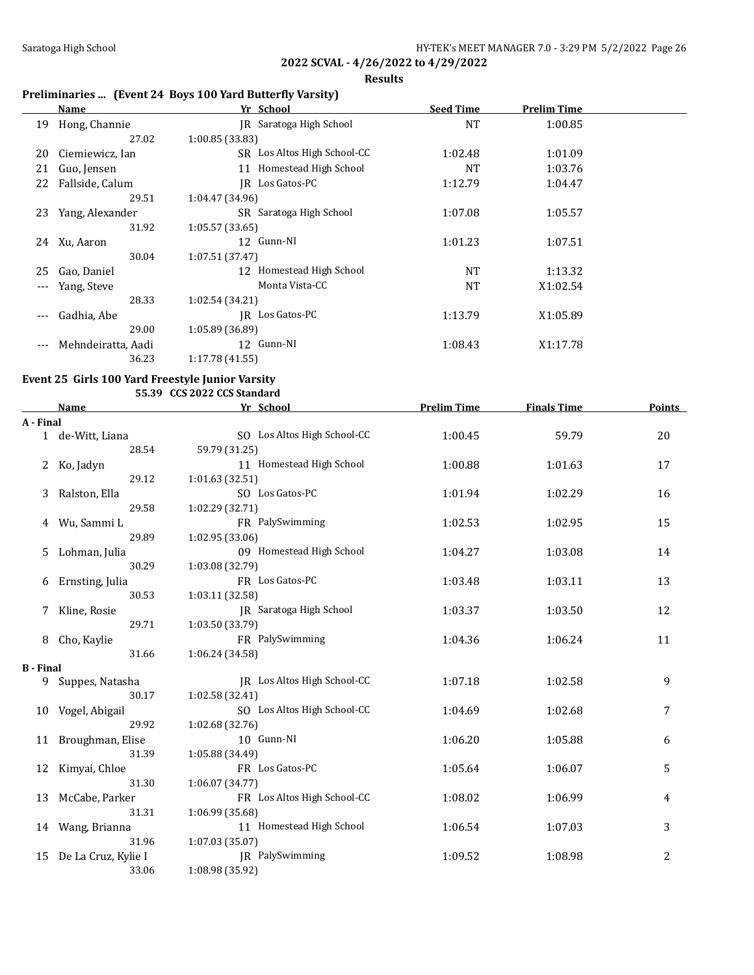$\overline{a}$ 

**2022 SCVAL - 4/26/2022 to 4/29/2022**

**Results**

# **Preliminaries ... (Event 24 Boys 100 Yard Butterfly Varsity)**

|       | Name               | Yr School                   | <b>Seed Time</b> | <b>Prelim Time</b> |  |
|-------|--------------------|-----------------------------|------------------|--------------------|--|
| 19    | Hong, Channie      | IR Saratoga High School     | <b>NT</b>        | 1:00.85            |  |
|       | 27.02              | 1:00.85 (33.83)             |                  |                    |  |
| 20    | Ciemiewicz, Ian    | SR Los Altos High School-CC | 1:02.48          | 1:01.09            |  |
| 21    | Guo, Jensen        | Homestead High School<br>11 | <b>NT</b>        | 1:03.76            |  |
| 22    | Fallside, Calum    | Los Gatos-PC<br>IR          | 1:12.79          | 1:04.47            |  |
|       | 29.51              | 1:04.47 (34.96)             |                  |                    |  |
| 23    | Yang, Alexander    | SR Saratoga High School     | 1:07.08          | 1:05.57            |  |
|       | 31.92              | 1:05.57 (33.65)             |                  |                    |  |
| 24    | Xu, Aaron          | 12 Gunn-NI                  | 1:01.23          | 1:07.51            |  |
|       | 30.04              | 1:07.51 (37.47)             |                  |                    |  |
| 25    | Gao, Daniel        | Homestead High School<br>12 | <b>NT</b>        | 1:13.32            |  |
|       | Yang, Steve        | Monta Vista-CC              | <b>NT</b>        | X1:02.54           |  |
|       | 28.33              | 1:02.54 (34.21)             |                  |                    |  |
| $---$ | Gadhia, Abe        | IR Los Gatos-PC             | 1:13.79          | X1:05.89           |  |
|       | 29.00              | 1:05.89 (36.89)             |                  |                    |  |
| $---$ | Mehndeiratta, Aadi | 12 Gunn-NI                  | 1:08.43          | X1:17.78           |  |
|       | 36.23              | 1:17.78 (41.55)             |                  |                    |  |

# **Event 25 Girls 100 Yard Freestyle Junior Varsity**

**55.39 CCS 2022 CCS Standard**

|                  | <b>Name</b>         | Yr School                   | <b>Prelim Time</b> | <b>Finals Time</b> | <b>Points</b> |
|------------------|---------------------|-----------------------------|--------------------|--------------------|---------------|
| A - Final        |                     |                             |                    |                    |               |
|                  | 1 de-Witt, Liana    | SO Los Altos High School-CC | 1:00.45            | 59.79              | 20            |
|                  | 28.54               | 59.79 (31.25)               |                    |                    |               |
| 2                | Ko, Jadyn           | 11 Homestead High School    | 1:00.88            | 1:01.63            | 17            |
|                  | 29.12               | 1:01.63 (32.51)             |                    |                    |               |
| 3                | Ralston, Ella       | SO Los Gatos-PC             | 1:01.94            | 1:02.29            | 16            |
|                  | 29.58               | 1:02.29 (32.71)             |                    |                    |               |
|                  | 4 Wu, Sammi L       | FR PalySwimming             | 1:02.53            | 1:02.95            | 15            |
|                  | 29.89               | 1:02.95 (33.06)             |                    |                    |               |
| 5                | Lohman, Julia       | 09 Homestead High School    | 1:04.27            | 1:03.08            | 14            |
|                  | 30.29               | 1:03.08 (32.79)             |                    |                    |               |
| 6                | Ernsting, Julia     | FR Los Gatos-PC             | 1:03.48            | 1:03.11            | 13            |
|                  | 30.53               | 1:03.11 (32.58)             |                    |                    |               |
|                  | Kline, Rosie        | JR Saratoga High School     | 1:03.37            | 1:03.50            | 12            |
|                  | 29.71               | 1:03.50 (33.79)             |                    |                    |               |
| 8                | Cho, Kaylie         | FR PalySwimming             | 1:04.36            | 1:06.24            | 11            |
|                  | 31.66               | 1:06.24 (34.58)             |                    |                    |               |
| <b>B</b> - Final |                     |                             |                    |                    |               |
| 9                | Suppes, Natasha     | IR Los Altos High School-CC | 1:07.18            | 1:02.58            | 9             |
|                  | 30.17               | 1:02.58(32.41)              |                    |                    |               |
| 10               | Vogel, Abigail      | SO Los Altos High School-CC | 1:04.69            | 1:02.68            | 7             |
|                  | 29.92               | 1:02.68 (32.76)             |                    |                    |               |
| 11               | Broughman, Elise    | 10 Gunn-NI                  | 1:06.20            | 1:05.88            | 6             |
|                  | 31.39               | 1:05.88 (34.49)             |                    |                    |               |
| 12               | Kimyai, Chloe       | FR Los Gatos-PC             | 1:05.64            | 1:06.07            | 5             |
|                  | 31.30               | 1:06.07 (34.77)             |                    |                    |               |
| 13               | McCabe, Parker      | FR Los Altos High School-CC | 1:08.02            | 1:06.99            | 4             |
|                  | 31.31               | 1:06.99 (35.68)             |                    |                    |               |
|                  | 14 Wang, Brianna    | 11 Homestead High School    | 1:06.54            | 1:07.03            | 3             |
|                  | 31.96               | 1:07.03 (35.07)             |                    |                    |               |
| 15               | De La Cruz, Kylie I | JR PalySwimming             | 1:09.52            | 1:08.98            | 2             |
|                  | 33.06               | 1:08.98 (35.92)             |                    |                    |               |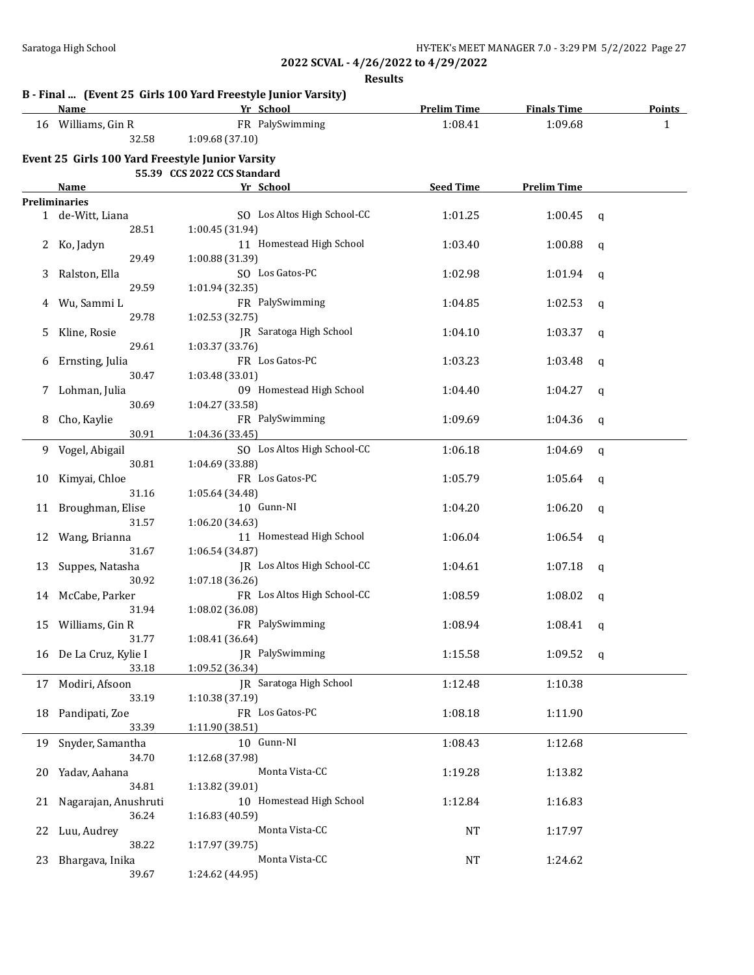**Results**

#### **B - Final ... (Event 25 Girls 100 Yard Freestyle Junior Varsity)**

39.67 1:24.62 (44.95)

|    | <b>Name</b>                                      | Yr School                   | <b>Prelim Time</b> | <b>Finals Time</b> | <b>Points</b> |  |
|----|--------------------------------------------------|-----------------------------|--------------------|--------------------|---------------|--|
|    | 16 Williams, Gin R                               | FR PalySwimming             | 1:08.41            | 1:09.68            | $\mathbf{1}$  |  |
|    | 32.58                                            | 1:09.68 (37.10)             |                    |                    |               |  |
|    | Event 25 Girls 100 Yard Freestyle Junior Varsity | 55.39 CCS 2022 CCS Standard |                    |                    |               |  |
|    | Name                                             | Yr School                   | <b>Seed Time</b>   | <b>Prelim Time</b> |               |  |
|    | <b>Preliminaries</b>                             |                             |                    |                    |               |  |
|    | 1 de-Witt, Liana                                 | SO Los Altos High School-CC | 1:01.25            | 1:00.45            | q             |  |
|    | 28.51                                            | 1:00.45 (31.94)             |                    |                    |               |  |
| 2  | Ko, Jadyn                                        | 11 Homestead High School    | 1:03.40            | 1:00.88            | q             |  |
|    | 29.49                                            | 1:00.88 (31.39)             |                    |                    |               |  |
| 3  | Ralston, Ella                                    | SO Los Gatos-PC             | 1:02.98            | 1:01.94            | q             |  |
|    | 29.59                                            | 1:01.94 (32.35)             |                    |                    |               |  |
| 4  | Wu, Sammi L                                      | FR PalySwimming             | 1:04.85            | 1:02.53            | q             |  |
|    | 29.78                                            | 1:02.53 (32.75)             |                    |                    |               |  |
| 5. | Kline, Rosie                                     | JR Saratoga High School     | 1:04.10            | 1:03.37            | q             |  |
|    | 29.61                                            | 1:03.37 (33.76)             |                    |                    |               |  |
|    | Ernsting, Julia                                  | FR Los Gatos-PC             | 1:03.23            | 1:03.48            |               |  |
| 6  | 30.47                                            | 1:03.48 (33.01)             |                    |                    | q             |  |
|    | Lohman, Julia                                    | 09 Homestead High School    |                    |                    |               |  |
| 7  | 30.69                                            | 1:04.27 (33.58)             | 1:04.40            | 1:04.27            | q             |  |
|    |                                                  | FR PalySwimming             |                    |                    |               |  |
| 8  | Cho, Kaylie<br>30.91                             |                             | 1:09.69            | 1:04.36            | q             |  |
|    |                                                  | 1:04.36 (33.45)             |                    |                    |               |  |
| 9  | Vogel, Abigail                                   | SO Los Altos High School-CC | 1:06.18            | 1:04.69            | $\mathbf q$   |  |
|    | 30.81                                            | 1:04.69 (33.88)             |                    |                    |               |  |
| 10 | Kimyai, Chloe                                    | FR Los Gatos-PC             | 1:05.79            | 1:05.64            | q             |  |
|    | 31.16                                            | 1:05.64 (34.48)             |                    |                    |               |  |
| 11 | Broughman, Elise                                 | 10 Gunn-NI                  | 1:04.20            | 1:06.20            | q             |  |
|    | 31.57                                            | 1:06.20 (34.63)             |                    |                    |               |  |
| 12 | Wang, Brianna                                    | 11 Homestead High School    | 1:06.04            | 1:06.54            | q             |  |
|    | 31.67                                            | 1:06.54 (34.87)             |                    |                    |               |  |
| 13 | Suppes, Natasha                                  | JR Los Altos High School-CC | 1:04.61            | 1:07.18            | q             |  |
|    | 30.92                                            | 1:07.18 (36.26)             |                    |                    |               |  |
|    | 14 McCabe, Parker                                | FR Los Altos High School-CC | 1:08.59            | 1:08.02            | q             |  |
|    | 31.94                                            | 1:08.02 (36.08)             |                    |                    |               |  |
| 15 | Williams, Gin R                                  | FR PalySwimming             | 1:08.94            | 1:08.41            | q             |  |
|    | 31.77                                            | 1:08.41 (36.64)             |                    |                    |               |  |
|    | 16 De La Cruz, Kylie I                           | JR PalySwimming             | 1:15.58            | 1:09.52            | q             |  |
|    | 33.18                                            | 1:09.52 (36.34)             |                    |                    |               |  |
|    | 17 Modiri, Afsoon                                | JR Saratoga High School     | 1:12.48            | 1:10.38            |               |  |
|    | 33.19                                            | 1:10.38 (37.19)             |                    |                    |               |  |
| 18 | Pandipati, Zoe                                   | FR Los Gatos-PC             | 1:08.18            | 1:11.90            |               |  |
|    | 33.39                                            | 1:11.90 (38.51)             |                    |                    |               |  |
| 19 | Snyder, Samantha                                 | 10 Gunn-NI                  | 1:08.43            | 1:12.68            |               |  |
|    | 34.70                                            | 1:12.68 (37.98)             |                    |                    |               |  |
| 20 | Yadav, Aahana                                    | Monta Vista-CC              | 1:19.28            | 1:13.82            |               |  |
|    | 34.81                                            | 1:13.82 (39.01)             |                    |                    |               |  |
| 21 | Nagarajan, Anushruti                             | 10 Homestead High School    | 1:12.84            | 1:16.83            |               |  |
|    | 36.24                                            | 1:16.83 (40.59)             |                    |                    |               |  |
| 22 | Luu, Audrey                                      | Monta Vista-CC              | <b>NT</b>          | 1:17.97            |               |  |
|    | 38.22                                            | 1:17.97 (39.75)             |                    |                    |               |  |
|    | 23 Bhargava, Inika                               | Monta Vista-CC              | <b>NT</b>          | 1:24.62            |               |  |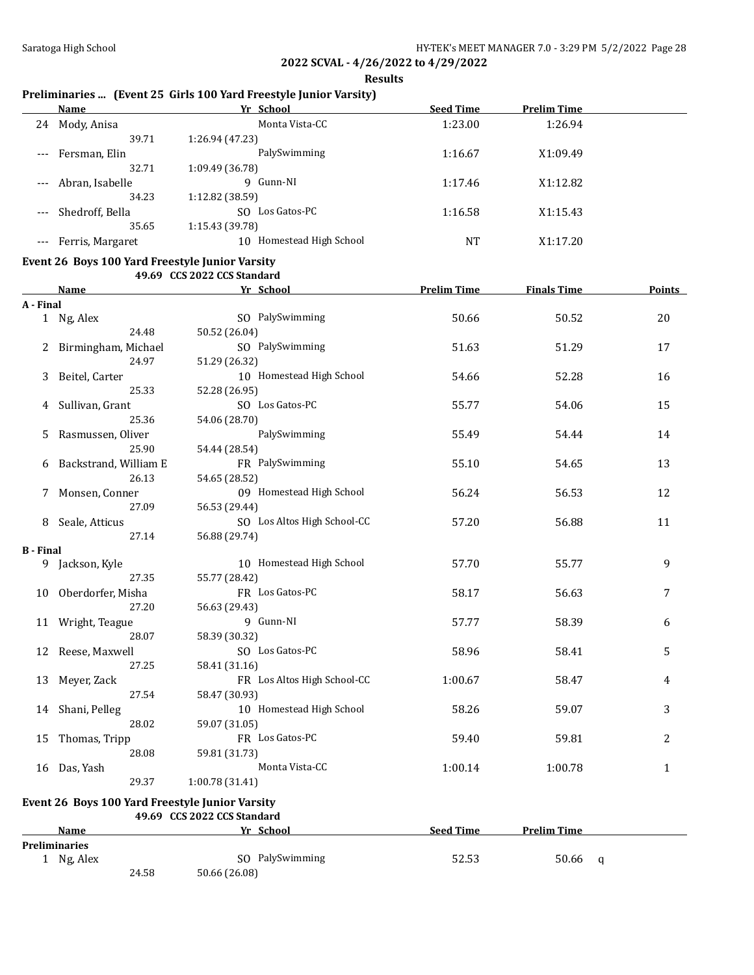**Results**

# **Preliminaries ... (Event 25 Girls 100 Yard Freestyle Junior Varsity)**

|                     | Name             | Yr School                   | <b>Seed Time</b> | <b>Prelim Time</b> |  |
|---------------------|------------------|-----------------------------|------------------|--------------------|--|
| 24                  | Mody, Anisa      | Monta Vista-CC              | 1:23.00          | 1:26.94            |  |
|                     | 39.71            | 1:26.94 (47.23)             |                  |                    |  |
| $---$               | Fersman, Elin    | PalySwimming                | 1:16.67          | X1:09.49           |  |
|                     | 32.71            | 1:09.49 (36.78)             |                  |                    |  |
| $---$               | Abran, Isabelle  | 9 Gunn-NI                   | 1:17.46          | X1:12.82           |  |
|                     | 34.23            | 1:12.82 (38.59)             |                  |                    |  |
| $\qquad \qquad - -$ | Shedroff, Bella  | Los Gatos-PC<br>SO.         | 1:16.58          | X1:15.43           |  |
|                     | 35.65            | 1:15.43 (39.78)             |                  |                    |  |
|                     | Ferris, Margaret | Homestead High School<br>10 | <b>NT</b>        | X1:17.20           |  |

### **Event 26 Boys 100 Yard Freestyle Junior Varsity**

**49.69 CCS 2022 CCS Standard**

|                  | Name                  | Yr School                   | <b>Prelim Time</b> | <b>Finals Time</b> | Points       |
|------------------|-----------------------|-----------------------------|--------------------|--------------------|--------------|
| A - Final        |                       |                             |                    |                    |              |
|                  | 1 Ng, Alex            | SO PalySwimming             | 50.66              | 50.52              | 20           |
|                  | 24.48                 | 50.52 (26.04)               |                    |                    |              |
|                  | Birmingham, Michael   | SO PalySwimming             | 51.63              | 51.29              | 17           |
|                  | 24.97                 | 51.29 (26.32)               |                    |                    |              |
| 3                | Beitel, Carter        | 10 Homestead High School    | 54.66              | 52.28              | 16           |
|                  | 25.33                 | 52.28 (26.95)               |                    |                    |              |
| 4                | Sullivan, Grant       | SO Los Gatos-PC             | 55.77              | 54.06              | 15           |
|                  | 25.36                 | 54.06 (28.70)               |                    |                    |              |
| 5                | Rasmussen, Oliver     | PalySwimming                | 55.49              | 54.44              | 14           |
|                  | 25.90                 | 54.44 (28.54)               |                    |                    |              |
| 6                | Backstrand, William E | FR PalySwimming             | 55.10              | 54.65              | 13           |
|                  | 26.13                 | 54.65 (28.52)               |                    |                    |              |
|                  | 7 Monsen, Conner      | 09 Homestead High School    | 56.24              | 56.53              | 12           |
|                  | 27.09                 | 56.53 (29.44)               |                    |                    |              |
| 8                | Seale, Atticus        | SO Los Altos High School-CC | 57.20              | 56.88              | 11           |
|                  | 27.14                 | 56.88 (29.74)               |                    |                    |              |
| <b>B</b> - Final |                       |                             |                    |                    |              |
|                  | 9 Jackson, Kyle       | 10 Homestead High School    | 57.70              | 55.77              | 9            |
|                  | 27.35                 | 55.77 (28.42)               |                    |                    |              |
|                  | 10 Oberdorfer, Misha  | FR Los Gatos-PC             | 58.17              | 56.63              | 7            |
|                  | 27.20                 | 56.63 (29.43)               |                    |                    |              |
|                  | 11 Wright, Teague     | 9 Gunn-NI                   | 57.77              | 58.39              | 6            |
|                  | 28.07                 | 58.39 (30.32)               |                    |                    |              |
| 12               | Reese, Maxwell        | SO Los Gatos-PC             | 58.96              | 58.41              | 5            |
|                  | 27.25                 | 58.41 (31.16)               |                    |                    |              |
| 13               | Meyer, Zack           | FR Los Altos High School-CC | 1:00.67            | 58.47              | 4            |
|                  | 27.54                 | 58.47 (30.93)               |                    |                    |              |
|                  | 14 Shani, Pelleg      | 10 Homestead High School    | 58.26              | 59.07              | 3            |
|                  | 28.02                 | 59.07 (31.05)               |                    |                    |              |
|                  | 15 Thomas, Tripp      | FR Los Gatos-PC             | 59.40              | 59.81              | 2            |
|                  | 28.08                 | 59.81 (31.73)               |                    |                    |              |
| 16               | Das, Yash             | Monta Vista-CC              | 1:00.14            | 1:00.78            | $\mathbf{1}$ |
|                  | 29.37                 | 1:00.78 (31.41)             |                    |                    |              |

### **Event 26 Boys 100 Yard Freestyle Junior Varsity**

**49.69 CCS 2022 CCS Standard**

|                      | Name     |       | Yr            | School          | <b>Seed Time</b> | <b>Prelim Time</b> |   |
|----------------------|----------|-------|---------------|-----------------|------------------|--------------------|---|
| <b>Preliminaries</b> |          |       |               |                 |                  |                    |   |
|                      | Ng, Alex |       |               | SO PalySwimming | 52.53            | 50.66              | a |
|                      |          | 24.58 | 50.66 (26.08) |                 |                  |                    |   |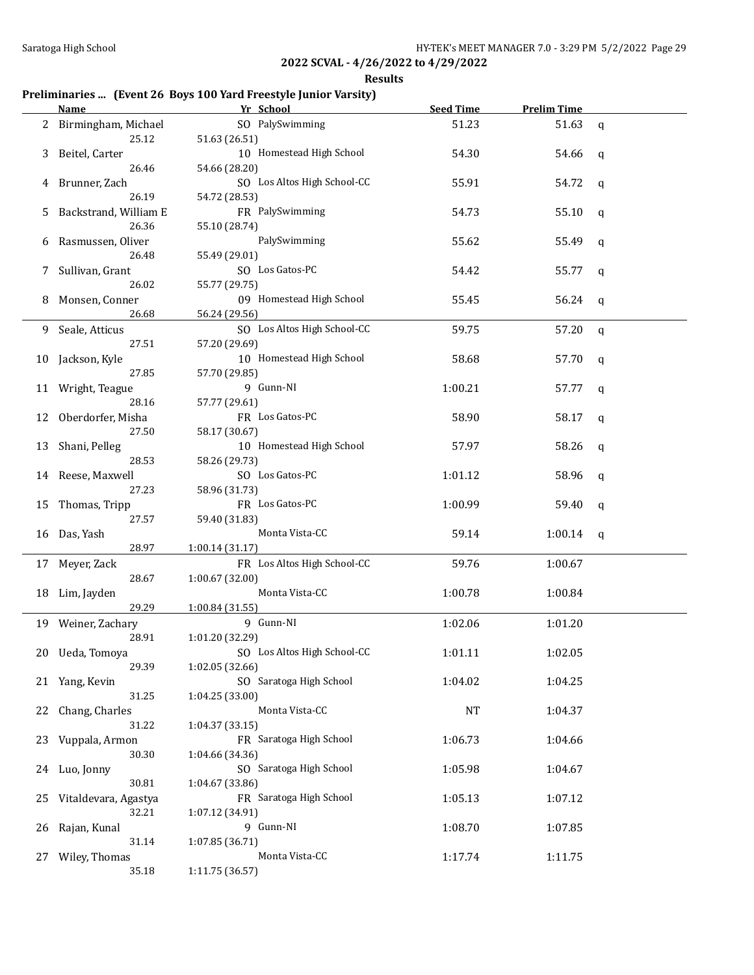**Results**

# **Preliminaries ... (Event 26 Boys 100 Yard Freestyle Junior Varsity)**

|    | Name                  | Yr School                   | <b>Seed Time</b> | <b>Prelim Time</b> |              |
|----|-----------------------|-----------------------------|------------------|--------------------|--------------|
|    | 2 Birmingham, Michael | SO PalySwimming             | 51.23            | 51.63              | $\mathsf{q}$ |
|    | 25.12                 | 51.63 (26.51)               |                  |                    |              |
|    | 3 Beitel, Carter      | 10 Homestead High School    | 54.30            | 54.66              | q            |
|    | 26.46                 | 54.66 (28.20)               |                  |                    |              |
|    |                       | SO Los Altos High School-CC | 55.91            |                    |              |
| 4  | Brunner, Zach         |                             |                  | 54.72              | q            |
|    | 26.19                 | 54.72 (28.53)               |                  |                    |              |
| 5  | Backstrand, William E | FR PalySwimming             | 54.73            | 55.10              | q            |
|    | 26.36                 | 55.10 (28.74)               |                  |                    |              |
| 6  | Rasmussen, Oliver     | PalySwimming                | 55.62            | 55.49              | q            |
|    | 26.48                 | 55.49 (29.01)               |                  |                    |              |
| 7  | Sullivan, Grant       | SO Los Gatos-PC             | 54.42            | 55.77              | q            |
|    | 26.02                 | 55.77 (29.75)               |                  |                    |              |
|    | 8 Monsen, Conner      | 09 Homestead High School    | 55.45            | 56.24              | q            |
|    | 26.68                 | 56.24 (29.56)               |                  |                    |              |
|    | 9 Seale, Atticus      | SO Los Altos High School-CC | 59.75            | 57.20              | $\mathsf{q}$ |
|    | 27.51                 | 57.20 (29.69)               |                  |                    |              |
|    | 10 Jackson, Kyle      | 10 Homestead High School    | 58.68            | 57.70              | q            |
|    | 27.85                 | 57.70 (29.85)               |                  |                    |              |
|    | 11 Wright, Teague     | 9 Gunn-NI                   | 1:00.21          | 57.77              | q            |
|    | 28.16                 | 57.77 (29.61)               |                  |                    |              |
|    | 12 Oberdorfer, Misha  | FR Los Gatos-PC             | 58.90            | 58.17              | q            |
|    | 27.50                 | 58.17 (30.67)               |                  |                    |              |
|    | 13 Shani, Pelleg      | 10 Homestead High School    | 57.97            | 58.26              | q            |
|    | 28.53                 | 58.26 (29.73)               |                  |                    |              |
|    | 14 Reese, Maxwell     | SO Los Gatos-PC             | 1:01.12          | 58.96              |              |
|    | 27.23                 | 58.96 (31.73)               |                  |                    | q            |
|    |                       | FR Los Gatos-PC             |                  |                    |              |
| 15 | Thomas, Tripp         |                             | 1:00.99          | 59.40              | q            |
|    | 27.57                 | 59.40 (31.83)               |                  |                    |              |
|    | 16 Das, Yash          | Monta Vista-CC              | 59.14            | 1:00.14            | q            |
|    | 28.97                 | 1:00.14 (31.17)             |                  |                    |              |
|    | 17 Meyer, Zack        | FR Los Altos High School-CC | 59.76            | 1:00.67            |              |
|    | 28.67                 | 1:00.67 (32.00)             |                  |                    |              |
|    | 18 Lim, Jayden        | Monta Vista-CC              | 1:00.78          | 1:00.84            |              |
|    | 29.29                 | 1:00.84(31.55)              |                  |                    |              |
|    | 19 Weiner, Zachary    | 9 Gunn-NI                   | 1:02.06          | 1:01.20            |              |
|    | 28.91                 | 1:01.20 (32.29)             |                  |                    |              |
|    | 20 Ueda, Tomoya       | SO Los Altos High School-CC | 1:01.11          | 1:02.05            |              |
|    | 29.39                 | 1:02.05 (32.66)             |                  |                    |              |
|    | 21 Yang, Kevin        | SO Saratoga High School     | 1:04.02          | 1:04.25            |              |
|    | 31.25                 | 1:04.25 (33.00)             |                  |                    |              |
| 22 | Chang, Charles        | Monta Vista-CC              | NT               | 1:04.37            |              |
|    | 31.22                 | 1:04.37 (33.15)             |                  |                    |              |
| 23 | Vuppala, Armon        | FR Saratoga High School     | 1:06.73          | 1:04.66            |              |
|    | 30.30                 | 1:04.66 (34.36)             |                  |                    |              |
|    | 24 Luo, Jonny         | SO Saratoga High School     | 1:05.98          | 1:04.67            |              |
|    | 30.81                 | 1:04.67 (33.86)             |                  |                    |              |
|    | Vitaldevara, Agastya  | FR Saratoga High School     | 1:05.13          | 1:07.12            |              |
|    | 32.21                 | 1:07.12 (34.91)             |                  |                    |              |
| 26 | Rajan, Kunal          | 9 Gunn-NI                   | 1:08.70          | 1:07.85            |              |
|    | 31.14                 | 1:07.85 (36.71)             |                  |                    |              |
| 27 | Wiley, Thomas         | Monta Vista-CC              | 1:17.74          | 1:11.75            |              |
|    | 35.18                 |                             |                  |                    |              |
|    |                       | 1:11.75 (36.57)             |                  |                    |              |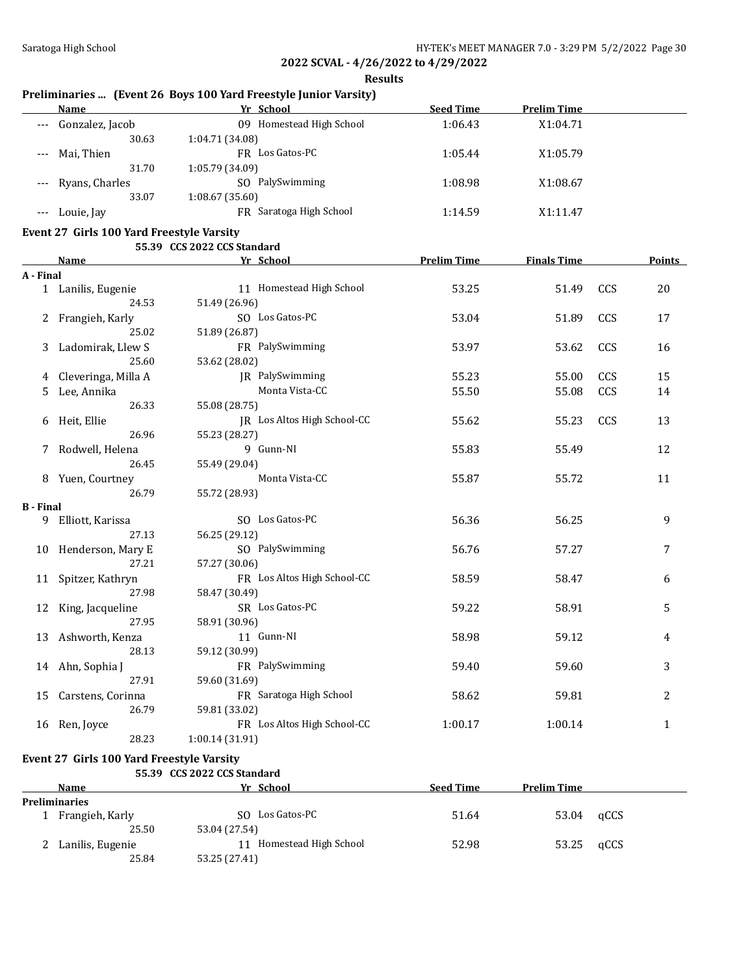**Results**

# **Preliminaries ... (Event 26 Boys 100 Yard Freestyle Junior Varsity)**

| Name            | Yr School                   | <b>Seed Time</b>  | <b>Prelim Time</b> |  |
|-----------------|-----------------------------|-------------------|--------------------|--|
| Gonzalez, Jacob | Homestead High School<br>09 | 1:06.43           | X1:04.71           |  |
| 30.63           | 1:04.71 (34.08)             |                   |                    |  |
| Mai, Thien      | FR Los Gatos-PC             | 1:05.44           | X1:05.79           |  |
| 31.70           | 1:05.79 (34.09)             |                   |                    |  |
|                 | SO PalySwimming             | 1:08.98           | X1:08.67           |  |
| 33.07           | 1:08.67(35.60)              |                   |                    |  |
| Louie, Jay      | FR Saratoga High School     | 1:14.59           | X1:11.47           |  |
|                 | --- Ryans, Charles          | $\epsilon$<br>. . |                    |  |

### **Event 27 Girls 100 Yard Freestyle Varsity 55.39 CCS 2022 CCS Standard**

|                  |                      | CC3 2022 CC3 Standard       |                    |                    |     |               |
|------------------|----------------------|-----------------------------|--------------------|--------------------|-----|---------------|
|                  | <b>Name</b>          | Yr School                   | <b>Prelim Time</b> | <b>Finals Time</b> |     | <b>Points</b> |
| A - Final        |                      |                             |                    |                    |     |               |
|                  | 1 Lanilis, Eugenie   | 11 Homestead High School    | 53.25              | 51.49              | CCS | 20            |
|                  | 24.53                | 51.49 (26.96)               |                    |                    |     |               |
|                  | 2 Frangieh, Karly    | SO Los Gatos-PC             | 53.04              | 51.89              | CCS | 17            |
|                  | 25.02                | 51.89 (26.87)               |                    |                    |     |               |
| 3                | Ladomirak, Llew S    | FR PalySwimming             | 53.97              | 53.62              | CCS | 16            |
|                  | 25.60                | 53.62 (28.02)               |                    |                    |     |               |
| 4                | Cleveringa, Milla A  | JR PalySwimming             | 55.23              | 55.00              | CCS | 15            |
| 5                | Lee, Annika          | Monta Vista-CC              | 55.50              | 55.08              | CCS | 14            |
|                  | 26.33                | 55.08 (28.75)               |                    |                    |     |               |
| 6                | Heit, Ellie          | JR Los Altos High School-CC | 55.62              | 55.23              | CCS | 13            |
|                  | 26.96                | 55.23 (28.27)               |                    |                    |     |               |
| 7                | Rodwell, Helena      | 9 Gunn-NI                   | 55.83              | 55.49              |     | 12            |
|                  | 26.45                | 55.49 (29.04)               |                    |                    |     |               |
|                  | 8 Yuen, Courtney     | Monta Vista-CC              | 55.87              | 55.72              |     | 11            |
|                  | 26.79                | 55.72 (28.93)               |                    |                    |     |               |
| <b>B</b> - Final |                      |                             |                    |                    |     |               |
|                  | 9 Elliott, Karissa   | SO Los Gatos-PC             | 56.36              | 56.25              |     | 9             |
|                  | 27.13                | 56.25 (29.12)               |                    |                    |     |               |
|                  | 10 Henderson, Mary E | SO PalySwimming             | 56.76              | 57.27              |     | 7             |
|                  | 27.21                | 57.27 (30.06)               |                    |                    |     |               |
|                  | 11 Spitzer, Kathryn  | FR Los Altos High School-CC | 58.59              | 58.47              |     | 6             |
|                  | 27.98                | 58.47 (30.49)               |                    |                    |     |               |
| 12               | King, Jacqueline     | SR Los Gatos-PC             | 59.22              | 58.91              |     | 5             |
|                  | 27.95                | 58.91 (30.96)               |                    |                    |     |               |
|                  | 13 Ashworth, Kenza   | 11 Gunn-NI                  | 58.98              | 59.12              |     | 4             |
|                  | 28.13                | 59.12 (30.99)               |                    |                    |     |               |
|                  | 14 Ahn, Sophia J     | FR PalySwimming             | 59.40              | 59.60              |     | 3             |
|                  | 27.91                | 59.60 (31.69)               |                    |                    |     |               |
| 15               | Carstens, Corinna    | FR Saratoga High School     | 58.62              | 59.81              |     | 2             |
|                  | 26.79                | 59.81 (33.02)               |                    |                    |     |               |
| 16               | Ren, Joyce           | FR Los Altos High School-CC | 1:00.17            | 1:00.14            |     | 1             |
|                  | 28.23                | 1:00.14 (31.91)             |                    |                    |     |               |

### **Event 27 Girls 100 Yard Freestyle Varsity**

### **55.39 CCS 2022 CCS Standard**

| <b>Name</b>          | Yr School                | <b>Seed Time</b> | <b>Prelim Time</b> |      |
|----------------------|--------------------------|------------------|--------------------|------|
| <b>Preliminaries</b> |                          |                  |                    |      |
| Frangieh, Karly      | SO Los Gatos-PC          | 51.64            | 53.04              | qCCS |
| 25.50                | 53.04 (27.54)            |                  |                    |      |
| Lanilis, Eugenie     | 11 Homestead High School | 52.98            | 53.25              | qCCS |
| 25.84                | 53.25 (27.41)            |                  |                    |      |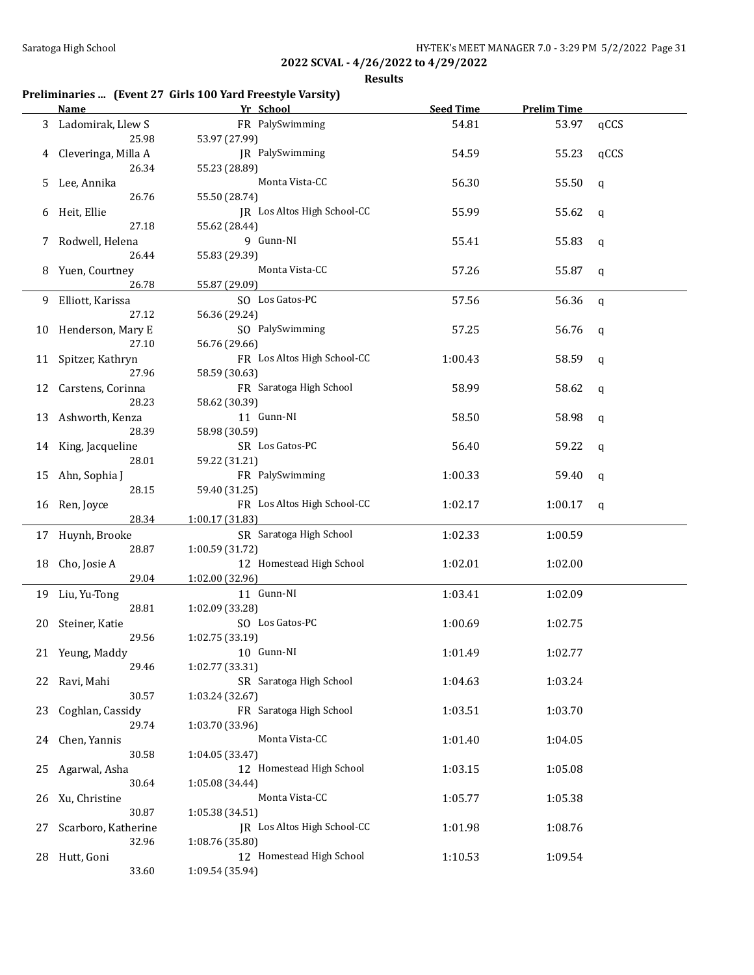**Results**

# **Preliminaries ... (Event 27 Girls 100 Yard Freestyle Varsity)**

|    | <b>Name</b>               | Yr School                                    | <b>Seed Time</b> | <b>Prelim Time</b> |              |
|----|---------------------------|----------------------------------------------|------------------|--------------------|--------------|
| 3  | Ladomirak, Llew S         | FR PalySwimming                              | 54.81            | 53.97              | qCCS         |
|    | 25.98                     | 53.97 (27.99)                                |                  |                    |              |
| 4  | Cleveringa, Milla A       | JR PalySwimming                              | 54.59            | 55.23              | qCCS         |
|    | 26.34                     | 55.23 (28.89)                                |                  |                    |              |
| 5. | Lee, Annika               | Monta Vista-CC                               | 56.30            | 55.50              | q            |
|    | 26.76                     | 55.50 (28.74)                                |                  |                    |              |
| 6  | Heit, Ellie               | JR Los Altos High School-CC                  | 55.99            | 55.62              | q            |
|    | 27.18                     | 55.62 (28.44)                                |                  |                    |              |
| 7  | Rodwell, Helena           | 9 Gunn-NI                                    | 55.41            | 55.83              | q            |
|    | 26.44                     | 55.83 (29.39)                                |                  |                    |              |
| 8  | Yuen, Courtney            | Monta Vista-CC                               | 57.26            | 55.87              | q            |
|    | 26.78                     | 55.87 (29.09)                                |                  |                    |              |
| 9  | Elliott, Karissa          | SO Los Gatos-PC                              | 57.56            | 56.36              | $\mathsf{q}$ |
|    | 27.12                     | 56.36 (29.24)                                |                  |                    |              |
|    | 10 Henderson, Mary E      | SO PalySwimming                              | 57.25            | 56.76              | q            |
|    | 27.10                     | 56.76 (29.66)                                |                  |                    |              |
|    | 11 Spitzer, Kathryn       | FR Los Altos High School-CC                  | 1:00.43          | 58.59              | q            |
|    | 27.96                     | 58.59 (30.63)                                |                  |                    |              |
|    | 12 Carstens, Corinna      | FR Saratoga High School                      | 58.99            | 58.62              | q            |
|    | 28.23                     | 58.62 (30.39)                                |                  |                    |              |
|    | 13 Ashworth, Kenza        | 11 Gunn-NI                                   | 58.50            | 58.98              | q            |
|    | 28.39                     | 58.98 (30.59)                                |                  |                    |              |
|    | 14 King, Jacqueline       | SR Los Gatos-PC                              | 56.40            | 59.22              | $\mathbf q$  |
|    | 28.01                     | 59.22 (31.21)                                |                  |                    |              |
|    | 15 Ahn, Sophia J<br>28.15 | FR PalySwimming                              | 1:00.33          | 59.40              | $\mathbf q$  |
|    |                           | 59.40 (31.25)<br>FR Los Altos High School-CC | 1:02.17          | 1:00.17            |              |
|    | 16 Ren, Joyce<br>28.34    | 1:00.17 (31.83)                              |                  |                    | q            |
|    | 17 Huynh, Brooke          | SR Saratoga High School                      | 1:02.33          | 1:00.59            |              |
|    | 28.87                     | 1:00.59 (31.72)                              |                  |                    |              |
|    | 18 Cho, Josie A           | 12 Homestead High School                     | 1:02.01          | 1:02.00            |              |
|    | 29.04                     | 1:02.00 (32.96)                              |                  |                    |              |
|    | 19 Liu, Yu-Tong           | 11 Gunn-NI                                   | 1:03.41          | 1:02.09            |              |
|    | 28.81                     | 1:02.09 (33.28)                              |                  |                    |              |
|    | 20 Steiner, Katie         | SO Los Gatos-PC                              | 1:00.69          | 1:02.75            |              |
|    | 29.56                     | 1:02.75 (33.19)                              |                  |                    |              |
|    | 21 Yeung, Maddy           | 10 Gunn-NI                                   | 1:01.49          | 1:02.77            |              |
|    | 29.46                     | 1:02.77 (33.31)                              |                  |                    |              |
| 22 | Ravi, Mahi                | SR Saratoga High School                      | 1:04.63          | 1:03.24            |              |
|    | 30.57                     | 1:03.24 (32.67)                              |                  |                    |              |
| 23 | Coghlan, Cassidy          | FR Saratoga High School                      | 1:03.51          | 1:03.70            |              |
|    | 29.74                     | 1:03.70 (33.96)                              |                  |                    |              |
| 24 | Chen, Yannis              | Monta Vista-CC                               | 1:01.40          | 1:04.05            |              |
|    | 30.58                     | 1:04.05 (33.47)                              |                  |                    |              |
| 25 | Agarwal, Asha             | 12 Homestead High School                     | 1:03.15          | 1:05.08            |              |
|    | 30.64                     | 1:05.08 (34.44)                              |                  |                    |              |
| 26 | Xu, Christine             | Monta Vista-CC                               | 1:05.77          | 1:05.38            |              |
|    | 30.87                     | 1:05.38 (34.51)                              |                  |                    |              |
| 27 | Scarboro, Katherine       | JR Los Altos High School-CC                  | 1:01.98          | 1:08.76            |              |
|    | 32.96                     | 1:08.76 (35.80)                              |                  |                    |              |
|    | 28 Hutt, Goni             | 12 Homestead High School                     | 1:10.53          | 1:09.54            |              |
|    | 33.60                     | 1:09.54 (35.94)                              |                  |                    |              |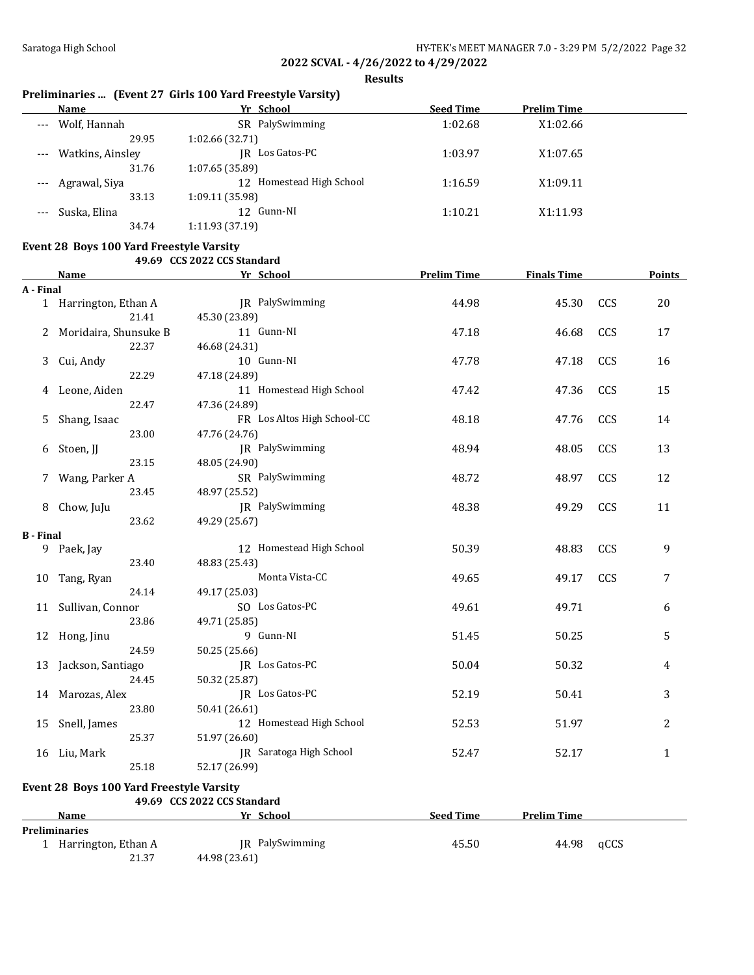**Results**

# **Preliminaries ... (Event 27 Girls 100 Yard Freestyle Varsity)**

|       | Name                 | Yr School                | <b>Seed Time</b> | <b>Prelim Time</b> |  |
|-------|----------------------|--------------------------|------------------|--------------------|--|
| $---$ | Wolf, Hannah         | SR PalySwimming          | 1:02.68          | X1:02.66           |  |
|       | 29.95                | 1:02.66(32.71)           |                  |                    |  |
|       | --- Watkins, Ainsley | Los Gatos-PC<br>IR       | 1:03.97          | X1:07.65           |  |
|       | 31.76                | 1:07.65(35.89)           |                  |                    |  |
|       | Agrawal, Siya        | 12 Homestead High School | 1:16.59          | X1:09.11           |  |
|       | 33.13                | 1:09.11 (35.98)          |                  |                    |  |
|       | Suska, Elina         | 12 Gunn-NI               | 1:10.21          | X1:11.93           |  |
|       | 34.74                | 1:11.93(37.19)           |                  |                    |  |

## **Event 28 Boys 100 Yard Freestyle Varsity**

#### **49.69 CCS 2022 CCS Standard**

|                  | <b>Name</b>                              | Yr School                   | <b>Prelim Time</b> | <b>Finals Time</b> |      | <b>Points</b> |
|------------------|------------------------------------------|-----------------------------|--------------------|--------------------|------|---------------|
| A - Final        |                                          |                             |                    |                    |      |               |
|                  | 1 Harrington, Ethan A                    | JR PalySwimming             | 44.98              | 45.30              | CCS  | 20            |
|                  | 21.41                                    | 45.30 (23.89)               |                    |                    |      |               |
| 2                | Moridaira, Shunsuke B                    | 11 Gunn-NI                  | 47.18              | 46.68              | CCS  | 17            |
|                  | 22.37                                    | 46.68 (24.31)               |                    |                    |      |               |
| 3                | Cui, Andy                                | 10 Gunn-NI                  | 47.78              | 47.18              | CCS  | 16            |
|                  | 22.29                                    | 47.18 (24.89)               |                    |                    |      |               |
|                  | 4 Leone, Aiden                           | 11 Homestead High School    | 47.42              | 47.36              | CCS  | 15            |
|                  | 22.47                                    | 47.36 (24.89)               |                    |                    |      |               |
| 5                | Shang, Isaac                             | FR Los Altos High School-CC | 48.18              | 47.76              | CCS  | 14            |
|                  | 23.00                                    | 47.76 (24.76)               |                    |                    |      |               |
| 6                | Stoen, JJ                                | JR PalySwimming             | 48.94              | 48.05              | CCS  | 13            |
|                  | 23.15                                    | 48.05 (24.90)               |                    |                    |      |               |
| 7                | Wang, Parker A                           | SR PalySwimming             | 48.72              | 48.97              | CCS  | 12            |
|                  | 23.45                                    | 48.97 (25.52)               |                    |                    |      |               |
| 8                | Chow, JuJu                               | JR PalySwimming             | 48.38              | 49.29              | CCS  | 11            |
|                  | 23.62                                    | 49.29 (25.67)               |                    |                    |      |               |
| <b>B</b> - Final |                                          |                             |                    |                    |      |               |
|                  | 9 Paek, Jay                              | 12 Homestead High School    | 50.39              | 48.83              | CCS  | 9             |
|                  | 23.40                                    | 48.83 (25.43)               |                    |                    |      |               |
| 10               | Tang, Ryan                               | Monta Vista-CC              | 49.65              | 49.17              | CCS  | 7             |
|                  | 24.14                                    | 49.17 (25.03)               |                    |                    |      |               |
|                  | 11 Sullivan, Connor                      | SO Los Gatos-PC             | 49.61              | 49.71              |      | 6             |
|                  | 23.86                                    | 49.71 (25.85)               |                    |                    |      |               |
|                  | 12 Hong, Jinu                            | 9 Gunn-NI                   | 51.45              | 50.25              |      | 5             |
|                  | 24.59                                    | 50.25 (25.66)               |                    |                    |      |               |
| 13               | Jackson, Santiago                        | JR Los Gatos-PC             | 50.04              | 50.32              |      | 4             |
|                  | 24.45                                    | 50.32 (25.87)               |                    |                    |      |               |
|                  | 14 Marozas, Alex                         | JR Los Gatos-PC             | 52.19              | 50.41              |      | 3             |
|                  | 23.80                                    | 50.41 (26.61)               |                    |                    |      |               |
| 15               | Snell, James                             | 12 Homestead High School    | 52.53              | 51.97              |      | 2             |
|                  | 25.37                                    | 51.97 (26.60)               |                    |                    |      |               |
|                  | 16 Liu, Mark                             | JR Saratoga High School     | 52.47              | 52.17              |      | $\mathbf{1}$  |
|                  | 25.18                                    | 52.17 (26.99)               |                    |                    |      |               |
|                  | Event 28 Boys 100 Yard Freestyle Varsity |                             |                    |                    |      |               |
|                  |                                          | 49.69 CCS 2022 CCS Standard |                    |                    |      |               |
|                  | Name                                     | Yr School                   | <b>Seed Time</b>   | <b>Prelim Time</b> |      |               |
|                  | <b>Preliminaries</b>                     |                             |                    |                    |      |               |
|                  | 1 Harrington, Ethan A                    | JR PalySwimming             | 45.50              | 44.98              | qCCS |               |
|                  | 21.37                                    | 44.98 (23.61)               |                    |                    |      |               |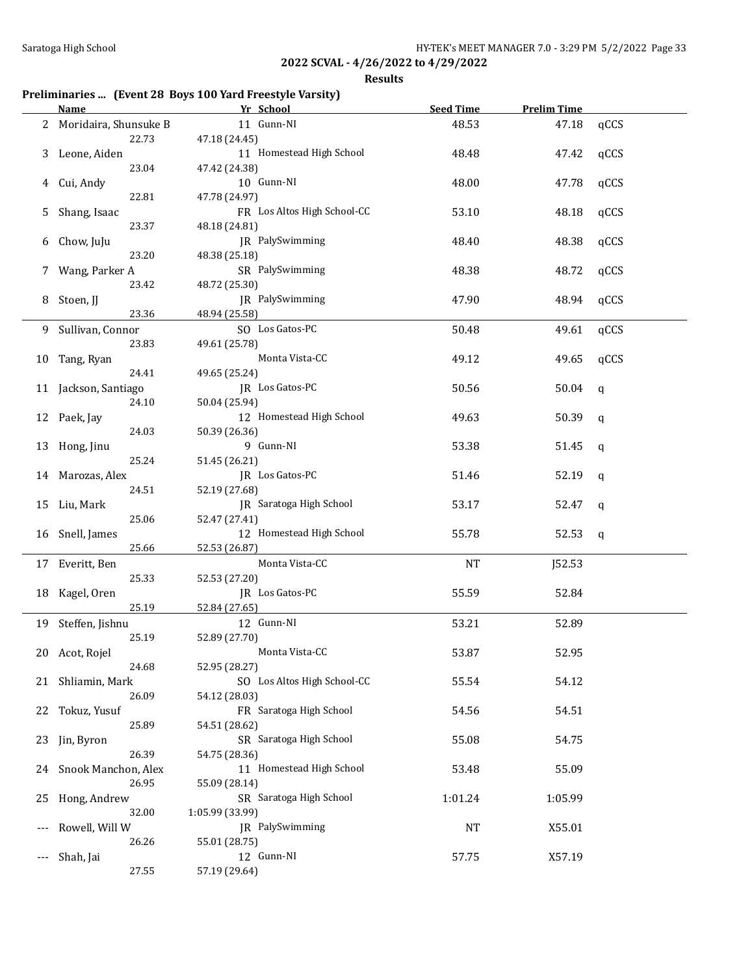**Results**

# **Preliminaries ... (Event 28 Boys 100 Yard Freestyle Varsity)**

|    | Name                    | Yr School                   | <b>Seed Time</b> | <b>Prelim Time</b> |              |
|----|-------------------------|-----------------------------|------------------|--------------------|--------------|
|    | 2 Moridaira, Shunsuke B | 11 Gunn-NI                  | 48.53            | 47.18              | qCCS         |
|    | 22.73                   | 47.18 (24.45)               |                  |                    |              |
|    | 3 Leone, Aiden          | 11 Homestead High School    | 48.48            | 47.42              | qCCS         |
|    | 23.04                   | 47.42 (24.38)               |                  |                    |              |
|    |                         | 10 Gunn-NI                  |                  |                    |              |
|    | 4 Cui, Andy             |                             | 48.00            | 47.78              | qCCS         |
|    | 22.81                   | 47.78 (24.97)               |                  |                    |              |
| 5  | Shang, Isaac            | FR Los Altos High School-CC | 53.10            | 48.18              | qCCS         |
|    | 23.37                   | 48.18 (24.81)               |                  |                    |              |
| 6  | Chow, JuJu              | JR PalySwimming             | 48.40            | 48.38              | qCCS         |
|    | 23.20                   | 48.38 (25.18)               |                  |                    |              |
|    | 7 Wang, Parker A        | SR PalySwimming             | 48.38            | 48.72              | qCCS         |
|    | 23.42                   | 48.72 (25.30)               |                  |                    |              |
|    | 8 Stoen, JJ             | JR PalySwimming             | 47.90            | 48.94              | qCCS         |
|    | 23.36                   | 48.94 (25.58)               |                  |                    |              |
|    | 9 Sullivan, Connor      | SO Los Gatos-PC             | 50.48            | 49.61              | qCCS         |
|    | 23.83                   |                             |                  |                    |              |
|    |                         | 49.61 (25.78)               |                  |                    |              |
|    | 10 Tang, Ryan           | Monta Vista-CC              | 49.12            | 49.65              | qCCS         |
|    | 24.41                   | 49.65 (25.24)               |                  |                    |              |
|    | 11 Jackson, Santiago    | JR Los Gatos-PC             | 50.56            | 50.04              | $\mathsf{q}$ |
|    | 24.10                   | 50.04 (25.94)               |                  |                    |              |
|    | 12 Paek, Jay            | 12 Homestead High School    | 49.63            | 50.39              | $\mathbf q$  |
|    | 24.03                   | 50.39 (26.36)               |                  |                    |              |
|    | 13 Hong, Jinu           | 9 Gunn-NI                   | 53.38            | 51.45              | q            |
|    | 25.24                   | 51.45 (26.21)               |                  |                    |              |
|    | 14 Marozas, Alex        | JR Los Gatos-PC             | 51.46            | 52.19              | q            |
|    | 24.51                   | 52.19 (27.68)               |                  |                    |              |
|    | 15 Liu, Mark            | JR Saratoga High School     | 53.17            | 52.47              |              |
|    |                         |                             |                  |                    | q            |
|    | 25.06                   | 52.47 (27.41)               |                  |                    |              |
|    | 16 Snell, James         | 12 Homestead High School    | 55.78            | 52.53              | q            |
|    | 25.66                   | 52.53 (26.87)               |                  |                    |              |
|    | 17 Everitt, Ben         | Monta Vista-CC              | <b>NT</b>        | J52.53             |              |
|    | 25.33                   | 52.53 (27.20)               |                  |                    |              |
|    | 18 Kagel, Oren          | JR Los Gatos-PC             | 55.59            | 52.84              |              |
|    | 25.19                   | 52.84 (27.65)               |                  |                    |              |
|    | 19 Steffen, Jishnu      | 12 Gunn-NI                  | 53.21            | 52.89              |              |
|    | 25.19                   | 52.89 (27.70)               |                  |                    |              |
|    | 20 Acot, Rojel          | Monta Vista-CC              | 53.87            | 52.95              |              |
|    | 24.68                   | 52.95 (28.27)               |                  |                    |              |
|    |                         | SO Los Altos High School-CC | 55.54            | 54.12              |              |
|    | 21 Shliamin, Mark       |                             |                  |                    |              |
|    | 26.09                   | 54.12 (28.03)               |                  |                    |              |
| 22 | Tokuz, Yusuf            | FR Saratoga High School     | 54.56            | 54.51              |              |
|    | 25.89                   | 54.51 (28.62)               |                  |                    |              |
| 23 | Jin, Byron              | SR Saratoga High School     | 55.08            | 54.75              |              |
|    | 26.39                   | 54.75 (28.36)               |                  |                    |              |
|    | 24 Snook Manchon, Alex  | 11 Homestead High School    | 53.48            | 55.09              |              |
|    | 26.95                   | 55.09 (28.14)               |                  |                    |              |
| 25 | Hong, Andrew            | SR Saratoga High School     | 1:01.24          | 1:05.99            |              |
|    | 32.00                   | 1:05.99 (33.99)             |                  |                    |              |
|    | Rowell, Will W          | JR PalySwimming             | NT               | X55.01             |              |
|    | 26.26                   | 55.01 (28.75)               |                  |                    |              |
|    |                         | 12 Gunn-NI                  |                  |                    |              |
|    | Shah, Jai               |                             | 57.75            | X57.19             |              |
|    | 27.55                   | 57.19 (29.64)               |                  |                    |              |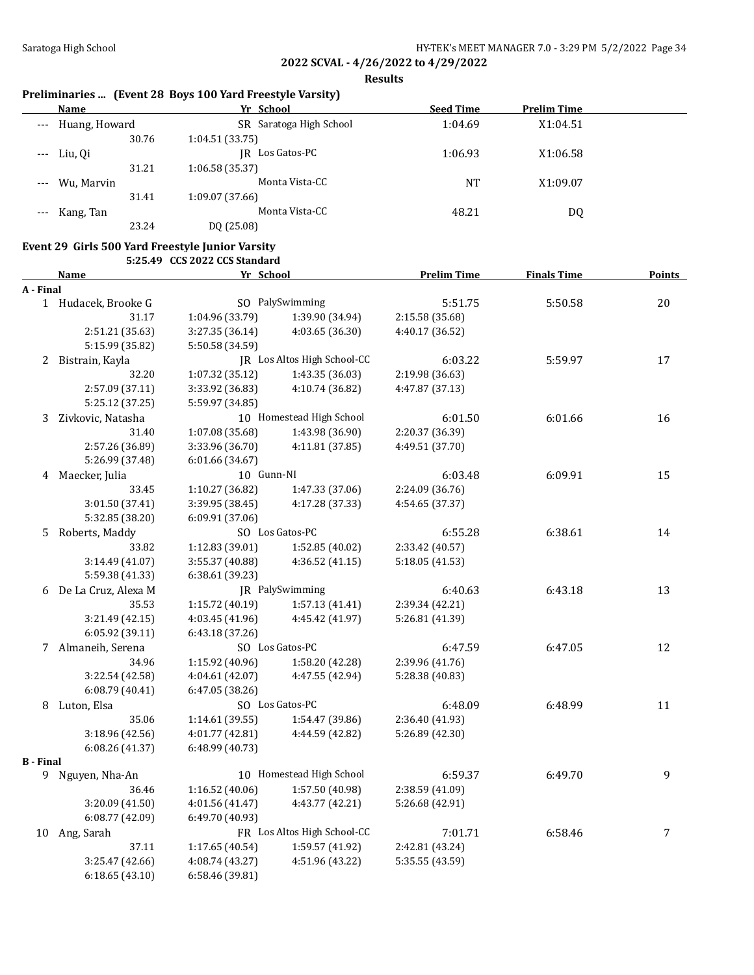**Results**

## **Preliminaries ... (Event 28 Boys 100 Yard Freestyle Varsity)**

| Name              | Yr School               | <b>Seed Time</b> | <b>Prelim Time</b> |  |
|-------------------|-------------------------|------------------|--------------------|--|
| --- Huang, Howard | SR Saratoga High School | 1:04.69          | X1:04.51           |  |
| 30.76             | 1:04.51(33.75)          |                  |                    |  |
| $--$ Liu, Qi      | JR Los Gatos-PC         | 1:06.93          | X1:06.58           |  |
| 31.21             | 1:06.58(35.37)          |                  |                    |  |
| --- Wu, Marvin    | Monta Vista-CC          | <b>NT</b>        | X1:09.07           |  |
| 31.41             | 1:09.07(37.66)          |                  |                    |  |
| --- Kang, Tan     | Monta Vista-CC          | 48.21            | DQ                 |  |
| 23.24             | DQ (25.08)              |                  |                    |  |

### **Event 29 Girls 500 Yard Freestyle Junior Varsity**

**5:25.49 CCS 2022 CCS Standard**

|                  | Name                  | Yr School       |                             | <b>Prelim Time</b> | <b>Finals Time</b> | <b>Points</b> |
|------------------|-----------------------|-----------------|-----------------------------|--------------------|--------------------|---------------|
| A - Final        |                       |                 |                             |                    |                    |               |
|                  | 1 Hudacek, Brooke G   |                 | SO PalySwimming             | 5:51.75            | 5:50.58            | 20            |
|                  | 31.17                 | 1:04.96 (33.79) | 1:39.90 (34.94)             | 2:15.58 (35.68)    |                    |               |
|                  | 2:51.21 (35.63)       | 3:27.35 (36.14) | 4:03.65 (36.30)             | 4:40.17 (36.52)    |                    |               |
|                  | 5:15.99 (35.82)       | 5:50.58 (34.59) |                             |                    |                    |               |
|                  | 2 Bistrain, Kayla     |                 | JR Los Altos High School-CC | 6:03.22            | 5:59.97            | 17            |
|                  | 32.20                 | 1:07.32 (35.12) | 1:43.35 (36.03)             | 2:19.98 (36.63)    |                    |               |
|                  | 2:57.09 (37.11)       | 3:33.92 (36.83) | 4:10.74 (36.82)             | 4:47.87 (37.13)    |                    |               |
|                  | 5:25.12 (37.25)       | 5:59.97 (34.85) |                             |                    |                    |               |
| 3                | Zivkovic, Natasha     |                 | 10 Homestead High School    | 6:01.50            | 6:01.66            | 16            |
|                  | 31.40                 | 1:07.08 (35.68) | 1:43.98 (36.90)             | 2:20.37 (36.39)    |                    |               |
|                  | 2:57.26 (36.89)       | 3:33.96 (36.70) | 4:11.81 (37.85)             | 4:49.51 (37.70)    |                    |               |
|                  | 5:26.99 (37.48)       | 6:01.66 (34.67) |                             |                    |                    |               |
|                  | 4 Maecker, Julia      | 10 Gunn-NI      |                             | 6:03.48            | 6:09.91            | 15            |
|                  | 33.45                 | 1:10.27 (36.82) | 1:47.33 (37.06)             | 2:24.09 (36.76)    |                    |               |
|                  | 3:01.50 (37.41)       | 3:39.95 (38.45) | 4:17.28 (37.33)             | 4:54.65 (37.37)    |                    |               |
|                  | 5:32.85 (38.20)       | 6:09.91(37.06)  |                             |                    |                    |               |
| 5.               | Roberts, Maddy        |                 | SO Los Gatos-PC             | 6:55.28            | 6:38.61            | 14            |
|                  | 33.82                 | 1:12.83(39.01)  | 1:52.85(40.02)              | 2:33.42 (40.57)    |                    |               |
|                  | 3:14.49 (41.07)       | 3:55.37 (40.88) | 4:36.52(41.15)              | 5:18.05 (41.53)    |                    |               |
|                  | 5:59.38 (41.33)       | 6:38.61 (39.23) |                             |                    |                    |               |
|                  | 6 De La Cruz, Alexa M |                 | JR PalySwimming             | 6:40.63            | 6:43.18            | 13            |
|                  | 35.53                 | 1:15.72 (40.19) | 1:57.13 (41.41)             | 2:39.34 (42.21)    |                    |               |
|                  | 3:21.49 (42.15)       | 4:03.45 (41.96) | 4:45.42 (41.97)             | 5:26.81 (41.39)    |                    |               |
|                  | 6:05.92 (39.11)       | 6:43.18 (37.26) |                             |                    |                    |               |
|                  | 7 Almaneih, Serena    |                 | SO Los Gatos-PC             | 6:47.59            | 6:47.05            | 12            |
|                  | 34.96                 | 1:15.92 (40.96) | 1:58.20 (42.28)             | 2:39.96 (41.76)    |                    |               |
|                  | 3:22.54 (42.58)       | 4:04.61 (42.07) | 4:47.55 (42.94)             | 5:28.38 (40.83)    |                    |               |
|                  | 6:08.79(40.41)        | 6:47.05 (38.26) |                             |                    |                    |               |
|                  | 8 Luton, Elsa         |                 | SO Los Gatos-PC             | 6:48.09            | 6:48.99            | 11            |
|                  | 35.06                 | 1:14.61(39.55)  | 1:54.47 (39.86)             | 2:36.40 (41.93)    |                    |               |
|                  | 3:18.96 (42.56)       | 4:01.77 (42.81) | 4:44.59 (42.82)             | 5:26.89 (42.30)    |                    |               |
|                  | 6:08.26(41.37)        | 6:48.99 (40.73) |                             |                    |                    |               |
| <b>B</b> - Final |                       |                 |                             |                    |                    |               |
| 9                | Nguyen, Nha-An        |                 | 10 Homestead High School    | 6:59.37            | 6:49.70            | 9             |
|                  | 36.46                 | 1:16.52 (40.06) | 1:57.50 (40.98)             | 2:38.59 (41.09)    |                    |               |
|                  | 3:20.09 (41.50)       | 4:01.56 (41.47) | 4:43.77 (42.21)             | 5:26.68 (42.91)    |                    |               |
|                  | 6:08.77 (42.09)       | 6:49.70 (40.93) |                             |                    |                    |               |
|                  | 10 Ang, Sarah         |                 | FR Los Altos High School-CC | 7:01.71            | 6:58.46            | 7             |
|                  | 37.11                 | 1:17.65 (40.54) | 1:59.57 (41.92)             | 2:42.81 (43.24)    |                    |               |
|                  | 3:25.47 (42.66)       | 4:08.74 (43.27) | 4:51.96 (43.22)             | 5:35.55 (43.59)    |                    |               |
|                  | 6:18.65(43.10)        | 6:58.46 (39.81) |                             |                    |                    |               |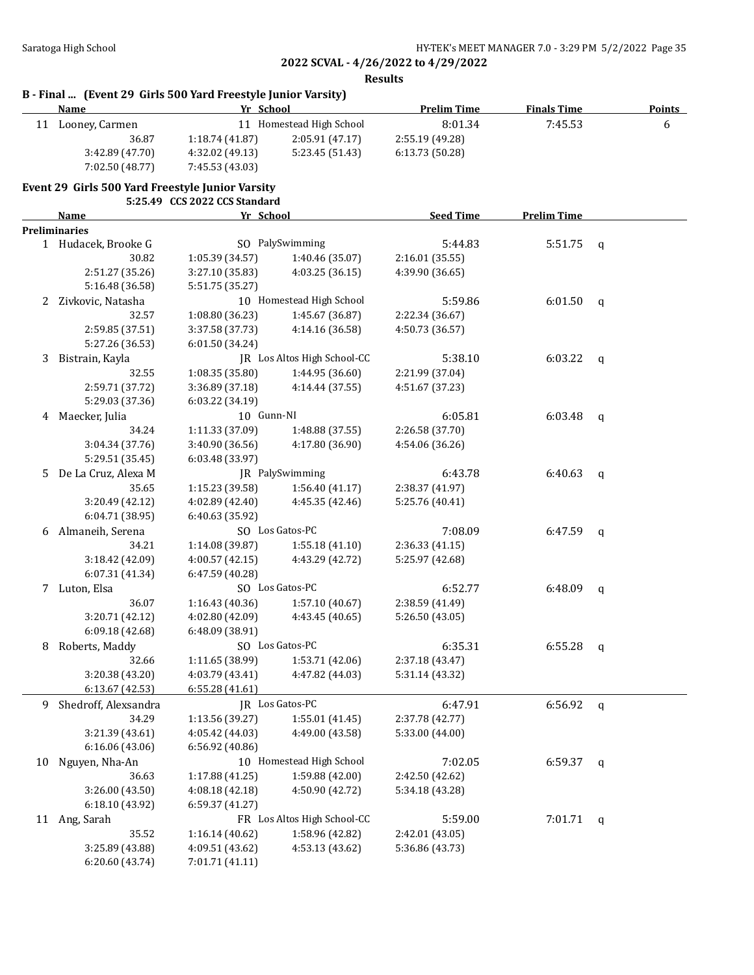**Results**

|  |  | B - Final  (Event 29 Girls 500 Yard Freestyle Junior Varsity) |  |
|--|--|---------------------------------------------------------------|--|
|--|--|---------------------------------------------------------------|--|

|    | <b>Name</b>                                      | Yr School                     |                                   | <b>Prelim Time</b> | <b>Finals Time</b> |             | <b>Points</b> |
|----|--------------------------------------------------|-------------------------------|-----------------------------------|--------------------|--------------------|-------------|---------------|
|    | 11 Looney, Carmen                                |                               | 11 Homestead High School          | 8:01.34            | 7:45.53            |             | 6             |
|    | 36.87                                            | 1:18.74 (41.87)               | 2:05.91 (47.17)                   | 2:55.19 (49.28)    |                    |             |               |
|    | 3:42.89 (47.70)                                  | 4:32.02 (49.13)               | 5:23.45 (51.43)                   | 6:13.73 (50.28)    |                    |             |               |
|    | 7:02.50 (48.77)                                  | 7:45.53 (43.03)               |                                   |                    |                    |             |               |
|    | Event 29 Girls 500 Yard Freestyle Junior Varsity |                               |                                   |                    |                    |             |               |
|    |                                                  | 5:25.49 CCS 2022 CCS Standard |                                   |                    |                    |             |               |
|    | <u>Name</u>                                      | Yr School                     |                                   | <b>Seed Time</b>   | <b>Prelim Time</b> |             |               |
|    | <b>Preliminaries</b>                             |                               |                                   |                    |                    |             |               |
|    | 1 Hudacek, Brooke G                              |                               | SO PalySwimming                   | 5:44.83            | 5:51.75            | q           |               |
|    | 30.82                                            | 1:05.39 (34.57)               | 1:40.46 (35.07)                   | 2:16.01 (35.55)    |                    |             |               |
|    | 2:51.27 (35.26)                                  | 3:27.10 (35.83)               | 4:03.25 (36.15)                   | 4:39.90 (36.65)    |                    |             |               |
|    | 5:16.48 (36.58)                                  | 5:51.75 (35.27)               |                                   |                    |                    |             |               |
| 2  | Zivkovic, Natasha                                |                               | 10 Homestead High School          | 5:59.86            | 6:01.50            | q           |               |
|    | 32.57                                            | 1:08.80 (36.23)               | 1:45.67 (36.87)                   | 2:22.34 (36.67)    |                    |             |               |
|    | 2:59.85 (37.51)                                  | 3:37.58 (37.73)               | 4:14.16 (36.58)                   | 4:50.73 (36.57)    |                    |             |               |
|    | 5:27.26 (36.53)                                  | 6:01.50(34.24)                |                                   |                    |                    |             |               |
| 3  | Bistrain, Kayla                                  |                               | JR Los Altos High School-CC       | 5:38.10            | 6:03.22            | $\mathbf q$ |               |
|    | 32.55                                            | 1:08.35 (35.80)               | 1:44.95 (36.60)                   | 2:21.99 (37.04)    |                    |             |               |
|    | 2:59.71 (37.72)                                  | 3:36.89 (37.18)               | 4:14.44 (37.55)                   | 4:51.67 (37.23)    |                    |             |               |
|    | 5:29.03 (37.36)                                  | 6:03.22 (34.19)               |                                   |                    |                    |             |               |
| 4  | Maecker, Julia                                   | 10 Gunn-NI                    |                                   | 6:05.81            | 6:03.48            | q           |               |
|    | 34.24                                            | 1:11.33 (37.09)               | 1:48.88 (37.55)                   | 2:26.58 (37.70)    |                    |             |               |
|    | 3:04.34 (37.76)                                  | 3:40.90 (36.56)               | 4:17.80 (36.90)                   | 4:54.06 (36.26)    |                    |             |               |
|    | 5:29.51 (35.45)                                  | 6:03.48 (33.97)               |                                   |                    |                    |             |               |
| 5. | De La Cruz, Alexa M                              |                               | JR PalySwimming                   | 6:43.78            | 6:40.63            |             |               |
|    | 35.65                                            | 1:15.23 (39.58)               | 1:56.40(41.17)                    | 2:38.37 (41.97)    |                    | q           |               |
|    | 3:20.49 (42.12)                                  | 4:02.89 (42.40)               | 4:45.35 (42.46)                   | 5:25.76 (40.41)    |                    |             |               |
|    | 6:04.71 (38.95)                                  | 6:40.63 (35.92)               |                                   |                    |                    |             |               |
|    | Almaneih, Serena                                 |                               | SO Los Gatos-PC                   | 7:08.09            | 6:47.59            |             |               |
| 6  | 34.21                                            |                               |                                   |                    |                    | q           |               |
|    |                                                  | 1:14.08 (39.87)               | 1:55.18(41.10)<br>4:43.29 (42.72) | 2:36.33 (41.15)    |                    |             |               |
|    | 3:18.42 (42.09)                                  | 4:00.57 (42.15)               |                                   | 5:25.97 (42.68)    |                    |             |               |
|    | 6:07.31 (41.34)                                  | 6:47.59 (40.28)               | SO Los Gatos-PC                   |                    |                    |             |               |
| 7  | Luton, Elsa                                      |                               |                                   | 6:52.77            | 6:48.09            | q           |               |
|    | 36.07                                            | 1:16.43 (40.36)               | 1:57.10 (40.67)                   | 2:38.59 (41.49)    |                    |             |               |
|    | 3:20.71 (42.12)                                  | 4:02.80 (42.09)               | 4:43.45 (40.65)                   | 5:26.50 (43.05)    |                    |             |               |
|    | 6:09.18 (42.68)                                  | 6:48.09 (38.91)               |                                   |                    |                    |             |               |
| 8  | Roberts, Maddy                                   |                               | SO Los Gatos-PC                   | 6:35.31            | 6:55.28            | q           |               |
|    | 32.66                                            | 1:11.65 (38.99)               | 1:53.71 (42.06)                   | 2:37.18 (43.47)    |                    |             |               |
|    | 3:20.38 (43.20)                                  | 4:03.79 (43.41)               | 4:47.82 (44.03)                   | 5:31.14 (43.32)    |                    |             |               |
|    | 6:13.67(42.53)                                   | 6:55.28(41.61)                |                                   |                    |                    |             |               |
| 9  | Shedroff, Alexsandra                             |                               | JR Los Gatos-PC                   | 6:47.91            | 6:56.92            | q           |               |
|    | 34.29                                            | 1:13.56 (39.27)               | 1:55.01 (41.45)                   | 2:37.78 (42.77)    |                    |             |               |
|    | 3:21.39 (43.61)                                  | 4:05.42 (44.03)               | 4:49.00 (43.58)                   | 5:33.00 (44.00)    |                    |             |               |
|    | 6:16.06 (43.06)                                  | 6:56.92 (40.86)               |                                   |                    |                    |             |               |
| 10 | Nguyen, Nha-An                                   |                               | 10 Homestead High School          | 7:02.05            | 6:59.37            | q           |               |
|    | 36.63                                            | 1:17.88 (41.25)               | 1:59.88 (42.00)                   | 2:42.50 (42.62)    |                    |             |               |
|    | 3:26.00 (43.50)                                  | 4:08.18 (42.18)               | 4:50.90 (42.72)                   | 5:34.18 (43.28)    |                    |             |               |
|    | 6:18.10 (43.92)                                  | 6:59.37 (41.27)               |                                   |                    |                    |             |               |
|    | 11 Ang, Sarah                                    |                               | FR Los Altos High School-CC       | 5:59.00            | 7:01.71            | q           |               |
|    | 35.52                                            | 1:16.14 (40.62)               | 1:58.96 (42.82)                   | 2:42.01 (43.05)    |                    |             |               |
|    | 3:25.89 (43.88)                                  | 4:09.51 (43.62)               | 4:53.13 (43.62)                   | 5:36.86 (43.73)    |                    |             |               |
|    | 6:20.60 (43.74)                                  | 7:01.71 (41.11)               |                                   |                    |                    |             |               |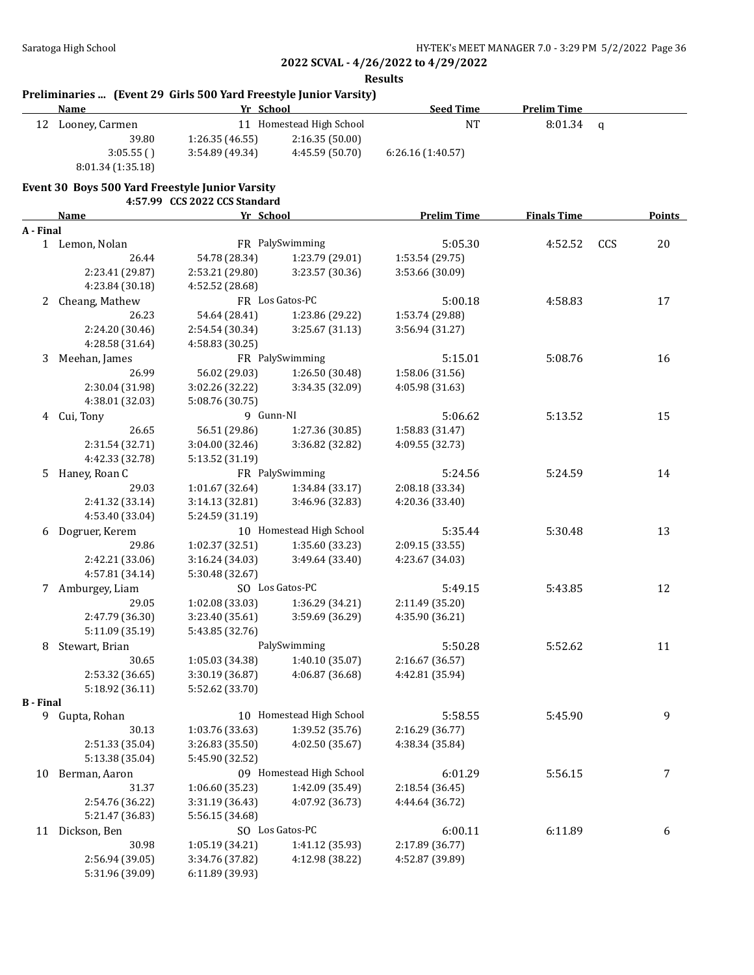|                  |                                                                                  | <b>Results</b>                |                          |                    |                    |              |        |
|------------------|----------------------------------------------------------------------------------|-------------------------------|--------------------------|--------------------|--------------------|--------------|--------|
|                  | Preliminaries  (Event 29 Girls 500 Yard Freestyle Junior Varsity)<br><b>Name</b> | Yr School                     |                          | <b>Seed Time</b>   | <b>Prelim Time</b> |              |        |
|                  | 12 Looney, Carmen                                                                |                               | 11 Homestead High School | <b>NT</b>          | 8:01.34            | $\mathsf{q}$ |        |
|                  | 39.80                                                                            | 1:26.35(46.55)                | 2:16.35(50.00)           |                    |                    |              |        |
|                  | 3:05.55()                                                                        | 3:54.89 (49.34)               | 4:45.59 (50.70)          | 6:26.16 (1:40.57)  |                    |              |        |
|                  | 8:01.34 (1:35.18)                                                                |                               |                          |                    |                    |              |        |
|                  | Event 30 Boys 500 Yard Freestyle Junior Varsity                                  | 4:57.99 CCS 2022 CCS Standard |                          |                    |                    |              |        |
|                  | Name                                                                             | Yr School                     |                          | <b>Prelim Time</b> | <b>Finals Time</b> |              | Points |
| A - Final        |                                                                                  |                               |                          |                    |                    |              |        |
|                  | 1 Lemon, Nolan                                                                   |                               | FR PalySwimming          | 5:05.30            | 4:52.52            | CCS          | 20     |
|                  | 26.44                                                                            | 54.78 (28.34)                 | 1:23.79 (29.01)          | 1:53.54 (29.75)    |                    |              |        |
|                  | 2:23.41 (29.87)                                                                  | 2:53.21 (29.80)               | 3:23.57 (30.36)          | 3:53.66 (30.09)    |                    |              |        |
|                  | 4:23.84 (30.18)                                                                  | 4:52.52 (28.68)               |                          |                    |                    |              |        |
| 2                | Cheang, Mathew                                                                   |                               | FR Los Gatos-PC          | 5:00.18            | 4:58.83            |              | 17     |
|                  | 26.23                                                                            | 54.64 (28.41)                 | 1:23.86 (29.22)          | 1:53.74 (29.88)    |                    |              |        |
|                  | 2:24.20 (30.46)                                                                  | 2:54.54 (30.34)               | 3:25.67 (31.13)          | 3:56.94 (31.27)    |                    |              |        |
|                  | 4:28.58 (31.64)                                                                  | 4:58.83 (30.25)               |                          |                    |                    |              |        |
| 3                | Meehan, James                                                                    |                               | FR PalySwimming          | 5:15.01            | 5:08.76            |              | 16     |
|                  | 26.99                                                                            | 56.02 (29.03)                 | 1:26.50 (30.48)          | 1:58.06 (31.56)    |                    |              |        |
|                  | 2:30.04 (31.98)                                                                  | 3:02.26 (32.22)               | 3:34.35 (32.09)          | 4:05.98 (31.63)    |                    |              |        |
|                  | 4:38.01 (32.03)                                                                  | 5:08.76 (30.75)               |                          |                    |                    |              |        |
| 4                | Cui, Tony                                                                        | 9 Gunn-NI                     |                          | 5:06.62            | 5:13.52            |              | 15     |
|                  | 26.65                                                                            | 56.51 (29.86)                 | 1:27.36 (30.85)          | 1:58.83 (31.47)    |                    |              |        |
|                  | 2:31.54 (32.71)                                                                  | 3:04.00 (32.46)               | 3:36.82 (32.82)          | 4:09.55 (32.73)    |                    |              |        |
|                  | 4:42.33 (32.78)                                                                  | 5:13.52 (31.19)               |                          |                    |                    |              |        |
| 5                | Haney, Roan C                                                                    |                               | FR PalySwimming          | 5:24.56            | 5:24.59            |              | 14     |
|                  | 29.03                                                                            | 1:01.67 (32.64)               | 1:34.84 (33.17)          | 2:08.18 (33.34)    |                    |              |        |
|                  | 2:41.32 (33.14)                                                                  | 3:14.13 (32.81)               | 3:46.96 (32.83)          | 4:20.36 (33.40)    |                    |              |        |
|                  | 4:53.40 (33.04)                                                                  | 5:24.59 (31.19)               |                          |                    |                    |              |        |
| 6                | Dogruer, Kerem                                                                   |                               | 10 Homestead High School | 5:35.44            | 5:30.48            |              | 13     |
|                  | 29.86                                                                            | 1:02.37 (32.51)               | 1:35.60 (33.23)          | 2:09.15 (33.55)    |                    |              |        |
|                  | 2:42.21 (33.06)                                                                  | 3:16.24 (34.03)               | 3:49.64 (33.40)          | 4:23.67 (34.03)    |                    |              |        |
|                  | 4:57.81 (34.14)                                                                  | 5:30.48 (32.67)               |                          |                    |                    |              |        |
| 7                | Amburgey, Liam                                                                   |                               | SO Los Gatos-PC          | 5:49.15            | 5:43.85            |              | 12     |
|                  | 29.05                                                                            | 1:02.08 (33.03)               | 1:36.29 (34.21)          | 2:11.49 (35.20)    |                    |              |        |
|                  | 2:47.79 (36.30)                                                                  | 3:23.40 (35.61)               | 3:59.69 (36.29)          | 4:35.90 (36.21)    |                    |              |        |
|                  | 5:11.09 (35.19)                                                                  | 5:43.85 (32.76)               |                          |                    |                    |              |        |
| 8                | Stewart, Brian                                                                   |                               | PalySwimming             | 5:50.28            | 5:52.62            |              | 11     |
|                  | 30.65                                                                            | 1:05.03 (34.38)               | 1:40.10 (35.07)          | 2:16.67 (36.57)    |                    |              |        |
|                  | 2:53.32 (36.65)                                                                  | 3:30.19 (36.87)               | 4:06.87 (36.68)          | 4:42.81 (35.94)    |                    |              |        |
|                  | 5:18.92 (36.11)                                                                  | 5:52.62 (33.70)               |                          |                    |                    |              |        |
| <b>B</b> - Final |                                                                                  |                               |                          |                    |                    |              |        |
|                  | 9 Gupta, Rohan                                                                   |                               | 10 Homestead High School | 5:58.55            | 5:45.90            |              | 9      |
|                  | 30.13                                                                            | 1:03.76 (33.63)               | 1:39.52 (35.76)          | 2:16.29 (36.77)    |                    |              |        |
|                  | 2:51.33 (35.04)                                                                  | 3:26.83 (35.50)               | 4:02.50 (35.67)          | 4:38.34 (35.84)    |                    |              |        |
|                  | 5:13.38 (35.04)                                                                  | 5:45.90 (32.52)               |                          |                    |                    |              |        |
| 10               | Berman, Aaron                                                                    |                               | 09 Homestead High School | 6:01.29            | 5:56.15            |              | 7      |
|                  | 31.37                                                                            | 1:06.60 (35.23)               | 1:42.09 (35.49)          | 2:18.54 (36.45)    |                    |              |        |
|                  | 2:54.76 (36.22)                                                                  | 3:31.19 (36.43)               | 4:07.92 (36.73)          | 4:44.64 (36.72)    |                    |              |        |
|                  | 5:21.47 (36.83)                                                                  | 5:56.15 (34.68)               |                          |                    |                    |              |        |
| 11               | Dickson, Ben                                                                     |                               | SO Los Gatos-PC          | 6:00.11            | 6:11.89            |              | 6      |
|                  | 30.98                                                                            | 1:05.19 (34.21)               | 1:41.12 (35.93)          | 2:17.89 (36.77)    |                    |              |        |
|                  | 2:56.94 (39.05)                                                                  | 3:34.76 (37.82)               | 4:12.98 (38.22)          | 4:52.87 (39.89)    |                    |              |        |
|                  | 5:31.96 (39.09)                                                                  | 6:11.89 (39.93)               |                          |                    |                    |              |        |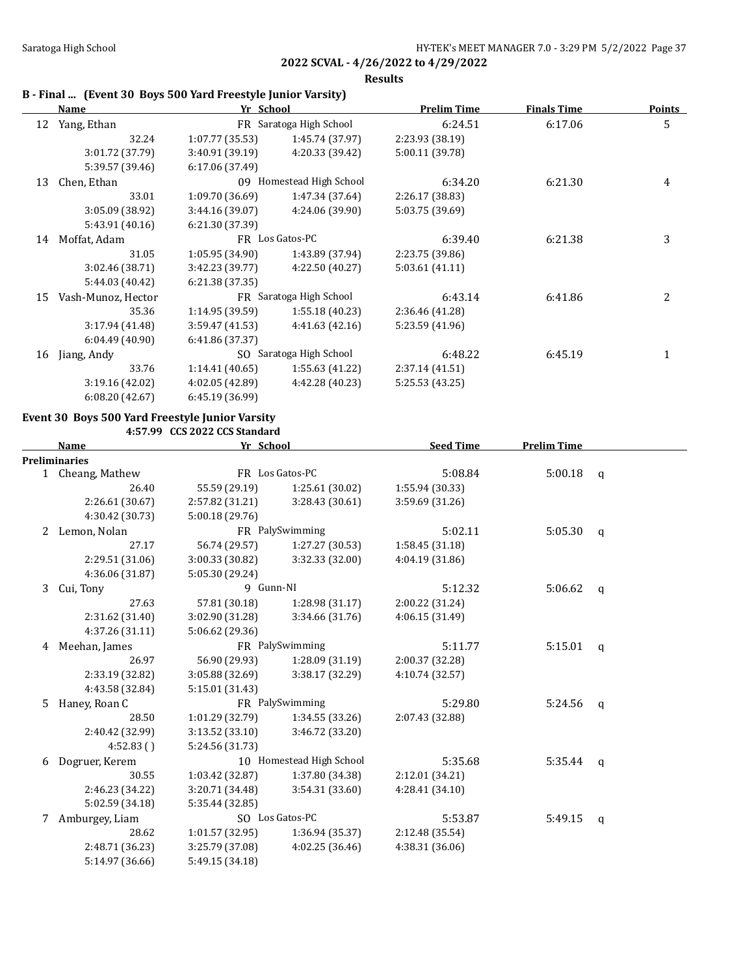**Results**

## **B - Final ... (Event 30 Boys 500 Yard Freestyle Junior Varsity)**

|    | Name               | Yr School       |                          | <b>Prelim Time</b> | <b>Finals Time</b> | Points |
|----|--------------------|-----------------|--------------------------|--------------------|--------------------|--------|
| 12 | Yang, Ethan        |                 | FR Saratoga High School  | 6:24.51            | 6:17.06            | 5      |
|    | 32.24              | 1:07.77 (35.53) | 1:45.74 (37.97)          | 2:23.93 (38.19)    |                    |        |
|    | 3:01.72 (37.79)    | 3:40.91(39.19)  | 4:20.33 (39.42)          | 5:00.11 (39.78)    |                    |        |
|    | 5:39.57 (39.46)    | 6:17.06 (37.49) |                          |                    |                    |        |
| 13 | Chen, Ethan        |                 | 09 Homestead High School | 6:34.20            | 6:21.30            | 4      |
|    | 33.01              | 1:09.70 (36.69) | 1:47.34 (37.64)          | 2:26.17 (38.83)    |                    |        |
|    | 3:05.09 (38.92)    | 3:44.16(39.07)  | 4:24.06 (39.90)          | 5:03.75 (39.69)    |                    |        |
|    | 5:43.91 (40.16)    | 6:21.30 (37.39) |                          |                    |                    |        |
| 14 | Moffat, Adam       |                 | FR Los Gatos-PC          | 6:39.40            | 6:21.38            | 3      |
|    | 31.05              | 1:05.95(34.90)  | 1:43.89 (37.94)          | 2:23.75 (39.86)    |                    |        |
|    | 3:02.46 (38.71)    | 3:42.23 (39.77) | 4:22.50 (40.27)          | 5:03.61 (41.11)    |                    |        |
|    | 5:44.03 (40.42)    | 6:21.38(37.35)  |                          |                    |                    |        |
| 15 | Vash-Munoz, Hector |                 | FR Saratoga High School  | 6:43.14            | 6:41.86            | 2      |
|    | 35.36              | 1:14.95(39.59)  | 1:55.18(40.23)           | 2:36.46 (41.28)    |                    |        |
|    | 3:17.94 (41.48)    | 3:59.47 (41.53) | 4:41.63(42.16)           | 5:23.59 (41.96)    |                    |        |
|    | 6:04.49(40.90)     | 6:41.86 (37.37) |                          |                    |                    |        |
| 16 | Jiang, Andy        | SO.             | Saratoga High School     | 6:48.22            | 6:45.19            |        |
|    | 33.76              | 1:14.41(40.65)  | 1:55.63 (41.22)          | 2:37.14(41.51)     |                    |        |
|    | 3:19.16(42.02)     | 4:02.05(42.89)  | 4:42.28 (40.23)          | 5:25.53 (43.25)    |                    |        |
|    | 6:08.20(42.67)     | 6:45.19 (36.99) |                          |                    |                    |        |

### **Event 30 Boys 500 Yard Freestyle Junior Varsity**

**4:57.99 CCS 2022 CCS Standard**

|   | <b>Name</b>          |                 | Yr School                |                 | <b>Prelim Time</b> |              |
|---|----------------------|-----------------|--------------------------|-----------------|--------------------|--------------|
|   | <b>Preliminaries</b> |                 |                          |                 |                    |              |
|   | 1 Cheang, Mathew     |                 | FR Los Gatos-PC          | 5:08.84         | 5:00.18            | $\mathsf{q}$ |
|   | 26.40                | 55.59 (29.19)   | 1:25.61 (30.02)          | 1:55.94 (30.33) |                    |              |
|   | 2:26.61 (30.67)      | 2:57.82 (31.21) | 3:28.43 (30.61)          | 3:59.69 (31.26) |                    |              |
|   | 4:30.42 (30.73)      | 5:00.18(29.76)  |                          |                 |                    |              |
| 2 | Lemon, Nolan         |                 | FR PalySwimming          | 5:02.11         | 5:05.30            | $\mathsf{q}$ |
|   | 27.17                | 56.74 (29.57)   | 1:27.27 (30.53)          | 1:58.45(31.18)  |                    |              |
|   | 2:29.51 (31.06)      | 3:00.33 (30.82) | 3:32.33 (32.00)          | 4:04.19 (31.86) |                    |              |
|   | 4:36.06 (31.87)      | 5:05.30 (29.24) |                          |                 |                    |              |
| 3 | Cui, Tony            | 9 Gunn-NI       |                          | 5:12.32         | 5:06.62            | $\mathbf{q}$ |
|   | 27.63                | 57.81 (30.18)   | 1:28.98 (31.17)          | 2:00.22 (31.24) |                    |              |
|   | 2:31.62 (31.40)      | 3:02.90 (31.28) | 3:34.66 (31.76)          | 4:06.15 (31.49) |                    |              |
|   | 4:37.26 (31.11)      | 5:06.62 (29.36) |                          |                 |                    |              |
| 4 | Meehan, James        | FR PalySwimming |                          | 5:11.77         | 5:15.01            | $\mathbf{q}$ |
|   | 26.97                | 56.90 (29.93)   | 1:28.09 (31.19)          | 2:00.37 (32.28) |                    |              |
|   | 2:33.19 (32.82)      | 3:05.88 (32.69) | 3:38.17 (32.29)          | 4:10.74 (32.57) |                    |              |
|   | 4:43.58 (32.84)      | 5:15.01 (31.43) |                          |                 |                    |              |
| 5 | Haney, Roan C        |                 | FR PalySwimming          | 5:29.80         | 5:24.56            | $\mathsf{q}$ |
|   | 28.50                | 1:01.29 (32.79) | 1:34.55 (33.26)          | 2:07.43 (32.88) |                    |              |
|   | 2:40.42 (32.99)      | 3:13.52 (33.10) | 3:46.72 (33.20)          |                 |                    |              |
|   | 4:52.83()            | 5:24.56 (31.73) |                          |                 |                    |              |
| 6 | Dogruer, Kerem       |                 | 10 Homestead High School | 5:35.68         | 5:35.44            | $\mathbf{q}$ |
|   | 30.55                | 1:03.42 (32.87) | 1:37.80 (34.38)          | 2:12.01 (34.21) |                    |              |
|   | 2:46.23 (34.22)      | 3:20.71 (34.48) | 3:54.31 (33.60)          | 4:28.41 (34.10) |                    |              |
|   | 5:02.59 (34.18)      | 5:35.44 (32.85) |                          |                 |                    |              |
| 7 | Amburgey, Liam       |                 | SO Los Gatos-PC          | 5:53.87         | 5:49.15            | $\mathsf{q}$ |
|   | 28.62                | 1:01.57 (32.95) | 1:36.94 (35.37)          | 2:12.48 (35.54) |                    |              |
|   | 2:48.71 (36.23)      | 3:25.79 (37.08) | 4:02.25 (36.46)          | 4:38.31 (36.06) |                    |              |
|   | 5:14.97 (36.66)      | 5:49.15 (34.18) |                          |                 |                    |              |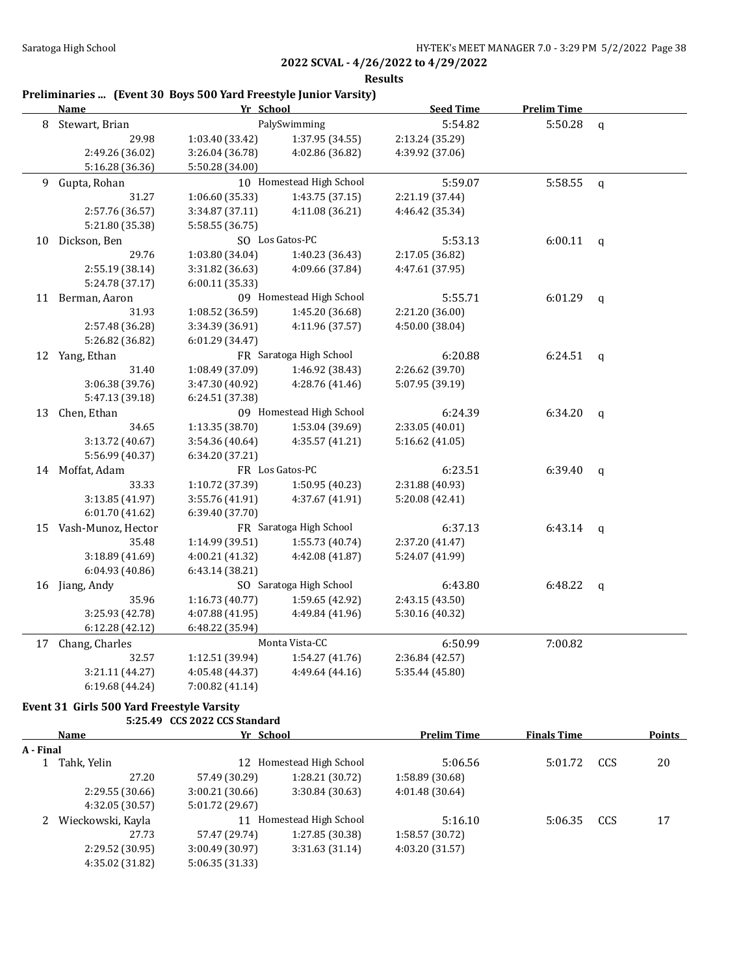**Results**

# **Preliminaries ... (Event 30 Boys 500 Yard Freestyle Junior Varsity)**

|    | <b>Name</b><br>Yr School |                 |                          | <b>Seed Time</b> | <b>Prelim Time</b> |              |
|----|--------------------------|-----------------|--------------------------|------------------|--------------------|--------------|
|    | 8 Stewart, Brian         |                 | PalySwimming             | 5:54.82          | 5:50.28            | $\mathsf{q}$ |
|    | 29.98                    | 1:03.40 (33.42) | 1:37.95 (34.55)          | 2:13.24 (35.29)  |                    |              |
|    | 2:49.26 (36.02)          | 3:26.04 (36.78) | 4:02.86 (36.82)          | 4:39.92 (37.06)  |                    |              |
|    | 5:16.28 (36.36)          | 5:50.28 (34.00) |                          |                  |                    |              |
| 9  | Gupta, Rohan             |                 | 10 Homestead High School | 5:59.07          | 5:58.55            | $\mathbf q$  |
|    | 31.27                    | 1:06.60(35.33)  | 1:43.75(37.15)           | 2:21.19 (37.44)  |                    |              |
|    | 2:57.76 (36.57)          | 3:34.87 (37.11) | 4:11.08 (36.21)          | 4:46.42 (35.34)  |                    |              |
|    | 5:21.80 (35.38)          | 5:58.55 (36.75) |                          |                  |                    |              |
|    | 10 Dickson, Ben          |                 | SO Los Gatos-PC          | 5:53.13          | $6:00.11$ q        |              |
|    | 29.76                    | 1:03.80 (34.04) | 1:40.23 (36.43)          | 2:17.05 (36.82)  |                    |              |
|    | 2:55.19 (38.14)          | 3:31.82 (36.63) | 4:09.66 (37.84)          | 4:47.61 (37.95)  |                    |              |
|    | 5:24.78 (37.17)          | 6:00.11 (35.33) |                          |                  |                    |              |
|    | 11 Berman, Aaron         |                 | 09 Homestead High School | 5:55.71          | 6:01.29            | $\mathsf{q}$ |
|    | 31.93                    | 1:08.52 (36.59) | 1:45.20 (36.68)          | 2:21.20 (36.00)  |                    |              |
|    | 2:57.48 (36.28)          | 3:34.39 (36.91) | 4:11.96 (37.57)          | 4:50.00 (38.04)  |                    |              |
|    | 5:26.82 (36.82)          | 6:01.29 (34.47) |                          |                  |                    |              |
|    | 12 Yang, Ethan           |                 | FR Saratoga High School  | 6:20.88          | 6:24.51            | $\mathsf{q}$ |
|    | 31.40                    | 1:08.49 (37.09) | 1:46.92 (38.43)          | 2:26.62 (39.70)  |                    |              |
|    | 3:06.38 (39.76)          | 3:47.30 (40.92) | 4:28.76 (41.46)          | 5:07.95 (39.19)  |                    |              |
|    | 5:47.13 (39.18)          | 6:24.51 (37.38) |                          |                  |                    |              |
| 13 | Chen, Ethan              |                 | 09 Homestead High School | 6:24.39          | 6:34.20            | $\mathsf{q}$ |
|    | 34.65                    | 1:13.35 (38.70) | 1:53.04 (39.69)          | 2:33.05 (40.01)  |                    |              |
|    | 3:13.72 (40.67)          | 3:54.36 (40.64) | 4:35.57 (41.21)          | 5:16.62(41.05)   |                    |              |
|    | 5:56.99 (40.37)          | 6:34.20 (37.21) |                          |                  |                    |              |
|    | 14 Moffat, Adam          |                 | FR Los Gatos-PC          | 6:23.51          | 6:39.40            | $\mathsf{q}$ |
|    | 33.33                    | 1:10.72 (37.39) | 1:50.95 (40.23)          | 2:31.88 (40.93)  |                    |              |
|    | 3:13.85 (41.97)          | 3:55.76 (41.91) | 4:37.67 (41.91)          | 5:20.08 (42.41)  |                    |              |
|    | 6:01.70 (41.62)          | 6:39.40 (37.70) |                          |                  |                    |              |
|    | 15 Vash-Munoz, Hector    |                 | FR Saratoga High School  | 6:37.13          | 6:43.14            | q            |
|    | 35.48                    | 1:14.99 (39.51) | 1:55.73 (40.74)          | 2:37.20 (41.47)  |                    |              |
|    | 3:18.89 (41.69)          | 4:00.21 (41.32) | 4:42.08 (41.87)          | 5:24.07 (41.99)  |                    |              |
|    | 6:04.93 (40.86)          | 6:43.14 (38.21) |                          |                  |                    |              |
|    | 16 Jiang, Andy           |                 | SO Saratoga High School  | 6:43.80          | 6:48.22            | q            |
|    | 35.96                    | 1:16.73 (40.77) | 1:59.65 (42.92)          | 2:43.15 (43.50)  |                    |              |
|    | 3:25.93 (42.78)          | 4:07.88 (41.95) | 4:49.84 (41.96)          | 5:30.16 (40.32)  |                    |              |
|    | 6:12.28 (42.12)          | 6:48.22 (35.94) |                          |                  |                    |              |
|    | 17 Chang, Charles        |                 | Monta Vista-CC           | 6:50.99          | 7:00.82            |              |
|    | 32.57                    | 1:12.51 (39.94) | 1:54.27 (41.76)          | 2:36.84 (42.57)  |                    |              |
|    | 3:21.11 (44.27)          | 4:05.48 (44.37) | 4:49.64 (44.16)          | 5:35.44 (45.80)  |                    |              |
|    | 6:19.68 (44.24)          | 7:00.82 (41.14) |                          |                  |                    |              |

# **Event 31 Girls 500 Yard Freestyle Varsity**

**5:25.49 CCS 2022 CCS Standard**

| Name              | Yr School       |                 | <b>Prelim Time</b>                             | <b>Finals Time</b> |     | <b>Points</b> |  |
|-------------------|-----------------|-----------------|------------------------------------------------|--------------------|-----|---------------|--|
|                   |                 |                 |                                                |                    |     |               |  |
| Tahk, Yelin       | 12              |                 | 5:06.56                                        | 5:01.72            | CCS | 20            |  |
| 27.20             | 57.49 (30.29)   | 1:28.21 (30.72) | 1:58.89 (30.68)                                |                    |     |               |  |
| 2:29.55 (30.66)   | 3:00.21(30.66)  | 3:30.84 (30.63) | 4:01.48 (30.64)                                |                    |     |               |  |
| 4:32.05(30.57)    | 5:01.72 (29.67) |                 |                                                |                    |     |               |  |
| Wieckowski, Kayla | 11              |                 | 5:16.10                                        | 5:06.35            | CCS | 17            |  |
| 27.73             | 57.47 (29.74)   | 1:27.85 (30.38) | 1:58.57 (30.72)                                |                    |     |               |  |
| 2:29.52 (30.95)   | 3:00.49(30.97)  | 3:31.63(31.14)  | 4:03.20 (31.57)                                |                    |     |               |  |
| 4:35.02 (31.82)   | 5:06.35(31.33)  |                 |                                                |                    |     |               |  |
|                   | A - Final       |                 | Homestead High School<br>Homestead High School |                    |     |               |  |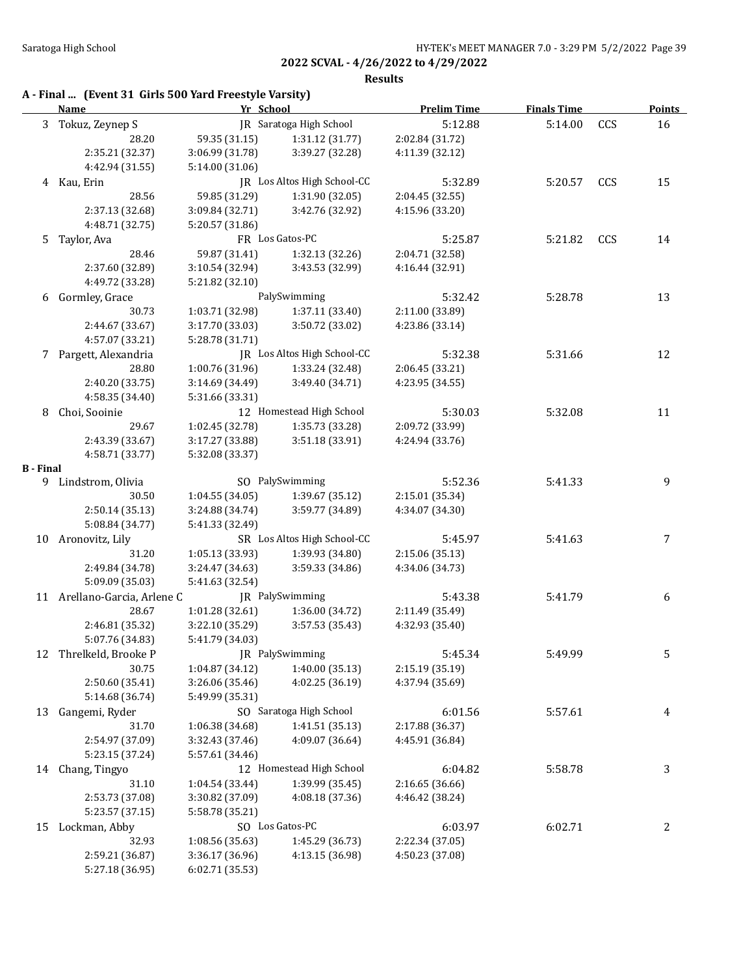**Results**

| A - Final  (Event 31 Girls 500 Yard Freestyle Varsity) |  |  |  |  |  |
|--------------------------------------------------------|--|--|--|--|--|
|--------------------------------------------------------|--|--|--|--|--|

|                  | <b>Name</b>                        | Yr School       |                                    | <b>Prelim Time</b> | <b>Finals Time</b> |     | <b>Points</b> |
|------------------|------------------------------------|-----------------|------------------------------------|--------------------|--------------------|-----|---------------|
|                  | 3 Tokuz, Zeynep S                  |                 | IR Saratoga High School            | 5:12.88            | 5:14.00            | CCS | 16            |
|                  | 28.20                              | 59.35 (31.15)   | 1:31.12 (31.77)                    | 2:02.84 (31.72)    |                    |     |               |
|                  | 2:35.21 (32.37)                    | 3:06.99 (31.78) | 3:39.27 (32.28)                    | 4:11.39 (32.12)    |                    |     |               |
|                  | 4:42.94 (31.55)                    | 5:14.00 (31.06) |                                    |                    |                    |     |               |
|                  | 4 Kau, Erin                        |                 | JR Los Altos High School-CC        | 5:32.89            | 5:20.57            | CCS | 15            |
|                  | 28.56                              | 59.85 (31.29)   | 1:31.90 (32.05)                    | 2:04.45 (32.55)    |                    |     |               |
|                  | 2:37.13 (32.68)                    | 3:09.84 (32.71) | 3:42.76 (32.92)                    | 4:15.96 (33.20)    |                    |     |               |
|                  | 4:48.71 (32.75)                    | 5:20.57 (31.86) |                                    |                    |                    |     |               |
| 5                | Taylor, Ava                        |                 | FR Los Gatos-PC                    | 5:25.87            | 5:21.82            | CCS | 14            |
|                  | 28.46                              | 59.87 (31.41)   | 1:32.13 (32.26)                    | 2:04.71 (32.58)    |                    |     |               |
|                  | 2:37.60 (32.89)                    | 3:10.54 (32.94) | 3:43.53 (32.99)                    | 4:16.44 (32.91)    |                    |     |               |
|                  | 4:49.72 (33.28)                    | 5:21.82 (32.10) |                                    |                    |                    |     |               |
| 6                | Gormley, Grace                     |                 | PalySwimming                       | 5:32.42            | 5:28.78            |     | 13            |
|                  | 30.73                              | 1:03.71 (32.98) | 1:37.11 (33.40)                    | 2:11.00 (33.89)    |                    |     |               |
|                  | 2:44.67 (33.67)                    | 3:17.70 (33.03) | 3:50.72 (33.02)                    | 4:23.86 (33.14)    |                    |     |               |
|                  | 4:57.07 (33.21)                    | 5:28.78 (31.71) |                                    |                    |                    |     |               |
|                  | 7 Pargett, Alexandria              |                 | JR Los Altos High School-CC        | 5:32.38            | 5:31.66            |     | 12            |
|                  | 28.80                              | 1:00.76 (31.96) | 1:33.24 (32.48)                    | 2:06.45 (33.21)    |                    |     |               |
|                  | 2:40.20 (33.75)                    | 3:14.69(34.49)  | 3:49.40 (34.71)                    | 4:23.95 (34.55)    |                    |     |               |
|                  | 4:58.35 (34.40)                    | 5:31.66 (33.31) |                                    |                    |                    |     |               |
| 8                | Choi, Sooinie                      |                 | 12 Homestead High School           | 5:30.03            | 5:32.08            |     | 11            |
|                  |                                    |                 |                                    |                    |                    |     |               |
|                  | 29.67                              | 1:02.45 (32.78) | 1:35.73 (33.28)<br>3:51.18 (33.91) | 2:09.72 (33.99)    |                    |     |               |
|                  | 2:43.39 (33.67)                    | 3:17.27 (33.88) |                                    | 4:24.94 (33.76)    |                    |     |               |
| <b>B</b> - Final | 4:58.71 (33.77)                    | 5:32.08 (33.37) |                                    |                    |                    |     |               |
|                  | 9 Lindstrom, Olivia                |                 | SO PalySwimming                    | 5:52.36            | 5:41.33            |     | 9             |
|                  | 30.50                              | 1:04.55(34.05)  | 1:39.67 (35.12)                    | 2:15.01 (35.34)    |                    |     |               |
|                  |                                    |                 |                                    |                    |                    |     |               |
|                  | 2:50.14 (35.13)<br>5:08.84 (34.77) | 3:24.88 (34.74) | 3:59.77 (34.89)                    | 4:34.07 (34.30)    |                    |     |               |
|                  |                                    | 5:41.33 (32.49) |                                    |                    |                    |     |               |
|                  | 10 Aronovitz, Lily                 |                 | SR Los Altos High School-CC        | 5:45.97            | 5:41.63            |     | 7             |
|                  | 31.20                              | 1:05.13 (33.93) | 1:39.93 (34.80)                    | 2:15.06 (35.13)    |                    |     |               |
|                  | 2:49.84 (34.78)                    | 3:24.47 (34.63) | 3:59.33 (34.86)                    | 4:34.06 (34.73)    |                    |     |               |
|                  | 5:09.09 (35.03)                    | 5:41.63 (32.54) |                                    |                    |                    |     |               |
|                  | 11 Arellano-Garcia, Arlene C       |                 | JR PalySwimming                    | 5:43.38            | 5:41.79            |     | 6             |
|                  | 28.67                              | 1:01.28 (32.61) | 1:36.00 (34.72)                    | 2:11.49 (35.49)    |                    |     |               |
|                  | 2:46.81 (35.32)                    | 3:22.10 (35.29) | 3:57.53 (35.43)                    | 4:32.93 (35.40)    |                    |     |               |
|                  | 5:07.76 (34.83)                    | 5:41.79 (34.03) |                                    |                    |                    |     |               |
| 12               | Threlkeld, Brooke P                | JR PalySwimming |                                    | 5:45.34            | 5:49.99            |     | C             |
|                  | 30.75                              | 1:04.87 (34.12) | 1:40.00 (35.13)                    | 2:15.19 (35.19)    |                    |     |               |
|                  | 2:50.60 (35.41)                    | 3:26.06 (35.46) | 4:02.25 (36.19)                    | 4:37.94 (35.69)    |                    |     |               |
|                  | 5:14.68 (36.74)                    | 5:49.99 (35.31) |                                    |                    |                    |     |               |
| 13               | Gangemi, Ryder                     |                 | SO Saratoga High School            | 6:01.56            | 5:57.61            |     | 4             |
|                  | 31.70                              | 1:06.38 (34.68) | 1:41.51 (35.13)                    | 2:17.88 (36.37)    |                    |     |               |
|                  | 2:54.97 (37.09)                    | 3:32.43 (37.46) | 4:09.07 (36.64)                    | 4:45.91 (36.84)    |                    |     |               |
|                  | 5:23.15 (37.24)                    | 5:57.61 (34.46) |                                    |                    |                    |     |               |
| 14               | Chang, Tingyo                      |                 | 12 Homestead High School           | 6:04.82            | 5:58.78            |     | 3             |
|                  | 31.10                              | 1:04.54 (33.44) | 1:39.99 (35.45)                    | 2:16.65 (36.66)    |                    |     |               |
|                  | 2:53.73 (37.08)                    | 3:30.82 (37.09) | 4:08.18 (37.36)                    | 4:46.42 (38.24)    |                    |     |               |
|                  | 5:23.57 (37.15)                    | 5:58.78 (35.21) |                                    |                    |                    |     |               |
| 15               | Lockman, Abby                      |                 | SO Los Gatos-PC                    | 6:03.97            | 6:02.71            |     | 2             |
|                  | 32.93                              | 1:08.56 (35.63) | 1:45.29 (36.73)                    | 2:22.34 (37.05)    |                    |     |               |
|                  | 2:59.21 (36.87)                    | 3:36.17 (36.96) | 4:13.15 (36.98)                    | 4:50.23 (37.08)    |                    |     |               |
|                  | 5:27.18 (36.95)                    | 6:02.71 (35.53) |                                    |                    |                    |     |               |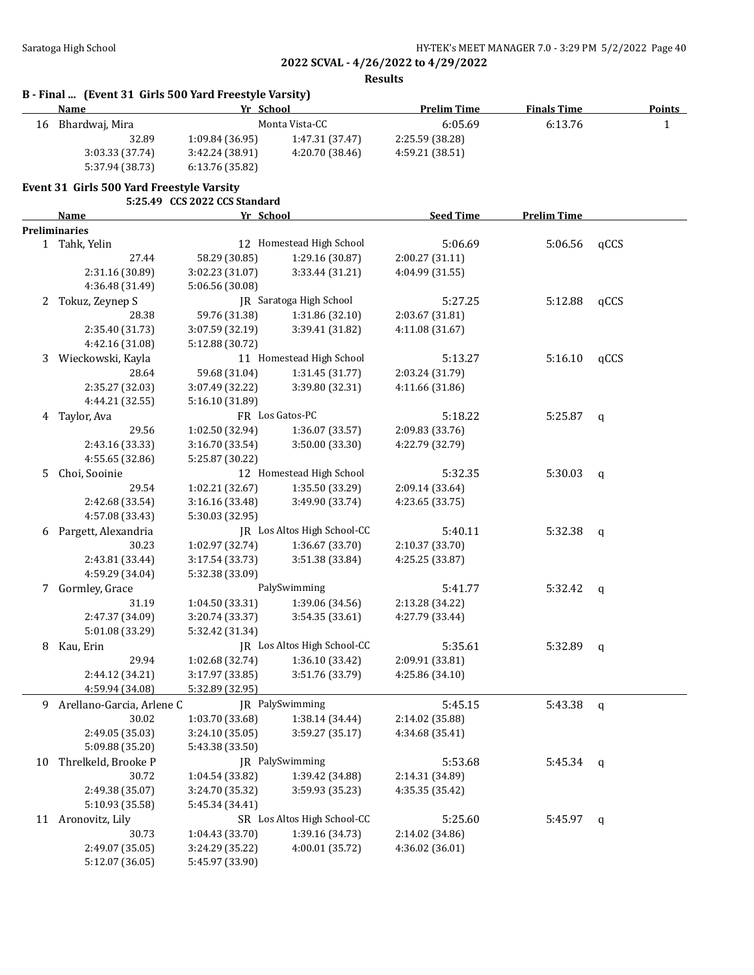**Results**

|    | Name                                      | Yr School                     |                             | <b>Prelim Time</b> | <b>Finals Time</b> |             | <b>Points</b> |
|----|-------------------------------------------|-------------------------------|-----------------------------|--------------------|--------------------|-------------|---------------|
| 16 | Bhardwaj, Mira                            |                               | Monta Vista-CC              | 6:05.69            | 6:13.76            |             | $\mathbf{1}$  |
|    | 32.89                                     | 1:09.84 (36.95)               | 1:47.31 (37.47)             | 2:25.59 (38.28)    |                    |             |               |
|    | 3:03.33 (37.74)                           | 3:42.24 (38.91)               | 4:20.70 (38.46)             | 4:59.21 (38.51)    |                    |             |               |
|    | 5:37.94 (38.73)                           | 6:13.76 (35.82)               |                             |                    |                    |             |               |
|    | Event 31 Girls 500 Yard Freestyle Varsity |                               |                             |                    |                    |             |               |
|    |                                           | 5:25.49 CCS 2022 CCS Standard |                             |                    |                    |             |               |
|    | Name                                      | Yr School                     |                             | <b>Seed Time</b>   | <b>Prelim Time</b> |             |               |
|    | <b>Preliminaries</b>                      |                               |                             |                    |                    |             |               |
|    | 1 Tahk, Yelin                             |                               | 12 Homestead High School    | 5:06.69            | 5:06.56            | qCCS        |               |
|    | 27.44                                     | 58.29 (30.85)                 | 1:29.16 (30.87)             | 2:00.27 (31.11)    |                    |             |               |
|    | 2:31.16 (30.89)                           | 3:02.23 (31.07)               | 3:33.44 (31.21)             | 4:04.99 (31.55)    |                    |             |               |
|    | 4:36.48 (31.49)                           | 5:06.56 (30.08)               |                             |                    |                    |             |               |
| 2  | Tokuz, Zeynep S                           |                               | JR Saratoga High School     | 5:27.25            | 5:12.88            | qCCS        |               |
|    | 28.38                                     | 59.76 (31.38)                 | 1:31.86 (32.10)             | 2:03.67 (31.81)    |                    |             |               |
|    | 2:35.40 (31.73)                           | 3:07.59 (32.19)               | 3:39.41 (31.82)             | 4:11.08 (31.67)    |                    |             |               |
|    | 4:42.16 (31.08)                           | 5:12.88 (30.72)               |                             |                    |                    |             |               |
| 3  | Wieckowski, Kayla                         |                               | 11 Homestead High School    | 5:13.27            | 5:16.10            | qCCS        |               |
|    | 28.64                                     | 59.68 (31.04)                 | 1:31.45(31.77)              | 2:03.24 (31.79)    |                    |             |               |
|    | 2:35.27 (32.03)                           | 3:07.49 (32.22)               | 3:39.80 (32.31)             | 4:11.66 (31.86)    |                    |             |               |
|    | 4:44.21 (32.55)                           | 5:16.10 (31.89)               |                             |                    |                    |             |               |
| 4  | Taylor, Ava                               |                               | FR Los Gatos-PC             | 5:18.22            | 5:25.87            |             |               |
|    | 29.56                                     | 1:02.50 (32.94)               | 1:36.07 (33.57)             | 2:09.83 (33.76)    |                    | $\mathbf q$ |               |
|    |                                           |                               |                             |                    |                    |             |               |
|    | 2:43.16 (33.33)                           | 3:16.70 (33.54)               | 3:50.00 (33.30)             | 4:22.79 (32.79)    |                    |             |               |
| 5  | 4:55.65 (32.86)                           | 5:25.87 (30.22)               |                             |                    |                    |             |               |
|    | Choi, Sooinie                             |                               | 12 Homestead High School    | 5:32.35            | 5:30.03            | q           |               |
|    | 29.54                                     | 1:02.21 (32.67)               | 1:35.50 (33.29)             | 2:09.14 (33.64)    |                    |             |               |
|    | 2:42.68 (33.54)                           | 3:16.16 (33.48)               | 3:49.90 (33.74)             | 4:23.65 (33.75)    |                    |             |               |
|    | 4:57.08 (33.43)                           | 5:30.03 (32.95)               |                             |                    |                    |             |               |
| 6  | Pargett, Alexandria                       |                               | JR Los Altos High School-CC | 5:40.11            | 5:32.38            | q           |               |
|    | 30.23                                     | 1:02.97 (32.74)               | 1:36.67 (33.70)             | 2:10.37 (33.70)    |                    |             |               |
|    | 2:43.81 (33.44)                           | 3:17.54 (33.73)               | 3:51.38 (33.84)             | 4:25.25 (33.87)    |                    |             |               |
|    | 4:59.29 (34.04)                           | 5:32.38 (33.09)               |                             |                    |                    |             |               |
| 7  | Gormley, Grace                            |                               | PalySwimming                | 5:41.77            | 5:32.42            | q           |               |
|    | 31.19                                     | 1:04.50 (33.31)               | 1:39.06 (34.56)             | 2:13.28 (34.22)    |                    |             |               |
|    | 2:47.37 (34.09)                           | 3:20.74 (33.37)               | 3:54.35 (33.61)             | 4:27.79 (33.44)    |                    |             |               |
|    | 5:01.08 (33.29)                           | 5:32.42 (31.34)               |                             |                    |                    |             |               |
|    | 8 Kau, Erin                               |                               | JR Los Altos High School-CC | 5:35.61            | 5:32.89            | q           |               |
|    | 29.94                                     | 1:02.68 (32.74)               | 1:36.10 (33.42)             | 2:09.91 (33.81)    |                    |             |               |
|    | 2:44.12 (34.21)                           | 3:17.97 (33.85)               | 3:51.76 (33.79)             | 4:25.86 (34.10)    |                    |             |               |
|    | 4:59.94 (34.08)                           | 5:32.89 (32.95)               |                             |                    |                    |             |               |
|    | 9 Arellano-Garcia, Arlene C               |                               | JR PalySwimming             | 5:45.15            | 5:43.38            | $\mathbf q$ |               |
|    | 30.02                                     | 1:03.70 (33.68)               | 1:38.14 (34.44)             | 2:14.02 (35.88)    |                    |             |               |
|    | 2:49.05 (35.03)                           | 3:24.10 (35.05)               | 3:59.27 (35.17)             | 4:34.68 (35.41)    |                    |             |               |
|    | 5:09.88 (35.20)                           | 5:43.38 (33.50)               |                             |                    |                    |             |               |
| 10 | Threlkeld, Brooke P                       |                               | JR PalySwimming             | 5:53.68            | 5:45.34            | q           |               |
|    | 30.72                                     | 1:04.54 (33.82)               | 1:39.42 (34.88)             | 2:14.31 (34.89)    |                    |             |               |
|    | 2:49.38 (35.07)                           | 3:24.70 (35.32)               | 3:59.93 (35.23)             | 4:35.35 (35.42)    |                    |             |               |
|    | 5:10.93 (35.58)                           | 5:45.34 (34.41)               |                             |                    |                    |             |               |
|    | 11 Aronovitz, Lily                        |                               | SR Los Altos High School-CC | 5:25.60            | 5:45.97            | q           |               |
|    | 30.73                                     | 1:04.43 (33.70)               | 1:39.16 (34.73)             | 2:14.02 (34.86)    |                    |             |               |
|    | 2:49.07 (35.05)                           | 3:24.29 (35.22)               | 4:00.01 (35.72)             | 4:36.02 (36.01)    |                    |             |               |
|    |                                           |                               |                             |                    |                    |             |               |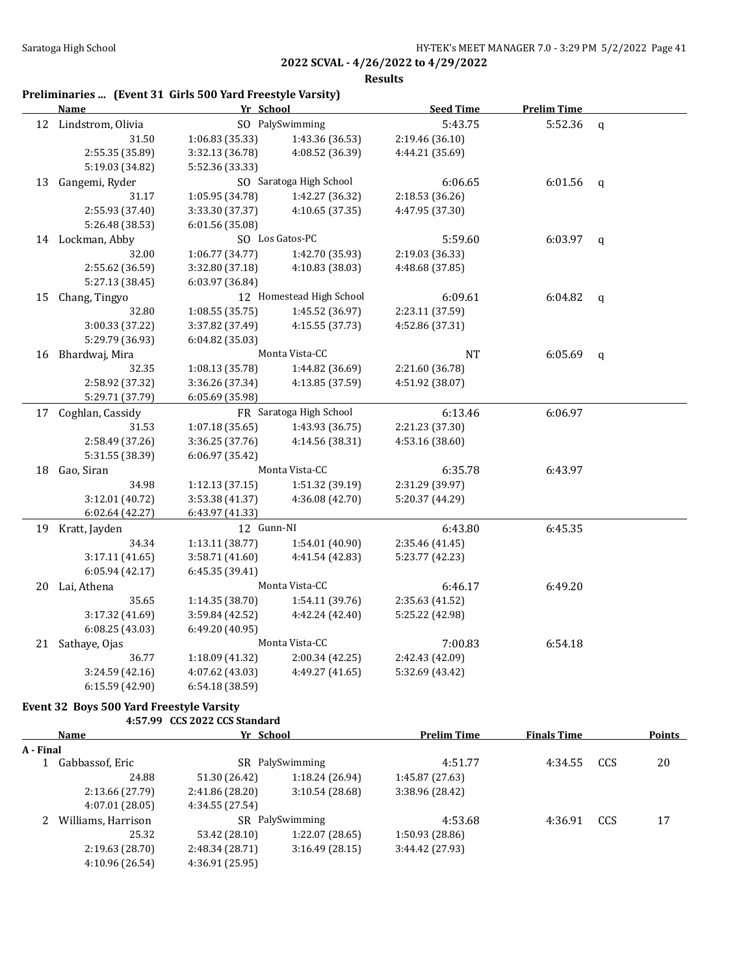**Results**

# **Preliminaries ... (Event 31 Girls 500 Yard Freestyle Varsity)**

|    | <b>Name</b>          | Yr School       |                          | <b>Seed Time</b> | <b>Prelim Time</b> |              |
|----|----------------------|-----------------|--------------------------|------------------|--------------------|--------------|
|    | 12 Lindstrom, Olivia |                 | SO PalySwimming          | 5:43.75          | 5:52.36            | $\mathbf{q}$ |
|    | 31.50                | 1:06.83(35.33)  | 1:43.36 (36.53)          | 2:19.46 (36.10)  |                    |              |
|    | 2:55.35 (35.89)      | 3:32.13 (36.78) | 4:08.52 (36.39)          | 4:44.21 (35.69)  |                    |              |
|    | 5:19.03 (34.82)      | 5:52.36 (33.33) |                          |                  |                    |              |
|    | 13 Gangemi, Ryder    |                 | SO Saratoga High School  | 6:06.65          | 6:01.56            | $\mathbf{q}$ |
|    | 31.17                | 1:05.95 (34.78) | 1:42.27 (36.32)          | 2:18.53 (36.26)  |                    |              |
|    | 2:55.93 (37.40)      | 3:33.30 (37.37) | 4:10.65 (37.35)          | 4:47.95 (37.30)  |                    |              |
|    | 5:26.48 (38.53)      | 6:01.56 (35.08) |                          |                  |                    |              |
|    | 14 Lockman, Abby     |                 | SO Los Gatos-PC          | 5:59.60          | 6:03.97            | q            |
|    | 32.00                | 1:06.77 (34.77) | 1:42.70 (35.93)          | 2:19.03 (36.33)  |                    |              |
|    | 2:55.62 (36.59)      | 3:32.80 (37.18) | 4:10.83 (38.03)          | 4:48.68 (37.85)  |                    |              |
|    | 5:27.13 (38.45)      | 6:03.97 (36.84) |                          |                  |                    |              |
| 15 | Chang, Tingyo        |                 | 12 Homestead High School | 6:09.61          | 6:04.82            | $\mathbf{q}$ |
|    | 32.80                | 1:08.55(35.75)  | 1:45.52 (36.97)          | 2:23.11 (37.59)  |                    |              |
|    | 3:00.33 (37.22)      | 3:37.82 (37.49) | 4:15.55 (37.73)          | 4:52.86 (37.31)  |                    |              |
|    | 5:29.79 (36.93)      | 6:04.82 (35.03) |                          |                  |                    |              |
|    | 16 Bhardwaj, Mira    |                 | Monta Vista-CC           | <b>NT</b>        | 6:05.69            | $\mathsf{q}$ |
|    | 32.35                | 1:08.13 (35.78) | 1:44.82 (36.69)          | 2:21.60 (36.78)  |                    |              |
|    | 2:58.92 (37.32)      | 3:36.26 (37.34) | 4:13.85 (37.59)          | 4:51.92 (38.07)  |                    |              |
|    | 5:29.71 (37.79)      | 6:05.69 (35.98) |                          |                  |                    |              |
|    | 17 Coghlan, Cassidy  |                 | FR Saratoga High School  | 6:13.46          | 6:06.97            |              |
|    | 31.53                | 1:07.18(35.65)  | 1:43.93 (36.75)          | 2:21.23 (37.30)  |                    |              |
|    | 2:58.49 (37.26)      | 3:36.25 (37.76) | 4:14.56 (38.31)          | 4:53.16 (38.60)  |                    |              |
|    | 5:31.55 (38.39)      | 6:06.97 (35.42) |                          |                  |                    |              |
|    | 18 Gao, Siran        |                 | Monta Vista-CC           | 6:35.78          | 6:43.97            |              |
|    | 34.98                | 1:12.13 (37.15) | 1:51.32 (39.19)          | 2:31.29 (39.97)  |                    |              |
|    | 3:12.01 (40.72)      | 3:53.38 (41.37) | 4:36.08 (42.70)          | 5:20.37 (44.29)  |                    |              |
|    | 6:02.64 (42.27)      | 6:43.97 (41.33) |                          |                  |                    |              |
|    | 19 Kratt, Jayden     | 12 Gunn-NI      |                          | 6:43.80          | 6:45.35            |              |
|    | 34.34                | 1:13.11 (38.77) | 1:54.01 (40.90)          | 2:35.46 (41.45)  |                    |              |
|    | 3:17.11 (41.65)      | 3:58.71 (41.60) | 4:41.54 (42.83)          | 5:23.77 (42.23)  |                    |              |
|    | 6:05.94 (42.17)      | 6:45.35 (39.41) |                          |                  |                    |              |
|    | 20 Lai, Athena       |                 | Monta Vista-CC           | 6:46.17          | 6:49.20            |              |
|    | 35.65                | 1:14.35 (38.70) | 1:54.11 (39.76)          | 2:35.63 (41.52)  |                    |              |
|    | 3:17.32 (41.69)      | 3:59.84 (42.52) | 4:42.24 (42.40)          | 5:25.22 (42.98)  |                    |              |
|    | 6:08.25(43.03)       | 6:49.20 (40.95) |                          |                  |                    |              |
|    | 21 Sathaye, Ojas     |                 | Monta Vista-CC           | 7:00.83          | 6:54.18            |              |
|    | 36.77                | 1:18.09 (41.32) | 2:00.34(42.25)           | 2:42.43 (42.09)  |                    |              |
|    | 3:24.59 (42.16)      | 4:07.62 (43.03) | 4:49.27 (41.65)          | 5:32.69 (43.42)  |                    |              |
|    | 6:15.59 (42.90)      | 6:54.18 (38.59) |                          |                  |                    |              |

### **Event 32 Boys 500 Yard Freestyle Varsity**

**4:57.99 CCS 2022 CCS Standard**

| Name<br>A - Final |                    | Yr School       |                 | <b>Prelim Time</b> | <b>Finals Time</b> |     | <b>Points</b> |
|-------------------|--------------------|-----------------|-----------------|--------------------|--------------------|-----|---------------|
|                   |                    |                 |                 |                    |                    |     |               |
|                   | Gabbassof, Eric    |                 | SR PalySwimming |                    | 4:34.55            | CCS | 20            |
|                   | 24.88              | 51.30 (26.42)   | 1:18.24(26.94)  | 1:45.87 (27.63)    |                    |     |               |
|                   | 2:13.66 (27.79)    | 2:41.86 (28.20) | 3:10.54(28.68)  | 3:38.96 (28.42)    |                    |     |               |
|                   | 4:07.01 (28.05)    | 4:34.55(27.54)  |                 |                    |                    |     |               |
|                   | Williams, Harrison |                 | SR PalySwimming | 4:53.68            | 4:36.91            | CCS | 17            |
|                   | 25.32              | 53.42 (28.10)   | 1:22.07 (28.65) | 1:50.93(28.86)     |                    |     |               |
|                   | 2:19.63 (28.70)    | 2:48.34 (28.71) | 3:16.49(28.15)  | 3:44.42 (27.93)    |                    |     |               |
|                   | 4:10.96 (26.54)    | 4:36.91 (25.95) |                 |                    |                    |     |               |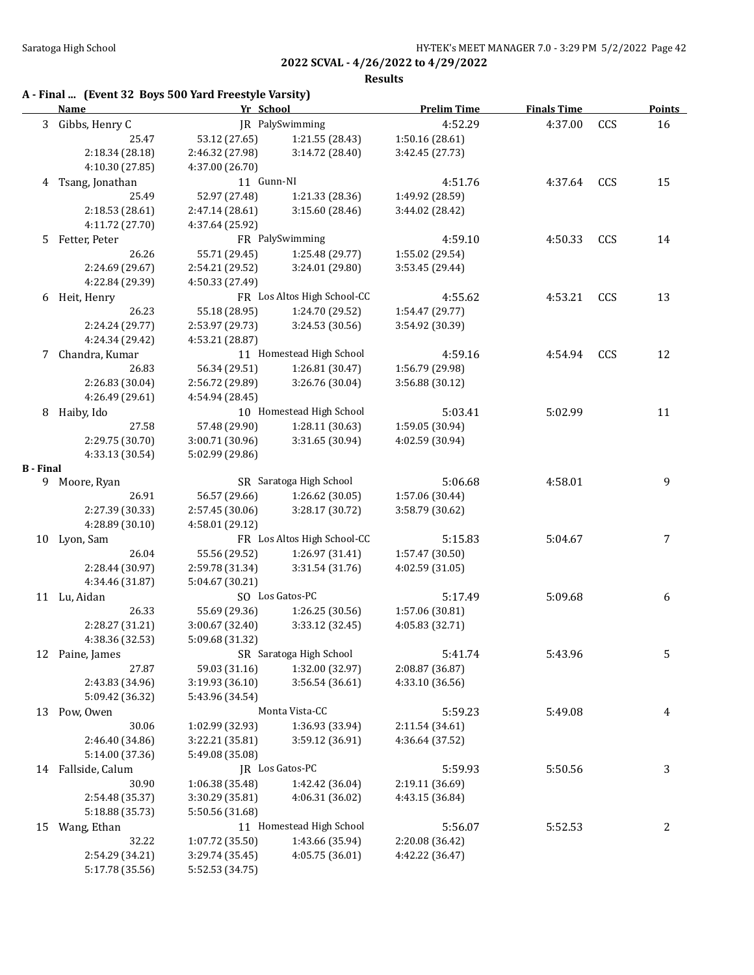|                  |                                                       |                 |                             | 2022 SCVAL - 4/26/2022 to 4/29/2022 |                    |            |               |
|------------------|-------------------------------------------------------|-----------------|-----------------------------|-------------------------------------|--------------------|------------|---------------|
|                  |                                                       |                 |                             | <b>Results</b>                      |                    |            |               |
|                  | A - Final  (Event 32 Boys 500 Yard Freestyle Varsity) |                 |                             |                                     |                    |            |               |
|                  | <b>Name</b>                                           | Yr School       |                             | <b>Prelim Time</b>                  | <b>Finals Time</b> |            | <b>Points</b> |
| 3                | Gibbs, Henry C                                        |                 | JR PalySwimming             | 4:52.29                             | 4:37.00            | CCS        | 16            |
|                  | 25.47                                                 | 53.12 (27.65)   | 1:21.55 (28.43)             | 1:50.16 (28.61)                     |                    |            |               |
|                  | 2:18.34 (28.18)                                       | 2:46.32 (27.98) | 3:14.72 (28.40)             | 3:42.45 (27.73)                     |                    |            |               |
|                  | 4:10.30 (27.85)                                       | 4:37.00 (26.70) |                             |                                     |                    |            |               |
|                  | 4 Tsang, Jonathan                                     | 11 Gunn-NI      |                             | 4:51.76                             | 4:37.64            | <b>CCS</b> | 15            |
|                  | 25.49                                                 | 52.97 (27.48)   | 1:21.33 (28.36)             | 1:49.92 (28.59)                     |                    |            |               |
|                  | 2:18.53(28.61)                                        | 2:47.14 (28.61) | 3:15.60 (28.46)             | 3:44.02 (28.42)                     |                    |            |               |
|                  | 4:11.72 (27.70)                                       | 4:37.64 (25.92) |                             |                                     |                    |            |               |
|                  | 5 Fetter, Peter                                       |                 | FR PalySwimming             | 4:59.10                             | 4:50.33            | CCS        | 14            |
|                  | 26.26                                                 | 55.71 (29.45)   | 1:25.48 (29.77)             | 1:55.02 (29.54)                     |                    |            |               |
|                  | 2:24.69 (29.67)                                       | 2:54.21 (29.52) | 3:24.01 (29.80)             | 3:53.45 (29.44)                     |                    |            |               |
|                  | 4:22.84 (29.39)                                       | 4:50.33 (27.49) |                             |                                     |                    |            |               |
|                  | 6 Heit, Henry                                         |                 | FR Los Altos High School-CC | 4:55.62                             | 4:53.21            | CCS        | 13            |
|                  | 26.23                                                 | 55.18 (28.95)   | 1:24.70 (29.52)             | 1:54.47 (29.77)                     |                    |            |               |
|                  | 2:24.24 (29.77)                                       | 2:53.97 (29.73) | 3:24.53 (30.56)             | 3:54.92 (30.39)                     |                    |            |               |
|                  | 4:24.34 (29.42)                                       | 4:53.21 (28.87) |                             |                                     |                    |            |               |
| 7                | Chandra, Kumar                                        |                 | 11 Homestead High School    | 4:59.16                             | 4:54.94            | CCS        | 12            |
|                  | 26.83                                                 | 56.34 (29.51)   | 1:26.81 (30.47)             | 1:56.79 (29.98)                     |                    |            |               |
|                  | 2:26.83 (30.04)                                       | 2:56.72 (29.89) | 3:26.76 (30.04)             | 3:56.88 (30.12)                     |                    |            |               |
|                  | 4:26.49 (29.61)                                       | 4:54.94 (28.45) |                             |                                     |                    |            |               |
| 8                | Haiby, Ido                                            |                 | 10 Homestead High School    | 5:03.41                             | 5:02.99            |            | 11            |
|                  | 27.58                                                 | 57.48 (29.90)   | 1:28.11 (30.63)             | 1:59.05 (30.94)                     |                    |            |               |
|                  | 2:29.75 (30.70)                                       | 3:00.71 (30.96) | 3:31.65 (30.94)             | 4:02.59 (30.94)                     |                    |            |               |
|                  | 4:33.13 (30.54)                                       | 5:02.99 (29.86) |                             |                                     |                    |            |               |
| <b>B</b> - Final |                                                       |                 |                             |                                     |                    |            |               |
|                  | 9 Moore, Ryan                                         |                 | SR Saratoga High School     | 5:06.68                             | 4:58.01            |            | 9             |
|                  | 26.91                                                 | 56.57 (29.66)   | 1:26.62 (30.05)             | 1:57.06 (30.44)                     |                    |            |               |
|                  | 2:27.39 (30.33)                                       | 2:57.45 (30.06) | 3:28.17 (30.72)             | 3:58.79 (30.62)                     |                    |            |               |
|                  | 4:28.89 (30.10)                                       | 4:58.01 (29.12) |                             |                                     |                    |            |               |
|                  | 10 Lyon, Sam                                          |                 | FR Los Altos High School-CC | 5:15.83                             | 5:04.67            |            | 7             |
|                  | 26.04                                                 | 55.56 (29.52)   | 1:26.97 (31.41)             | 1:57.47 (30.50)                     |                    |            |               |
|                  | 2:28.44 (30.97)                                       | 2:59.78 (31.34) | 3:31.54 (31.76)             | 4:02.59 (31.05)                     |                    |            |               |
|                  | 4:34.46 (31.87)                                       | 5:04.67 (30.21) |                             |                                     |                    |            |               |
|                  | 11 Lu, Aidan                                          |                 | SO Los Gatos-PC             | 5:17.49                             | 5:09.68            |            | 6             |
|                  | 26.33                                                 | 55.69 (29.36)   | 1:26.25 (30.56)             | 1:57.06 (30.81)                     |                    |            |               |
|                  | 2:28.27 (31.21)                                       | 3:00.67 (32.40) | 3:33.12 (32.45)             | 4:05.83 (32.71)                     |                    |            |               |
|                  | 4:38.36 (32.53)                                       | 5:09.68 (31.32) |                             |                                     |                    |            |               |
|                  |                                                       |                 | SR Saratoga High School     |                                     |                    |            |               |
|                  | 12 Paine, James                                       |                 |                             | 5:41.74                             | 5:43.96            |            | 5             |
|                  | 27.87                                                 | 59.03 (31.16)   | 1:32.00 (32.97)             | 2:08.87 (36.87)                     |                    |            |               |
|                  | 2:43.83 (34.96)                                       | 3:19.93 (36.10) | 3:56.54(36.61)              | 4:33.10 (36.56)                     |                    |            |               |
|                  | 5:09.42 (36.32)                                       | 5:43.96 (34.54) |                             |                                     |                    |            |               |
|                  | 13 Pow. Owen                                          |                 | Monta Vista-CC              | 5:59.23                             | 5:49.08            |            |               |

|         | 2:18.53 (28.61)                    | 2:47.14 (28.61)                    | 3:15.60 (28.46)             | 3:44.02 (28.42) |         |            |                |
|---------|------------------------------------|------------------------------------|-----------------------------|-----------------|---------|------------|----------------|
|         | 4:11.72 (27.70)                    | 4:37.64 (25.92)                    |                             |                 |         |            |                |
| 5       | Fetter, Peter                      |                                    | FR PalySwimming             | 4:59.10         | 4:50.33 | <b>CCS</b> | 14             |
|         | 26.26                              | 55.71 (29.45)                      | 1:25.48 (29.77)             | 1:55.02 (29.54) |         |            |                |
|         | 2:24.69 (29.67)                    | 2:54.21 (29.52)                    | 3:24.01 (29.80)             | 3:53.45 (29.44) |         |            |                |
|         | 4:22.84 (29.39)                    | 4:50.33 (27.49)                    |                             |                 |         |            |                |
| 6       | Heit, Henry                        |                                    | FR Los Altos High School-CC | 4:55.62         | 4:53.21 | CCS        | 13             |
|         | 26.23                              | 55.18 (28.95)                      | 1:24.70 (29.52)             | 1:54.47 (29.77) |         |            |                |
|         | 2:24.24 (29.77)                    | 2:53.97 (29.73)                    | 3:24.53 (30.56)             | 3:54.92 (30.39) |         |            |                |
|         | 4:24.34 (29.42)                    | 4:53.21 (28.87)                    |                             |                 |         |            |                |
| 7       | Chandra, Kumar                     |                                    | 11 Homestead High School    | 4:59.16         | 4:54.94 | CCS        | 12             |
|         | 26.83                              | 56.34 (29.51)                      | 1:26.81 (30.47)             | 1:56.79 (29.98) |         |            |                |
|         | 2:26.83 (30.04)                    | 2:56.72 (29.89)                    | 3:26.76 (30.04)             | 3:56.88 (30.12) |         |            |                |
|         | 4:26.49 (29.61)                    | 4:54.94 (28.45)                    |                             |                 |         |            |                |
| 8       | Haiby, Ido                         |                                    | 10 Homestead High School    | 5:03.41         | 5:02.99 |            | 11             |
|         | 27.58                              | 57.48 (29.90)                      | 1:28.11 (30.63)             | 1:59.05 (30.94) |         |            |                |
|         | 2:29.75 (30.70)                    | 3:00.71 (30.96)                    | 3:31.65 (30.94)             | 4:02.59 (30.94) |         |            |                |
|         | 4:33.13 (30.54)                    | 5:02.99 (29.86)                    |                             |                 |         |            |                |
| · Final |                                    |                                    |                             |                 |         |            |                |
|         | 9 Moore, Ryan                      |                                    | SR Saratoga High School     | 5:06.68         | 4:58.01 |            | 9              |
|         | 26.91                              | 56.57 (29.66)                      | 1:26.62 (30.05)             | 1:57.06 (30.44) |         |            |                |
|         | 2:27.39 (30.33)                    | 2:57.45 (30.06)                    | 3:28.17 (30.72)             | 3:58.79 (30.62) |         |            |                |
|         | 4:28.89 (30.10)                    | 4:58.01 (29.12)                    |                             |                 |         |            |                |
|         | 10 Lyon, Sam                       |                                    | FR Los Altos High School-CC | 5:15.83         | 5:04.67 |            | $\overline{7}$ |
|         | 26.04                              | 55.56 (29.52)                      | 1:26.97 (31.41)             | 1:57.47 (30.50) |         |            |                |
|         | 2:28.44 (30.97)                    | 2:59.78 (31.34)                    | 3:31.54 (31.76)             | 4:02.59 (31.05) |         |            |                |
|         | 4:34.46 (31.87)                    | 5:04.67 (30.21)                    |                             |                 |         |            |                |
|         | 11 Lu, Aidan                       |                                    | SO Los Gatos-PC             | 5:17.49         | 5:09.68 |            | 6              |
|         | 26.33                              | 55.69 (29.36)                      | 1:26.25 (30.56)             | 1:57.06 (30.81) |         |            |                |
|         | 2:28.27 (31.21)                    | 3:00.67 (32.40)                    | 3:33.12 (32.45)             | 4:05.83 (32.71) |         |            |                |
|         | 4:38.36 (32.53)                    | 5:09.68 (31.32)                    |                             |                 |         |            |                |
|         | 12 Paine, James                    |                                    | SR Saratoga High School     | 5:41.74         | 5:43.96 |            | 5              |
|         | 27.87                              | 59.03 (31.16)                      | 1:32.00 (32.97)             | 2:08.87 (36.87) |         |            |                |
|         | 2:43.83 (34.96)                    | 3:19.93 (36.10)                    | 3:56.54 (36.61)             | 4:33.10 (36.56) |         |            |                |
|         | 5:09.42 (36.32)                    | 5:43.96 (34.54)                    |                             |                 |         |            |                |
| 13      | Pow, Owen                          |                                    | Monta Vista-CC              | 5:59.23         | 5:49.08 |            | $\overline{4}$ |
|         | 30.06                              | 1:02.99 (32.93)                    | 1:36.93 (33.94)             | 2:11.54 (34.61) |         |            |                |
|         | 2:46.40 (34.86)                    | 3:22.21 (35.81)                    | 3:59.12 (36.91)             | 4:36.64 (37.52) |         |            |                |
|         | 5:14.00 (37.36)                    | 5:49.08 (35.08)                    |                             |                 |         |            |                |
|         | 14 Fallside, Calum                 |                                    | JR Los Gatos-PC             | 5:59.93         | 5:50.56 |            | 3              |
|         | 30.90                              | 1:06.38 (35.48)                    | 1:42.42 (36.04)             | 2:19.11 (36.69) |         |            |                |
|         |                                    |                                    | 4:06.31(36.02)              |                 |         |            |                |
|         | 2:54.48 (35.37)<br>5:18.88 (35.73) | 3:30.29 (35.81)<br>5:50.56 (31.68) |                             | 4:43.15 (36.84) |         |            |                |
|         |                                    |                                    |                             |                 |         |            |                |
| 15      | Wang, Ethan                        |                                    | 11 Homestead High School    | 5:56.07         | 5:52.53 |            | 2              |
|         | 32.22                              | 1:07.72 (35.50)                    | 1:43.66 (35.94)             | 2:20.08 (36.42) |         |            |                |
|         | 2:54.29 (34.21)                    | 3:29.74 (35.45)                    | 4:05.75 (36.01)             | 4:42.22 (36.47) |         |            |                |
|         | 5:17.78 (35.56)                    | 5:52.53 (34.75)                    |                             |                 |         |            |                |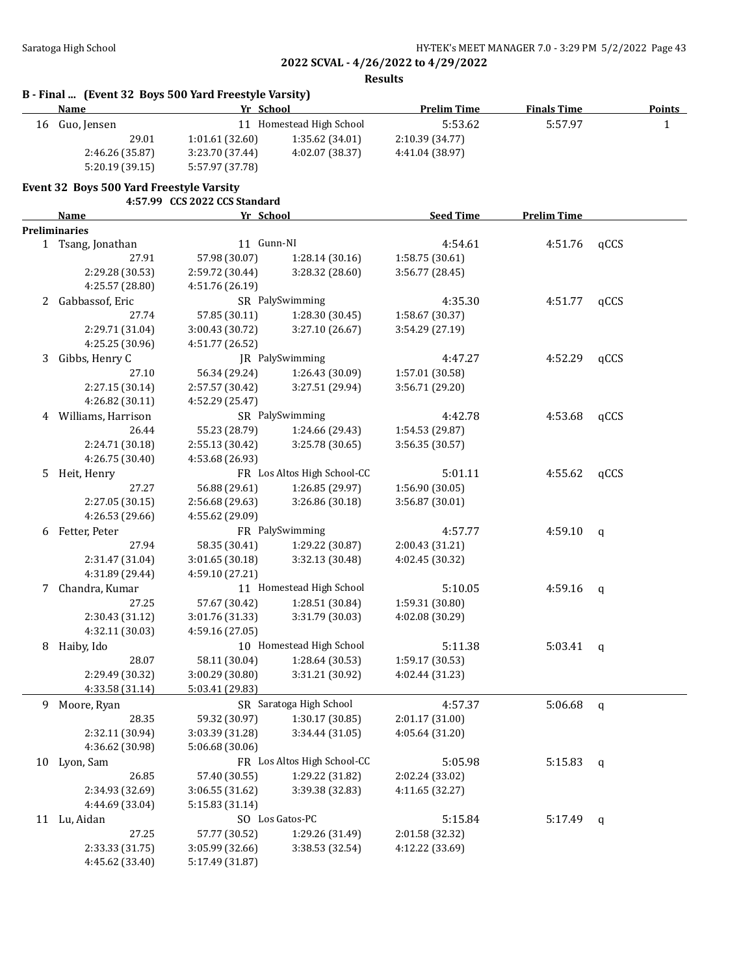**Results**

|    | B - Final  (Event 32 Boys 500 Yard Freestyle Varsity)<br><b>Name</b> | Yr School                     |                             | <b>Prelim Time</b>                 | <b>Finals Time</b> |              | <b>Points</b> |
|----|----------------------------------------------------------------------|-------------------------------|-----------------------------|------------------------------------|--------------------|--------------|---------------|
|    | 16 Guo, Jensen                                                       |                               | 11 Homestead High School    | 5:53.62                            | 5:57.97            |              | $\mathbf{1}$  |
|    | 29.01                                                                | 1:01.61 (32.60)               | 1:35.62 (34.01)             | 2:10.39 (34.77)                    |                    |              |               |
|    | 2:46.26 (35.87)                                                      | 3:23.70 (37.44)               | 4:02.07 (38.37)             | 4:41.04 (38.97)                    |                    |              |               |
|    | 5:20.19(39.15)                                                       | 5:57.97 (37.78)               |                             |                                    |                    |              |               |
|    | Event 32 Boys 500 Yard Freestyle Varsity                             |                               |                             |                                    |                    |              |               |
|    |                                                                      | 4:57.99 CCS 2022 CCS Standard |                             |                                    |                    |              |               |
|    | <b>Name</b>                                                          | Yr School                     |                             | <b>Seed Time</b>                   | <b>Prelim Time</b> |              |               |
|    | <b>Preliminaries</b>                                                 |                               |                             |                                    |                    |              |               |
|    | 1 Tsang, Jonathan                                                    | 11 Gunn-NI                    |                             | 4:54.61                            | 4:51.76            | qCCS         |               |
|    | 27.91                                                                | 57.98 (30.07)                 | 1:28.14 (30.16)             | 1:58.75 (30.61)                    |                    |              |               |
|    | 2:29.28 (30.53)                                                      | 2:59.72 (30.44)               | 3:28.32 (28.60)             | 3:56.77 (28.45)                    |                    |              |               |
|    | 4:25.57 (28.80)                                                      | 4:51.76 (26.19)               |                             |                                    |                    |              |               |
| 2  | Gabbassof, Eric                                                      |                               | SR PalySwimming             | 4:35.30                            | 4:51.77            | qCCS         |               |
|    | 27.74                                                                | 57.85 (30.11)                 | 1:28.30 (30.45)             | 1:58.67 (30.37)                    |                    |              |               |
|    | 2:29.71 (31.04)                                                      | 3:00.43 (30.72)               | 3:27.10 (26.67)             | 3:54.29 (27.19)                    |                    |              |               |
|    | 4:25.25 (30.96)                                                      | 4:51.77 (26.52)               |                             |                                    |                    |              |               |
| 3  | Gibbs, Henry C                                                       |                               | JR PalySwimming             | 4:47.27                            | 4:52.29            | qCCS         |               |
|    | 27.10                                                                | 56.34 (29.24)                 | 1:26.43 (30.09)             | 1:57.01 (30.58)                    |                    |              |               |
|    | 2:27.15 (30.14)                                                      | 2:57.57 (30.42)               | 3:27.51 (29.94)             | 3:56.71 (29.20)                    |                    |              |               |
|    | 4:26.82 (30.11)                                                      | 4:52.29 (25.47)               |                             |                                    |                    |              |               |
|    | 4 Williams, Harrison                                                 |                               | SR PalySwimming             | 4:42.78                            | 4:53.68            | qCCS         |               |
|    | 26.44                                                                |                               |                             |                                    |                    |              |               |
|    |                                                                      | 55.23 (28.79)                 | 1:24.66 (29.43)             | 1:54.53 (29.87)<br>3:56.35 (30.57) |                    |              |               |
|    | 2:24.71 (30.18)                                                      | 2:55.13 (30.42)               | 3:25.78 (30.65)             |                                    |                    |              |               |
|    | 4:26.75 (30.40)                                                      | 4:53.68 (26.93)               |                             |                                    |                    |              |               |
| 5  | Heit, Henry                                                          |                               | FR Los Altos High School-CC | 5:01.11                            | 4:55.62            | qCCS         |               |
|    | 27.27                                                                | 56.88 (29.61)                 | 1:26.85 (29.97)             | 1:56.90 (30.05)                    |                    |              |               |
|    | 2:27.05 (30.15)                                                      | 2:56.68 (29.63)               | 3:26.86 (30.18)             | 3:56.87 (30.01)                    |                    |              |               |
|    | 4:26.53 (29.66)                                                      | 4:55.62 (29.09)               |                             |                                    |                    |              |               |
| 6  | Fetter, Peter                                                        |                               | FR PalySwimming             | 4:57.77                            | 4:59.10            | q            |               |
|    | 27.94                                                                | 58.35 (30.41)                 | 1:29.22 (30.87)             | 2:00.43 (31.21)                    |                    |              |               |
|    | 2:31.47 (31.04)                                                      | 3:01.65 (30.18)               | 3:32.13 (30.48)             | 4:02.45 (30.32)                    |                    |              |               |
|    | 4:31.89 (29.44)                                                      | 4:59.10 (27.21)               |                             |                                    |                    |              |               |
| 7  | Chandra, Kumar                                                       |                               | 11 Homestead High School    | 5:10.05                            | 4:59.16            | q            |               |
|    | 27.25                                                                | 57.67 (30.42)                 | 1:28.51 (30.84)             | 1:59.31 (30.80)                    |                    |              |               |
|    | 2:30.43 (31.12)                                                      | 3:01.76 (31.33)               | 3:31.79 (30.03)             | 4:02.08 (30.29)                    |                    |              |               |
|    | 4:32.11 (30.03)                                                      | 4:59.16 (27.05)               |                             |                                    |                    |              |               |
| 8  | Haiby, Ido                                                           |                               | 10 Homestead High School    | 5:11.38                            | 5:03.41            | $\mathbf{q}$ |               |
|    | 28.07                                                                | 58.11 (30.04)                 | 1:28.64 (30.53)             | 1:59.17 (30.53)                    |                    |              |               |
|    | 2:29.49 (30.32)                                                      | 3:00.29 (30.80)               | 3:31.21 (30.92)             | 4:02.44 (31.23)                    |                    |              |               |
|    | 4:33.58 (31.14)                                                      | 5:03.41 (29.83)               |                             |                                    |                    |              |               |
|    | 9 Moore, Ryan                                                        |                               | SR Saratoga High School     | 4:57.37                            | 5:06.68            | $\mathsf{q}$ |               |
|    | 28.35                                                                | 59.32 (30.97)                 | 1:30.17(30.85)              | 2:01.17 (31.00)                    |                    |              |               |
|    | 2:32.11 (30.94)                                                      | 3:03.39 (31.28)               | 3:34.44 (31.05)             | 4:05.64 (31.20)                    |                    |              |               |
|    | 4:36.62 (30.98)                                                      | 5:06.68 (30.06)               |                             |                                    |                    |              |               |
| 10 | Lyon, Sam                                                            |                               | FR Los Altos High School-CC | 5:05.98                            | 5:15.83            | q            |               |
|    | 26.85                                                                | 57.40 (30.55)                 | 1:29.22 (31.82)             | 2:02.24 (33.02)                    |                    |              |               |
|    | 2:34.93 (32.69)                                                      | 3:06.55 (31.62)               | 3:39.38 (32.83)             | 4:11.65 (32.27)                    |                    |              |               |
|    | 4:44.69 (33.04)                                                      | 5:15.83 (31.14)               |                             |                                    |                    |              |               |
|    | 11 Lu, Aidan                                                         |                               | SO Los Gatos-PC             | 5:15.84                            |                    |              |               |
|    | 27.25                                                                | 57.77 (30.52)                 |                             |                                    | 5:17.49            | q            |               |
|    |                                                                      |                               | 1:29.26 (31.49)             | 2:01.58 (32.32)                    |                    |              |               |
|    | 2:33.33 (31.75)                                                      | 3:05.99 (32.66)               | 3:38.53 (32.54)             | 4:12.22 (33.69)                    |                    |              |               |
|    | 4:45.62 (33.40)                                                      | 5:17.49 (31.87)               |                             |                                    |                    |              |               |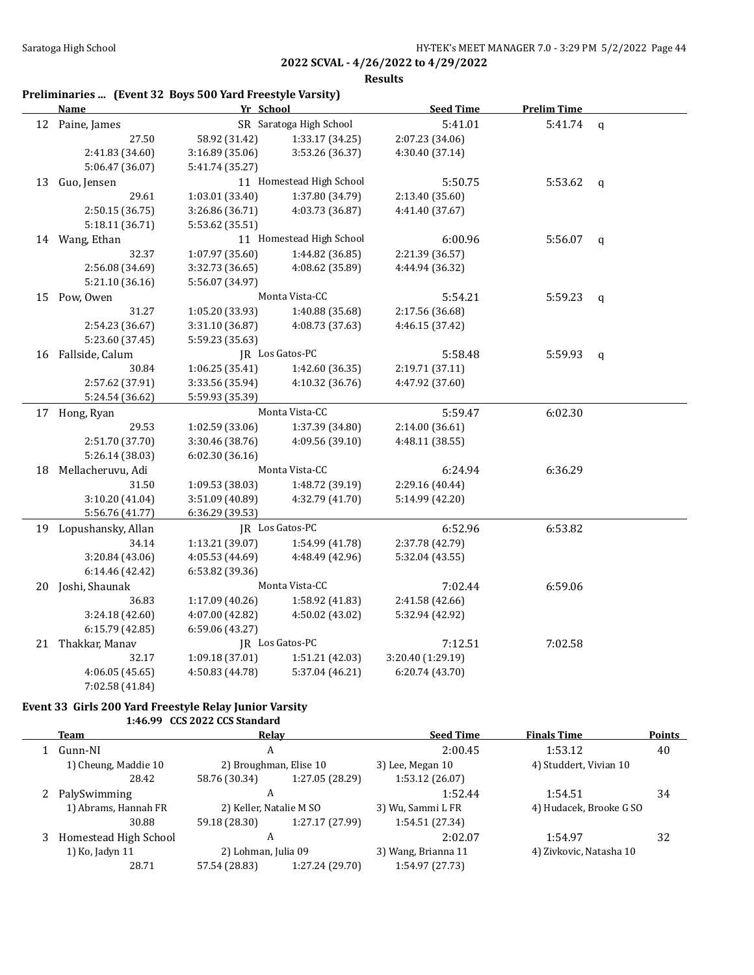**Results**

## **Preliminaries ... (Event 32 Boys 500 Yard Freestyle Varsity)**

|    | <b>Name</b>           |                 | Yr School                |                   | <b>Prelim Time</b> |             |
|----|-----------------------|-----------------|--------------------------|-------------------|--------------------|-------------|
|    | 12 Paine, James       |                 | SR Saratoga High School  | 5:41.01           | $5:41.74$ q        |             |
|    | 27.50                 | 58.92 (31.42)   | 1:33.17 (34.25)          | 2:07.23 (34.06)   |                    |             |
|    | 2:41.83 (34.60)       | 3:16.89 (35.06) | 3:53.26 (36.37)          | 4:30.40 (37.14)   |                    |             |
|    | 5:06.47 (36.07)       | 5:41.74 (35.27) |                          |                   |                    |             |
| 13 | Guo, Jensen           |                 | 11 Homestead High School | 5:50.75           | 5:53.62            | q           |
|    | 29.61                 | 1:03.01 (33.40) | 1:37.80 (34.79)          | 2:13.40 (35.60)   |                    |             |
|    | 2:50.15 (36.75)       | 3:26.86 (36.71) | 4:03.73 (36.87)          | 4:41.40 (37.67)   |                    |             |
|    | 5:18.11 (36.71)       | 5:53.62 (35.51) |                          |                   |                    |             |
|    | 14 Wang, Ethan        |                 | 11 Homestead High School | 6:00.96           | 5:56.07            | $\mathbf q$ |
|    | 32.37                 | 1:07.97(35.60)  | 1:44.82 (36.85)          | 2:21.39 (36.57)   |                    |             |
|    | 2:56.08 (34.69)       | 3:32.73 (36.65) | 4:08.62 (35.89)          | 4:44.94 (36.32)   |                    |             |
|    | 5:21.10 (36.16)       | 5:56.07 (34.97) |                          |                   |                    |             |
| 15 | Pow, Owen             |                 | Monta Vista-CC           | 5:54.21           | 5:59.23            | $\mathbf q$ |
|    | 31.27                 | 1:05.20 (33.93) | 1:40.88 (35.68)          | 2:17.56 (36.68)   |                    |             |
|    | 2:54.23 (36.67)       | 3:31.10 (36.87) | 4:08.73 (37.63)          | 4:46.15 (37.42)   |                    |             |
|    | 5:23.60 (37.45)       | 5:59.23 (35.63) |                          |                   |                    |             |
|    | 16 Fallside, Calum    |                 | JR Los Gatos-PC          | 5:58.48           | 5:59.93            | q           |
|    | 30.84                 | 1:06.25(35.41)  | 1:42.60 (36.35)          | 2:19.71 (37.11)   |                    |             |
|    | 2:57.62 (37.91)       | 3:33.56 (35.94) | 4:10.32 (36.76)          | 4:47.92 (37.60)   |                    |             |
|    | 5:24.54 (36.62)       | 5:59.93 (35.39) |                          |                   |                    |             |
|    | 17 Hong, Ryan         |                 | Monta Vista-CC           | 5:59.47           | 6:02.30            |             |
|    | 29.53                 | 1:02.59 (33.06) | 1:37.39 (34.80)          | 2:14.00 (36.61)   |                    |             |
|    | 2:51.70 (37.70)       | 3:30.46 (38.76) | 4:09.56 (39.10)          | 4:48.11 (38.55)   |                    |             |
|    | 5:26.14 (38.03)       | 6:02.30 (36.16) |                          |                   |                    |             |
| 18 | Mellacheruvu, Adi     |                 | Monta Vista-CC           | 6:24.94           | 6:36.29            |             |
|    | 31.50                 | 1:09.53 (38.03) | 1:48.72 (39.19)          | 2:29.16 (40.44)   |                    |             |
|    | 3:10.20 (41.04)       | 3:51.09 (40.89) | 4:32.79 (41.70)          | 5:14.99 (42.20)   |                    |             |
|    | 5:56.76 (41.77)       | 6:36.29 (39.53) |                          |                   |                    |             |
|    | 19 Lopushansky, Allan |                 | JR Los Gatos-PC          | 6:52.96           | 6:53.82            |             |
|    | 34.14                 | 1:13.21 (39.07) | 1:54.99 (41.78)          | 2:37.78 (42.79)   |                    |             |
|    | 3:20.84 (43.06)       | 4:05.53 (44.69) | 4:48.49 (42.96)          | 5:32.04 (43.55)   |                    |             |
|    | 6:14.46 (42.42)       | 6:53.82 (39.36) |                          |                   |                    |             |
|    | 20 Joshi, Shaunak     |                 | Monta Vista-CC           | 7:02.44           | 6:59.06            |             |
|    | 36.83                 | 1:17.09 (40.26) | 1:58.92 (41.83)          | 2:41.58 (42.66)   |                    |             |
|    | 3:24.18 (42.60)       | 4:07.00 (42.82) | 4:50.02 (43.02)          | 5:32.94 (42.92)   |                    |             |
|    | 6:15.79 (42.85)       | 6:59.06 (43.27) |                          |                   |                    |             |
|    | 21 Thakkar, Manav     |                 | JR Los Gatos-PC          | 7:12.51           | 7:02.58            |             |
|    | 32.17                 | 1:09.18 (37.01) | 1:51.21 (42.03)          | 3:20.40 (1:29.19) |                    |             |
|    | 4:06.05(45.65)        | 4:50.83 (44.78) | 5:37.04 (46.21)          | 6:20.74(43.70)    |                    |             |
|    | 7:02.58 (41.84)       |                 |                          |                   |                    |             |

### **Event 33 Girls 200 Yard Freestyle Relay Junior Varsity 1:46.99 CCS 2022 CCS Standard**

| Team                  | Relay                  |                     | <b>Seed Time</b>        | <b>Finals Time</b>      | <b>Points</b> |
|-----------------------|------------------------|---------------------|-------------------------|-------------------------|---------------|
| Gunn-NI               | A                      |                     | 2:00.45                 | 1:53.12                 | 40            |
| 1) Cheung, Maddie 10  | 2) Broughman, Elise 10 |                     | 3) Lee, Megan 10        | 4) Studdert, Vivian 10  |               |
| 28.42                 | 58.76 (30.34)          | 1:27.05 (28.29)     | 1:53.12 (26.07)         |                         |               |
| 2 PalySwimming        | A                      |                     | 1:52.44                 | 1:54.51                 | 34            |
| 1) Abrams, Hannah FR  |                        |                     | 3) Wu, Sammi L FR       | 4) Hudacek, Brooke G SO |               |
| 30.88                 | 59.18 (28.30)          | 1:27.17 (27.99)     | 1:54.51 (27.34)         |                         |               |
| Homestead High School | A                      |                     | 2:02.07                 | 1:54.97                 | 32            |
| 1) Ko, Jadyn 11       |                        | 2) Lohman, Julia 09 |                         | 4) Zivkovic, Natasha 10 |               |
| 28.71                 | 57.54 (28.83)          | 1:27.24 (29.70)     | 1:54.97 (27.73)         |                         |               |
|                       |                        |                     | 2) Keller, Natalie M SO | 3) Wang, Brianna 11     |               |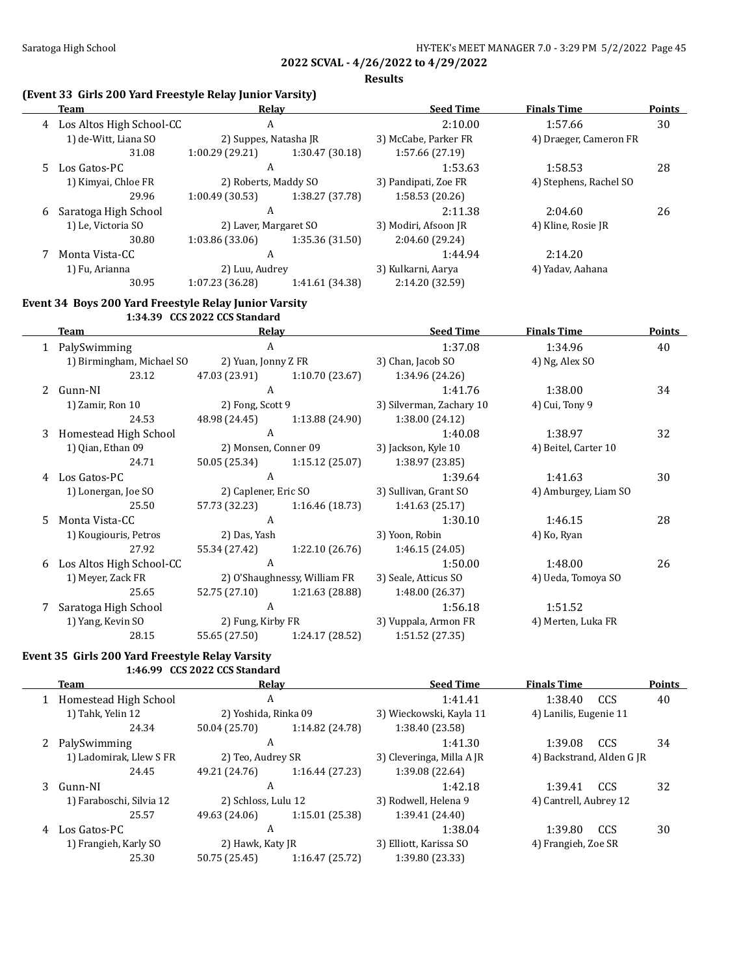**Results**

## **(Event 33 Girls 200 Yard Freestyle Relay Junior Varsity)**

| <b>Team</b> |                                                       | Relay                         |                               | <b>Seed Time</b>         | <b>Finals Time</b>     | <b>Points</b> |
|-------------|-------------------------------------------------------|-------------------------------|-------------------------------|--------------------------|------------------------|---------------|
|             | 4 Los Altos High School-CC                            | $\mathbf{A}$                  |                               | 2:10.00                  | 1:57.66                | 30            |
|             | 1) de-Witt, Liana SO                                  | 2) Suppes, Natasha JR         |                               | 3) McCabe, Parker FR     | 4) Draeger, Cameron FR |               |
|             | 31.08                                                 | 1:00.29(29.21)                | 1:30.47 (30.18)               | 1:57.66 (27.19)          |                        |               |
| 5.          | Los Gatos-PC                                          | $\mathbf{A}$                  |                               | 1:53.63                  | 1:58.53                | 28            |
|             | 1) Kimyai, Chloe FR                                   | 2) Roberts, Maddy SO          |                               | 3) Pandipati, Zoe FR     | 4) Stephens, Rachel SO |               |
|             | 29.96                                                 | 1:00.49(30.53)                | 1:38.27 (37.78)               | 1:58.53 (20.26)          |                        |               |
| 6           | Saratoga High School                                  | $\mathbf{A}$                  |                               | 2:11.38                  | 2:04.60                | 26            |
|             | 1) Le, Victoria SO                                    | 2) Laver, Margaret SO         |                               | 3) Modiri, Afsoon JR     | 4) Kline, Rosie JR     |               |
|             | 30.80                                                 | 1:03.86 (33.06)               | 1:35.36 (31.50)               | 2:04.60 (29.24)          |                        |               |
| 7           | Monta Vista-CC                                        | $\mathbf{A}$                  |                               | 1:44.94                  | 2:14.20                |               |
|             | 1) Fu, Arianna                                        | 2) Luu, Audrey                |                               | 3) Kulkarni, Aarya       | 4) Yadav, Aahana       |               |
|             | 30.95                                                 | 1:07.23 (36.28)               | 1:41.61 (34.38)               | 2:14.20 (32.59)          |                        |               |
|             | Event 34 Boys 200 Yard Freestyle Relay Junior Varsity |                               |                               |                          |                        |               |
|             |                                                       | 1:34.39 CCS 2022 CCS Standard |                               |                          |                        |               |
|             | <b>Team</b>                                           | Relay                         |                               | <b>Seed Time</b>         | <b>Finals Time</b>     | Points        |
|             | 1 PalySwimming                                        | $\overline{A}$                |                               | 1:37.08                  | 1:34.96                | 40            |
|             | 1) Birmingham, Michael SO                             | 2) Yuan, Jonny Z FR           |                               | 3) Chan, Jacob SO        | 4) Ng, Alex SO         |               |
|             | 23.12                                                 | 47.03 (23.91)                 | 1:10.70(23.67)                | 1:34.96 (24.26)          |                        |               |
| 2           | Gunn-NI                                               | $\mathsf{A}$                  |                               | 1:41.76                  | 1:38.00                | 34            |
|             | 1) Zamir, Ron 10                                      | 2) Fong, Scott 9              |                               | 3) Silverman, Zachary 10 | 4) Cui, Tony 9         |               |
|             | 24.53                                                 |                               | 48.98 (24.45) 1:13.88 (24.90) | 1:38.00 (24.12)          |                        |               |
| 3           | Homestead High School                                 | $\mathbf{A}$                  |                               | 1:40.08                  | 1:38.97                | 32            |
|             | 1) Qian, Ethan 09                                     |                               | 2) Monsen, Conner 09          | 3) Jackson, Kyle 10      | 4) Beitel, Carter 10   |               |
|             | 24.71                                                 |                               | 50.05 (25.34) 1:15.12 (25.07) | 1:38.97 (23.85)          |                        |               |
| 4           | Los Gatos-PC                                          | $\mathbf{A}$                  |                               | 1:39.64                  | 1:41.63                | 30            |
|             | 1) Lonergan, Joe SO                                   | 2) Caplener, Eric SO          |                               | 3) Sullivan, Grant SO    | 4) Amburgey, Liam SO   |               |
|             | 25.50                                                 | 57.73 (32.23)                 | 1:16.46 (18.73)               | 1:41.63 (25.17)          |                        |               |
| 5           | Monta Vista-CC                                        | $\mathbf{A}$                  |                               | 1:30.10                  | 1:46.15                | 28            |
|             | 1) Kougiouris, Petros                                 | 2) Das, Yash                  |                               | 3) Yoon, Robin           | 4) Ko, Ryan            |               |
|             | 27.92                                                 | 55.34 (27.42)                 | 1:22.10 (26.76)               | 1:46.15 (24.05)          |                        |               |
| 6           | Los Altos High School-CC                              | $\boldsymbol{A}$              |                               | 1:50.00                  | 1:48.00                | 26            |
|             | 1) Meyer, Zack FR                                     |                               | 2) O'Shaughnessy, William FR  | 3) Seale, Atticus SO     | 4) Ueda, Tomova SO     |               |
|             | 25.65                                                 | 52.75 (27.10)                 | 1:21.63 (28.88)               | 1:48.00 (26.37)          |                        |               |

7 Saratoga High School A 1:56.18 1:55.18 1:51.52 1) Yang, Kevin SO 2) Fung, Kirby FR 3) Vuppala, Armon FR 4) Merten, Luka FR 28.15 55.65 (27.50) 1:24.17 (28.52) 1:51.52 (27.35)

### **Event 35 Girls 200 Yard Freestyle Relay Varsity 1:46.99 CCS 2022 CCS Standard**

 $\overline{a}$ 

|   | Team                     | Relav                |                 | <b>Seed Time</b>          | <b>Finals Time</b>        |            | <b>Points</b> |
|---|--------------------------|----------------------|-----------------|---------------------------|---------------------------|------------|---------------|
|   | 1 Homestead High School  | A                    |                 | 1:41.41                   | 1:38.40                   | <b>CCS</b> | 40            |
|   | 1) Tahk, Yelin 12        | 2) Yoshida, Rinka 09 |                 | 3) Wieckowski, Kayla 11   | 4) Lanilis, Eugenie 11    |            |               |
|   | 24.34                    | 50.04 (25.70)        | 1:14.82 (24.78) | 1:38.40 (23.58)           |                           |            |               |
| 2 | PalySwimming             | A                    |                 | 1:41.30                   | 1:39.08                   | CCS        | 34            |
|   | 1) Ladomirak, Llew S FR  | 2) Teo, Audrey SR    |                 | 3) Cleveringa, Milla A JR | 4) Backstrand, Alden G JR |            |               |
|   | 24.45                    | 49.21 (24.76)        | 1:16.44(27.23)  | 1:39.08 (22.64)           |                           |            |               |
| 3 | Gunn-NI                  | A                    |                 | 1:42.18                   | 1:39.41                   | <b>CCS</b> | 32            |
|   | 1) Faraboschi, Silvia 12 | 2) Schloss, Lulu 12  |                 | 3) Rodwell, Helena 9      | 4) Cantrell, Aubrey 12    |            |               |
|   | 25.57                    | 49.63 (24.06)        | 1:15.01(25.38)  | 1:39.41 (24.40)           |                           |            |               |
| 4 | Los Gatos-PC             | A                    |                 | 1:38.04                   | 1:39.80                   | <b>CCS</b> | 30            |
|   | 1) Frangieh, Karly SO    | 2) Hawk, Katy JR     |                 | 3) Elliott, Karissa SO    | 4) Frangieh, Zoe SR       |            |               |
|   | 25.30                    | 50.75 (25.45)        | 1:16.47(25.72)  | 1:39.80 (23.33)           |                           |            |               |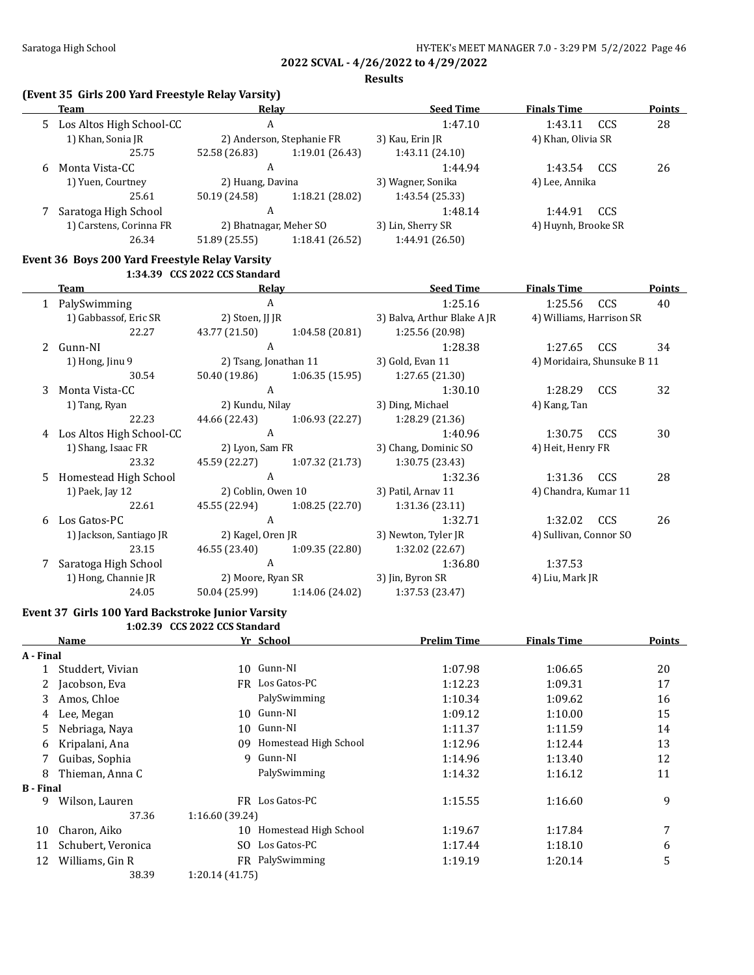**Results**

## **(Event 35 Girls 200 Yard Freestyle Relay Varsity)**

| Team                      | Relay         |                 | <b>Seed Time</b>                                                        | <b>Finals Time</b> |     | <b>Points</b>                             |
|---------------------------|---------------|-----------------|-------------------------------------------------------------------------|--------------------|-----|-------------------------------------------|
| Los Altos High School-CC  | A             |                 | 1:47.10                                                                 | 1:43.11            | CCS | 28                                        |
| 1) Khan, Sonia JR         |               |                 | 3) Kau, Erin JR                                                         |                    |     |                                           |
| 25.75                     | 52.58 (26.83) | 1:19.01(26.43)  | 1:43.11(24.10)                                                          |                    |     |                                           |
| Monta Vista-CC<br>A<br>6  |               | 1:44.94         | 1:43.54                                                                 | CCS                | 26  |                                           |
| 1) Yuen, Courtney         |               |                 | 3) Wagner, Sonika                                                       | 4) Lee, Annika     |     |                                           |
| 25.61                     | 50.19 (24.58) | 1:18.21 (28.02) | 1:43.54 (25.33)                                                         |                    |     |                                           |
| Saratoga High School<br>А |               | 1:48.14         | 1:44.91                                                                 | CCS                |     |                                           |
| 1) Carstens, Corinna FR   |               |                 | 3) Lin, Sherry SR                                                       |                    |     |                                           |
| 26.34                     | 51.89 (25.55) | 1:18.41 (26.52) | 1:44.91 (26.50)                                                         |                    |     |                                           |
|                           |               |                 | 2) Anderson, Stephanie FR<br>2) Huang, Davina<br>2) Bhatnagar, Meher SO |                    |     | 4) Khan, Olivia SR<br>4) Huynh, Brooke SR |

### **Event 36 Boys 200 Yard Freestyle Relay Varsity 1:34.39 CCS 2022 CCS Standard**

|    | Team                     | Relay                 |                    | <b>Seed Time</b>            | <b>Finals Time</b>          |            | <b>Points</b> |
|----|--------------------------|-----------------------|--------------------|-----------------------------|-----------------------------|------------|---------------|
|    | 1 PalySwimming           | A                     |                    | 1:25.16                     | 1:25.56                     | <b>CCS</b> | 40            |
|    | 1) Gabbassof, Eric SR    | 2) Stoen, JJ JR       |                    | 3) Balva, Arthur Blake A JR | 4) Williams, Harrison SR    |            |               |
|    | 22.27                    | 43.77 (21.50)         | 1:04.58 (20.81)    | 1:25.56 (20.98)             |                             |            |               |
|    | 2 Gunn-NI                | A                     |                    | 1:28.38                     | 1:27.65                     | <b>CCS</b> | 34            |
|    | 1) Hong, Jinu 9          | 2) Tsang, Jonathan 11 |                    | 3) Gold, Evan 11            | 4) Moridaira, Shunsuke B 11 |            |               |
|    | 30.54                    | 50.40 (19.86)         | 1:06.35 (15.95)    | 1:27.65 (21.30)             |                             |            |               |
| 3  | Monta Vista-CC           | A                     |                    | 1:30.10                     | 1:28.29                     | <b>CCS</b> | 32            |
|    | 1) Tang, Ryan            | 2) Kundu, Nilay       |                    | 3) Ding, Michael            | 4) Kang, Tan                |            |               |
|    | 22.23                    | 44.66 (22.43)         | 1:06.93(22.27)     | 1:28.29 (21.36)             |                             |            |               |
| 4  | Los Altos High School-CC | A                     |                    | 1:40.96                     | 1:30.75                     | CCS        | 30            |
|    | 1) Shang, Isaac FR       | 2) Lyon, Sam FR       |                    | 3) Chang, Dominic SO        | 4) Heit, Henry FR           |            |               |
|    | 23.32                    | 45.59 (22.27)         | 1:07.32 (21.73)    | 1:30.75 (23.43)             |                             |            |               |
| 5. | Homestead High School    | A                     |                    | 1:32.36                     | 1:31.36                     | <b>CCS</b> | 28            |
|    | 1) Paek, Jay 12          |                       | 2) Coblin, Owen 10 | 3) Patil, Arnav 11          | 4) Chandra, Kumar 11        |            |               |
|    | 22.61                    | 45.55 (22.94)         | 1:08.25(22.70)     | 1:31.36(23.11)              |                             |            |               |
|    | 6 Los Gatos-PC           | A                     |                    | 1:32.71                     | 1:32.02                     | <b>CCS</b> | 26            |
|    | 1) Jackson, Santiago JR  | 2) Kagel, Oren JR     |                    | 3) Newton, Tyler JR         | 4) Sullivan, Connor SO      |            |               |
|    | 23.15                    | 46.55 (23.40)         | 1:09.35 (22.80)    | 1:32.02 (22.67)             |                             |            |               |
| 7  | Saratoga High School     | A                     |                    | 1:36.80                     | 1:37.53                     |            |               |
|    | 1) Hong, Channie JR      | 2) Moore, Ryan SR     |                    | 3) Jin, Byron SR            | 4) Liu, Mark JR             |            |               |
|    | 24.05                    | 50.04 (25.99)         | 1:14.06 (24.02)    | 1:37.53 (23.47)             |                             |            |               |

### **Event 37 Girls 100 Yard Backstroke Junior Varsity 1:02.39 CCS 2022 CCS Standard**

| Name               |    |                       | <b>Prelim Time</b>                                                                                                                     | <b>Finals Time</b> | <b>Points</b> |
|--------------------|----|-----------------------|----------------------------------------------------------------------------------------------------------------------------------------|--------------------|---------------|
| A - Final          |    |                       |                                                                                                                                        |                    |               |
| Studdert, Vivian   |    |                       | 1:07.98                                                                                                                                | 1:06.65            | 20            |
| Jacobson, Eva      |    | Los Gatos-PC          | 1:12.23                                                                                                                                | 1:09.31            | 17            |
| Amos, Chloe        |    | PalySwimming          | 1:10.34                                                                                                                                | 1:09.62            | 16            |
| Lee, Megan         |    |                       | 1:09.12                                                                                                                                | 1:10.00            | 15            |
| Nebriaga, Naya     |    | Gunn-NI               | 1:11.37                                                                                                                                | 1:11.59            | 14            |
| Kripalani, Ana     | 09 | Homestead High School | 1:12.96                                                                                                                                | 1:12.44            | 13            |
| Guibas, Sophia     | 9  | Gunn-NI               | 1:14.96                                                                                                                                | 1:13.40            | 12            |
| Thieman, Anna C    |    | PalySwimming          | 1:14.32                                                                                                                                | 1:16.12            | 11            |
| <b>B</b> - Final   |    |                       |                                                                                                                                        |                    |               |
| Wilson, Lauren     |    | Los Gatos-PC          | 1:15.55                                                                                                                                | 1:16.60            | 9             |
| 37.36              |    |                       |                                                                                                                                        |                    |               |
| Charon, Aiko       |    |                       | 1:19.67                                                                                                                                | 1:17.84            | 7             |
| Schubert, Veronica |    | Los Gatos-PC          | 1:17.44                                                                                                                                | 1:18.10            | 6             |
| Williams, Gin R    |    | PalySwimming          | 1:19.19                                                                                                                                | 1:20.14            | 5             |
| 38.39              |    |                       |                                                                                                                                        |                    |               |
|                    |    |                       | Yr School<br>10 Gunn-NI<br>FR.<br>10 Gunn-NI<br>10<br>FR<br>1:16.60 (39.24)<br>10 Homestead High School<br>SO.<br>FR<br>1:20.14(41.75) | www.compounded.com |               |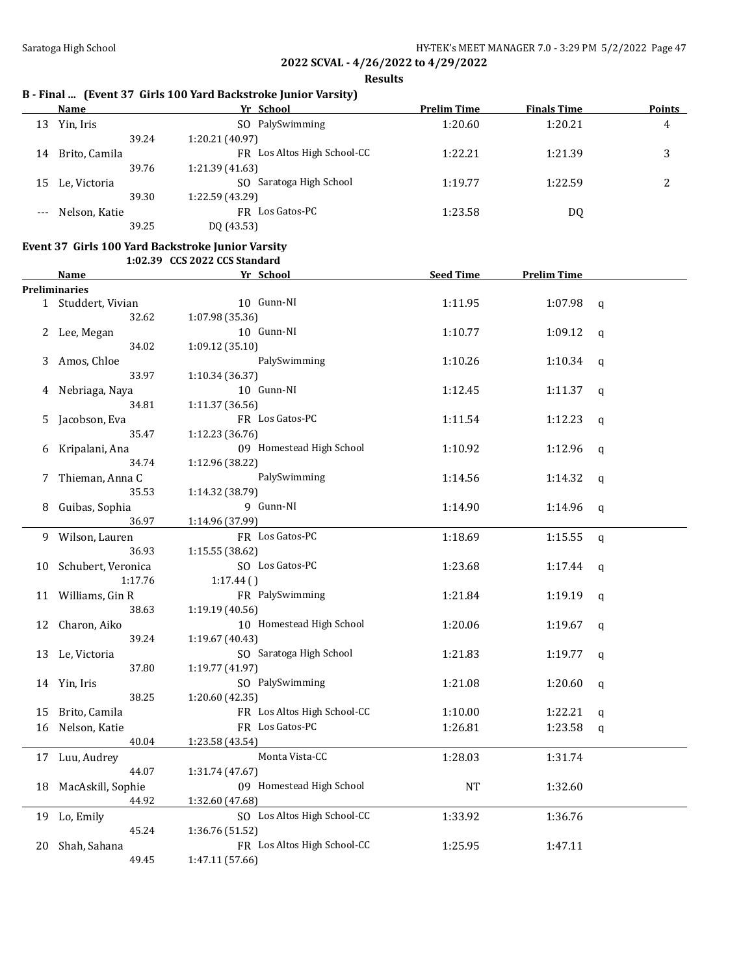**Results**

# **B - Final ... (Event 37 Girls 100 Yard Backstroke Junior Varsity)**

|    | Name          | Yr School                   | <b>Prelim Time</b> | <b>Finals Time</b> | <b>Points</b> |
|----|---------------|-----------------------------|--------------------|--------------------|---------------|
| 13 | Yin, Iris     | PalySwimming<br>SO.         | 1:20.60            | 1:20.21            | 4             |
|    | 39.24         | 1:20.21 (40.97)             |                    |                    |               |
| 14 | Brito, Camila | FR Los Altos High School-CC | 1:22.21            | 1:21.39            | 3             |
|    | 39.76         | 1:21.39 (41.63)             |                    |                    |               |
| 15 | Le, Victoria  | Saratoga High School<br>SO. | 1:19.77            | 1:22.59            | っ<br>∸        |
|    | 39.30         | 1:22.59 (43.29)             |                    |                    |               |
|    | Nelson, Katie | FR Los Gatos-PC             | 1:23.58            | DQ                 |               |
|    | 39.25         | DO (43.53)                  |                    |                    |               |

### **Event 37 Girls 100 Yard Backstroke Junior Varsity 1:02.39 CCS 2022 CCS Standard**

|    | Name               | Yr School                   | <b>Seed Time</b> | <b>Prelim Time</b> |              |
|----|--------------------|-----------------------------|------------------|--------------------|--------------|
|    | Preliminaries      |                             |                  |                    |              |
|    | 1 Studdert, Vivian | 10 Gunn-NI                  | 1:11.95          | 1:07.98            | $\mathsf{q}$ |
|    | 32.62              | 1:07.98 (35.36)             |                  |                    |              |
| 2  | Lee, Megan         | 10 Gunn-NI                  | 1:10.77          | 1:09.12            | $\mathbf q$  |
|    | 34.02              | 1:09.12 (35.10)             |                  |                    |              |
| 3  | Amos, Chloe        | PalySwimming                | 1:10.26          | 1:10.34            | $\mathbf q$  |
|    | 33.97              | 1:10.34 (36.37)             |                  |                    |              |
| 4  | Nebriaga, Naya     | 10 Gunn-NI                  | 1:12.45          | 1:11.37            | q            |
|    | 34.81              | 1:11.37 (36.56)             |                  |                    |              |
| 5  | Jacobson, Eva      | FR Los Gatos-PC             | 1:11.54          | 1:12.23            | q            |
|    | 35.47              | 1:12.23 (36.76)             |                  |                    |              |
| 6  | Kripalani, Ana     | 09 Homestead High School    | 1:10.92          | 1:12.96            | $\mathbf{q}$ |
|    | 34.74              | 1:12.96 (38.22)             |                  |                    |              |
| 7  | Thieman, Anna C    | PalySwimming                | 1:14.56          | 1:14.32            | $\mathbf{q}$ |
|    | 35.53              | 1:14.32 (38.79)             |                  |                    |              |
| 8  | Guibas, Sophia     | 9 Gunn-NI                   | 1:14.90          | 1:14.96            | q            |
|    | 36.97              | 1:14.96 (37.99)             |                  |                    |              |
| 9  | Wilson, Lauren     | FR Los Gatos-PC             | 1:18.69          | 1:15.55            | q            |
|    | 36.93              | 1:15.55 (38.62)             |                  |                    |              |
| 10 | Schubert, Veronica | SO Los Gatos-PC             | 1:23.68          | 1:17.44            | $\mathbf q$  |
|    | 1:17.76            | 1:17.44()                   |                  |                    |              |
| 11 | Williams, Gin R    | FR PalySwimming             | 1:21.84          | 1:19.19            | q            |
|    | 38.63              | 1:19.19 (40.56)             |                  |                    |              |
| 12 | Charon, Aiko       | 10 Homestead High School    | 1:20.06          | 1:19.67            | $\mathsf{q}$ |
|    | 39.24              | 1:19.67 (40.43)             |                  |                    |              |
| 13 | Le, Victoria       | SO Saratoga High School     | 1:21.83          | 1:19.77            | $\mathbf q$  |
|    | 37.80              | 1:19.77 (41.97)             |                  |                    |              |
|    | 14 Yin, Iris       | SO PalySwimming             | 1:21.08          | 1:20.60            | $\mathbf{q}$ |
|    | 38.25              | 1:20.60 (42.35)             |                  |                    |              |
| 15 | Brito, Camila      | FR Los Altos High School-CC | 1:10.00          | 1:22.21            | q            |
| 16 | Nelson, Katie      | FR Los Gatos-PC             | 1:26.81          | 1:23.58            | $\mathbf{q}$ |
|    | 40.04              | 1:23.58 (43.54)             |                  |                    |              |
| 17 | Luu, Audrey        | Monta Vista-CC              | 1:28.03          | 1:31.74            |              |
|    | 44.07              | 1:31.74 (47.67)             |                  |                    |              |
| 18 | MacAskill, Sophie  | 09 Homestead High School    | NT               | 1:32.60            |              |
|    | 44.92              | 1:32.60 (47.68)             |                  |                    |              |
| 19 | Lo, Emily          | SO Los Altos High School-CC | 1:33.92          | 1:36.76            |              |
|    | 45.24              | 1:36.76 (51.52)             |                  |                    |              |
| 20 | Shah, Sahana       | FR Los Altos High School-CC | 1:25.95          | 1:47.11            |              |
|    | 49.45              | 1:47.11 (57.66)             |                  |                    |              |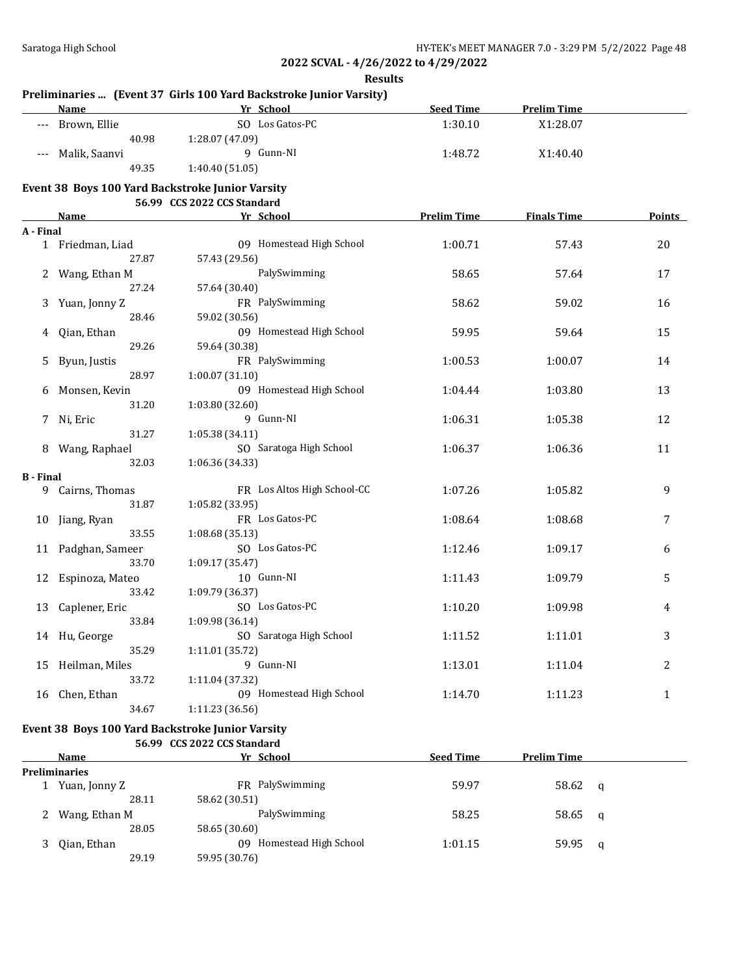## **Results**

## **Preliminaries ... (Event 37 Girls 100 Yard Backstroke Junior Varsity)**

|       | Name          | Yr School       | <b>Seed Time</b> | <b>Prelim Time</b> |  |
|-------|---------------|-----------------|------------------|--------------------|--|
| $---$ | Brown, Ellie  | SO Los Gatos-PC | 1:30.10          | X1:28.07           |  |
|       | 40.98         | 1:28.07(47.09)  |                  |                    |  |
| $---$ | Malik, Saanvi | Gunn-NI         | 1:48.72          | X1:40.40           |  |
|       | 49.35         | 1:40.40(51.05)  |                  |                    |  |

### **Event 38 Boys 100 Yard Backstroke Junior Varsity**

### **56.99 CCS 2022 CCS Standard**

|                  | <b>Name</b>        | Yr School                   | <b>Prelim Time</b> | <b>Finals Time</b> | <b>Points</b>  |
|------------------|--------------------|-----------------------------|--------------------|--------------------|----------------|
| A - Final        |                    |                             |                    |                    |                |
|                  | 1 Friedman, Liad   | 09 Homestead High School    | 1:00.71            | 57.43              | 20             |
|                  | 27.87              | 57.43 (29.56)               |                    |                    |                |
| 2                | Wang, Ethan M      | PalySwimming                | 58.65              | 57.64              | 17             |
|                  | 27.24              | 57.64 (30.40)               |                    |                    |                |
| 3                | Yuan, Jonny Z      | FR PalySwimming             | 58.62              | 59.02              | 16             |
|                  | 28.46              | 59.02 (30.56)               |                    |                    |                |
| 4                | Qian, Ethan        | 09 Homestead High School    | 59.95              | 59.64              | 15             |
|                  | 29.26              | 59.64 (30.38)               |                    |                    |                |
| 5                | Byun, Justis       | FR PalySwimming             | 1:00.53            | 1:00.07            | 14             |
|                  | 28.97              | 1:00.07(31.10)              |                    |                    |                |
| 6                | Monsen, Kevin      | 09 Homestead High School    | 1:04.44            | 1:03.80            | 13             |
|                  | 31.20              | 1:03.80 (32.60)             |                    |                    |                |
| 7                | Ni, Eric           | 9 Gunn-NI                   | 1:06.31            | 1:05.38            | 12             |
|                  | 31.27              | 1:05.38 (34.11)             |                    |                    |                |
|                  | Wang, Raphael      | SO Saratoga High School     | 1:06.37            | 1:06.36            | 11             |
|                  | 32.03              | 1:06.36 (34.33)             |                    |                    |                |
| <b>B</b> - Final |                    |                             |                    |                    |                |
|                  | 9 Cairns, Thomas   | FR Los Altos High School-CC | 1:07.26            | 1:05.82            | 9              |
|                  | 31.87              | 1:05.82 (33.95)             |                    |                    |                |
|                  | 10 Jiang, Ryan     | FR Los Gatos-PC             | 1:08.64            | 1:08.68            | 7              |
|                  | 33.55              | 1:08.68(35.13)              |                    |                    |                |
|                  | 11 Padghan, Sameer | SO Los Gatos-PC             | 1:12.46            | 1:09.17            | 6              |
|                  | 33.70              | 1:09.17 (35.47)             |                    |                    |                |
|                  | 12 Espinoza, Mateo | 10 Gunn-NI                  | 1:11.43            | 1:09.79            | 5              |
|                  | 33.42              | 1:09.79 (36.37)             |                    |                    |                |
| 13               | Caplener, Eric     | SO Los Gatos-PC             | 1:10.20            | 1:09.98            | 4              |
|                  | 33.84              | 1:09.98 (36.14)             |                    |                    |                |
|                  | 14 Hu, George      | SO Saratoga High School     | 1:11.52            | 1:11.01            | 3              |
|                  | 35.29              | 1:11.01 (35.72)             |                    |                    |                |
| 15               | Heilman, Miles     | 9 Gunn-NI                   | 1:13.01            | 1:11.04            | $\overline{c}$ |
|                  | 33.72              | 1:11.04 (37.32)             |                    |                    |                |
| 16               | Chen, Ethan        | 09 Homestead High School    | 1:14.70            | 1:11.23            | $\mathbf{1}$   |
|                  | 34.67              | 1:11.23 (36.56)             |                    |                    |                |

#### **Event 38 Boys 100 Yard Backstroke Junior Varsity 56.99 CCS 2022 CCS Standard**

| <b>Name</b>   | Yr School                    | <b>Seed Time</b> | <b>Prelim Time</b> |           |  |  |
|---------------|------------------------------|------------------|--------------------|-----------|--|--|
| Preliminaries |                              |                  |                    |           |  |  |
| Yuan, Jonny Z | FR PalySwimming              | 59.97            | $58.62 \quad a$    |           |  |  |
| 28.11         | 58.62 (30.51)                |                  |                    |           |  |  |
| Wang, Ethan M | PalySwimming                 | 58.25            | 58.65 q            |           |  |  |
| 28.05         | 58.65 (30.60)                |                  |                    |           |  |  |
|               | Homestead High School<br>09. | 1:01.15          |                    |           |  |  |
| 29.19         | 59.95 (30.76)                |                  |                    |           |  |  |
|               | Qian, Ethan                  |                  |                    | 59.95 $q$ |  |  |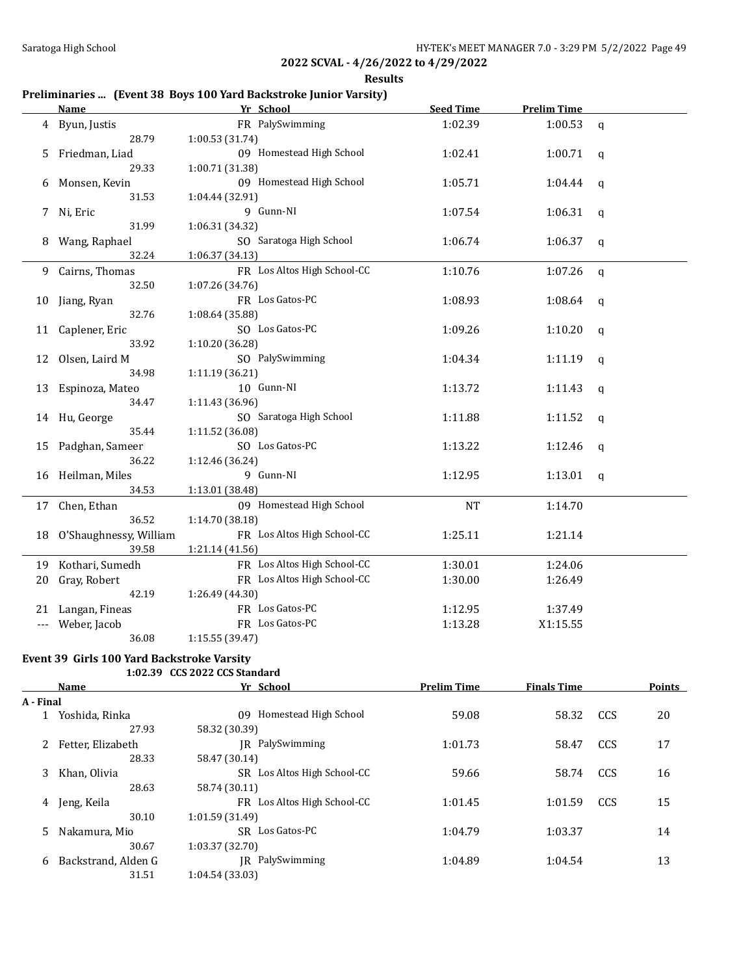| Results |
|---------|
|---------|

# **Preliminaries ... (Event 38 Boys 100 Yard Backstroke Junior Varsity)**

|    | <b>Name</b>               | Yr School                   | <b>Seed Time</b> | <b>Prelim Time</b> |              |
|----|---------------------------|-----------------------------|------------------|--------------------|--------------|
| 4  | Byun, Justis              | FR PalySwimming             | 1:02.39          | 1:00.53            | q            |
|    | 28.79                     | 1:00.53 (31.74)             |                  |                    |              |
| 5  | Friedman, Liad            | 09 Homestead High School    | 1:02.41          | 1:00.71            | q            |
|    | 29.33                     | 1:00.71 (31.38)             |                  |                    |              |
| 6  | Monsen, Kevin             | 09 Homestead High School    | 1:05.71          | 1:04.44            | q            |
|    | 31.53                     | 1:04.44 (32.91)             |                  |                    |              |
| 7  | Ni, Eric                  | 9 Gunn-NI                   | 1:07.54          | 1:06.31            | q            |
|    | 31.99                     | 1:06.31 (34.32)             |                  |                    |              |
| 8  | Wang, Raphael             | SO Saratoga High School     | 1:06.74          | 1:06.37            | q            |
|    | 32.24                     | 1:06.37(34.13)              |                  |                    |              |
| 9  | Cairns, Thomas            | FR Los Altos High School-CC | 1:10.76          | 1:07.26            | $\mathsf{q}$ |
|    | 32.50                     | 1:07.26 (34.76)             |                  |                    |              |
| 10 | Jiang, Ryan               | FR Los Gatos-PC             | 1:08.93          | 1:08.64            | q            |
|    | 32.76                     | 1:08.64 (35.88)             |                  |                    |              |
|    | 11 Caplener, Eric         | SO Los Gatos-PC             | 1:09.26          | 1:10.20            | q            |
|    | 33.92                     | 1:10.20 (36.28)             |                  |                    |              |
| 12 | Olsen, Laird M            | SO PalySwimming             | 1:04.34          | 1:11.19            | q            |
|    | 34.98                     | 1:11.19 (36.21)             |                  |                    |              |
|    | 13 Espinoza, Mateo        | 10 Gunn-NI                  | 1:13.72          | 1:11.43            | q            |
|    | 34.47                     | 1:11.43 (36.96)             |                  |                    |              |
|    | 14 Hu, George             | SO Saratoga High School     | 1:11.88          | 1:11.52            | q            |
|    | 35.44                     | 1:11.52 (36.08)             |                  |                    |              |
| 15 | Padghan, Sameer           | SO Los Gatos-PC             | 1:13.22          | 1:12.46            | q            |
|    | 36.22                     | 1:12.46 (36.24)             |                  |                    |              |
|    | 16 Heilman, Miles         | 9 Gunn-NI                   | 1:12.95          | 1:13.01            | $\mathbf q$  |
|    | 34.53                     | 1:13.01 (38.48)             |                  |                    |              |
|    | 17 Chen, Ethan            | 09 Homestead High School    | <b>NT</b>        | 1:14.70            |              |
|    | 36.52                     | 1:14.70 (38.18)             |                  |                    |              |
|    | 18 O'Shaughnessy, William | FR Los Altos High School-CC | 1:25.11          | 1:21.14            |              |
|    | 39.58                     | 1:21.14 (41.56)             |                  |                    |              |
| 19 | Kothari, Sumedh           | FR Los Altos High School-CC | 1:30.01          | 1:24.06            |              |
| 20 | Gray, Robert              | FR Los Altos High School-CC | 1:30.00          | 1:26.49            |              |
|    | 42.19                     | 1:26.49 (44.30)             |                  |                    |              |
| 21 | Langan, Fineas            | FR Los Gatos-PC             | 1:12.95          | 1:37.49            |              |
|    | Weber, Jacob              | FR Los Gatos-PC             | 1:13.28          | X1:15.55           |              |
|    | 36.08                     | 1:15.55 (39.47)             |                  |                    |              |

### **Event 39 Girls 100 Yard Backstroke Varsity 1:02.39 CCS 2022 CCS Standard**

|           | <b>Name</b>         | Yr School                   | <b>Prelim Time</b> | <b>Finals Time</b> |     | <b>Points</b> |
|-----------|---------------------|-----------------------------|--------------------|--------------------|-----|---------------|
| A - Final |                     |                             |                    |                    |     |               |
|           | Yoshida, Rinka      | Homestead High School<br>09 | 59.08              | 58.32              | CCS | 20            |
|           | 27.93               | 58.32 (30.39)               |                    |                    |     |               |
|           | Fetter, Elizabeth   | IR PalySwimming             | 1:01.73            | 58.47              | CCS | 17            |
|           | 28.33               | 58.47 (30.14)               |                    |                    |     |               |
| 3         | Khan, Olivia        | SR Los Altos High School-CC | 59.66              | 58.74              | CCS | 16            |
|           | 28.63               | 58.74 (30.11)               |                    |                    |     |               |
| 4         | Jeng, Keila         | FR Los Altos High School-CC | 1:01.45            | 1:01.59            | CCS | 15            |
|           | 30.10               | 1:01.59(31.49)              |                    |                    |     |               |
| 5.        | Nakamura, Mio       | Los Gatos-PC<br>SR.         | 1:04.79            | 1:03.37            |     | 14            |
|           | 30.67               | 1:03.37 (32.70)             |                    |                    |     |               |
| 6         | Backstrand, Alden G | PalySwimming<br>IR          | 1:04.89            | 1:04.54            |     | 13            |
|           | 31.51               | 1:04.54 (33.03)             |                    |                    |     |               |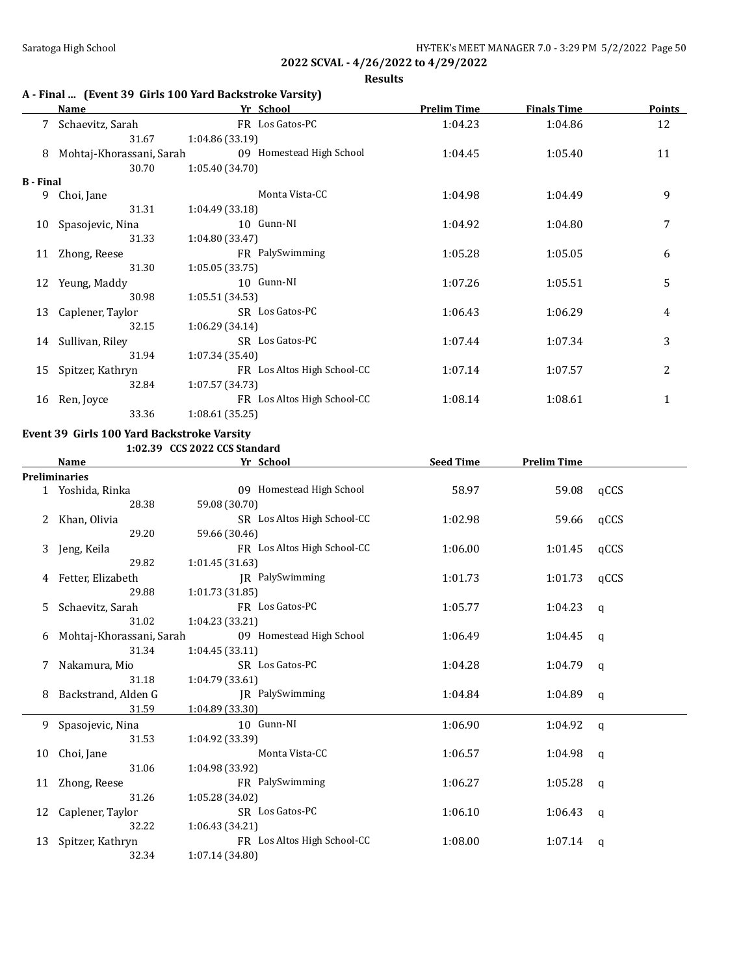**Results**

|                  | A - Final  (Event 39 Girls 100 Yard Backstroke Varsity) |                             |                    |                    |               |  |  |
|------------------|---------------------------------------------------------|-----------------------------|--------------------|--------------------|---------------|--|--|
|                  | <b>Name</b>                                             | Yr School                   | <b>Prelim Time</b> | <b>Finals Time</b> | <b>Points</b> |  |  |
| 7                | Schaevitz, Sarah                                        | FR Los Gatos-PC             | 1:04.23            | 1:04.86            | 12            |  |  |
|                  | 31.67                                                   | 1:04.86(33.19)              |                    |                    |               |  |  |
| 8                | Mohtaj-Khorassani, Sarah                                | 09 Homestead High School    | 1:04.45            | 1:05.40            | 11            |  |  |
|                  | 30.70                                                   | 1:05.40(34.70)              |                    |                    |               |  |  |
| <b>B</b> - Final |                                                         |                             |                    |                    |               |  |  |
| 9                | Choi, Jane                                              | Monta Vista-CC              | 1:04.98            | 1:04.49            | 9             |  |  |
|                  | 31.31                                                   | 1:04.49(33.18)              |                    |                    |               |  |  |
| 10               | Spasojevic, Nina                                        | 10 Gunn-NI                  | 1:04.92            | 1:04.80            | 7             |  |  |
|                  | 31.33                                                   | 1:04.80 (33.47)             |                    |                    |               |  |  |
| 11               | Zhong, Reese                                            | FR PalySwimming             | 1:05.28            | 1:05.05            | 6             |  |  |
|                  | 31.30                                                   | 1:05.05(33.75)              |                    |                    |               |  |  |
| 12               | Yeung, Maddy                                            | 10 Gunn-NI                  | 1:07.26            | 1:05.51            | 5             |  |  |
|                  | 30.98                                                   | 1:05.51(34.53)              |                    |                    |               |  |  |
| 13               | Caplener, Taylor                                        | SR Los Gatos-PC             | 1:06.43            | 1:06.29            | 4             |  |  |
|                  | 32.15                                                   | 1:06.29(34.14)              |                    |                    |               |  |  |
| 14               | Sullivan, Riley                                         | SR Los Gatos-PC             | 1:07.44            | 1:07.34            | 3             |  |  |
|                  | 31.94                                                   | 1:07.34(35.40)              |                    |                    |               |  |  |
| 15               | Spitzer, Kathryn                                        | FR Los Altos High School-CC | 1:07.14            | 1:07.57            | 2             |  |  |
|                  | 32.84                                                   | 1:07.57 (34.73)             |                    |                    |               |  |  |
| 16               | Ren, Joyce                                              | FR Los Altos High School-CC | 1:08.14            | 1:08.61            | $\mathbf 1$   |  |  |
|                  | 33.36                                                   | 1:08.61(35.25)              |                    |                    |               |  |  |

# **Event 39 Girls 100 Yard Backstroke Varsity**

**1:02.39 CCS 2022 CCS Standard**

|    | <b>Name</b>              | Yr School                   | <b>Seed Time</b> | <b>Prelim Time</b> |          |  |  |  |  |  |  |
|----|--------------------------|-----------------------------|------------------|--------------------|----------|--|--|--|--|--|--|
|    | <b>Preliminaries</b>     |                             |                  |                    |          |  |  |  |  |  |  |
|    | 1 Yoshida, Rinka         | 09 Homestead High School    | 58.97            | 59.08              | qCCS     |  |  |  |  |  |  |
|    | 28.38                    | 59.08 (30.70)               |                  |                    |          |  |  |  |  |  |  |
|    | 2 Khan, Olivia           | SR Los Altos High School-CC | 1:02.98          | 59.66              | qCCS     |  |  |  |  |  |  |
|    | 29.20                    | 59.66 (30.46)               |                  |                    |          |  |  |  |  |  |  |
| 3. | Jeng, Keila              | FR Los Altos High School-CC | 1:06.00          | 1:01.45            | qCCS     |  |  |  |  |  |  |
|    | 29.82                    | 1:01.45(31.63)              |                  |                    |          |  |  |  |  |  |  |
| 4  | Fetter, Elizabeth        | JR PalySwimming             | 1:01.73          | 1:01.73            | qCCS     |  |  |  |  |  |  |
|    | 29.88                    | 1:01.73 (31.85)             |                  |                    |          |  |  |  |  |  |  |
| 5. | Schaevitz, Sarah         | FR Los Gatos-PC             | 1:05.77          | 1:04.23            | q        |  |  |  |  |  |  |
|    | 31.02                    | 1:04.23 (33.21)             |                  |                    |          |  |  |  |  |  |  |
| 6  | Mohtaj-Khorassani, Sarah | 09 Homestead High School    | 1:06.49          | 1:04.45            | $\alpha$ |  |  |  |  |  |  |
|    | 31.34                    | 1:04.45(33.11)              |                  |                    |          |  |  |  |  |  |  |
| 7  | Nakamura, Mio            | SR Los Gatos-PC             | 1:04.28          | 1:04.79            | q        |  |  |  |  |  |  |
|    | 31.18                    | 1:04.79(33.61)              |                  |                    |          |  |  |  |  |  |  |
| 8  | Backstrand, Alden G      | IR PalySwimming             | 1:04.84          | 1:04.89            | q        |  |  |  |  |  |  |
|    | 31.59                    | 1:04.89 (33.30)             |                  |                    |          |  |  |  |  |  |  |
| 9  | Spasojevic, Nina         | 10 Gunn-NI                  | 1:06.90          | 1:04.92            | q        |  |  |  |  |  |  |
|    | 31.53                    | 1:04.92 (33.39)             |                  |                    |          |  |  |  |  |  |  |
| 10 | Choi, Jane               | Monta Vista-CC              | 1:06.57          | 1:04.98            | <b>a</b> |  |  |  |  |  |  |
|    | 31.06                    | 1:04.98 (33.92)             |                  |                    |          |  |  |  |  |  |  |
|    | 11 Zhong, Reese          | FR PalySwimming             | 1:06.27          | 1:05.28            | q        |  |  |  |  |  |  |
|    | 31.26                    | 1:05.28 (34.02)             |                  |                    |          |  |  |  |  |  |  |
|    | 12 Caplener, Taylor      | SR Los Gatos-PC             | 1:06.10          | 1:06.43            | q        |  |  |  |  |  |  |
|    | 32.22                    | 1:06.43(34.21)              |                  |                    |          |  |  |  |  |  |  |
| 13 | Spitzer, Kathryn         | FR Los Altos High School-CC | 1:08.00          | 1:07.14            | q        |  |  |  |  |  |  |
|    | 32.34                    | 1:07.14 (34.80)             |                  |                    |          |  |  |  |  |  |  |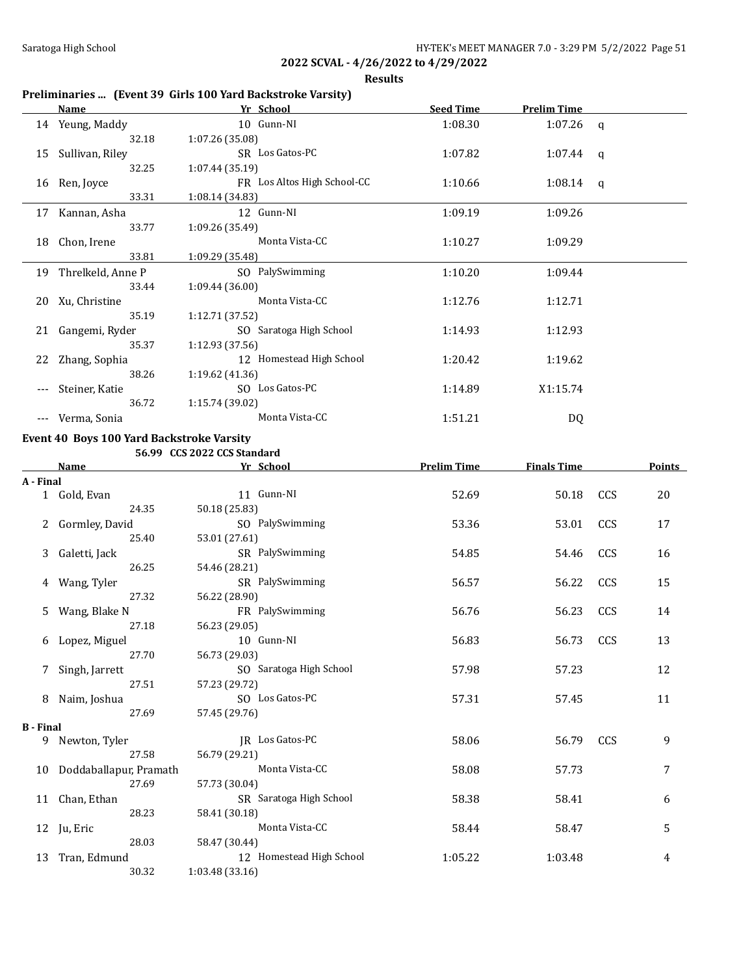**Results**

# **Preliminaries ... (Event 39 Girls 100 Yard Backstroke Varsity)**

|     | Name                 | Yr School                   | <b>Seed Time</b> | <b>Prelim Time</b> |   |
|-----|----------------------|-----------------------------|------------------|--------------------|---|
|     | 14 Yeung, Maddy      | 10 Gunn-NI                  | 1:08.30          | $1:07.26$ q        |   |
|     | 32.18                | 1:07.26(35.08)              |                  |                    |   |
| 15  | Sullivan, Riley      | SR Los Gatos-PC             | 1:07.82          | 1:07.44            | q |
|     | 32.25                | 1:07.44(35.19)              |                  |                    |   |
| 16  | Ren, Joyce           | FR Los Altos High School-CC | 1:10.66          | 1:08.14 $q$        |   |
|     | 33.31                | 1:08.14 (34.83)             |                  |                    |   |
| 17  | Kannan, Asha         | 12 Gunn-NI                  | 1:09.19          | 1:09.26            |   |
|     | 33.77                | 1:09.26(35.49)              |                  |                    |   |
| 18  | Chon, Irene          | Monta Vista-CC              | 1:10.27          | 1:09.29            |   |
|     | 33.81                | 1:09.29 (35.48)             |                  |                    |   |
|     | 19 Threlkeld, Anne P | SO PalySwimming             | 1:10.20          | 1:09.44            |   |
|     | 33.44                | 1:09.44(36.00)              |                  |                    |   |
| 20  | Xu, Christine        | Monta Vista-CC              | 1:12.76          | 1:12.71            |   |
|     | 35.19                | 1:12.71(37.52)              |                  |                    |   |
| 21  | Gangemi, Ryder       | SO Saratoga High School     | 1:14.93          | 1:12.93            |   |
|     | 35.37                | 1:12.93 (37.56)             |                  |                    |   |
|     | 22 Zhang, Sophia     | 12 Homestead High School    | 1:20.42          | 1:19.62            |   |
|     | 38.26                | 1:19.62(41.36)              |                  |                    |   |
| --- | Steiner, Katie       | SO Los Gatos-PC             | 1:14.89          | X1:15.74           |   |
|     | 36.72                | 1:15.74 (39.02)             |                  |                    |   |
|     | Verma, Sonia         | Monta Vista-CC              | 1:51.21          | DQ                 |   |

## **Event 40 Boys 100 Yard Backstroke Varsity**

**56.99 CCS 2022 CCS Standard**

|                  | <b>Name</b>               | Yr School                | <b>Prelim Time</b> | <b>Finals Time</b> |     | <b>Points</b> |
|------------------|---------------------------|--------------------------|--------------------|--------------------|-----|---------------|
| A - Final        |                           |                          |                    |                    |     |               |
|                  | 1 Gold, Evan              | 11 Gunn-NI               | 52.69              | 50.18              | CCS | 20            |
|                  | 24.35                     | 50.18 (25.83)            |                    |                    |     |               |
|                  | 2 Gormley, David          | SO PalySwimming          | 53.36              | 53.01              | CCS | 17            |
|                  | 25.40                     | 53.01 (27.61)            |                    |                    |     |               |
| 3                | Galetti, Jack             | SR PalySwimming          | 54.85              | 54.46              | CCS | 16            |
|                  | 26.25                     | 54.46 (28.21)            |                    |                    |     |               |
|                  | 4 Wang, Tyler             | SR PalySwimming          | 56.57              | 56.22              | CCS | 15            |
|                  | 27.32                     | 56.22 (28.90)            |                    |                    |     |               |
| 5                | Wang, Blake N             | FR PalySwimming          | 56.76              | 56.23              | CCS | 14            |
|                  | 27.18                     | 56.23 (29.05)            |                    |                    |     |               |
| 6                | Lopez, Miguel             | 10 Gunn-NI               | 56.83              | 56.73              | CCS | 13            |
|                  | 27.70                     | 56.73 (29.03)            |                    |                    |     |               |
|                  | Singh, Jarrett            | SO Saratoga High School  | 57.98              | 57.23              |     | 12            |
|                  | 27.51                     | 57.23 (29.72)            |                    |                    |     |               |
| 8                | Naim, Joshua              | SO Los Gatos-PC          | 57.31              | 57.45              |     | 11            |
|                  | 27.69                     | 57.45 (29.76)            |                    |                    |     |               |
| <b>B</b> - Final |                           |                          |                    |                    |     |               |
|                  | 9 Newton, Tyler           | JR Los Gatos-PC          | 58.06              | 56.79              | CCS | 9             |
|                  | 27.58                     | 56.79 (29.21)            |                    |                    |     |               |
|                  | 10 Doddaballapur, Pramath | Monta Vista-CC           | 58.08              | 57.73              |     | 7             |
|                  | 27.69                     | 57.73 (30.04)            |                    |                    |     |               |
| 11               | Chan, Ethan               | SR Saratoga High School  | 58.38              | 58.41              |     | 6             |
|                  | 28.23                     | 58.41 (30.18)            |                    |                    |     |               |
| 12               | Ju, Eric                  | Monta Vista-CC           | 58.44              | 58.47              |     | 5             |
|                  | 28.03                     | 58.47 (30.44)            |                    |                    |     |               |
| 13               | Tran, Edmund              | 12 Homestead High School | 1:05.22            | 1:03.48            |     | 4             |
|                  | 30.32                     | 1:03.48(33.16)           |                    |                    |     |               |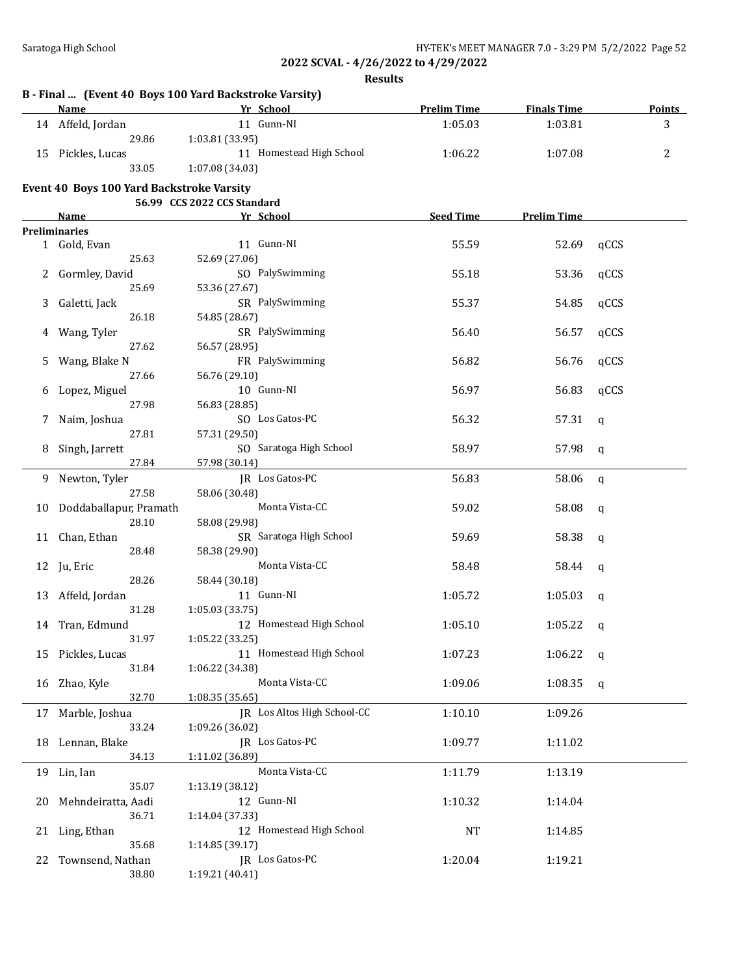## **Results**

|    | <b>Name</b>                               | Yr School                   | <b>Prelim Time</b> | <b>Finals Time</b> |              | <b>Points</b> |
|----|-------------------------------------------|-----------------------------|--------------------|--------------------|--------------|---------------|
|    | 14 Affeld, Jordan                         | 11 Gunn-NI                  | 1:05.03            | 1:03.81            |              | 3             |
|    | 29.86                                     | 1:03.81 (33.95)             |                    |                    |              |               |
|    | 15 Pickles, Lucas                         | 11 Homestead High School    | 1:06.22            | 1:07.08            |              | 2             |
|    | 33.05                                     | 1:07.08 (34.03)             |                    |                    |              |               |
|    |                                           |                             |                    |                    |              |               |
|    | Event 40 Boys 100 Yard Backstroke Varsity |                             |                    |                    |              |               |
|    |                                           | 56.99 CCS 2022 CCS Standard |                    |                    |              |               |
|    | Name                                      | Yr School                   | <b>Seed Time</b>   | <b>Prelim Time</b> |              |               |
|    | <b>Preliminaries</b>                      |                             |                    |                    |              |               |
|    | 1 Gold, Evan                              | 11 Gunn-NI                  | 55.59              | 52.69              | qCCS         |               |
|    | 25.63                                     | 52.69 (27.06)               |                    |                    |              |               |
|    | 2 Gormley, David                          | SO PalySwimming             | 55.18              | 53.36              | qCCS         |               |
|    | 25.69                                     | 53.36 (27.67)               |                    |                    |              |               |
| 3  | Galetti, Jack                             | SR PalySwimming             | 55.37              | 54.85              | qCCS         |               |
|    | 26.18                                     | 54.85 (28.67)               |                    |                    |              |               |
| 4  | Wang, Tyler                               | SR PalySwimming             | 56.40              | 56.57              | qCCS         |               |
|    | 27.62                                     | 56.57 (28.95)               |                    |                    |              |               |
| 5  | Wang, Blake N                             | FR PalySwimming             | 56.82              | 56.76              | qCCS         |               |
|    | 27.66                                     | 56.76 (29.10)               |                    |                    |              |               |
| 6  | Lopez, Miguel                             | 10 Gunn-NI                  | 56.97              | 56.83              | qCCS         |               |
|    | 27.98                                     | 56.83 (28.85)               |                    |                    |              |               |
| 7  | Naim, Joshua                              | SO Los Gatos-PC             | 56.32              | 57.31              | q            |               |
|    | 27.81                                     | 57.31 (29.50)               |                    |                    |              |               |
| 8  | Singh, Jarrett                            | SO Saratoga High School     | 58.97              | 57.98              | $\mathbf q$  |               |
|    | 27.84                                     | 57.98 (30.14)               |                    |                    |              |               |
| 9  | Newton, Tyler                             | JR Los Gatos-PC             | 56.83              | 58.06              | $\mathsf{q}$ |               |
|    | 27.58                                     | 58.06 (30.48)               |                    |                    |              |               |
| 10 | Doddaballapur, Pramath                    | Monta Vista-CC              | 59.02              | 58.08              | $\mathbf q$  |               |
|    | 28.10                                     | 58.08 (29.98)               |                    |                    |              |               |
|    | 11 Chan, Ethan                            | SR Saratoga High School     | 59.69              | 58.38              |              |               |
|    | 28.48                                     | 58.38 (29.90)               |                    |                    | q            |               |
|    |                                           |                             |                    |                    |              |               |
|    | 12 Ju, Eric                               | Monta Vista-CC              | 58.48              | 58.44              | q            |               |
|    | 28.26                                     | 58.44 (30.18)               |                    |                    |              |               |
|    | 13 Affeld, Jordan                         | 11 Gunn-NI                  | 1:05.72            | 1:05.03            | q            |               |
|    | 31.28                                     | 1:05.03 (33.75)             |                    |                    |              |               |
|    | 14 Tran, Edmund                           | 12 Homestead High School    | 1:05.10            | 1:05.22            | q            |               |
|    | 31.97                                     | 1:05.22 (33.25)             |                    |                    |              |               |
|    | 15 Pickles, Lucas                         | 11 Homestead High School    | 1:07.23            | 1:06.22            | q            |               |
|    | 31.84                                     | 1:06.22 (34.38)             |                    |                    |              |               |
| 16 | Zhao, Kyle                                | Monta Vista-CC              | 1:09.06            | 1:08.35            | q            |               |
|    | 32.70                                     | 1:08.35 (35.65)             |                    |                    |              |               |
| 17 | Marble, Joshua                            | JR Los Altos High School-CC | 1:10.10            | 1:09.26            |              |               |
|    | 33.24                                     | 1:09.26 (36.02)             |                    |                    |              |               |
| 18 | Lennan, Blake                             | JR Los Gatos-PC             | 1:09.77            | 1:11.02            |              |               |
|    | 34.13                                     | 1:11.02 (36.89)             |                    |                    |              |               |
|    | 19 Lin, Ian                               | Monta Vista-CC              | 1:11.79            | 1:13.19            |              |               |
|    | 35.07                                     | 1:13.19 (38.12)             |                    |                    |              |               |
| 20 | Mehndeiratta, Aadi                        | 12 Gunn-NI                  | 1:10.32            | 1:14.04            |              |               |
|    | 36.71                                     | 1:14.04 (37.33)             |                    |                    |              |               |
|    |                                           |                             |                    |                    |              |               |
| 21 | Ling, Ethan                               | 12 Homestead High School    | NT                 | 1:14.85            |              |               |
|    | 35.68                                     | 1:14.85 (39.17)             |                    |                    |              |               |
| 22 | Townsend, Nathan                          | JR Los Gatos-PC             | 1:20.04            | 1:19.21            |              |               |
|    | 38.80                                     | 1:19.21 (40.41)             |                    |                    |              |               |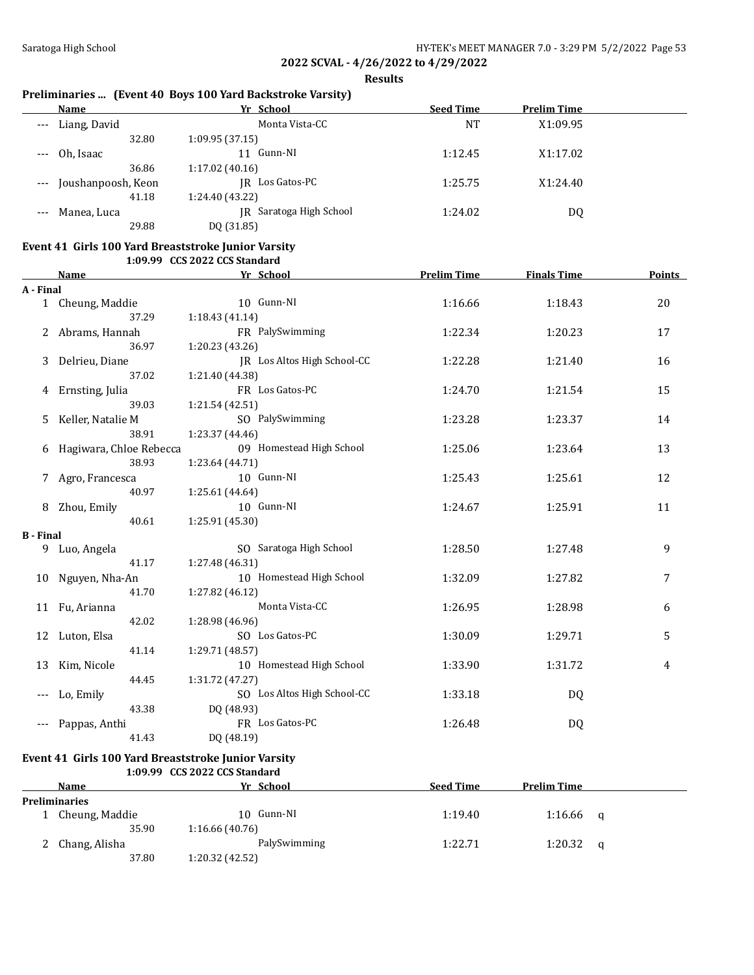**Results**

## **Preliminaries ... (Event 40 Boys 100 Yard Backstroke Varsity)**

|       | Name               | Yr School               | <b>Seed Time</b> | <b>Prelim Time</b> |  |
|-------|--------------------|-------------------------|------------------|--------------------|--|
| $---$ | Liang, David       | Monta Vista-CC          | NT               | X1:09.95           |  |
|       | 32.80              | 1:09.95(37.15)          |                  |                    |  |
|       | Oh, Isaac          | Gunn-NI                 | 1:12.45          | X1:17.02           |  |
|       | 36.86              | 1:17.02(40.16)          |                  |                    |  |
| $---$ | Joushanpoosh, Keon | Los Gatos-PC<br>IR      | 1:25.75          | X1:24.40           |  |
|       | 41.18              | 1:24.40 (43.22)         |                  |                    |  |
|       | Manea, Luca        | IR Saratoga High School | 1:24.02          | DQ                 |  |
|       | 29.88              | DQ (31.85)              |                  |                    |  |

### **Event 41 Girls 100 Yard Breaststroke Junior Varsity 1:09.99 CCS 2022 CCS Standard**

|                  | <b>Name</b>             | Yr School                   | <b>Prelim Time</b> | <b>Finals Time</b> | Points |
|------------------|-------------------------|-----------------------------|--------------------|--------------------|--------|
| A - Final        |                         |                             |                    |                    |        |
|                  | 1 Cheung, Maddie        | 10 Gunn-NI                  | 1:16.66            | 1:18.43            | 20     |
|                  | 37.29                   | 1:18.43(41.14)              |                    |                    |        |
|                  | 2 Abrams, Hannah        | FR PalySwimming             | 1:22.34            | 1:20.23            | 17     |
|                  | 36.97                   | 1:20.23 (43.26)             |                    |                    |        |
| 3                | Delrieu, Diane          | JR Los Altos High School-CC | 1:22.28            | 1:21.40            | 16     |
|                  | 37.02                   | 1:21.40 (44.38)             |                    |                    |        |
| 4                | Ernsting, Julia         | FR Los Gatos-PC             | 1:24.70            | 1:21.54            | 15     |
|                  | 39.03                   | 1:21.54(42.51)              |                    |                    |        |
| 5                | Keller, Natalie M       | SO PalySwimming             | 1:23.28            | 1:23.37            | 14     |
|                  | 38.91                   | 1:23.37 (44.46)             |                    |                    |        |
| 6                | Hagiwara, Chloe Rebecca | 09 Homestead High School    | 1:25.06            | 1:23.64            | 13     |
|                  | 38.93                   | 1:23.64 (44.71)             |                    |                    |        |
|                  | Agro, Francesca         | 10 Gunn-NI                  | 1:25.43            | 1:25.61            | 12     |
|                  | 40.97                   | 1:25.61 (44.64)             |                    |                    |        |
| 8                | Zhou, Emily             | 10 Gunn-NI                  | 1:24.67            | 1:25.91            | 11     |
|                  | 40.61                   | 1:25.91 (45.30)             |                    |                    |        |
| <b>B</b> - Final |                         |                             |                    |                    |        |
| 9.               | Luo, Angela             | SO Saratoga High School     | 1:28.50            | 1:27.48            | 9      |
|                  | 41.17                   | 1:27.48 (46.31)             |                    |                    |        |
| 10               | Nguyen, Nha-An          | 10 Homestead High School    | 1:32.09            | 1:27.82            | 7      |
|                  | 41.70                   | 1:27.82 (46.12)             |                    |                    |        |
|                  | 11 Fu, Arianna          | Monta Vista-CC              | 1:26.95            | 1:28.98            | 6      |
|                  | 42.02                   | 1:28.98 (46.96)             |                    |                    |        |
| 12               | Luton, Elsa             | SO Los Gatos-PC             | 1:30.09            | 1:29.71            | 5      |
|                  | 41.14                   | 1:29.71 (48.57)             |                    |                    |        |
| 13               | Kim, Nicole             | 10 Homestead High School    | 1:33.90            | 1:31.72            | 4      |
|                  | 44.45                   | 1:31.72 (47.27)             |                    |                    |        |
|                  | Lo, Emily               | SO Los Altos High School-CC | 1:33.18            | DQ                 |        |
|                  | 43.38                   | DQ (48.93)                  |                    |                    |        |
| $---$            | Pappas, Anthi           | FR Los Gatos-PC             | 1:26.48            | DQ                 |        |
|                  | 41.43                   | DQ (48.19)                  |                    |                    |        |

### **Event 41 Girls 100 Yard Breaststroke Junior Varsity**

### **1:09.99 CCS 2022 CCS Standard Name Yr School Seed Time Prelim Time Preliminaries** 1 Cheung, Maddie 10 Gunn-NI 1:19.40 1:16.66 q 35.90 1:16.66 (40.76) 2 Chang, Alisha **PalySwimming** 1:22.71 1:20.32 q 37.80 1:20.32 (42.52)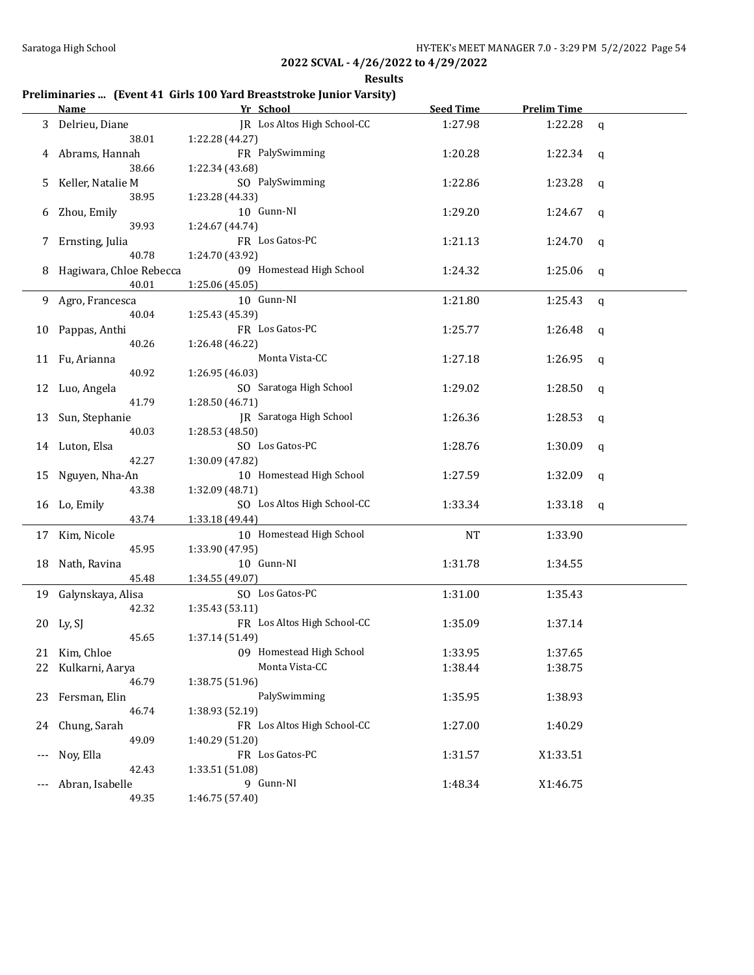**Results**

# **Preliminaries ... (Event 41 Girls 100 Yard Breaststroke Junior Varsity)**

|   | <b>Name</b>             | Yr School                          | <b>Seed Time</b> | <b>Prelim Time</b> |   |
|---|-------------------------|------------------------------------|------------------|--------------------|---|
|   | 3 Delrieu, Diane        | JR Los Altos High School-CC        | 1:27.98          | 1:22.28            | q |
|   | 38.01                   | 1:22.28 (44.27)                    |                  |                    |   |
|   | 4 Abrams, Hannah        | FR PalySwimming                    | 1:20.28          | 1:22.34            | q |
|   | 38.66                   | 1:22.34 (43.68)                    |                  |                    |   |
| 5 | Keller, Natalie M       | SO PalySwimming                    | 1:22.86          | 1:23.28            | q |
|   | 38.95                   | 1:23.28 (44.33)                    |                  |                    |   |
| 6 | Zhou, Emily             | 10 Gunn-NI                         | 1:29.20          | 1:24.67            | q |
|   | 39.93                   | 1:24.67 (44.74)                    |                  |                    |   |
| 7 | Ernsting, Julia         | FR Los Gatos-PC                    | 1:21.13          | 1:24.70            | q |
|   | 40.78                   | 1:24.70 (43.92)                    |                  |                    |   |
| 8 | Hagiwara, Chloe Rebecca | 09 Homestead High School           | 1:24.32          | 1:25.06            | q |
|   | 40.01                   | 1:25.06(45.05)                     |                  |                    |   |
|   | 9 Agro, Francesca       | 10 Gunn-NI                         | 1:21.80          | 1:25.43            |   |
|   | 40.04                   |                                    |                  |                    | q |
|   |                         | 1:25.43 (45.39)<br>FR Los Gatos-PC |                  |                    |   |
|   | 10 Pappas, Anthi        |                                    | 1:25.77          | 1:26.48            | q |
|   | 40.26                   | 1:26.48 (46.22)                    |                  |                    |   |
|   | 11 Fu, Arianna          | Monta Vista-CC                     | 1:27.18          | 1:26.95            | q |
|   | 40.92                   | 1:26.95 (46.03)                    |                  |                    |   |
|   | 12 Luo, Angela          | SO Saratoga High School            | 1:29.02          | 1:28.50            | q |
|   | 41.79                   | 1:28.50 (46.71)                    |                  |                    |   |
|   | 13 Sun, Stephanie       | JR Saratoga High School            | 1:26.36          | 1:28.53            | q |
|   | 40.03                   | 1:28.53 (48.50)                    |                  |                    |   |
|   | 14 Luton, Elsa          | SO Los Gatos-PC                    | 1:28.76          | 1:30.09            | q |
|   | 42.27                   | 1:30.09 (47.82)                    |                  |                    |   |
|   | 15 Nguyen, Nha-An       | 10 Homestead High School           | 1:27.59          | 1:32.09            | q |
|   | 43.38                   | 1:32.09 (48.71)                    |                  |                    |   |
|   | 16 Lo, Emily            | SO Los Altos High School-CC        | 1:33.34          | 1:33.18            | q |
|   | 43.74                   | 1:33.18 (49.44)                    |                  |                    |   |
|   | 17 Kim, Nicole          | 10 Homestead High School           | <b>NT</b>        | 1:33.90            |   |
|   | 45.95                   | 1:33.90 (47.95)                    |                  |                    |   |
|   | 18 Nath, Ravina         | 10 Gunn-NI                         | 1:31.78          | 1:34.55            |   |
|   | 45.48                   | 1:34.55 (49.07)                    |                  |                    |   |
|   | 19 Galynskaya, Alisa    | SO Los Gatos-PC                    | 1:31.00          | 1:35.43            |   |
|   | 42.32                   | 1:35.43 (53.11)                    |                  |                    |   |
|   | 20 Ly, SJ               | FR Los Altos High School-CC        | 1:35.09          | 1:37.14            |   |
|   | 45.65                   | 1:37.14 (51.49)                    |                  |                    |   |
|   | 21 Kim, Chloe           | 09 Homestead High School           | 1:33.95          | 1:37.65            |   |
|   | 22 Kulkarni, Aarya      | Monta Vista-CC                     | 1:38.44          | 1:38.75            |   |
|   | 46.79                   | 1:38.75 (51.96)                    |                  |                    |   |
|   | 23 Fersman, Elin        | PalySwimming                       | 1:35.95          | 1:38.93            |   |
|   | 46.74                   | 1:38.93 (52.19)                    |                  |                    |   |
|   | 24 Chung, Sarah         | FR Los Altos High School-CC        | 1:27.00          | 1:40.29            |   |
|   | 49.09                   | 1:40.29 (51.20)                    |                  |                    |   |
|   | Noy, Ella               | FR Los Gatos-PC                    | 1:31.57          | X1:33.51           |   |
|   | 42.43                   | 1:33.51 (51.08)                    |                  |                    |   |
|   |                         | 9 Gunn-NI                          |                  |                    |   |
|   | Abran, Isabelle         |                                    | 1:48.34          | X1:46.75           |   |
|   | 49.35                   | 1:46.75 (57.40)                    |                  |                    |   |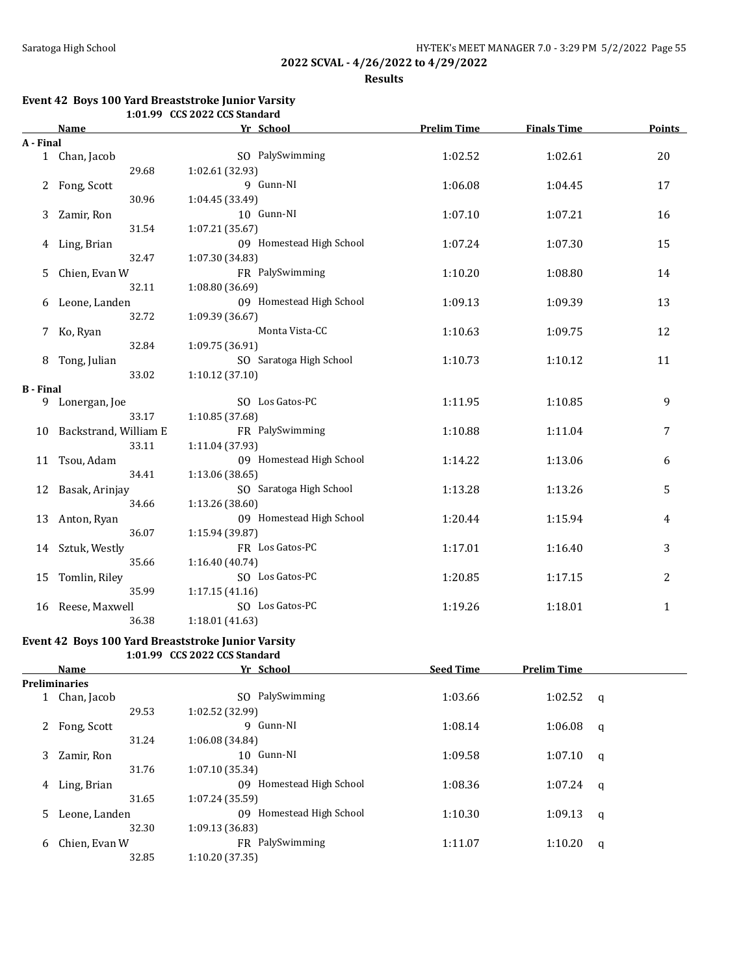**Results**

#### **Event 42 Boys 100 Yard Breaststroke Junior Varsity 1:01.99 CCS 2022 CCS Standard**

|                  | 1.01. <i>77</i> CC3 2022 CC3 3tanuaru |                          |                    |                    |               |
|------------------|---------------------------------------|--------------------------|--------------------|--------------------|---------------|
|                  | Name                                  | Yr School                | <b>Prelim Time</b> | <b>Finals Time</b> | <b>Points</b> |
| A - Final        |                                       |                          |                    |                    |               |
|                  | 1 Chan, Jacob                         | SO PalySwimming          | 1:02.52            | 1:02.61            | 20            |
|                  | 29.68                                 | 1:02.61 (32.93)          |                    |                    |               |
| 2                | Fong, Scott                           | 9 Gunn-NI                | 1:06.08            | 1:04.45            | 17            |
|                  | 30.96                                 | 1:04.45 (33.49)          |                    |                    |               |
| 3                | Zamir, Ron                            | 10 Gunn-NI               | 1:07.10            | 1:07.21            | 16            |
|                  | 31.54                                 | 1:07.21 (35.67)          |                    |                    |               |
|                  | 4 Ling, Brian                         | 09 Homestead High School | 1:07.24            | 1:07.30            | 15            |
|                  | 32.47                                 | 1:07.30 (34.83)          |                    |                    |               |
| 5.               | Chien, Evan W                         | FR PalySwimming          | 1:10.20            | 1:08.80            | 14            |
|                  | 32.11                                 | 1:08.80 (36.69)          |                    |                    |               |
| 6                | Leone, Landen                         | 09 Homestead High School | 1:09.13            | 1:09.39            | 13            |
|                  | 32.72                                 | 1:09.39 (36.67)          |                    |                    |               |
| 7                | Ko, Ryan                              | Monta Vista-CC           | 1:10.63            | 1:09.75            | 12            |
|                  | 32.84                                 | 1:09.75 (36.91)          |                    |                    |               |
| 8                | Tong, Julian                          | SO Saratoga High School  | 1:10.73            | 1:10.12            | 11            |
|                  | 33.02                                 | 1:10.12(37.10)           |                    |                    |               |
| <b>B</b> - Final |                                       |                          |                    |                    |               |
|                  | 9 Lonergan, Joe                       | SO Los Gatos-PC          | 1:11.95            | 1:10.85            | 9             |
|                  | 33.17                                 | 1:10.85 (37.68)          |                    |                    |               |
| 10               | Backstrand, William E                 | FR PalySwimming          | 1:10.88            | 1:11.04            | 7             |
|                  | 33.11                                 | 1:11.04 (37.93)          |                    |                    |               |
| 11               | Tsou, Adam                            | 09 Homestead High School | 1:14.22            | 1:13.06            | 6             |
|                  | 34.41                                 | 1:13.06(38.65)           |                    |                    |               |
| 12               | Basak, Arinjay                        | SO Saratoga High School  | 1:13.28            | 1:13.26            | 5             |
|                  | 34.66                                 | 1:13.26 (38.60)          |                    |                    |               |
| 13               | Anton, Ryan                           | 09 Homestead High School | 1:20.44            | 1:15.94            | 4             |
|                  | 36.07                                 | 1:15.94 (39.87)          |                    |                    |               |
| 14               | Sztuk, Westly                         | FR Los Gatos-PC          | 1:17.01            | 1:16.40            | 3             |
|                  | 35.66                                 | 1:16.40 (40.74)          |                    |                    |               |
| 15               | Tomlin, Riley                         | SO Los Gatos-PC          | 1:20.85            | 1:17.15            | 2             |
|                  | 35.99                                 | 1:17.15(41.16)           |                    |                    |               |
| 16               | Reese, Maxwell                        | SO Los Gatos-PC          | 1:19.26            | 1:18.01            | 1             |
|                  | 36.38                                 | 1:18.01(41.63)           |                    |                    |               |

# **Event 42 Boys 100 Yard Breaststroke Junior Varsity**

**1:01.99 CCS 2022 CCS Standard**

| Name          | Yr School                    | <b>Seed Time</b> | <b>Prelim Time</b> |   |
|---------------|------------------------------|------------------|--------------------|---|
|               |                              |                  |                    |   |
| Chan, Jacob   | PalySwimming<br>SO.          | 1:03.66          | 1:02.52            | q |
| 29.53         | 1:02.52 (32.99)              |                  |                    |   |
| Fong, Scott   | 9 Gunn-NI                    | 1:08.14          | 1:06.08            | q |
| 31.24         | 1:06.08 (34.84)              |                  |                    |   |
| Zamir, Ron    | 10 Gunn-NI                   | 1:09.58          | 1:07.10            | q |
| 31.76         | 1:07.10 (35.34)              |                  |                    |   |
| Ling, Brian   | Homestead High School<br>09  | 1:08.36          | 1:07.24            | q |
| 31.65         | 1:07.24(35.59)               |                  |                    |   |
| Leone, Landen | Homestead High School<br>09. | 1:10.30          | 1:09.13            | q |
| 32.30         | 1:09.13 (36.83)              |                  |                    |   |
| Chien, Evan W | FR PalySwimming              | 1:11.07          | 1:10.20            | q |
| 32.85         | 1:10.20(37.35)               |                  |                    |   |
|               | <b>Preliminaries</b>         |                  |                    |   |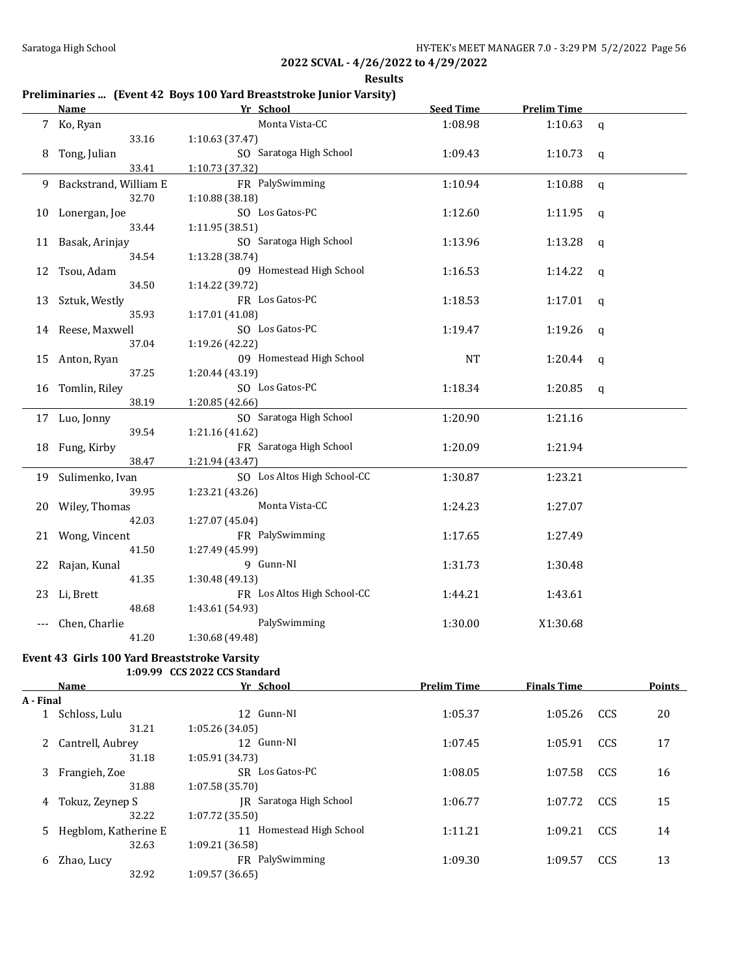**Results**

# **Preliminaries ... (Event 42 Boys 100 Yard Breaststroke Junior Varsity)**

|    | <b>Name</b>           | Yr School                   | <b>Seed Time</b> | <b>Prelim Time</b> |             |
|----|-----------------------|-----------------------------|------------------|--------------------|-------------|
|    | 7 Ko, Ryan            | Monta Vista-CC              | 1:08.98          | 1:10.63            | $\mathbf q$ |
|    | 33.16                 | 1:10.63 (37.47)             |                  |                    |             |
| 8  | Tong, Julian          | SO Saratoga High School     | 1:09.43          | 1:10.73            | q           |
|    | 33.41                 | 1:10.73 (37.32)             |                  |                    |             |
| 9. | Backstrand, William E | FR PalySwimming             | 1:10.94          | 1:10.88            | $\mathbf q$ |
|    | 32.70                 | 1:10.88(38.18)              |                  |                    |             |
| 10 | Lonergan, Joe         | SO Los Gatos-PC             | 1:12.60          | 1:11.95            | q           |
|    | 33.44                 | 1:11.95(38.51)              |                  |                    |             |
| 11 | Basak, Arinjay        | SO Saratoga High School     | 1:13.96          | 1:13.28            | q           |
|    | 34.54                 | 1:13.28 (38.74)             |                  |                    |             |
| 12 | Tsou, Adam            | 09 Homestead High School    | 1:16.53          | 1:14.22            | $\mathbf q$ |
|    | 34.50                 | 1:14.22 (39.72)             |                  |                    |             |
| 13 | Sztuk, Westly         | FR Los Gatos-PC             | 1:18.53          | 1:17.01            | q           |
|    | 35.93                 | 1:17.01 (41.08)             |                  |                    |             |
|    | 14 Reese, Maxwell     | SO Los Gatos-PC             | 1:19.47          | 1:19.26            | q           |
|    | 37.04                 | 1:19.26 (42.22)             |                  |                    |             |
| 15 | Anton, Ryan           | 09 Homestead High School    | NT               | 1:20.44            | q           |
|    | 37.25                 | 1:20.44 (43.19)             |                  |                    |             |
| 16 | Tomlin, Riley         | SO Los Gatos-PC             | 1:18.34          | 1:20.85            | q           |
|    | 38.19                 | 1:20.85 (42.66)             |                  |                    |             |
|    | 17 Luo, Jonny         | SO Saratoga High School     | 1:20.90          | 1:21.16            |             |
|    | 39.54                 | 1:21.16 (41.62)             |                  |                    |             |
|    | 18 Fung, Kirby        | FR Saratoga High School     | 1:20.09          | 1:21.94            |             |
|    | 38.47                 | 1:21.94 (43.47)             |                  |                    |             |
|    | 19 Sulimenko, Ivan    | SO Los Altos High School-CC | 1:30.87          | 1:23.21            |             |
|    | 39.95                 | 1:23.21 (43.26)             |                  |                    |             |
|    | 20 Wiley, Thomas      | Monta Vista-CC              | 1:24.23          | 1:27.07            |             |
|    | 42.03                 | 1:27.07 (45.04)             |                  |                    |             |
|    | 21 Wong, Vincent      | FR PalySwimming             | 1:17.65          | 1:27.49            |             |
|    | 41.50                 | 1:27.49 (45.99)             |                  |                    |             |
| 22 | Rajan, Kunal          | 9 Gunn-NI                   | 1:31.73          | 1:30.48            |             |
|    | 41.35                 | 1:30.48 (49.13)             |                  |                    |             |
| 23 | Li, Brett             | FR Los Altos High School-CC | 1:44.21          | 1:43.61            |             |
|    | 48.68                 | 1:43.61 (54.93)             |                  |                    |             |
|    | Chen, Charlie         | PalySwimming                | 1:30.00          | X1:30.68           |             |
|    | 41.20                 | 1:30.68 (49.48)             |                  |                    |             |

### **Event 43 Girls 100 Yard Breaststroke Varsity 1:09.99 CCS 2022 CCS Standard**

|           | Name                 | Yr School                   | <b>Prelim Time</b> | <b>Finals Time</b> |     | Points |
|-----------|----------------------|-----------------------------|--------------------|--------------------|-----|--------|
| A - Final |                      |                             |                    |                    |     |        |
|           | Schloss, Lulu        | 12 Gunn-NI                  | 1:05.37            | 1:05.26            | CCS | 20     |
|           | 31.21                | 1:05.26(34.05)              |                    |                    |     |        |
|           | 2 Cantrell, Aubrey   | 12 Gunn-NI                  | 1:07.45            | 1:05.91            | CCS | 17     |
|           | 31.18                | 1:05.91 (34.73)             |                    |                    |     |        |
| 3         | Frangieh, Zoe        | SR Los Gatos-PC             | 1:08.05            | 1:07.58            | CCS | 16     |
|           | 31.88                | 1:07.58 (35.70)             |                    |                    |     |        |
| 4         | Tokuz, Zeynep S      | Saratoga High School<br>IR  | 1:06.77            | 1:07.72            | CCS | 15     |
|           | 32.22                | 1:07.72(35.50)              |                    |                    |     |        |
| 5.        | Hegblom, Katherine E | Homestead High School<br>11 | 1:11.21            | 1:09.21            | CCS | 14     |
|           | 32.63                | 1:09.21(36.58)              |                    |                    |     |        |
| 6         | Zhao, Lucy           | FR PalySwimming             | 1:09.30            | 1:09.57            | CCS | 13     |
|           | 32.92                | 1:09.57(36.65)              |                    |                    |     |        |
|           |                      |                             |                    |                    |     |        |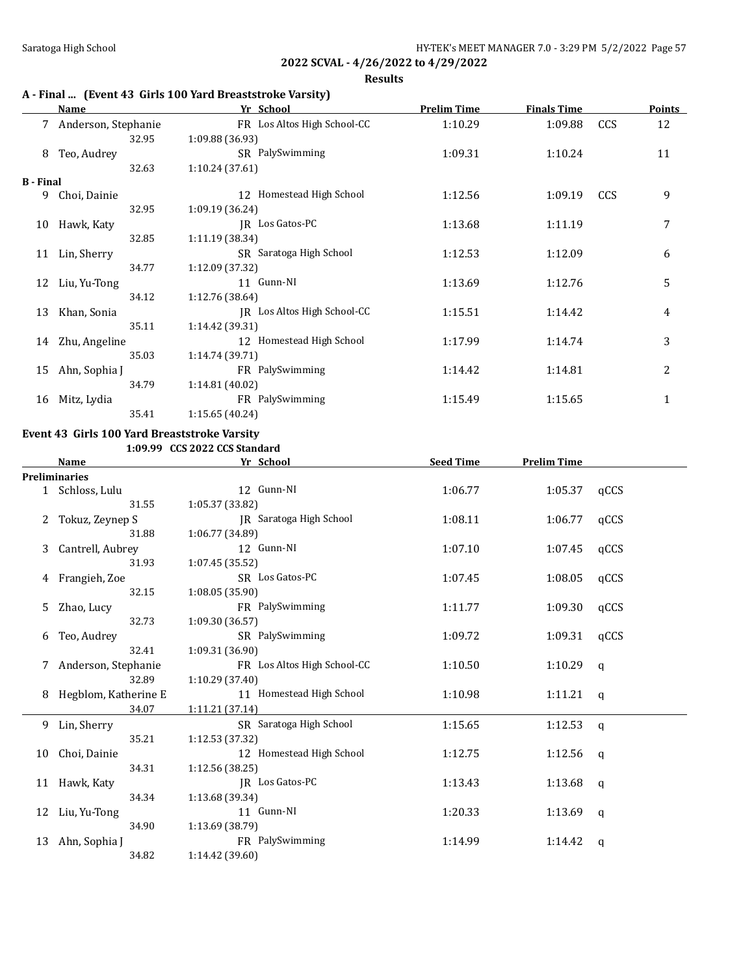**Results**

## **A - Final ... (Event 43 Girls 100 Yard Breaststroke Varsity)**

|                  | Name                | Yr School                   | <b>Prelim Time</b> | <b>Finals Time</b> |            | <b>Points</b> |
|------------------|---------------------|-----------------------------|--------------------|--------------------|------------|---------------|
|                  | Anderson, Stephanie | FR Los Altos High School-CC | 1:10.29            | 1:09.88            | CCS        | 12            |
|                  | 32.95               | 1:09.88 (36.93)             |                    |                    |            |               |
| 8                | Teo, Audrey         | SR PalySwimming             | 1:09.31            | 1:10.24            |            | 11            |
|                  | 32.63               | 1:10.24(37.61)              |                    |                    |            |               |
| <b>B</b> - Final |                     |                             |                    |                    |            |               |
| 9                | Choi, Dainie        | 12 Homestead High School    | 1:12.56            | 1:09.19            | <b>CCS</b> | 9             |
|                  | 32.95               | 1:09.19 (36.24)             |                    |                    |            |               |
| 10               | Hawk, Katy          | IR Los Gatos-PC             | 1:13.68            | 1:11.19            |            | 7             |
|                  | 32.85               | 1:11.19 (38.34)             |                    |                    |            |               |
| 11               | Lin, Sherry         | SR Saratoga High School     | 1:12.53            | 1:12.09            |            | 6             |
|                  | 34.77               | 1:12.09 (37.32)             |                    |                    |            |               |
| 12               | Liu, Yu-Tong        | 11 Gunn-NI                  | 1:13.69            | 1:12.76            |            | 5             |
|                  | 34.12               | 1:12.76(38.64)              |                    |                    |            |               |
| 13               | Khan, Sonia         | IR Los Altos High School-CC | 1:15.51            | 1:14.42            |            | 4             |
|                  | 35.11               | 1:14.42 (39.31)             |                    |                    |            |               |
| 14               | Zhu, Angeline       | 12 Homestead High School    | 1:17.99            | 1:14.74            |            | 3             |
|                  | 35.03               | 1:14.74 (39.71)             |                    |                    |            |               |
| 15               | Ahn, Sophia J       | FR PalySwimming             | 1:14.42            | 1:14.81            |            | 2             |
|                  | 34.79               | 1:14.81(40.02)              |                    |                    |            |               |
| 16               | Mitz, Lydia         | FR PalySwimming             | 1:15.49            | 1:15.65            |            | $\mathbf 1$   |
|                  | 35.41               | 1:15.65 (40.24)             |                    |                    |            |               |

### **Event 43 Girls 100 Yard Breaststroke Varsity**

**1:09.99 CCS 2022 CCS Standard**

|    | Name                 | <u>Yr School</u>            | <b>Seed Time</b> | <b>Prelim Time</b> |              |
|----|----------------------|-----------------------------|------------------|--------------------|--------------|
|    | <b>Preliminaries</b> |                             |                  |                    |              |
|    | 1 Schloss, Lulu      | 12 Gunn-NI                  | 1:06.77          | 1:05.37            | qCCS         |
|    | 31.55                | 1:05.37 (33.82)             |                  |                    |              |
|    | Tokuz, Zeynep S      | JR Saratoga High School     | 1:08.11          | 1:06.77            | qCCS         |
|    | 31.88                | 1:06.77 (34.89)             |                  |                    |              |
| 3  | Cantrell, Aubrey     | 12 Gunn-NI                  | 1:07.10          | 1:07.45            | qCCS         |
|    | 31.93                | 1:07.45 (35.52)             |                  |                    |              |
| 4  | Frangieh, Zoe        | SR Los Gatos-PC             | 1:07.45          | 1:08.05            | qCCS         |
|    | 32.15                | 1:08.05(35.90)              |                  |                    |              |
| 5  | Zhao, Lucy           | FR PalySwimming             | 1:11.77          | 1:09.30            | qCCS         |
|    | 32.73                | 1:09.30(36.57)              |                  |                    |              |
| 6  | Teo, Audrey          | SR PalySwimming             | 1:09.72          | 1:09.31            | qCCS         |
|    | 32.41                | 1:09.31 (36.90)             |                  |                    |              |
| 7  | Anderson, Stephanie  | FR Los Altos High School-CC | 1:10.50          | 1:10.29            | q            |
|    | 32.89                | 1:10.29 (37.40)             |                  |                    |              |
| 8  | Hegblom, Katherine E | 11 Homestead High School    | 1:10.98          | 1:11.21            | $\mathbf{q}$ |
|    | 34.07                | 1:11.21(37.14)              |                  |                    |              |
| 9  | Lin, Sherry          | SR Saratoga High School     | 1:15.65          | 1:12.53            | q            |
|    | 35.21                | 1:12.53 (37.32)             |                  |                    |              |
| 10 | Choi, Dainie         | 12 Homestead High School    | 1:12.75          | 1:12.56 $q$        |              |
|    | 34.31                | 1:12.56 (38.25)             |                  |                    |              |
|    | 11 Hawk, Katy        | JR Los Gatos-PC             | 1:13.43          | 1:13.68            | q            |
|    | 34.34                | 1:13.68 (39.34)             |                  |                    |              |
| 12 | Liu, Yu-Tong         | 11 Gunn-NI                  | 1:20.33          | 1:13.69            | q            |
|    | 34.90                | 1:13.69(38.79)              |                  |                    |              |
| 13 | Ahn, Sophia J        | FR PalySwimming             | 1:14.99          | 1:14.42            | q            |
|    | 34.82                | 1:14.42 (39.60)             |                  |                    |              |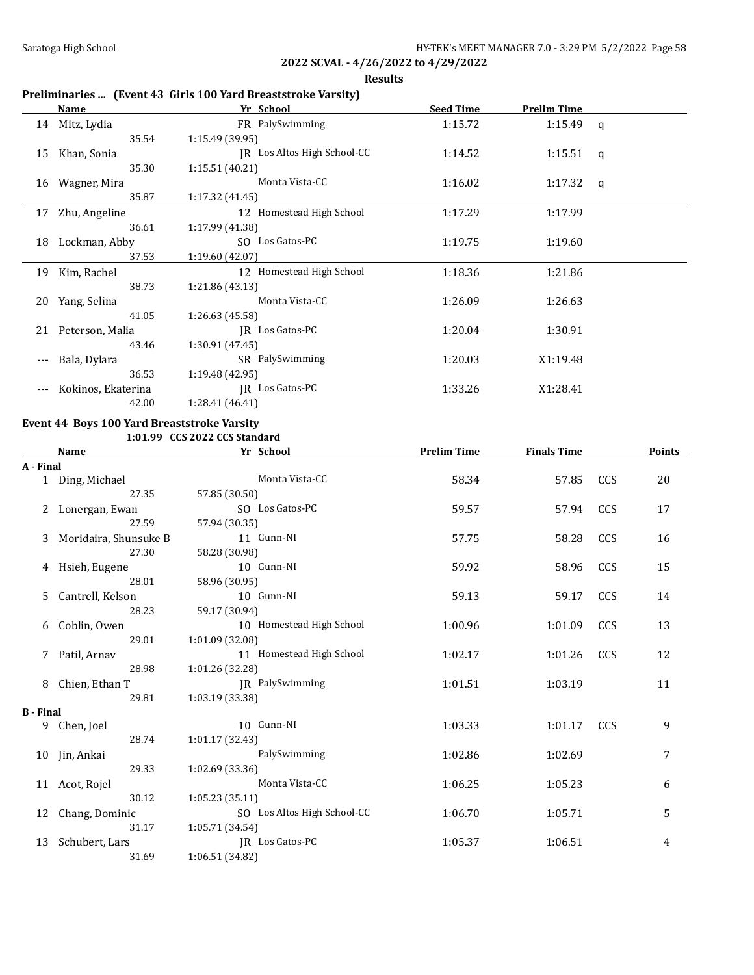**Results**

# **Preliminaries ... (Event 43 Girls 100 Yard Breaststroke Varsity)**

|       | Name               | Yr School                   | <b>Seed Time</b> | <b>Prelim Time</b> |  |
|-------|--------------------|-----------------------------|------------------|--------------------|--|
|       | 14 Mitz, Lydia     | FR PalySwimming             | 1:15.72          | $1:15.49$ q        |  |
|       | 35.54              | 1:15.49(39.95)              |                  |                    |  |
| 15    | Khan, Sonia        | JR Los Altos High School-CC | 1:14.52          | 1:15.51 $q$        |  |
|       | 35.30              | 1:15.51 (40.21)             |                  |                    |  |
| 16    | Wagner, Mira       | Monta Vista-CC              | 1:16.02          | 1:17.32 $q$        |  |
|       | 35.87              | 1:17.32(41.45)              |                  |                    |  |
| 17    | Zhu, Angeline      | 12 Homestead High School    | 1:17.29          | 1:17.99            |  |
|       | 36.61              | 1:17.99(41.38)              |                  |                    |  |
| 18    | Lockman, Abby      | SO Los Gatos-PC             | 1:19.75          | 1:19.60            |  |
|       | 37.53              | 1:19.60(42.07)              |                  |                    |  |
| 19    | Kim, Rachel        | 12 Homestead High School    | 1:18.36          | 1:21.86            |  |
|       | 38.73              | 1:21.86(43.13)              |                  |                    |  |
| 20    | Yang, Selina       | Monta Vista-CC              | 1:26.09          | 1:26.63            |  |
|       | 41.05              | 1:26.63 (45.58)             |                  |                    |  |
|       | 21 Peterson, Malia | IR Los Gatos-PC             | 1:20.04          | 1:30.91            |  |
|       | 43.46              | 1:30.91(47.45)              |                  |                    |  |
| $---$ | Bala, Dylara       | SR PalySwimming             | 1:20.03          | X1:19.48           |  |
|       | 36.53              | 1:19.48(42.95)              |                  |                    |  |
|       | Kokinos, Ekaterina | IR Los Gatos-PC             | 1:33.26          | X1:28.41           |  |
|       | 42.00              | 1:28.41 (46.41)             |                  |                    |  |

# **Event 44 Boys 100 Yard Breaststroke Varsity**

**1:01.99 CCS 2022 CCS Standard**

|                  | <b>Name</b>           | Yr School                   | <b>Prelim Time</b> | <b>Finals Time</b> |            | <b>Points</b> |
|------------------|-----------------------|-----------------------------|--------------------|--------------------|------------|---------------|
| A - Final        |                       |                             |                    |                    |            |               |
|                  | 1 Ding, Michael       | Monta Vista-CC              | 58.34              | 57.85              | CCS        | 20            |
|                  | 27.35                 | 57.85 (30.50)               |                    |                    |            |               |
|                  | Lonergan, Ewan        | SO Los Gatos-PC             | 59.57              | 57.94              | CCS        | 17            |
|                  | 27.59                 | 57.94 (30.35)               |                    |                    |            |               |
| 3                | Moridaira, Shunsuke B | 11 Gunn-NI                  | 57.75              | 58.28              | CCS        | 16            |
|                  | 27.30                 | 58.28 (30.98)               |                    |                    |            |               |
| 4                | Hsieh, Eugene         | 10 Gunn-NI                  | 59.92              | 58.96              | CCS        | 15            |
|                  | 28.01                 | 58.96 (30.95)               |                    |                    |            |               |
| 5                | Cantrell, Kelson      | 10 Gunn-NI                  | 59.13              | 59.17              | CCS        | 14            |
|                  | 28.23                 | 59.17 (30.94)               |                    |                    |            |               |
| 6                | Coblin, Owen          | 10 Homestead High School    | 1:00.96            | 1:01.09            | CCS        | 13            |
|                  | 29.01                 | 1:01.09 (32.08)             |                    |                    |            |               |
| 7                | Patil, Arnav          | 11 Homestead High School    | 1:02.17            | 1:01.26            | CCS        | 12            |
|                  | 28.98                 | 1:01.26 (32.28)             |                    |                    |            |               |
| 8                | Chien, Ethan T        | JR PalySwimming             | 1:01.51            | 1:03.19            |            | 11            |
|                  | 29.81                 | 1:03.19 (33.38)             |                    |                    |            |               |
| <b>B</b> - Final |                       |                             |                    |                    |            |               |
| 9                | Chen, Joel            | 10 Gunn-NI                  | 1:03.33            | 1:01.17            | <b>CCS</b> | 9             |
|                  | 28.74                 | 1:01.17 (32.43)             |                    |                    |            |               |
|                  | 10 Jin, Ankai         | PalySwimming                | 1:02.86            | 1:02.69            |            | 7             |
|                  | 29.33                 | 1:02.69 (33.36)             |                    |                    |            |               |
|                  | 11 Acot, Rojel        | Monta Vista-CC              | 1:06.25            | 1:05.23            |            | 6             |
|                  | 30.12                 | 1:05.23(35.11)              |                    |                    |            |               |
| 12               | Chang, Dominic        | SO Los Altos High School-CC | 1:06.70            | 1:05.71            |            | 5             |
|                  | 31.17                 | 1:05.71 (34.54)             |                    |                    |            |               |
| 13               | Schubert, Lars        | JR Los Gatos-PC             | 1:05.37            | 1:06.51            |            | 4             |
|                  | 31.69                 | 1:06.51 (34.82)             |                    |                    |            |               |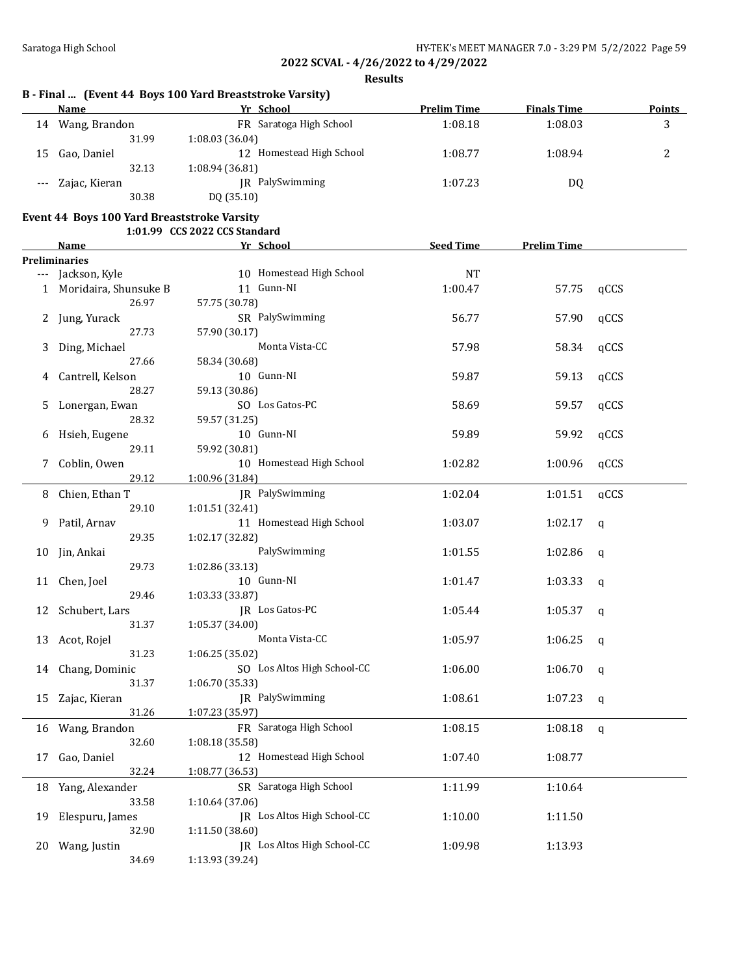**Results**

## **B - Final ... (Event 44 Boys 100 Yard Breaststroke Varsity)**

|       | Name          | Yr School                | <b>Prelim Time</b> | <b>Finals Time</b> | <b>Points</b> |
|-------|---------------|--------------------------|--------------------|--------------------|---------------|
| 14    | Wang, Brandon | FR Saratoga High School  | 1:08.18            | 1:08.03            | 2<br>ມ        |
|       | 31.99         | 1:08.03(36.04)           |                    |                    |               |
| 15    | Gao, Daniel   | 12 Homestead High School | 1:08.77            | 1:08.94            |               |
|       | 32.13         | 1:08.94 (36.81)          |                    |                    |               |
| $---$ | Zajac, Kieran | PalySwimming<br>IR       | 1:07.23            | DQ                 |               |
|       | 30.38         | DQ (35.10)               |                    |                    |               |

# **Event 44 Boys 100 Yard Breaststroke Varsity**

|     |                       | 1:01.99 CCS 2022 CCS Standard |                  |                    |      |
|-----|-----------------------|-------------------------------|------------------|--------------------|------|
|     | Name                  | Yr School                     | <b>Seed Time</b> | <b>Prelim Time</b> |      |
|     | <b>Preliminaries</b>  |                               |                  |                    |      |
| --- | Jackson, Kyle         | 10 Homestead High School      | <b>NT</b>        |                    |      |
| 1   | Moridaira, Shunsuke B | 11 Gunn-NI                    | 1:00.47          | 57.75              | qCCS |
|     | 26.97                 | 57.75 (30.78)                 |                  |                    |      |
| 2.  | Jung, Yurack          | SR PalySwimming               | 56.77            | 57.90              | qCCS |
|     | 27.73                 | 57.90 (30.17)                 |                  |                    |      |
| 3   | Ding, Michael         | Monta Vista-CC                | 57.98            | 58.34              | qCCS |
|     | 27.66                 | 58.34 (30.68)                 |                  |                    |      |
| 4   | Cantrell, Kelson      | 10 Gunn-NI                    | 59.87            | 59.13              | qCCS |
|     | 28.27                 | 59.13 (30.86)                 |                  |                    |      |
| 5   | Lonergan, Ewan        | SO Los Gatos-PC               | 58.69            | 59.57              | qCCS |
|     | 28.32                 | 59.57 (31.25)                 |                  |                    |      |
| 6   | Hsieh, Eugene         | 10 Gunn-NI                    | 59.89            | 59.92              | qCCS |
|     | 29.11                 | 59.92 (30.81)                 |                  |                    |      |
| 7   | Coblin, Owen          | 10 Homestead High School      | 1:02.82          | 1:00.96            | qCCS |
|     | 29.12                 | 1:00.96 (31.84)               |                  |                    |      |
| 8   | Chien, Ethan T        | JR PalySwimming               | 1:02.04          | 1:01.51            | qCCS |
|     | 29.10                 | 1:01.51 (32.41)               |                  |                    |      |
| 9   | Patil, Arnav          | 11 Homestead High School      | 1:03.07          | 1:02.17            | q    |
|     | 29.35                 | 1:02.17 (32.82)               |                  |                    |      |
| 10  | Jin, Ankai            | PalySwimming                  | 1:01.55          | 1:02.86            | q    |
|     | 29.73                 | 1:02.86 (33.13)               |                  |                    |      |
| 11  | Chen, Joel            | 10 Gunn-NI                    | 1:01.47          | 1:03.33            | q    |
|     | 29.46                 | 1:03.33 (33.87)               |                  |                    |      |
| 12  | Schubert, Lars        | JR Los Gatos-PC               | 1:05.44          | 1:05.37            | q    |
|     | 31.37                 | 1:05.37 (34.00)               |                  |                    |      |
| 13  | Acot, Rojel           | Monta Vista-CC                | 1:05.97          | 1:06.25            | q    |
|     | 31.23                 | 1:06.25 (35.02)               |                  |                    |      |
| 14  | Chang, Dominic        | SO Los Altos High School-CC   | 1:06.00          | 1:06.70            | q    |
|     | 31.37                 | 1:06.70 (35.33)               |                  |                    |      |
| 15  | Zajac, Kieran         | JR PalySwimming               | 1:08.61          | 1:07.23            | q    |
|     | 31.26                 | 1:07.23 (35.97)               |                  |                    |      |
|     | 16 Wang, Brandon      | FR Saratoga High School       | 1:08.15          | 1:08.18            | q    |
|     | 32.60                 | 1:08.18 (35.58)               |                  |                    |      |
| 17  | Gao, Daniel           | 12 Homestead High School      | 1:07.40          | 1:08.77            |      |
|     | 32.24                 | 1:08.77 (36.53)               |                  |                    |      |
|     |                       |                               |                  |                    |      |
| 18  | Yang, Alexander       | SR Saratoga High School       | 1:11.99          | 1:10.64            |      |
|     | 33.58                 | 1:10.64 (37.06)               |                  |                    |      |
| 19  | Elespuru, James       | IR Los Altos High School-CC   | 1:10.00          | 1:11.50            |      |
|     | 32.90                 | 1:11.50 (38.60)               |                  |                    |      |
| 20  | Wang, Justin          | JR Los Altos High School-CC   | 1:09.98          | 1:13.93            |      |
|     | 34.69                 | 1:13.93 (39.24)               |                  |                    |      |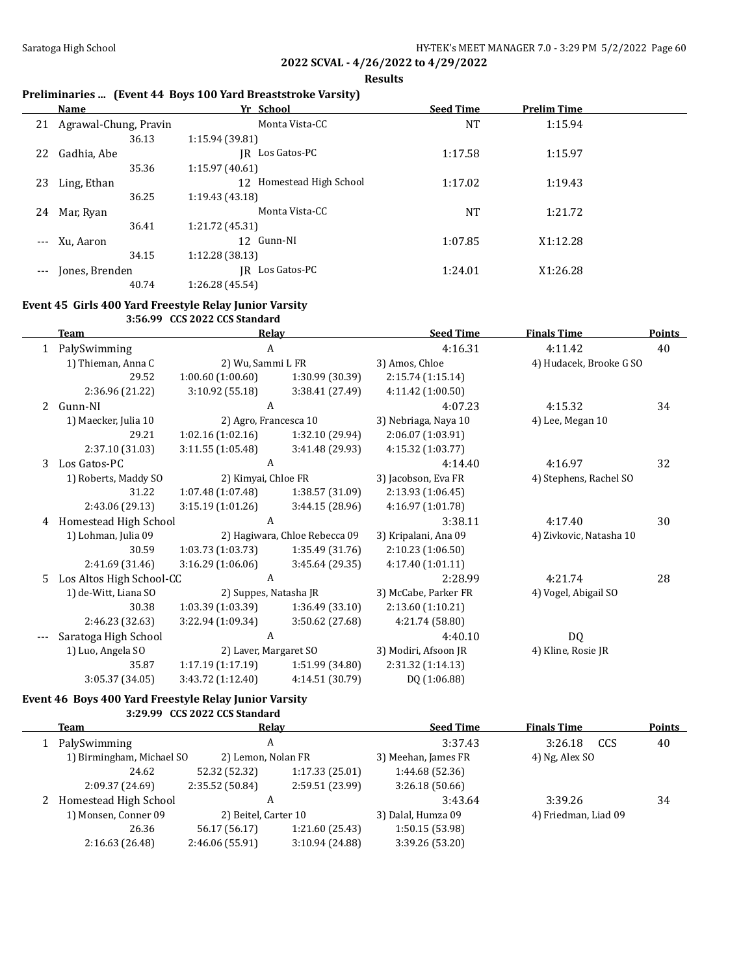**Results**

## **Preliminaries ... (Event 44 Boys 100 Yard Breaststroke Varsity)**

|                     | Name                  | Yr School                   | <b>Seed Time</b> | <b>Prelim Time</b> |  |
|---------------------|-----------------------|-----------------------------|------------------|--------------------|--|
| 21                  | Agrawal-Chung, Pravin | Monta Vista-CC              | NT               | 1:15.94            |  |
|                     | 36.13                 | 1:15.94(39.81)              |                  |                    |  |
| 22                  | Gadhia, Abe           | Los Gatos-PC<br>IR          | 1:17.58          | 1:15.97            |  |
|                     | 35.36                 | 1:15.97(40.61)              |                  |                    |  |
| 23                  | Ling, Ethan           | Homestead High School<br>12 | 1:17.02          | 1:19.43            |  |
|                     | 36.25                 | 1:19.43(43.18)              |                  |                    |  |
| 24                  | Mar, Ryan             | Monta Vista-CC              | NT               | 1:21.72            |  |
|                     | 36.41                 | 1:21.72(45.31)              |                  |                    |  |
| $\qquad \qquad - -$ | Xu, Aaron             | 12 Gunn-NI                  | 1:07.85          | X1:12.28           |  |
|                     | 34.15                 | 1:12.28 (38.13)             |                  |                    |  |
| $---$               | Jones, Brenden        | Los Gatos-PC<br>IR          | 1:24.01          | X1:26.28           |  |
|                     | 40.74                 | 1:26.28 (45.54)             |                  |                    |  |

### **Event 45 Girls 400 Yard Freestyle Relay Junior Varsity**

**3:56.99 CCS 2022 CCS Standard**

|   | <b>Team</b>              | Relay                 |                               | <b>Seed Time</b>     | <b>Finals Time</b>      | <b>Points</b> |
|---|--------------------------|-----------------------|-------------------------------|----------------------|-------------------------|---------------|
| 1 | PalySwimming             | A                     |                               | 4:16.31              | 4:11.42                 | 40            |
|   | 1) Thieman, Anna C       | 2) Wu, Sammi L FR     |                               | 3) Amos, Chloe       | 4) Hudacek, Brooke G SO |               |
|   | 29.52                    | 1:00.60(1:00.60)      | 1:30.99 (30.39)               | 2:15.74 (1:15.14)    |                         |               |
|   | 2:36.96 (21.22)          | 3:10.92(55.18)        | 3:38.41 (27.49)               | 4:11.42 (1:00.50)    |                         |               |
| 2 | Gunn-NI                  | A                     |                               | 4:07.23              | 4:15.32                 | 34            |
|   | 1) Maecker, Julia 10     | 2) Agro, Francesca 10 |                               | 3) Nebriaga, Naya 10 | 4) Lee, Megan 10        |               |
|   | 29.21                    | 1:02.16(1:02.16)      | 1:32.10 (29.94)               | 2:06.07 (1:03.91)    |                         |               |
|   | 2:37.10 (31.03)          | 3:11.55(1:05.48)      | 3:41.48 (29.93)               | 4:15.32(1:03.77)     |                         |               |
| 3 | Los Gatos-PC             | A                     |                               | 4:14.40              | 4:16.97                 | 32            |
|   | 1) Roberts, Maddy SO     | 2) Kimyai, Chloe FR   |                               | 3) Jacobson, Eva FR  | 4) Stephens, Rachel SO  |               |
|   | 31.22                    | 1:07.48(1:07.48)      | 1:38.57(31.09)                | 2:13.93 (1:06.45)    |                         |               |
|   | 2:43.06 (29.13)          | 3:15.19(1:01.26)      | 3:44.15(28.96)                | 4:16.97 (1:01.78)    |                         |               |
| 4 | Homestead High School    | A                     |                               | 3:38.11              | 4:17.40                 | 30            |
|   | 1) Lohman, Julia 09      |                       | 2) Hagiwara, Chloe Rebecca 09 | 3) Kripalani, Ana 09 | 4) Zivkovic, Natasha 10 |               |
|   | 30.59                    | 1:03.73(1:03.73)      | 1:35.49 (31.76)               | 2:10.23(1:06.50)     |                         |               |
|   | 2:41.69 (31.46)          | 3:16.29(1:06.06)      | 3:45.64 (29.35)               | 4:17.40(1:01.11)     |                         |               |
| 5 | Los Altos High School-CC | A                     |                               | 2:28.99              | 4:21.74                 | 28            |
|   | 1) de-Witt, Liana SO     | 2) Suppes, Natasha JR |                               | 3) McCabe, Parker FR | 4) Vogel, Abigail SO    |               |
|   | 30.38                    | 1:03.39 (1:03.39)     | 1:36.49(33.10)                | 2:13.60 (1:10.21)    |                         |               |
|   | 2:46.23 (32.63)          | 3:22.94(1:09.34)      | 3:50.62 (27.68)               | 4:21.74 (58.80)      |                         |               |
|   | Saratoga High School     | A                     |                               | 4:40.10              | DQ                      |               |
|   | 1) Luo, Angela SO        | 2) Laver, Margaret SO |                               | 3) Modiri, Afsoon JR | 4) Kline, Rosie JR      |               |
|   | 35.87                    | 1:17.19(1:17.19)      | 1:51.99 (34.80)               | 2:31.32 (1:14.13)    |                         |               |
|   | 3:05.37 (34.05)          | 3:43.72 (1:12.40)     | 4:14.51 (30.79)               | DQ (1:06.88)         |                         |               |

### **Event 46 Boys 400 Yard Freestyle Relay Junior Varsity 3:29.99 CCS 2022 CCS Standard**

| Team                      | Relav                |                 | <b>Seed Time</b>    | <b>Finals Time</b>   | <b>Points</b> |
|---------------------------|----------------------|-----------------|---------------------|----------------------|---------------|
| PalySwimming              | A                    |                 | 3:37.43             | 3:26.18<br>CCS       | 40            |
| 1) Birmingham, Michael SO | 2) Lemon, Nolan FR   |                 | 3) Meehan, James FR | 4) Ng, Alex SO       |               |
| 24.62                     | 52.32 (52.32)        | 1:17.33(25.01)  | 1:44.68 (52.36)     |                      |               |
| 2:09.37 (24.69)           | 2:35.52 (50.84)      | 2:59.51 (23.99) | 3:26.18(50.66)      |                      |               |
| 2 Homestead High School   |                      |                 | 3:43.64             | 3:39.26              | 34            |
| 1) Monsen, Conner 09      | 2) Beitel, Carter 10 |                 | 3) Dalal, Humza 09  | 4) Friedman, Liad 09 |               |
| 26.36                     | 56.17 (56.17)        | 1:21.60(25.43)  | 1:50.15(53.98)      |                      |               |
| 2:16.63 (26.48)           | 2:46.06 (55.91)      | 3:10.94 (24.88) | 3:39.26 (53.20)     |                      |               |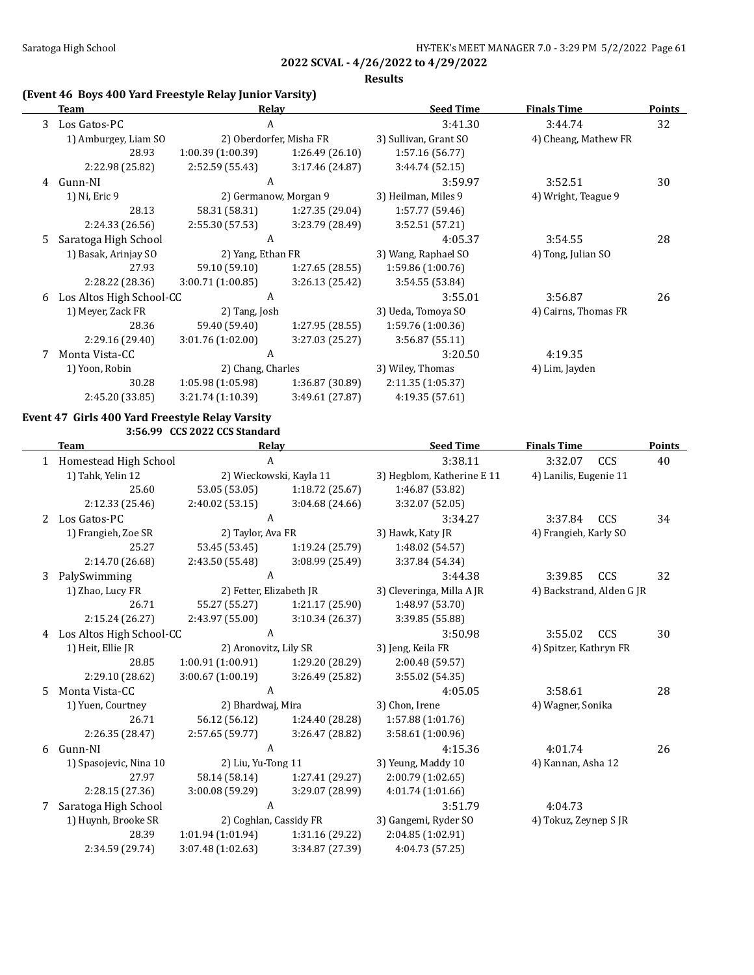**Results**

### **(Event 46 Boys 400 Yard Freestyle Relay Junior Varsity)**

|    | Team                     | Relay             |                         | <b>Seed Time</b>      | <b>Finals Time</b>   | <b>Points</b> |
|----|--------------------------|-------------------|-------------------------|-----------------------|----------------------|---------------|
| 3  | Los Gatos-PC             | A                 |                         | 3:41.30               | 3:44.74              | 32            |
|    | 1) Amburgey, Liam SO     |                   | 2) Oberdorfer, Misha FR | 3) Sullivan, Grant SO | 4) Cheang, Mathew FR |               |
|    | 28.93                    | 1:00.39(1:00.39)  | 1:26.49 (26.10)         | 1:57.16 (56.77)       |                      |               |
|    | 2:22.98 (25.82)          | 2:52.59 (55.43)   | 3:17.46 (24.87)         | 3:44.74(52.15)        |                      |               |
| 4  | Gunn-NI                  | A                 |                         | 3:59.97               | 3:52.51              | 30            |
|    | 1) Ni, Eric 9            |                   | 2) Germanow, Morgan 9   | 3) Heilman, Miles 9   | 4) Wright, Teague 9  |               |
|    | 28.13                    | 58.31 (58.31)     | 1:27.35 (29.04)         | 1:57.77 (59.46)       |                      |               |
|    | 2:24.33 (26.56)          | 2:55.30 (57.53)   | 3:23.79 (28.49)         | 3:52.51(57.21)        |                      |               |
| .5 | Saratoga High School     | A                 |                         | 4:05.37               | 3:54.55              | 28            |
|    | 1) Basak, Arinjay SO     | 2) Yang, Ethan FR |                         | 3) Wang, Raphael SO   | 4) Tong, Julian SO   |               |
|    | 27.93                    | 59.10 (59.10)     | 1:27.65(28.55)          | 1:59.86(1:00.76)      |                      |               |
|    | 2:28.22 (28.36)          | 3:00.71(1:00.85)  | 3:26.13(25.42)          | 3:54.55 (53.84)       |                      |               |
| 6  | Los Altos High School-CC | A                 |                         | 3:55.01               | 3:56.87              | 26            |
|    | 1) Meyer, Zack FR        | 2) Tang, Josh     |                         | 3) Ueda, Tomoya SO    | 4) Cairns, Thomas FR |               |
|    | 28.36                    | 59.40 (59.40)     | 1:27.95(28.55)          | 1:59.76 (1:00.36)     |                      |               |
|    | 2:29.16 (29.40)          | 3:01.76(1:02.00)  | 3:27.03 (25.27)         | 3:56.87 (55.11)       |                      |               |
|    | Monta Vista-CC           | A                 |                         | 3:20.50               | 4:19.35              |               |
|    | 1) Yoon, Robin           | 2) Chang, Charles |                         | 3) Wiley, Thomas      | 4) Lim, Jayden       |               |
|    | 30.28                    | 1:05.98(1:05.98)  | 1:36.87(30.89)          | 2:11.35 (1:05.37)     |                      |               |
|    | 2:45.20 (33.85)          | 3:21.74(1:10.39)  | 3:49.61 (27.87)         | 4:19.35(57.61)        |                      |               |
|    |                          |                   |                         |                       |                      |               |

### **Event 47 Girls 400 Yard Freestyle Relay Varsity 3:56.99 CCS 2022 CCS Standard**

**Team Relay Seed Time Finals Time Points** 1 Homestead High School A 3:38.11 3:32.07 CCS 40 1) Tahk, Yelin 12 2) Wieckowski, Kayla 11 3) Hegblom, Katherine E 11 4) Lanilis, Eugenie 11 25.60 53.05 (53.05) 1:18.72 (25.67) 1:46.87 (53.82) 2:12.33 (25.46) 2:40.02 (53.15) 3:04.68 (24.66) 3:32.07 (52.05) 2 Los Gatos-PC A 3:34.27 3:37.84 CCS 34 1) Frangieh, Zoe SR 2) Taylor, Ava FR 3) Hawk, Katy JR 4) Frangieh, Karly SO 25.27 53.45 (53.45) 1:19.24 (25.79) 1:48.02 (54.57) 2:14.70 (26.68) 2:43.50 (55.48) 3:08.99 (25.49) 3:37.84 (54.34) 3 PalySwimming A 3:44.38 3:39.85 CCS 32 1) Zhao, Lucy FR 2) Fetter, Elizabeth JR 3) Cleveringa, Milla A JR 4) Backstrand, Alden G JR 26.71 55.27 (55.27) 1:21.17 (25.90) 1:48.97 (53.70) 2:15.24 (26.27) 2:43.97 (55.00) 3:10.34 (26.37) 3:39.85 (55.88) 4 Los Altos High School-CC A 3:50.98 3:55.02 CCS 30 1) Heit, Ellie JR 2) Aronovitz, Lily SR 3) Jeng, Keila FR 4) Spitzer, Kathryn FR 28.85 1:00.91 (1:00.91) 1:29.20 (28.29) 2:00.48 (59.57) 2:29.10 (28.62) 3:00.67 (1:00.19) 3:26.49 (25.82) 3:55.02 (54.35) 5 Monta Vista-CC A 4:05.05 3:58.61 28 1) Yuen, Courtney 2) Bhardwaj, Mira 3) Chon, Irene 4) Wagner, Sonika 26.71 56.12 (56.12) 1:24.40 (28.28) 1:57.88 (1:01.76) 2:26.35 (28.47) 2:57.65 (59.77) 3:26.47 (28.82) 3:58.61 (1:00.96) 6 Gunn-NI A 4:15.36 4:01.74 26 1) Spasojevic, Nina 10 2) Liu, Yu-Tong 11 3) Yeung, Maddy 10 4) Kannan, Asha 12 27.97 58.14 (58.14) 1:27.41 (29.27) 2:00.79 (1:02.65) 2:28.15 (27.36) 3:00.08 (59.29) 3:29.07 (28.99) 4:01.74 (1:01.66) 7 Saratoga High School A 3:51.79 4:04.73 1) Huynh, Brooke SR 2) Coghlan, Cassidy FR 3) Gangemi, Ryder SO 4) Tokuz, Zeynep S JR 28.39 1:01.94 (1:01.94) 1:31.16 (29.22) 2:04.85 (1:02.91) 2:34.59 (29.74) 3:07.48 (1:02.63) 3:34.87 (27.39) 4:04.73 (57.25)